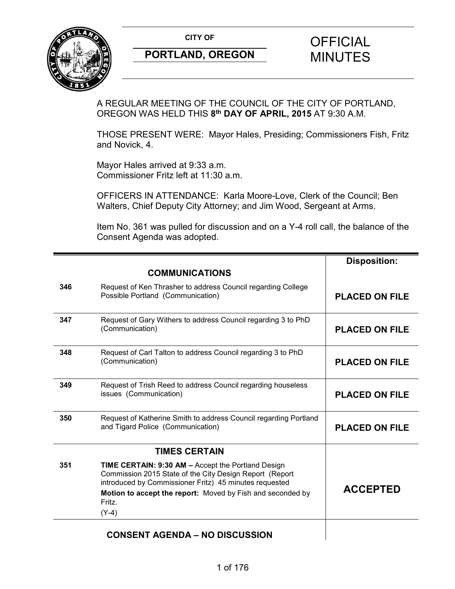**CITY OF CITY OF STRIPS OF FICIAL** 



# **PORTLAND, OREGON MINUTES**

# A REGULAR MEETING OF THE COUNCIL OF THE CITY OF PORTLAND, OREGON WAS HELD THIS **8th DAY OF APRIL, 2015** AT 9:30 A.M.

THOSE PRESENT WERE: Mayor Hales, Presiding; Commissioners Fish, Fritz and Novick, 4.

Mayor Hales arrived at 9:33 a.m. Commissioner Fritz left at 11:30 a.m.

OFFICERS IN ATTENDANCE: Karla Moore-Love, Clerk of the Council; Ben Walters, Chief Deputy City Attorney; and Jim Wood, Sergeant at Arms.

Item No. 361 was pulled for discussion and on a Y-4 roll call, the balance of the Consent Agenda was adopted.

|     |                                                                                                                                                                                                                                                            | <b>Disposition:</b>   |
|-----|------------------------------------------------------------------------------------------------------------------------------------------------------------------------------------------------------------------------------------------------------------|-----------------------|
|     | <b>COMMUNICATIONS</b>                                                                                                                                                                                                                                      |                       |
| 346 | Request of Ken Thrasher to address Council regarding College<br>Possible Portland (Communication)                                                                                                                                                          | <b>PLACED ON FILE</b> |
| 347 | Request of Gary Withers to address Council regarding 3 to PhD<br>(Communication)                                                                                                                                                                           | <b>PLACED ON FILE</b> |
| 348 | Request of Carl Talton to address Council regarding 3 to PhD<br>(Communication)                                                                                                                                                                            | <b>PLACED ON FILE</b> |
| 349 | Request of Trish Reed to address Council regarding houseless<br>issues (Communication)                                                                                                                                                                     | <b>PLACED ON FILE</b> |
| 350 | Request of Katherine Smith to address Council regarding Portland<br>and Tigard Police (Communication)                                                                                                                                                      | <b>PLACED ON FILE</b> |
|     | <b>TIMES CERTAIN</b>                                                                                                                                                                                                                                       |                       |
| 351 | TIME CERTAIN: 9:30 AM - Accept the Portland Design<br>Commission 2015 State of the City Design Report (Report<br>introduced by Commissioner Fritz) 45 minutes requested<br>Motion to accept the report: Moved by Fish and seconded by<br>Fritz.<br>$(Y-4)$ | <b>ACCEPTED</b>       |
|     | <b>CONSENT AGENDA - NO DISCUSSION</b>                                                                                                                                                                                                                      |                       |

## **CONSENT AGENDA – NO DISCUSSION**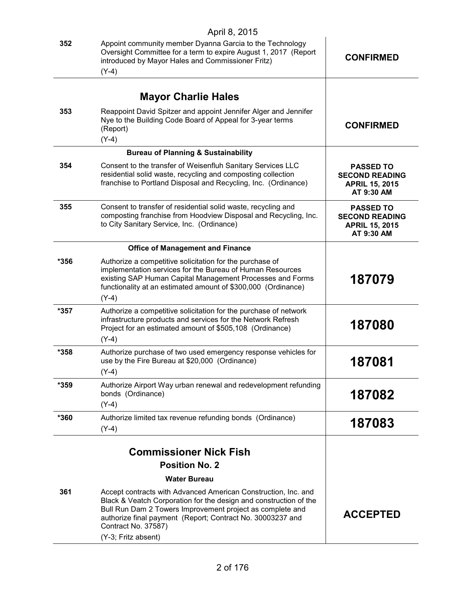|        | April 8, 2015                                                                                                                                                                                                                                                                                                                       |                                                                                  |
|--------|-------------------------------------------------------------------------------------------------------------------------------------------------------------------------------------------------------------------------------------------------------------------------------------------------------------------------------------|----------------------------------------------------------------------------------|
| 352    | Appoint community member Dyanna Garcia to the Technology<br>Oversight Committee for a term to expire August 1, 2017 (Report<br>introduced by Mayor Hales and Commissioner Fritz)<br>$(Y-4)$                                                                                                                                         | <b>CONFIRMED</b>                                                                 |
|        |                                                                                                                                                                                                                                                                                                                                     |                                                                                  |
|        | <b>Mayor Charlie Hales</b>                                                                                                                                                                                                                                                                                                          |                                                                                  |
| 353    | Reappoint David Spitzer and appoint Jennifer Alger and Jennifer<br>Nye to the Building Code Board of Appeal for 3-year terms<br>(Report)<br>$(Y-4)$                                                                                                                                                                                 | <b>CONFIRMED</b>                                                                 |
|        | <b>Bureau of Planning &amp; Sustainability</b>                                                                                                                                                                                                                                                                                      |                                                                                  |
| 354    | Consent to the transfer of Weisenfluh Sanitary Services LLC<br>residential solid waste, recycling and composting collection<br>franchise to Portland Disposal and Recycling, Inc. (Ordinance)                                                                                                                                       | <b>PASSED TO</b><br><b>SECOND READING</b><br><b>APRIL 15, 2015</b><br>AT 9:30 AM |
| 355    | Consent to transfer of residential solid waste, recycling and<br>composting franchise from Hoodview Disposal and Recycling, Inc.<br>to City Sanitary Service, Inc. (Ordinance)                                                                                                                                                      | <b>PASSED TO</b><br><b>SECOND READING</b><br><b>APRIL 15, 2015</b><br>AT 9:30 AM |
|        | <b>Office of Management and Finance</b>                                                                                                                                                                                                                                                                                             |                                                                                  |
| *356   | Authorize a competitive solicitation for the purchase of<br>implementation services for the Bureau of Human Resources<br>existing SAP Human Capital Management Processes and Forms<br>functionality at an estimated amount of \$300,000 (Ordinance)<br>$(Y-4)$                                                                      | 187079                                                                           |
| $*357$ | Authorize a competitive solicitation for the purchase of network<br>infrastructure products and services for the Network Refresh<br>Project for an estimated amount of \$505,108 (Ordinance)<br>$(Y-4)$                                                                                                                             | 187080                                                                           |
| *358   | Authorize purchase of two used emergency response vehicles for<br>use by the Fire Bureau at \$20,000 (Ordinance)<br>$(Y-4)$                                                                                                                                                                                                         | 187081                                                                           |
| *359   | Authorize Airport Way urban renewal and redevelopment refunding<br>bonds (Ordinance)<br>$(Y-4)$                                                                                                                                                                                                                                     | 187082                                                                           |
| *360   | Authorize limited tax revenue refunding bonds (Ordinance)<br>$(Y-4)$                                                                                                                                                                                                                                                                | 187083                                                                           |
|        | <b>Commissioner Nick Fish</b>                                                                                                                                                                                                                                                                                                       |                                                                                  |
|        | <b>Position No. 2</b>                                                                                                                                                                                                                                                                                                               |                                                                                  |
| 361    | <b>Water Bureau</b><br>Accept contracts with Advanced American Construction, Inc. and<br>Black & Veatch Corporation for the design and construction of the<br>Bull Run Dam 2 Towers Improvement project as complete and<br>authorize final payment (Report; Contract No. 30003237 and<br>Contract No. 37587)<br>(Y-3; Fritz absent) | <b>ACCEPTED</b>                                                                  |
|        |                                                                                                                                                                                                                                                                                                                                     |                                                                                  |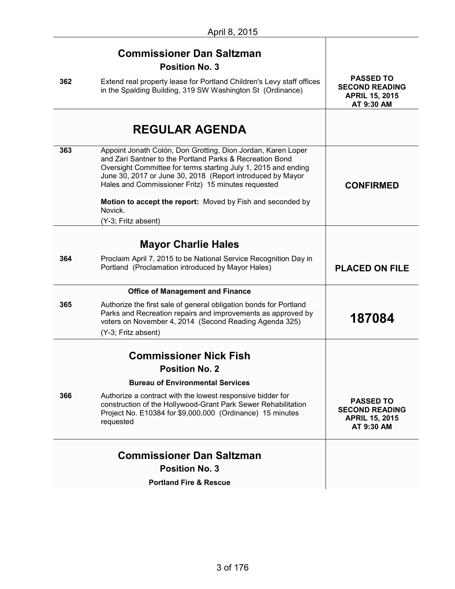|     | <b>Commissioner Dan Saltzman</b>                                                                                                                                                                                                                                                                                                                                             |                                                                                  |
|-----|------------------------------------------------------------------------------------------------------------------------------------------------------------------------------------------------------------------------------------------------------------------------------------------------------------------------------------------------------------------------------|----------------------------------------------------------------------------------|
|     | <b>Position No. 3</b>                                                                                                                                                                                                                                                                                                                                                        |                                                                                  |
| 362 | Extend real property lease for Portland Children's Levy staff offices<br>in the Spalding Building, 319 SW Washington St (Ordinance)                                                                                                                                                                                                                                          | <b>PASSED TO</b><br><b>SECOND READING</b><br><b>APRIL 15, 2015</b><br>AT 9:30 AM |
|     | <b>REGULAR AGENDA</b>                                                                                                                                                                                                                                                                                                                                                        |                                                                                  |
| 363 | Appoint Jonath Colón, Don Grotting, Dion Jordan, Karen Loper<br>and Zari Santner to the Portland Parks & Recreation Bond<br>Oversight Committee for terms starting July 1, 2015 and ending<br>June 30, 2017 or June 30, 2018 (Report introduced by Mayor<br>Hales and Commissioner Fritz) 15 minutes requested<br>Motion to accept the report: Moved by Fish and seconded by | <b>CONFIRMED</b>                                                                 |
|     | Novick.<br>(Y-3; Fritz absent)                                                                                                                                                                                                                                                                                                                                               |                                                                                  |
|     |                                                                                                                                                                                                                                                                                                                                                                              |                                                                                  |
|     | <b>Mayor Charlie Hales</b>                                                                                                                                                                                                                                                                                                                                                   |                                                                                  |
| 364 | Proclaim April 7, 2015 to be National Service Recognition Day in<br>Portland (Proclamation introduced by Mayor Hales)                                                                                                                                                                                                                                                        | <b>PLACED ON FILE</b>                                                            |
|     | <b>Office of Management and Finance</b>                                                                                                                                                                                                                                                                                                                                      |                                                                                  |
| 365 | Authorize the first sale of general obligation bonds for Portland<br>Parks and Recreation repairs and improvements as approved by<br>voters on November 4, 2014 (Second Reading Agenda 325)                                                                                                                                                                                  | 187084                                                                           |
|     | (Y-3; Fritz absent)                                                                                                                                                                                                                                                                                                                                                          |                                                                                  |
|     | <b>Commissioner Nick Fish</b>                                                                                                                                                                                                                                                                                                                                                |                                                                                  |
|     | <b>Position No. 2</b>                                                                                                                                                                                                                                                                                                                                                        |                                                                                  |
|     | <b>Bureau of Environmental Services</b>                                                                                                                                                                                                                                                                                                                                      |                                                                                  |
| 366 | Authorize a contract with the lowest responsive bidder for<br>construction of the Hollywood-Grant Park Sewer Rehabilitation<br>Project No. E10384 for \$9,000,000 (Ordinance) 15 minutes<br>requested                                                                                                                                                                        | <b>PASSED TO</b><br><b>SECOND READING</b><br><b>APRIL 15, 2015</b><br>AT 9:30 AM |
|     | <b>Commissioner Dan Saltzman</b>                                                                                                                                                                                                                                                                                                                                             |                                                                                  |
|     | <b>Position No. 3</b>                                                                                                                                                                                                                                                                                                                                                        |                                                                                  |
|     | <b>Portland Fire &amp; Rescue</b>                                                                                                                                                                                                                                                                                                                                            |                                                                                  |
|     |                                                                                                                                                                                                                                                                                                                                                                              |                                                                                  |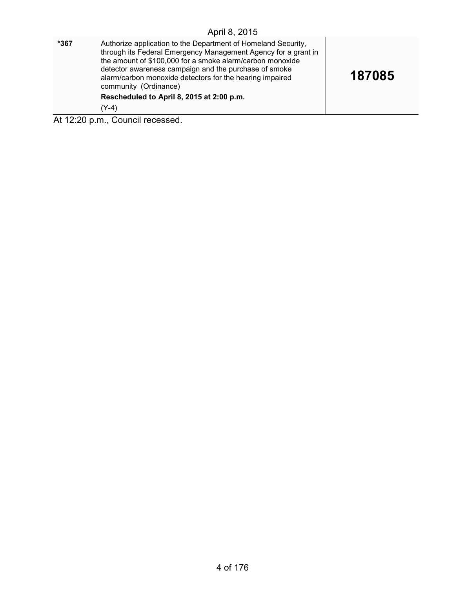| *367 | Authorize application to the Department of Homeland Security,<br>through its Federal Emergency Management Agency for a grant in<br>the amount of \$100,000 for a smoke alarm/carbon monoxide<br>detector awareness campaign and the purchase of smoke<br>alarm/carbon monoxide detectors for the hearing impaired<br>community (Ordinance)<br>Rescheduled to April 8, 2015 at 2:00 p.m.<br>$(Y-4)$ | 187085 |
|------|----------------------------------------------------------------------------------------------------------------------------------------------------------------------------------------------------------------------------------------------------------------------------------------------------------------------------------------------------------------------------------------------------|--------|
|      | At 12:20 p.m., Council recessed.                                                                                                                                                                                                                                                                                                                                                                   |        |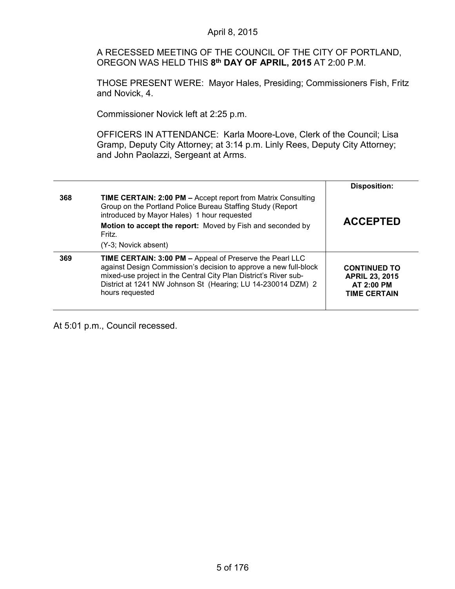## A RECESSED MEETING OF THE COUNCIL OF THE CITY OF PORTLAND, OREGON WAS HELD THIS **8th DAY OF APRIL, 2015** AT 2:00 P.M. THOSE PRESENT WERE: Mayor Hales, Presiding; Commissioners Fish, Fritz and Novick, 4. Commissioner Novick left at 2:25 p.m. OFFICERS IN ATTENDANCE: Karla Moore-Love, Clerk of the Council; Lisa Gramp, Deputy City Attorney; at 3:14 p.m. Linly Rees, Deputy City Attorney; and John Paolazzi, Sergeant at Arms. **Disposition: 368 TIME CERTAIN: 2:00 PM –** Accept report from Matrix Consulting Group on the Portland Police Bureau Staffing Study (Report introduced by Mayor Hales) 1 hour requested **Motion to accept the report:** Moved by Fish and seconded by Fritz. (Y-3; Novick absent) **ACCEPTED 369 TIME CERTAIN: 3:00 PM –** Appeal of Preserve the Pearl LLC against Design Commission's decision to approve a new full-block mixed-use project in the Central City Plan District's River sub-District at 1241 NW Johnson St (Hearing; LU 14-230014 DZM) 2 hours requested **CONTINUED TO APRIL 23, 2015 AT 2:00 PM TIME CERTAIN**

April 8, 2015

At 5:01 p.m., Council recessed.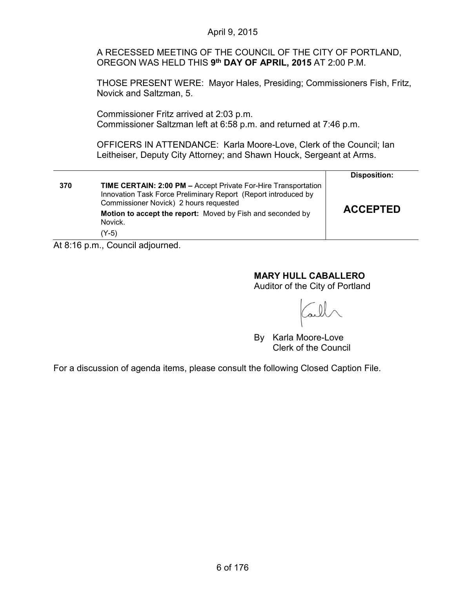|     | April 9, 2015                                                                                                                                                                                                                                                                                                                                                                                                                                                                              |                     |  |
|-----|--------------------------------------------------------------------------------------------------------------------------------------------------------------------------------------------------------------------------------------------------------------------------------------------------------------------------------------------------------------------------------------------------------------------------------------------------------------------------------------------|---------------------|--|
|     | A RECESSED MEETING OF THE COUNCIL OF THE CITY OF PORTLAND.<br>OREGON WAS HELD THIS 9th DAY OF APRIL, 2015 AT 2:00 P.M.<br>THOSE PRESENT WERE: Mayor Hales, Presiding; Commissioners Fish, Fritz,<br>Novick and Saltzman, 5.<br>Commissioner Fritz arrived at 2:03 p.m.<br>Commissioner Saltzman left at 6:58 p.m. and returned at 7:46 p.m.<br>OFFICERS IN ATTENDANCE: Karla Moore-Love, Clerk of the Council; Ian<br>Leitheiser, Deputy City Attorney; and Shawn Houck, Sergeant at Arms. |                     |  |
|     |                                                                                                                                                                                                                                                                                                                                                                                                                                                                                            |                     |  |
|     |                                                                                                                                                                                                                                                                                                                                                                                                                                                                                            |                     |  |
|     |                                                                                                                                                                                                                                                                                                                                                                                                                                                                                            |                     |  |
|     |                                                                                                                                                                                                                                                                                                                                                                                                                                                                                            | <b>Disposition:</b> |  |
| 370 | <b>TIME CERTAIN: 2:00 PM - Accept Private For-Hire Transportation</b><br>Innovation Task Force Preliminary Report (Report introduced by<br>Commissioner Novick) 2 hours requested                                                                                                                                                                                                                                                                                                          |                     |  |
|     | Motion to accept the report: Moved by Fish and seconded by<br>Novick.                                                                                                                                                                                                                                                                                                                                                                                                                      | <b>ACCEPTED</b>     |  |
|     | $(Y-5)$                                                                                                                                                                                                                                                                                                                                                                                                                                                                                    |                     |  |
|     | At 8:16 p.m., Council adjourned                                                                                                                                                                                                                                                                                                                                                                                                                                                            |                     |  |

At 8:16 p.m., Council adjourned.

# **MARY HULL CABALLERO**

Auditor of the City of Portland

all

By Karla Moore-Love Clerk of the Council

For a discussion of agenda items, please consult the following Closed Caption File.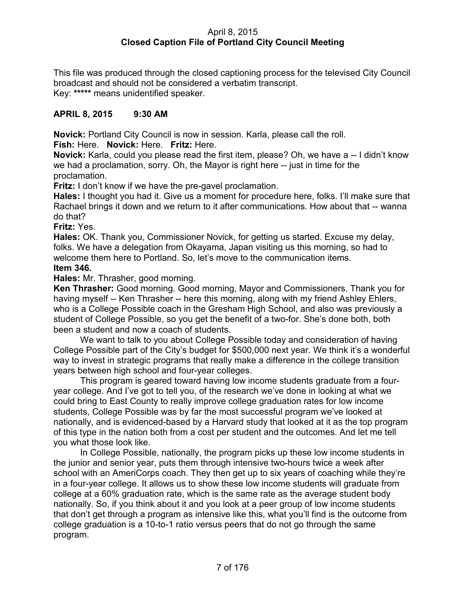## April 8, 2015 **Closed Caption File of Portland City Council Meeting**

This file was produced through the closed captioning process for the televised City Council broadcast and should not be considered a verbatim transcript. Key: **\*\*\*\*\*** means unidentified speaker.

## **APRIL 8, 2015 9:30 AM**

**Novick:** Portland City Council is now in session. Karla, please call the roll.

**Fish:** Here. **Novick:** Here. **Fritz:** Here.

**Novick:** Karla, could you please read the first item, please? Oh, we have a -- I didn't know we had a proclamation, sorry. Oh, the Mayor is right here -- just in time for the proclamation.

**Fritz:** I don't know if we have the pre-gavel proclamation.

**Hales:** I thought you had it. Give us a moment for procedure here, folks. I'll make sure that Rachael brings it down and we return to it after communications. How about that -- wanna do that?

**Fritz:** Yes.

**Hales:** OK. Thank you, Commissioner Novick, for getting us started. Excuse my delay, folks. We have a delegation from Okayama, Japan visiting us this morning, so had to welcome them here to Portland. So, let's move to the communication items.

## **Item 346.**

**Hales:** Mr. Thrasher, good morning.

**Ken Thrasher:** Good morning. Good morning, Mayor and Commissioners. Thank you for having myself -- Ken Thrasher -- here this morning, along with my friend Ashley Ehlers, who is a College Possible coach in the Gresham High School, and also was previously a student of College Possible, so you get the benefit of a two-for. She's done both, both been a student and now a coach of students.

We want to talk to you about College Possible today and consideration of having College Possible part of the City's budget for \$500,000 next year. We think it's a wonderful way to invest in strategic programs that really make a difference in the college transition years between high school and four-year colleges.

This program is geared toward having low income students graduate from a fouryear college. And I've got to tell you, of the research we've done in looking at what we could bring to East County to really improve college graduation rates for low income students, College Possible was by far the most successful program we've looked at nationally, and is evidenced-based by a Harvard study that looked at it as the top program of this type in the nation both from a cost per student and the outcomes. And let me tell you what those look like.

In College Possible, nationally, the program picks up these low income students in the junior and senior year, puts them through intensive two-hours twice a week after school with an AmeriCorps coach. They then get up to six years of coaching while they're in a four-year college. It allows us to show these low income students will graduate from college at a 60% graduation rate, which is the same rate as the average student body nationally. So, if you think about it and you look at a peer group of low income students that don't get through a program as intensive like this, what you'll find is the outcome from college graduation is a 10-to-1 ratio versus peers that do not go through the same program.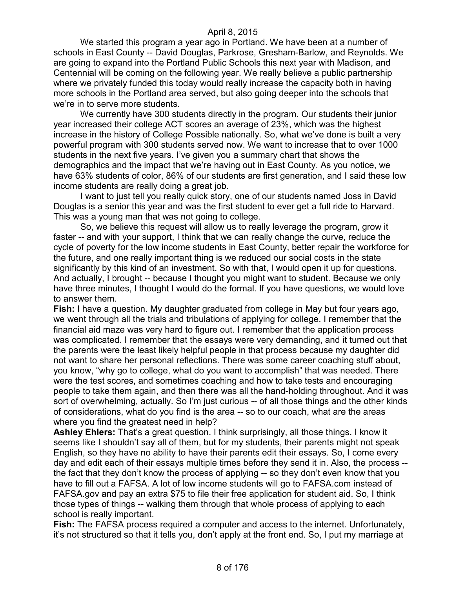We started this program a year ago in Portland. We have been at a number of schools in East County -- David Douglas, Parkrose, Gresham-Barlow, and Reynolds. We are going to expand into the Portland Public Schools this next year with Madison, and Centennial will be coming on the following year. We really believe a public partnership where we privately funded this today would really increase the capacity both in having more schools in the Portland area served, but also going deeper into the schools that we're in to serve more students.

We currently have 300 students directly in the program. Our students their junior year increased their college ACT scores an average of 23%, which was the highest increase in the history of College Possible nationally. So, what we've done is built a very powerful program with 300 students served now. We want to increase that to over 1000 students in the next five years. I've given you a summary chart that shows the demographics and the impact that we're having out in East County. As you notice, we have 63% students of color, 86% of our students are first generation, and I said these low income students are really doing a great job.

I want to just tell you really quick story, one of our students named Joss in David Douglas is a senior this year and was the first student to ever get a full ride to Harvard. This was a young man that was not going to college.

So, we believe this request will allow us to really leverage the program, grow it faster -- and with your support, I think that we can really change the curve, reduce the cycle of poverty for the low income students in East County, better repair the workforce for the future, and one really important thing is we reduced our social costs in the state significantly by this kind of an investment. So with that, I would open it up for questions. And actually, I brought -- because I thought you might want to student. Because we only have three minutes, I thought I would do the formal. If you have questions, we would love to answer them.

**Fish:** I have a question. My daughter graduated from college in May but four years ago, we went through all the trials and tribulations of applying for college. I remember that the financial aid maze was very hard to figure out. I remember that the application process was complicated. I remember that the essays were very demanding, and it turned out that the parents were the least likely helpful people in that process because my daughter did not want to share her personal reflections. There was some career coaching stuff about, you know, "why go to college, what do you want to accomplish" that was needed. There were the test scores, and sometimes coaching and how to take tests and encouraging people to take them again, and then there was all the hand-holding throughout. And it was sort of overwhelming, actually. So I'm just curious -- of all those things and the other kinds of considerations, what do you find is the area -- so to our coach, what are the areas where you find the greatest need in help?

**Ashley Ehlers:** That's a great question. I think surprisingly, all those things. I know it seems like I shouldn't say all of them, but for my students, their parents might not speak English, so they have no ability to have their parents edit their essays. So, I come every day and edit each of their essays multiple times before they send it in. Also, the process - the fact that they don't know the process of applying -- so they don't even know that you have to fill out a FAFSA. A lot of low income students will go to FAFSA.com instead of FAFSA.gov and pay an extra \$75 to file their free application for student aid. So, I think those types of things -- walking them through that whole process of applying to each school is really important.

**Fish:** The FAFSA process required a computer and access to the internet. Unfortunately, it's not structured so that it tells you, don't apply at the front end. So, I put my marriage at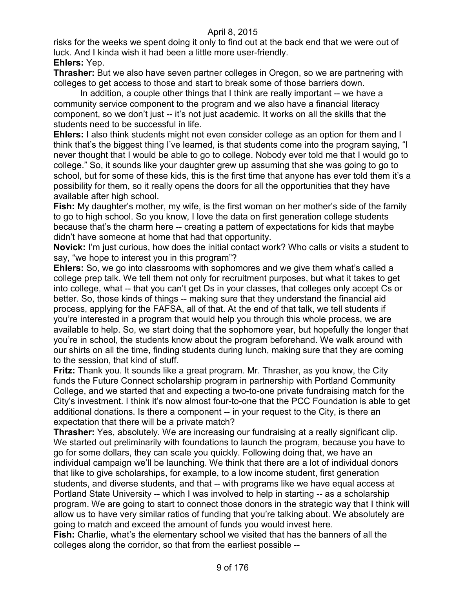risks for the weeks we spent doing it only to find out at the back end that we were out of luck. And I kinda wish it had been a little more user-friendly. **Ehlers:** Yep.

**Thrasher:** But we also have seven partner colleges in Oregon, so we are partnering with colleges to get access to those and start to break some of those barriers down.

In addition, a couple other things that I think are really important -- we have a community service component to the program and we also have a financial literacy component, so we don't just -- it's not just academic. It works on all the skills that the students need to be successful in life.

**Ehlers:** I also think students might not even consider college as an option for them and I think that's the biggest thing I've learned, is that students come into the program saying, "I never thought that I would be able to go to college. Nobody ever told me that I would go to college." So, it sounds like your daughter grew up assuming that she was going to go to school, but for some of these kids, this is the first time that anyone has ever told them it's a possibility for them, so it really opens the doors for all the opportunities that they have available after high school.

**Fish:** My daughter's mother, my wife, is the first woman on her mother's side of the family to go to high school. So you know, I love the data on first generation college students because that's the charm here -- creating a pattern of expectations for kids that maybe didn't have someone at home that had that opportunity.

**Novick:** I'm just curious, how does the initial contact work? Who calls or visits a student to say, "we hope to interest you in this program"?

**Ehlers:** So, we go into classrooms with sophomores and we give them what's called a college prep talk. We tell them not only for recruitment purposes, but what it takes to get into college, what -- that you can't get Ds in your classes, that colleges only accept Cs or better. So, those kinds of things -- making sure that they understand the financial aid process, applying for the FAFSA, all of that. At the end of that talk, we tell students if you're interested in a program that would help you through this whole process, we are available to help. So, we start doing that the sophomore year, but hopefully the longer that you're in school, the students know about the program beforehand. We walk around with our shirts on all the time, finding students during lunch, making sure that they are coming to the session, that kind of stuff.

**Fritz:** Thank you. It sounds like a great program. Mr. Thrasher, as you know, the City funds the Future Connect scholarship program in partnership with Portland Community College, and we started that and expecting a two-to-one private fundraising match for the City's investment. I think it's now almost four-to-one that the PCC Foundation is able to get additional donations. Is there a component -- in your request to the City, is there an expectation that there will be a private match?

**Thrasher:** Yes, absolutely. We are increasing our fundraising at a really significant clip. We started out preliminarily with foundations to launch the program, because you have to go for some dollars, they can scale you quickly. Following doing that, we have an individual campaign we'll be launching. We think that there are a lot of individual donors that like to give scholarships, for example, to a low income student, first generation students, and diverse students, and that -- with programs like we have equal access at Portland State University -- which I was involved to help in starting -- as a scholarship program. We are going to start to connect those donors in the strategic way that I think will allow us to have very similar ratios of funding that you're talking about. We absolutely are going to match and exceed the amount of funds you would invest here.

**Fish:** Charlie, what's the elementary school we visited that has the banners of all the colleges along the corridor, so that from the earliest possible --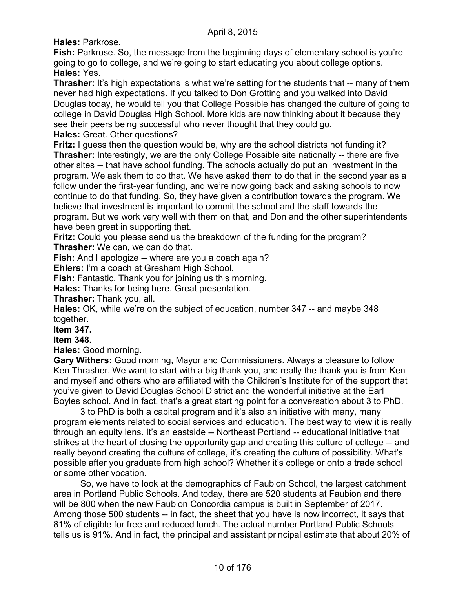**Hales:** Parkrose.

**Fish:** Parkrose. So, the message from the beginning days of elementary school is you're going to go to college, and we're going to start educating you about college options. **Hales:** Yes.

**Thrasher:** It's high expectations is what we're setting for the students that -- many of them never had high expectations. If you talked to Don Grotting and you walked into David Douglas today, he would tell you that College Possible has changed the culture of going to college in David Douglas High School. More kids are now thinking about it because they see their peers being successful who never thought that they could go. **Hales:** Great. Other questions?

**Fritz:** I guess then the question would be, why are the school districts not funding it? **Thrasher:** Interestingly, we are the only College Possible site nationally -- there are five other sites -- that have school funding. The schools actually do put an investment in the program. We ask them to do that. We have asked them to do that in the second year as a follow under the first-year funding, and we're now going back and asking schools to now continue to do that funding. So, they have given a contribution towards the program. We believe that investment is important to commit the school and the staff towards the program. But we work very well with them on that, and Don and the other superintendents have been great in supporting that.

**Fritz:** Could you please send us the breakdown of the funding for the program? **Thrasher:** We can, we can do that.

**Fish:** And I apologize -- where are you a coach again?

**Ehlers:** I'm a coach at Gresham High School.

**Fish:** Fantastic. Thank you for joining us this morning.

**Hales:** Thanks for being here. Great presentation.

**Thrasher:** Thank you, all.

**Hales:** OK, while we're on the subject of education, number 347 -- and maybe 348 together.

**Item 347.**

**Item 348.** 

**Hales:** Good morning.

**Gary Withers:** Good morning, Mayor and Commissioners. Always a pleasure to follow Ken Thrasher. We want to start with a big thank you, and really the thank you is from Ken and myself and others who are affiliated with the Children's Institute for of the support that you've given to David Douglas School District and the wonderful initiative at the Earl Boyles school. And in fact, that's a great starting point for a conversation about 3 to PhD.

3 to PhD is both a capital program and it's also an initiative with many, many program elements related to social services and education. The best way to view it is really through an equity lens. It's an eastside -- Northeast Portland -- educational initiative that strikes at the heart of closing the opportunity gap and creating this culture of college -- and really beyond creating the culture of college, it's creating the culture of possibility. What's possible after you graduate from high school? Whether it's college or onto a trade school or some other vocation.

So, we have to look at the demographics of Faubion School, the largest catchment area in Portland Public Schools. And today, there are 520 students at Faubion and there will be 800 when the new Faubion Concordia campus is built in September of 2017. Among those 500 students -- in fact, the sheet that you have is now incorrect, it says that 81% of eligible for free and reduced lunch. The actual number Portland Public Schools tells us is 91%. And in fact, the principal and assistant principal estimate that about 20% of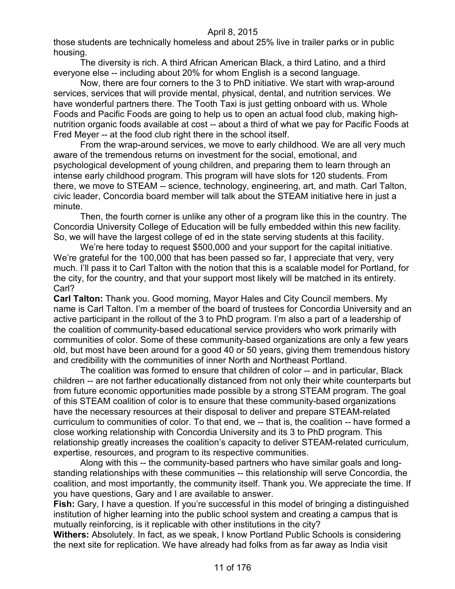those students are technically homeless and about 25% live in trailer parks or in public housing.

The diversity is rich. A third African American Black, a third Latino, and a third everyone else -- including about 20% for whom English is a second language.

Now, there are four corners to the 3 to PhD initiative. We start with wrap-around services, services that will provide mental, physical, dental, and nutrition services. We have wonderful partners there. The Tooth Taxi is just getting onboard with us. Whole Foods and Pacific Foods are going to help us to open an actual food club, making highnutrition organic foods available at cost -- about a third of what we pay for Pacific Foods at Fred Meyer -- at the food club right there in the school itself.

From the wrap-around services, we move to early childhood. We are all very much aware of the tremendous returns on investment for the social, emotional, and psychological development of young children, and preparing them to learn through an intense early childhood program. This program will have slots for 120 students. From there, we move to STEAM -- science, technology, engineering, art, and math. Carl Talton, civic leader, Concordia board member will talk about the STEAM initiative here in just a minute.

Then, the fourth corner is unlike any other of a program like this in the country. The Concordia University College of Education will be fully embedded within this new facility. So, we will have the largest college of ed in the state serving students at this facility.

We're here today to request \$500,000 and your support for the capital initiative. We're grateful for the 100,000 that has been passed so far, I appreciate that very, very much. I'll pass it to Carl Talton with the notion that this is a scalable model for Portland, for the city, for the country, and that your support most likely will be matched in its entirety. Carl?

**Carl Talton:** Thank you. Good morning, Mayor Hales and City Council members. My name is Carl Talton. I'm a member of the board of trustees for Concordia University and an active participant in the rollout of the 3 to PhD program. I'm also a part of a leadership of the coalition of community-based educational service providers who work primarily with communities of color. Some of these community-based organizations are only a few years old, but most have been around for a good 40 or 50 years, giving them tremendous history and credibility with the communities of inner North and Northeast Portland.

The coalition was formed to ensure that children of color -- and in particular, Black children -- are not farther educationally distanced from not only their white counterparts but from future economic opportunities made possible by a strong STEAM program. The goal of this STEAM coalition of color is to ensure that these community-based organizations have the necessary resources at their disposal to deliver and prepare STEAM-related curriculum to communities of color. To that end, we -- that is, the coalition -- have formed a close working relationship with Concordia University and its 3 to PhD program. This relationship greatly increases the coalition's capacity to deliver STEAM-related curriculum, expertise, resources, and program to its respective communities.

Along with this -- the community-based partners who have similar goals and longstanding relationships with these communities -- this relationship will serve Concordia, the coalition, and most importantly, the community itself. Thank you. We appreciate the time. If you have questions, Gary and I are available to answer.

**Fish:** Gary, I have a question. If you're successful in this model of bringing a distinguished institution of higher learning into the public school system and creating a campus that is mutually reinforcing, is it replicable with other institutions in the city?

**Withers:** Absolutely. In fact, as we speak, I know Portland Public Schools is considering the next site for replication. We have already had folks from as far away as India visit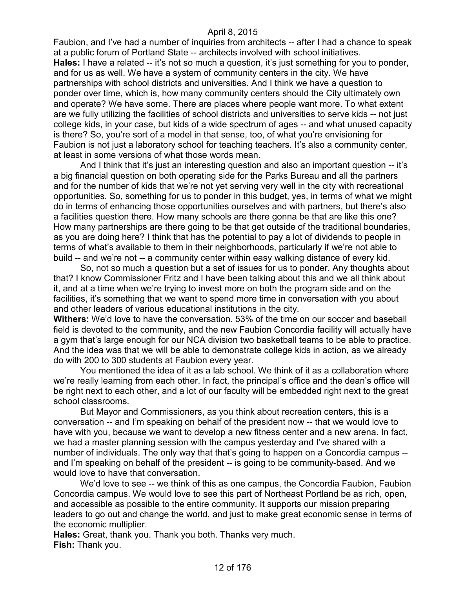Faubion, and I've had a number of inquiries from architects -- after I had a chance to speak at a public forum of Portland State -- architects involved with school initiatives. **Hales:** I have a related -- it's not so much a question, it's just something for you to ponder, and for us as well. We have a system of community centers in the city. We have partnerships with school districts and universities. And I think we have a question to ponder over time, which is, how many community centers should the City ultimately own and operate? We have some. There are places where people want more. To what extent are we fully utilizing the facilities of school districts and universities to serve kids -- not just college kids, in your case, but kids of a wide spectrum of ages -- and what unused capacity is there? So, you're sort of a model in that sense, too, of what you're envisioning for Faubion is not just a laboratory school for teaching teachers. It's also a community center, at least in some versions of what those words mean.

And I think that it's just an interesting question and also an important question -- it's a big financial question on both operating side for the Parks Bureau and all the partners and for the number of kids that we're not yet serving very well in the city with recreational opportunities. So, something for us to ponder in this budget, yes, in terms of what we might do in terms of enhancing those opportunities ourselves and with partners, but there's also a facilities question there. How many schools are there gonna be that are like this one? How many partnerships are there going to be that get outside of the traditional boundaries, as you are doing here? I think that has the potential to pay a lot of dividends to people in terms of what's available to them in their neighborhoods, particularly if we're not able to build -- and we're not -- a community center within easy walking distance of every kid.

So, not so much a question but a set of issues for us to ponder. Any thoughts about that? I know Commissioner Fritz and I have been talking about this and we all think about it, and at a time when we're trying to invest more on both the program side and on the facilities, it's something that we want to spend more time in conversation with you about and other leaders of various educational institutions in the city.

**Withers:** We'd love to have the conversation. 53% of the time on our soccer and baseball field is devoted to the community, and the new Faubion Concordia facility will actually have a gym that's large enough for our NCA division two basketball teams to be able to practice. And the idea was that we will be able to demonstrate college kids in action, as we already do with 200 to 300 students at Faubion every year.

You mentioned the idea of it as a lab school. We think of it as a collaboration where we're really learning from each other. In fact, the principal's office and the dean's office will be right next to each other, and a lot of our faculty will be embedded right next to the great school classrooms.

But Mayor and Commissioners, as you think about recreation centers, this is a conversation -- and I'm speaking on behalf of the president now -- that we would love to have with you, because we want to develop a new fitness center and a new arena. In fact, we had a master planning session with the campus yesterday and I've shared with a number of individuals. The only way that that's going to happen on a Concordia campus - and I'm speaking on behalf of the president -- is going to be community-based. And we would love to have that conversation.

We'd love to see -- we think of this as one campus, the Concordia Faubion, Faubion Concordia campus. We would love to see this part of Northeast Portland be as rich, open, and accessible as possible to the entire community. It supports our mission preparing leaders to go out and change the world, and just to make great economic sense in terms of the economic multiplier.

**Hales:** Great, thank you. Thank you both. Thanks very much. **Fish:** Thank you.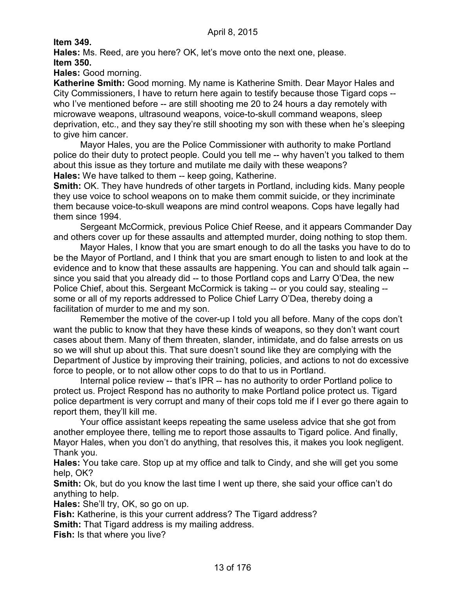**Item 349.**

**Hales:** Ms. Reed, are you here? OK, let's move onto the next one, please. **Item 350.**

**Hales:** Good morning.

**Katherine Smith:** Good morning. My name is Katherine Smith. Dear Mayor Hales and City Commissioners, I have to return here again to testify because those Tigard cops - who I've mentioned before -- are still shooting me 20 to 24 hours a day remotely with microwave weapons, ultrasound weapons, voice-to-skull command weapons, sleep deprivation, etc., and they say they're still shooting my son with these when he's sleeping to give him cancer.

Mayor Hales, you are the Police Commissioner with authority to make Portland police do their duty to protect people. Could you tell me -- why haven't you talked to them about this issue as they torture and mutilate me daily with these weapons? **Hales:** We have talked to them -- keep going, Katherine.

**Smith:** OK. They have hundreds of other targets in Portland, including kids. Many people they use voice to school weapons on to make them commit suicide, or they incriminate them because voice-to-skull weapons are mind control weapons. Cops have legally had them since 1994.

Sergeant McCormick, previous Police Chief Reese, and it appears Commander Day and others cover up for these assaults and attempted murder, doing nothing to stop them.

Mayor Hales, I know that you are smart enough to do all the tasks you have to do to be the Mayor of Portland, and I think that you are smart enough to listen to and look at the evidence and to know that these assaults are happening. You can and should talk again - since you said that you already did -- to those Portland cops and Larry O'Dea, the new Police Chief, about this. Sergeant McCormick is taking -- or you could say, stealing - some or all of my reports addressed to Police Chief Larry O'Dea, thereby doing a facilitation of murder to me and my son.

Remember the motive of the cover-up I told you all before. Many of the cops don't want the public to know that they have these kinds of weapons, so they don't want court cases about them. Many of them threaten, slander, intimidate, and do false arrests on us so we will shut up about this. That sure doesn't sound like they are complying with the Department of Justice by improving their training, policies, and actions to not do excessive force to people, or to not allow other cops to do that to us in Portland.

Internal police review -- that's IPR -- has no authority to order Portland police to protect us. Project Respond has no authority to make Portland police protect us. Tigard police department is very corrupt and many of their cops told me if I ever go there again to report them, they'll kill me.

Your office assistant keeps repeating the same useless advice that she got from another employee there, telling me to report those assaults to Tigard police. And finally, Mayor Hales, when you don't do anything, that resolves this, it makes you look negligent. Thank you.

**Hales:** You take care. Stop up at my office and talk to Cindy, and she will get you some help, OK?

**Smith:** Ok, but do you know the last time I went up there, she said your office can't do anything to help.

**Hales:** She'll try, OK, so go on up.

**Fish:** Katherine, is this your current address? The Tigard address?

**Smith:** That Tigard address is my mailing address.

**Fish:** Is that where you live?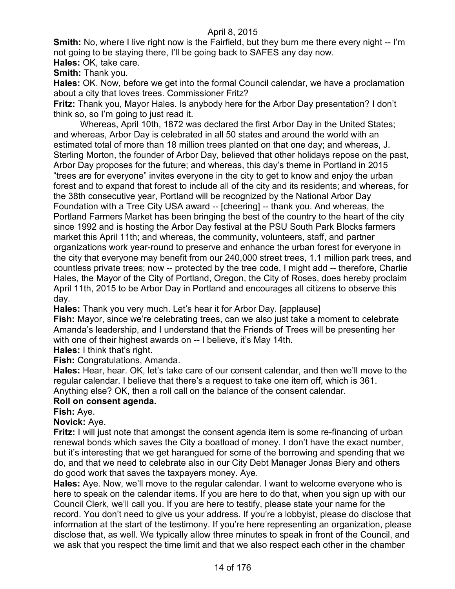**Smith:** No, where I live right now is the Fairfield, but they burn me there every night -- I'm not going to be staying there, I'll be going back to SAFES any day now.

**Hales:** OK, take care.

**Smith:** Thank you.

**Hales:** OK. Now, before we get into the formal Council calendar, we have a proclamation about a city that loves trees. Commissioner Fritz?

**Fritz:** Thank you, Mayor Hales. Is anybody here for the Arbor Day presentation? I don't think so, so I'm going to just read it.

Whereas, April 10th, 1872 was declared the first Arbor Day in the United States; and whereas, Arbor Day is celebrated in all 50 states and around the world with an estimated total of more than 18 million trees planted on that one day; and whereas, J. Sterling Morton, the founder of Arbor Day, believed that other holidays repose on the past, Arbor Day proposes for the future; and whereas, this day's theme in Portland in 2015 "trees are for everyone" invites everyone in the city to get to know and enjoy the urban forest and to expand that forest to include all of the city and its residents; and whereas, for the 38th consecutive year, Portland will be recognized by the National Arbor Day Foundation with a Tree City USA award -- [cheering] -- thank you. And whereas, the Portland Farmers Market has been bringing the best of the country to the heart of the city since 1992 and is hosting the Arbor Day festival at the PSU South Park Blocks farmers market this April 11th; and whereas, the community, volunteers, staff, and partner organizations work year-round to preserve and enhance the urban forest for everyone in the city that everyone may benefit from our 240,000 street trees, 1.1 million park trees, and countless private trees; now -- protected by the tree code, I might add -- therefore, Charlie Hales, the Mayor of the City of Portland, Oregon, the City of Roses, does hereby proclaim April 11th, 2015 to be Arbor Day in Portland and encourages all citizens to observe this day.

**Hales:** Thank you very much. Let's hear it for Arbor Day. [applause]

**Fish:** Mayor, since we're celebrating trees, can we also just take a moment to celebrate Amanda's leadership, and I understand that the Friends of Trees will be presenting her with one of their highest awards on -- I believe, it's May 14th.

**Hales:** I think that's right.

**Fish:** Congratulations, Amanda.

**Hales:** Hear, hear. OK, let's take care of our consent calendar, and then we'll move to the regular calendar. I believe that there's a request to take one item off, which is 361. Anything else? OK, then a roll call on the balance of the consent calendar.

## **Roll on consent agenda.**

**Fish:** Aye.

#### **Novick:** Aye.

**Fritz:** I will just note that amongst the consent agenda item is some re-financing of urban renewal bonds which saves the City a boatload of money. I don't have the exact number, but it's interesting that we get harangued for some of the borrowing and spending that we do, and that we need to celebrate also in our City Debt Manager Jonas Biery and others do good work that saves the taxpayers money. Aye.

**Hales:** Aye. Now, we'll move to the regular calendar. I want to welcome everyone who is here to speak on the calendar items. If you are here to do that, when you sign up with our Council Clerk, we'll call you. If you are here to testify, please state your name for the record. You don't need to give us your address. If you're a lobbyist, please do disclose that information at the start of the testimony. If you're here representing an organization, please disclose that, as well. We typically allow three minutes to speak in front of the Council, and we ask that you respect the time limit and that we also respect each other in the chamber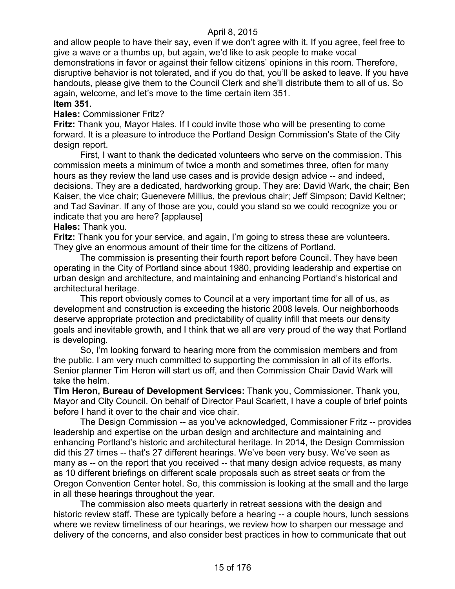and allow people to have their say, even if we don't agree with it. If you agree, feel free to give a wave or a thumbs up, but again, we'd like to ask people to make vocal demonstrations in favor or against their fellow citizens' opinions in this room. Therefore, disruptive behavior is not tolerated, and if you do that, you'll be asked to leave. If you have handouts, please give them to the Council Clerk and she'll distribute them to all of us. So again, welcome, and let's move to the time certain item 351.

## **Item 351.**

### **Hales:** Commissioner Fritz?

**Fritz:** Thank you, Mayor Hales. If I could invite those who will be presenting to come forward. It is a pleasure to introduce the Portland Design Commission's State of the City design report.

First, I want to thank the dedicated volunteers who serve on the commission. This commission meets a minimum of twice a month and sometimes three, often for many hours as they review the land use cases and is provide design advice -- and indeed, decisions. They are a dedicated, hardworking group. They are: David Wark, the chair; Ben Kaiser, the vice chair; Guenevere Millius, the previous chair; Jeff Simpson; David Keltner; and Tad Savinar. If any of those are you, could you stand so we could recognize you or indicate that you are here? [applause]

### **Hales:** Thank you.

**Fritz:** Thank you for your service, and again, I'm going to stress these are volunteers. They give an enormous amount of their time for the citizens of Portland.

The commission is presenting their fourth report before Council. They have been operating in the City of Portland since about 1980, providing leadership and expertise on urban design and architecture, and maintaining and enhancing Portland's historical and architectural heritage.

This report obviously comes to Council at a very important time for all of us, as development and construction is exceeding the historic 2008 levels. Our neighborhoods deserve appropriate protection and predictability of quality infill that meets our density goals and inevitable growth, and I think that we all are very proud of the way that Portland is developing.

So, I'm looking forward to hearing more from the commission members and from the public. I am very much committed to supporting the commission in all of its efforts. Senior planner Tim Heron will start us off, and then Commission Chair David Wark will take the helm.

**Tim Heron, Bureau of Development Services:** Thank you, Commissioner. Thank you, Mayor and City Council. On behalf of Director Paul Scarlett, I have a couple of brief points before I hand it over to the chair and vice chair.

The Design Commission -- as you've acknowledged, Commissioner Fritz -- provides leadership and expertise on the urban design and architecture and maintaining and enhancing Portland's historic and architectural heritage. In 2014, the Design Commission did this 27 times -- that's 27 different hearings. We've been very busy. We've seen as many as -- on the report that you received -- that many design advice requests, as many as 10 different briefings on different scale proposals such as street seats or from the Oregon Convention Center hotel. So, this commission is looking at the small and the large in all these hearings throughout the year.

The commission also meets quarterly in retreat sessions with the design and historic review staff. These are typically before a hearing -- a couple hours, lunch sessions where we review timeliness of our hearings, we review how to sharpen our message and delivery of the concerns, and also consider best practices in how to communicate that out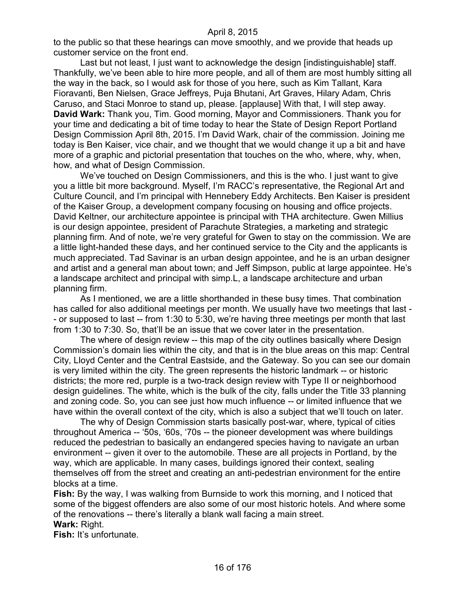to the public so that these hearings can move smoothly, and we provide that heads up customer service on the front end.

Last but not least, I just want to acknowledge the design [indistinguishable] staff. Thankfully, we've been able to hire more people, and all of them are most humbly sitting all the way in the back, so I would ask for those of you here, such as Kim Tallant, Kara Fioravanti, Ben Nielsen, Grace Jeffreys, Puja Bhutani, Art Graves, Hilary Adam, Chris Caruso, and Staci Monroe to stand up, please. [applause] With that, I will step away. **David Wark:** Thank you, Tim. Good morning, Mayor and Commissioners. Thank you for your time and dedicating a bit of time today to hear the State of Design Report Portland Design Commission April 8th, 2015. I'm David Wark, chair of the commission. Joining me today is Ben Kaiser, vice chair, and we thought that we would change it up a bit and have more of a graphic and pictorial presentation that touches on the who, where, why, when, how, and what of Design Commission.

We've touched on Design Commissioners, and this is the who. I just want to give you a little bit more background. Myself, I'm RACC's representative, the Regional Art and Culture Council, and I'm principal with Hennebery Eddy Architects. Ben Kaiser is president of the Kaiser Group, a development company focusing on housing and office projects. David Keltner, our architecture appointee is principal with THA architecture. Gwen Millius is our design appointee, president of Parachute Strategies, a marketing and strategic planning firm. And of note, we're very grateful for Gwen to stay on the commission. We are a little light-handed these days, and her continued service to the City and the applicants is much appreciated. Tad Savinar is an urban design appointee, and he is an urban designer and artist and a general man about town; and Jeff Simpson, public at large appointee. He's a landscape architect and principal with simp.L, a landscape architecture and urban planning firm.

As I mentioned, we are a little shorthanded in these busy times. That combination has called for also additional meetings per month. We usually have two meetings that last - - or supposed to last -- from 1:30 to 5:30, we're having three meetings per month that last from 1:30 to 7:30. So, that'll be an issue that we cover later in the presentation.

The where of design review -- this map of the city outlines basically where Design Commission's domain lies within the city, and that is in the blue areas on this map: Central City, Lloyd Center and the Central Eastside, and the Gateway. So you can see our domain is very limited within the city. The green represents the historic landmark -- or historic districts; the more red, purple is a two-track design review with Type II or neighborhood design guidelines. The white, which is the bulk of the city, falls under the Title 33 planning and zoning code. So, you can see just how much influence -- or limited influence that we have within the overall context of the city, which is also a subject that we'll touch on later.

The why of Design Commission starts basically post-war, where, typical of cities throughout America -- '50s, '60s, '70s -- the pioneer development was where buildings reduced the pedestrian to basically an endangered species having to navigate an urban environment -- given it over to the automobile. These are all projects in Portland, by the way, which are applicable. In many cases, buildings ignored their context, sealing themselves off from the street and creating an anti-pedestrian environment for the entire blocks at a time.

**Fish:** By the way, I was walking from Burnside to work this morning, and I noticed that some of the biggest offenders are also some of our most historic hotels. And where some of the renovations -- there's literally a blank wall facing a main street.

## **Wark:** Right.

**Fish:** It's unfortunate.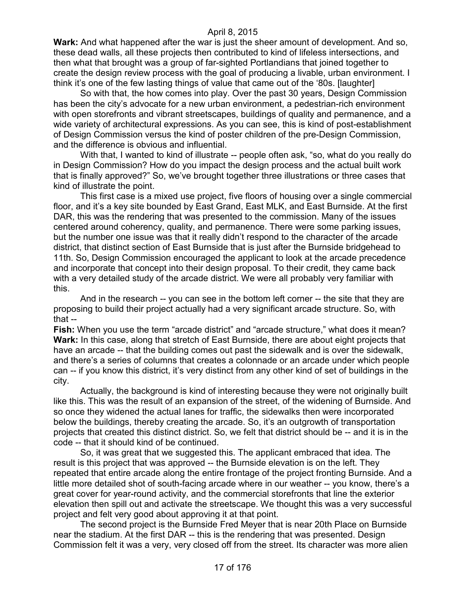**Wark:** And what happened after the war is just the sheer amount of development. And so, these dead walls, all these projects then contributed to kind of lifeless intersections, and then what that brought was a group of far-sighted Portlandians that joined together to create the design review process with the goal of producing a livable, urban environment. I think it's one of the few lasting things of value that came out of the '80s. [laughter]

So with that, the how comes into play. Over the past 30 years, Design Commission has been the city's advocate for a new urban environment, a pedestrian-rich environment with open storefronts and vibrant streetscapes, buildings of quality and permanence, and a wide variety of architectural expressions. As you can see, this is kind of post-establishment of Design Commission versus the kind of poster children of the pre-Design Commission, and the difference is obvious and influential.

With that, I wanted to kind of illustrate -- people often ask, "so, what do you really do in Design Commission? How do you impact the design process and the actual built work that is finally approved?" So, we've brought together three illustrations or three cases that kind of illustrate the point.

This first case is a mixed use project, five floors of housing over a single commercial floor, and it's a key site bounded by East Grand, East MLK, and East Burnside. At the first DAR, this was the rendering that was presented to the commission. Many of the issues centered around coherency, quality, and permanence. There were some parking issues, but the number one issue was that it really didn't respond to the character of the arcade district, that distinct section of East Burnside that is just after the Burnside bridgehead to 11th. So, Design Commission encouraged the applicant to look at the arcade precedence and incorporate that concept into their design proposal. To their credit, they came back with a very detailed study of the arcade district. We were all probably very familiar with this.

And in the research -- you can see in the bottom left corner -- the site that they are proposing to build their project actually had a very significant arcade structure. So, with that --

**Fish:** When you use the term "arcade district" and "arcade structure," what does it mean? **Wark:** In this case, along that stretch of East Burnside, there are about eight projects that have an arcade -- that the building comes out past the sidewalk and is over the sidewalk, and there's a series of columns that creates a colonnade or an arcade under which people can -- if you know this district, it's very distinct from any other kind of set of buildings in the city.

Actually, the background is kind of interesting because they were not originally built like this. This was the result of an expansion of the street, of the widening of Burnside. And so once they widened the actual lanes for traffic, the sidewalks then were incorporated below the buildings, thereby creating the arcade. So, it's an outgrowth of transportation projects that created this distinct district. So, we felt that district should be -- and it is in the code -- that it should kind of be continued.

So, it was great that we suggested this. The applicant embraced that idea. The result is this project that was approved -- the Burnside elevation is on the left. They repeated that entire arcade along the entire frontage of the project fronting Burnside. And a little more detailed shot of south-facing arcade where in our weather -- you know, there's a great cover for year-round activity, and the commercial storefronts that line the exterior elevation then spill out and activate the streetscape. We thought this was a very successful project and felt very good about approving it at that point.

The second project is the Burnside Fred Meyer that is near 20th Place on Burnside near the stadium. At the first DAR -- this is the rendering that was presented. Design Commission felt it was a very, very closed off from the street. Its character was more alien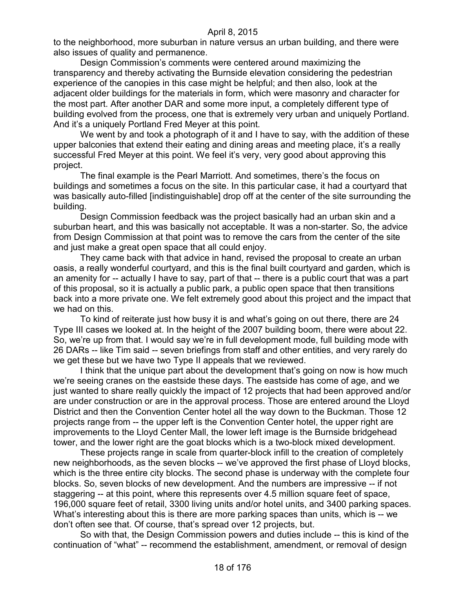to the neighborhood, more suburban in nature versus an urban building, and there were also issues of quality and permanence.

Design Commission's comments were centered around maximizing the transparency and thereby activating the Burnside elevation considering the pedestrian experience of the canopies in this case might be helpful; and then also, look at the adjacent older buildings for the materials in form, which were masonry and character for the most part. After another DAR and some more input, a completely different type of building evolved from the process, one that is extremely very urban and uniquely Portland. And it's a uniquely Portland Fred Meyer at this point.

We went by and took a photograph of it and I have to say, with the addition of these upper balconies that extend their eating and dining areas and meeting place, it's a really successful Fred Meyer at this point. We feel it's very, very good about approving this project.

The final example is the Pearl Marriott. And sometimes, there's the focus on buildings and sometimes a focus on the site. In this particular case, it had a courtyard that was basically auto-filled [indistinguishable] drop off at the center of the site surrounding the building.

Design Commission feedback was the project basically had an urban skin and a suburban heart, and this was basically not acceptable. It was a non-starter. So, the advice from Design Commission at that point was to remove the cars from the center of the site and just make a great open space that all could enjoy.

They came back with that advice in hand, revised the proposal to create an urban oasis, a really wonderful courtyard, and this is the final built courtyard and garden, which is an amenity for -- actually I have to say, part of that -- there is a public court that was a part of this proposal, so it is actually a public park, a public open space that then transitions back into a more private one. We felt extremely good about this project and the impact that we had on this.

To kind of reiterate just how busy it is and what's going on out there, there are 24 Type III cases we looked at. In the height of the 2007 building boom, there were about 22. So, we're up from that. I would say we're in full development mode, full building mode with 26 DARs -- like Tim said -- seven briefings from staff and other entities, and very rarely do we get these but we have two Type II appeals that we reviewed.

I think that the unique part about the development that's going on now is how much we're seeing cranes on the eastside these days. The eastside has come of age, and we just wanted to share really quickly the impact of 12 projects that had been approved and/or are under construction or are in the approval process. Those are entered around the Lloyd District and then the Convention Center hotel all the way down to the Buckman. Those 12 projects range from -- the upper left is the Convention Center hotel, the upper right are improvements to the Lloyd Center Mall, the lower left image is the Burnside bridgehead tower, and the lower right are the goat blocks which is a two-block mixed development.

These projects range in scale from quarter-block infill to the creation of completely new neighborhoods, as the seven blocks -- we've approved the first phase of Lloyd blocks, which is the three entire city blocks. The second phase is underway with the complete four blocks. So, seven blocks of new development. And the numbers are impressive -- if not staggering -- at this point, where this represents over 4.5 million square feet of space, 196,000 square feet of retail, 3300 living units and/or hotel units, and 3400 parking spaces. What's interesting about this is there are more parking spaces than units, which is -- we don't often see that. Of course, that's spread over 12 projects, but.

So with that, the Design Commission powers and duties include -- this is kind of the continuation of "what" -- recommend the establishment, amendment, or removal of design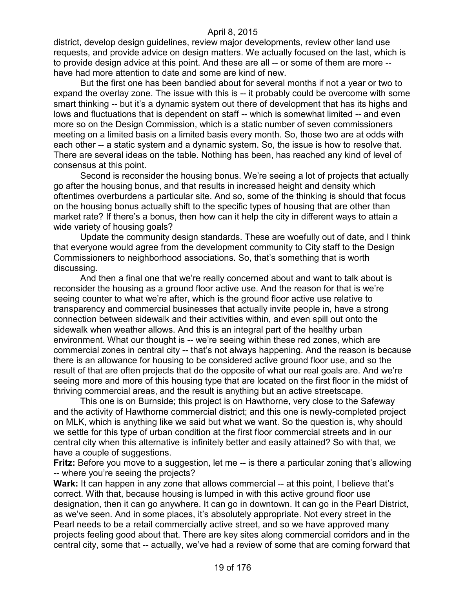district, develop design guidelines, review major developments, review other land use requests, and provide advice on design matters. We actually focused on the last, which is to provide design advice at this point. And these are all -- or some of them are more - have had more attention to date and some are kind of new.

But the first one has been bandied about for several months if not a year or two to expand the overlay zone. The issue with this is -- it probably could be overcome with some smart thinking -- but it's a dynamic system out there of development that has its highs and lows and fluctuations that is dependent on staff -- which is somewhat limited -- and even more so on the Design Commission, which is a static number of seven commissioners meeting on a limited basis on a limited basis every month. So, those two are at odds with each other -- a static system and a dynamic system. So, the issue is how to resolve that. There are several ideas on the table. Nothing has been, has reached any kind of level of consensus at this point.

Second is reconsider the housing bonus. We're seeing a lot of projects that actually go after the housing bonus, and that results in increased height and density which oftentimes overburdens a particular site. And so, some of the thinking is should that focus on the housing bonus actually shift to the specific types of housing that are other than market rate? If there's a bonus, then how can it help the city in different ways to attain a wide variety of housing goals?

Update the community design standards. These are woefully out of date, and I think that everyone would agree from the development community to City staff to the Design Commissioners to neighborhood associations. So, that's something that is worth discussing.

And then a final one that we're really concerned about and want to talk about is reconsider the housing as a ground floor active use. And the reason for that is we're seeing counter to what we're after, which is the ground floor active use relative to transparency and commercial businesses that actually invite people in, have a strong connection between sidewalk and their activities within, and even spill out onto the sidewalk when weather allows. And this is an integral part of the healthy urban environment. What our thought is -- we're seeing within these red zones, which are commercial zones in central city -- that's not always happening. And the reason is because there is an allowance for housing to be considered active ground floor use, and so the result of that are often projects that do the opposite of what our real goals are. And we're seeing more and more of this housing type that are located on the first floor in the midst of thriving commercial areas, and the result is anything but an active streetscape.

This one is on Burnside; this project is on Hawthorne, very close to the Safeway and the activity of Hawthorne commercial district; and this one is newly-completed project on MLK, which is anything like we said but what we want. So the question is, why should we settle for this type of urban condition at the first floor commercial streets and in our central city when this alternative is infinitely better and easily attained? So with that, we have a couple of suggestions.

**Fritz:** Before you move to a suggestion, let me -- is there a particular zoning that's allowing -- where you're seeing the projects?

Wark: It can happen in any zone that allows commercial -- at this point, I believe that's correct. With that, because housing is lumped in with this active ground floor use designation, then it can go anywhere. It can go in downtown. It can go in the Pearl District, as we've seen. And in some places, it's absolutely appropriate. Not every street in the Pearl needs to be a retail commercially active street, and so we have approved many projects feeling good about that. There are key sites along commercial corridors and in the central city, some that -- actually, we've had a review of some that are coming forward that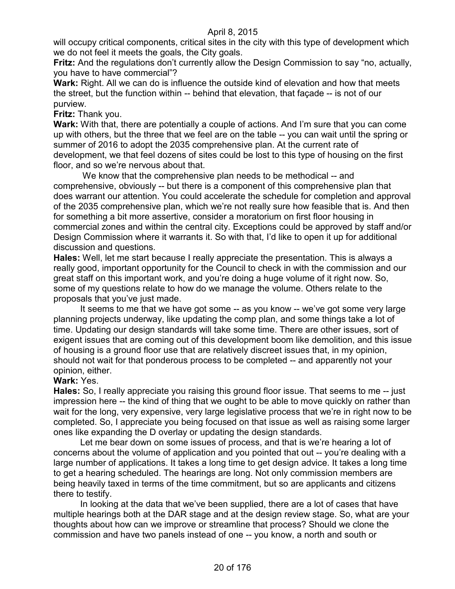will occupy critical components, critical sites in the city with this type of development which we do not feel it meets the goals, the City goals.

**Fritz:** And the regulations don't currently allow the Design Commission to say "no, actually, you have to have commercial"?

**Wark:** Right. All we can do is influence the outside kind of elevation and how that meets the street, but the function within -- behind that elevation, that façade -- is not of our purview.

**Fritz:** Thank you.

**Wark:** With that, there are potentially a couple of actions. And I'm sure that you can come up with others, but the three that we feel are on the table -- you can wait until the spring or summer of 2016 to adopt the 2035 comprehensive plan. At the current rate of development, we that feel dozens of sites could be lost to this type of housing on the first floor, and so we're nervous about that.

We know that the comprehensive plan needs to be methodical -- and comprehensive, obviously -- but there is a component of this comprehensive plan that does warrant our attention. You could accelerate the schedule for completion and approval of the 2035 comprehensive plan, which we're not really sure how feasible that is. And then for something a bit more assertive, consider a moratorium on first floor housing in commercial zones and within the central city. Exceptions could be approved by staff and/or Design Commission where it warrants it. So with that, I'd like to open it up for additional discussion and questions.

**Hales:** Well, let me start because I really appreciate the presentation. This is always a really good, important opportunity for the Council to check in with the commission and our great staff on this important work, and you're doing a huge volume of it right now. So, some of my questions relate to how do we manage the volume. Others relate to the proposals that you've just made.

It seems to me that we have got some -- as you know -- we've got some very large planning projects underway, like updating the comp plan, and some things take a lot of time. Updating our design standards will take some time. There are other issues, sort of exigent issues that are coming out of this development boom like demolition, and this issue of housing is a ground floor use that are relatively discreet issues that, in my opinion, should not wait for that ponderous process to be completed -- and apparently not your opinion, either.

## **Wark:** Yes.

**Hales:** So, I really appreciate you raising this ground floor issue. That seems to me -- just impression here -- the kind of thing that we ought to be able to move quickly on rather than wait for the long, very expensive, very large legislative process that we're in right now to be completed. So, I appreciate you being focused on that issue as well as raising some larger ones like expanding the D overlay or updating the design standards.

Let me bear down on some issues of process, and that is we're hearing a lot of concerns about the volume of application and you pointed that out -- you're dealing with a large number of applications. It takes a long time to get design advice. It takes a long time to get a hearing scheduled. The hearings are long. Not only commission members are being heavily taxed in terms of the time commitment, but so are applicants and citizens there to testify.

In looking at the data that we've been supplied, there are a lot of cases that have multiple hearings both at the DAR stage and at the design review stage. So, what are your thoughts about how can we improve or streamline that process? Should we clone the commission and have two panels instead of one -- you know, a north and south or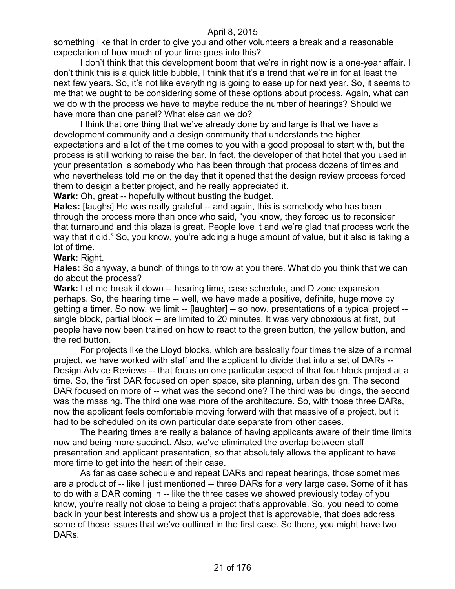something like that in order to give you and other volunteers a break and a reasonable expectation of how much of your time goes into this?

I don't think that this development boom that we're in right now is a one-year affair. I don't think this is a quick little bubble, I think that it's a trend that we're in for at least the next few years. So, it's not like everything is going to ease up for next year. So, it seems to me that we ought to be considering some of these options about process. Again, what can we do with the process we have to maybe reduce the number of hearings? Should we have more than one panel? What else can we do?

I think that one thing that we've already done by and large is that we have a development community and a design community that understands the higher expectations and a lot of the time comes to you with a good proposal to start with, but the process is still working to raise the bar. In fact, the developer of that hotel that you used in your presentation is somebody who has been through that process dozens of times and who nevertheless told me on the day that it opened that the design review process forced them to design a better project, and he really appreciated it.

**Wark:** Oh, great -- hopefully without busting the budget.

**Hales:** [laughs] He was really grateful -- and again, this is somebody who has been through the process more than once who said, "you know, they forced us to reconsider that turnaround and this plaza is great. People love it and we're glad that process work the way that it did." So, you know, you're adding a huge amount of value, but it also is taking a lot of time.

#### **Wark:** Right.

**Hales:** So anyway, a bunch of things to throw at you there. What do you think that we can do about the process?

**Wark:** Let me break it down -- hearing time, case schedule, and D zone expansion perhaps. So, the hearing time -- well, we have made a positive, definite, huge move by getting a timer. So now, we limit -- [laughter] -- so now, presentations of a typical project - single block, partial block -- are limited to 20 minutes. It was very obnoxious at first, but people have now been trained on how to react to the green button, the yellow button, and the red button.

For projects like the Lloyd blocks, which are basically four times the size of a normal project, we have worked with staff and the applicant to divide that into a set of DARs -- Design Advice Reviews -- that focus on one particular aspect of that four block project at a time. So, the first DAR focused on open space, site planning, urban design. The second DAR focused on more of -- what was the second one? The third was buildings, the second was the massing. The third one was more of the architecture. So, with those three DARs, now the applicant feels comfortable moving forward with that massive of a project, but it had to be scheduled on its own particular date separate from other cases.

The hearing times are really a balance of having applicants aware of their time limits now and being more succinct. Also, we've eliminated the overlap between staff presentation and applicant presentation, so that absolutely allows the applicant to have more time to get into the heart of their case.

As far as case schedule and repeat DARs and repeat hearings, those sometimes are a product of -- like I just mentioned -- three DARs for a very large case. Some of it has to do with a DAR coming in -- like the three cases we showed previously today of you know, you're really not close to being a project that's approvable. So, you need to come back in your best interests and show us a project that is approvable, that does address some of those issues that we've outlined in the first case. So there, you might have two DARs.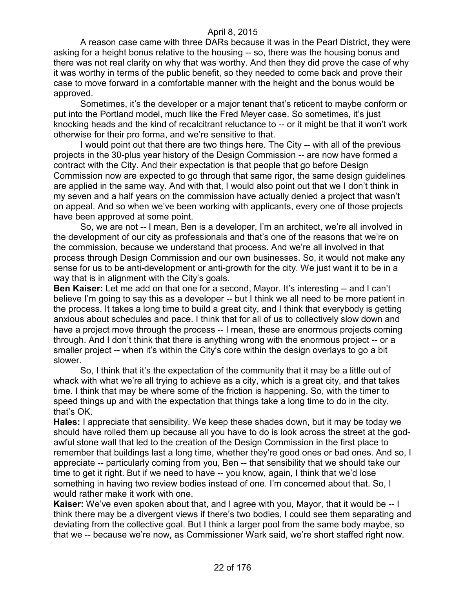A reason case came with three DARs because it was in the Pearl District, they were asking for a height bonus relative to the housing -- so, there was the housing bonus and there was not real clarity on why that was worthy. And then they did prove the case of why it was worthy in terms of the public benefit, so they needed to come back and prove their case to move forward in a comfortable manner with the height and the bonus would be approved.

Sometimes, it's the developer or a major tenant that's reticent to maybe conform or put into the Portland model, much like the Fred Meyer case. So sometimes, it's just knocking heads and the kind of recalcitrant reluctance to -- or it might be that it won't work otherwise for their pro forma, and we're sensitive to that.

I would point out that there are two things here. The City -- with all of the previous projects in the 30-plus year history of the Design Commission -- are now have formed a contract with the City. And their expectation is that people that go before Design Commission now are expected to go through that same rigor, the same design guidelines are applied in the same way. And with that, I would also point out that we I don't think in my seven and a half years on the commission have actually denied a project that wasn't on appeal. And so when we've been working with applicants, every one of those projects have been approved at some point.

So, we are not -- I mean, Ben is a developer, I'm an architect, we're all involved in the development of our city as professionals and that's one of the reasons that we're on the commission, because we understand that process. And we're all involved in that process through Design Commission and our own businesses. So, it would not make any sense for us to be anti-development or anti-growth for the city. We just want it to be in a way that is in alignment with the City's goals.

**Ben Kaiser:** Let me add on that one for a second, Mayor. It's interesting -- and I can't believe I'm going to say this as a developer -- but I think we all need to be more patient in the process. It takes a long time to build a great city, and I think that everybody is getting anxious about schedules and pace. I think that for all of us to collectively slow down and have a project move through the process -- I mean, these are enormous projects coming through. And I don't think that there is anything wrong with the enormous project -- or a smaller project -- when it's within the City's core within the design overlays to go a bit slower.

So, I think that it's the expectation of the community that it may be a little out of whack with what we're all trying to achieve as a city, which is a great city, and that takes time. I think that may be where some of the friction is happening. So, with the timer to speed things up and with the expectation that things take a long time to do in the city, that's OK.

**Hales:** I appreciate that sensibility. We keep these shades down, but it may be today we should have rolled them up because all you have to do is look across the street at the godawful stone wall that led to the creation of the Design Commission in the first place to remember that buildings last a long time, whether they're good ones or bad ones. And so, I appreciate -- particularly coming from you, Ben -- that sensibility that we should take our time to get it right. But if we need to have -- you know, again, I think that we'd lose something in having two review bodies instead of one. I'm concerned about that. So, I would rather make it work with one.

**Kaiser:** We've even spoken about that, and I agree with you, Mayor, that it would be -- I think there may be a divergent views if there's two bodies, I could see them separating and deviating from the collective goal. But I think a larger pool from the same body maybe, so that we -- because we're now, as Commissioner Wark said, we're short staffed right now.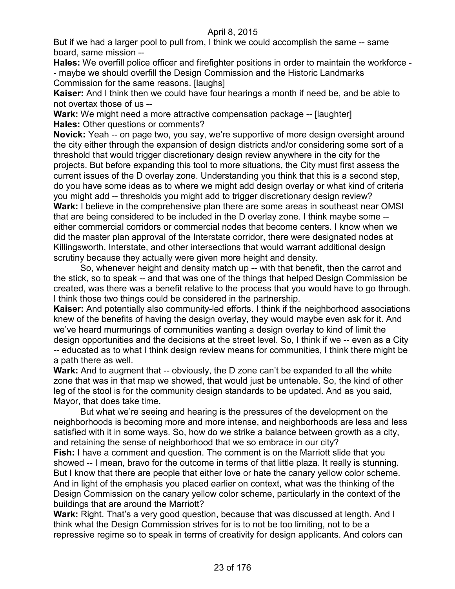But if we had a larger pool to pull from, I think we could accomplish the same -- same board, same mission --

**Hales:** We overfill police officer and firefighter positions in order to maintain the workforce - - maybe we should overfill the Design Commission and the Historic Landmarks Commission for the same reasons. [laughs]

**Kaiser:** And I think then we could have four hearings a month if need be, and be able to not overtax those of us --

**Wark:** We might need a more attractive compensation package -- [laughter] **Hales:** Other questions or comments?

**Novick:** Yeah -- on page two, you say, we're supportive of more design oversight around the city either through the expansion of design districts and/or considering some sort of a threshold that would trigger discretionary design review anywhere in the city for the projects. But before expanding this tool to more situations, the City must first assess the current issues of the D overlay zone. Understanding you think that this is a second step, do you have some ideas as to where we might add design overlay or what kind of criteria you might add -- thresholds you might add to trigger discretionary design review? **Wark:** I believe in the comprehensive plan there are some areas in southeast near OMSI that are being considered to be included in the D overlay zone. I think maybe some - either commercial corridors or commercial nodes that become centers. I know when we did the master plan approval of the Interstate corridor, there were designated nodes at Killingsworth, Interstate, and other intersections that would warrant additional design scrutiny because they actually were given more height and density.

So, whenever height and density match up -- with that benefit, then the carrot and the stick, so to speak -- and that was one of the things that helped Design Commission be created, was there was a benefit relative to the process that you would have to go through. I think those two things could be considered in the partnership.

**Kaiser:** And potentially also community-led efforts. I think if the neighborhood associations knew of the benefits of having the design overlay, they would maybe even ask for it. And we've heard murmurings of communities wanting a design overlay to kind of limit the design opportunities and the decisions at the street level. So, I think if we -- even as a City -- educated as to what I think design review means for communities, I think there might be a path there as well.

**Wark:** And to augment that -- obviously, the D zone can't be expanded to all the white zone that was in that map we showed, that would just be untenable. So, the kind of other leg of the stool is for the community design standards to be updated. And as you said, Mayor, that does take time.

But what we're seeing and hearing is the pressures of the development on the neighborhoods is becoming more and more intense, and neighborhoods are less and less satisfied with it in some ways. So, how do we strike a balance between growth as a city, and retaining the sense of neighborhood that we so embrace in our city?

**Fish:** I have a comment and question. The comment is on the Marriott slide that you showed -- I mean, bravo for the outcome in terms of that little plaza. It really is stunning. But I know that there are people that either love or hate the canary yellow color scheme. And in light of the emphasis you placed earlier on context, what was the thinking of the Design Commission on the canary yellow color scheme, particularly in the context of the buildings that are around the Marriott?

Wark: Right. That's a very good question, because that was discussed at length. And I think what the Design Commission strives for is to not be too limiting, not to be a repressive regime so to speak in terms of creativity for design applicants. And colors can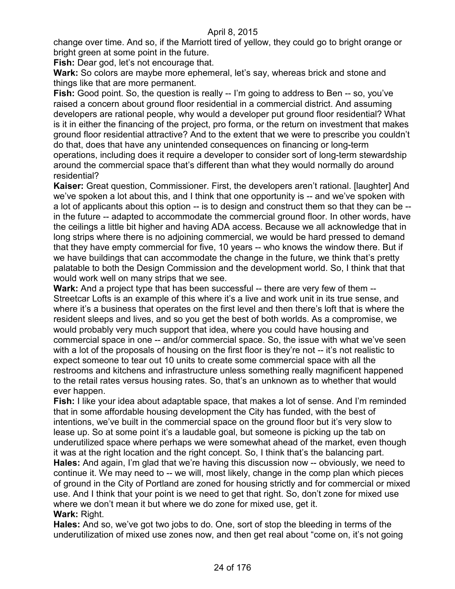change over time. And so, if the Marriott tired of yellow, they could go to bright orange or bright green at some point in the future.

**Fish:** Dear god, let's not encourage that.

**Wark:** So colors are maybe more ephemeral, let's say, whereas brick and stone and things like that are more permanent.

**Fish:** Good point. So, the question is really -- I'm going to address to Ben -- so, you've raised a concern about ground floor residential in a commercial district. And assuming developers are rational people, why would a developer put ground floor residential? What is it in either the financing of the project, pro forma, or the return on investment that makes ground floor residential attractive? And to the extent that we were to prescribe you couldn't do that, does that have any unintended consequences on financing or long-term operations, including does it require a developer to consider sort of long-term stewardship around the commercial space that's different than what they would normally do around residential?

**Kaiser:** Great question, Commissioner. First, the developers aren't rational. [laughter] And we've spoken a lot about this, and I think that one opportunity is -- and we've spoken with a lot of applicants about this option -- is to design and construct them so that they can be - in the future -- adapted to accommodate the commercial ground floor. In other words, have the ceilings a little bit higher and having ADA access. Because we all acknowledge that in long strips where there is no adjoining commercial, we would be hard pressed to demand that they have empty commercial for five, 10 years -- who knows the window there. But if we have buildings that can accommodate the change in the future, we think that's pretty palatable to both the Design Commission and the development world. So, I think that that would work well on many strips that we see.

**Wark:** And a project type that has been successful -- there are very few of them -- Streetcar Lofts is an example of this where it's a live and work unit in its true sense, and where it's a business that operates on the first level and then there's loft that is where the resident sleeps and lives, and so you get the best of both worlds. As a compromise, we would probably very much support that idea, where you could have housing and commercial space in one -- and/or commercial space. So, the issue with what we've seen with a lot of the proposals of housing on the first floor is they're not -- it's not realistic to expect someone to tear out 10 units to create some commercial space with all the restrooms and kitchens and infrastructure unless something really magnificent happened to the retail rates versus housing rates. So, that's an unknown as to whether that would ever happen.

**Fish:** I like your idea about adaptable space, that makes a lot of sense. And I'm reminded that in some affordable housing development the City has funded, with the best of intentions, we've built in the commercial space on the ground floor but it's very slow to lease up. So at some point it's a laudable goal, but someone is picking up the tab on underutilized space where perhaps we were somewhat ahead of the market, even though it was at the right location and the right concept. So, I think that's the balancing part. **Hales:** And again, I'm glad that we're having this discussion now -- obviously, we need to continue it. We may need to -- we will, most likely, change in the comp plan which pieces of ground in the City of Portland are zoned for housing strictly and for commercial or mixed use. And I think that your point is we need to get that right. So, don't zone for mixed use where we don't mean it but where we do zone for mixed use, get it. **Wark:** Right.

**Hales:** And so, we've got two jobs to do. One, sort of stop the bleeding in terms of the underutilization of mixed use zones now, and then get real about "come on, it's not going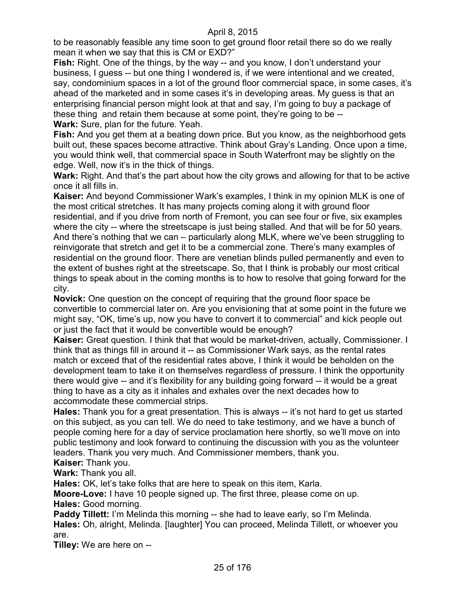to be reasonably feasible any time soon to get ground floor retail there so do we really mean it when we say that this is CM or EXD?"

**Fish:** Right. One of the things, by the way -- and you know, I don't understand your business, I guess -- but one thing I wondered is, if we were intentional and we created, say, condominium spaces in a lot of the ground floor commercial space, in some cases, it's ahead of the marketed and in some cases it's in developing areas. My guess is that an enterprising financial person might look at that and say, I'm going to buy a package of these thing and retain them because at some point, they're going to be -- **Wark:** Sure, plan for the future. Yeah.

**Fish:** And you get them at a beating down price. But you know, as the neighborhood gets built out, these spaces become attractive. Think about Gray's Landing. Once upon a time, you would think well, that commercial space in South Waterfront may be slightly on the edge. Well, now it's in the thick of things.

Wark: Right. And that's the part about how the city grows and allowing for that to be active once it all fills in.

**Kaiser:** And beyond Commissioner Wark's examples, I think in my opinion MLK is one of the most critical stretches. It has many projects coming along it with ground floor residential, and if you drive from north of Fremont, you can see four or five, six examples where the city -- where the streetscape is just being stalled. And that will be for 50 years. And there's nothing that we can – particularly along MLK, where we've been struggling to reinvigorate that stretch and get it to be a commercial zone. There's many examples of residential on the ground floor. There are venetian blinds pulled permanently and even to the extent of bushes right at the streetscape. So, that I think is probably our most critical things to speak about in the coming months is to how to resolve that going forward for the city.

**Novick:** One question on the concept of requiring that the ground floor space be convertible to commercial later on. Are you envisioning that at some point in the future we might say, "OK, time's up, now you have to convert it to commercial" and kick people out or just the fact that it would be convertible would be enough?

Kaiser: Great question. I think that that would be market-driven, actually, Commissioner. I think that as things fill in around it -- as Commissioner Wark says, as the rental rates match or exceed that of the residential rates above, I think it would be beholden on the development team to take it on themselves regardless of pressure. I think the opportunity there would give -- and it's flexibility for any building going forward -- it would be a great thing to have as a city as it inhales and exhales over the next decades how to accommodate these commercial strips.

**Hales:** Thank you for a great presentation. This is always -- it's not hard to get us started on this subject, as you can tell. We do need to take testimony, and we have a bunch of people coming here for a day of service proclamation here shortly, so we'll move on into public testimony and look forward to continuing the discussion with you as the volunteer leaders. Thank you very much. And Commissioner members, thank you. **Kaiser:** Thank you.

**Wark:** Thank you all.

**Hales:** OK, let's take folks that are here to speak on this item, Karla.

**Moore-Love:** I have 10 people signed up. The first three, please come on up. **Hales:** Good morning.

**Paddy Tillett:** I'm Melinda this morning -- she had to leave early, so I'm Melinda. **Hales:** Oh, alright, Melinda. [laughter] You can proceed, Melinda Tillett, or whoever you are.

**Tilley:** We are here on --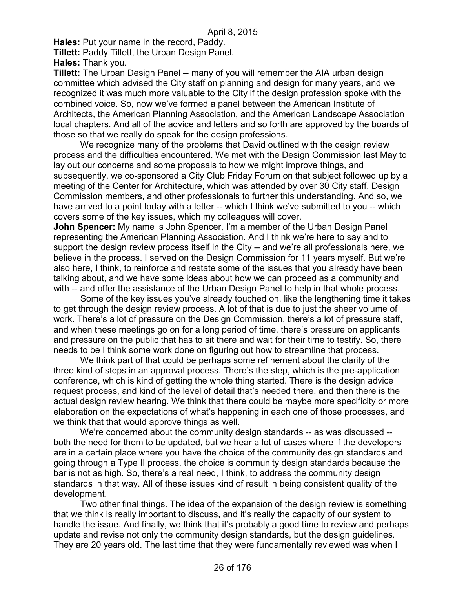**Hales:** Put your name in the record, Paddy.

**Tillett:** Paddy Tillett, the Urban Design Panel.

**Hales:** Thank you.

**Tillett:** The Urban Design Panel -- many of you will remember the AIA urban design committee which advised the City staff on planning and design for many years, and we recognized it was much more valuable to the City if the design profession spoke with the combined voice. So, now we've formed a panel between the American Institute of Architects, the American Planning Association, and the American Landscape Association local chapters. And all of the advice and letters and so forth are approved by the boards of those so that we really do speak for the design professions.

We recognize many of the problems that David outlined with the design review process and the difficulties encountered. We met with the Design Commission last May to lay out our concerns and some proposals to how we might improve things, and subsequently, we co-sponsored a City Club Friday Forum on that subject followed up by a meeting of the Center for Architecture, which was attended by over 30 City staff, Design Commission members, and other professionals to further this understanding. And so, we have arrived to a point today with a letter -- which I think we've submitted to you -- which covers some of the key issues, which my colleagues will cover.

**John Spencer:** My name is John Spencer, I'm a member of the Urban Design Panel representing the American Planning Association. And I think we're here to say and to support the design review process itself in the City -- and we're all professionals here, we believe in the process. I served on the Design Commission for 11 years myself. But we're also here, I think, to reinforce and restate some of the issues that you already have been talking about, and we have some ideas about how we can proceed as a community and with -- and offer the assistance of the Urban Design Panel to help in that whole process.

Some of the key issues you've already touched on, like the lengthening time it takes to get through the design review process. A lot of that is due to just the sheer volume of work. There's a lot of pressure on the Design Commission, there's a lot of pressure staff, and when these meetings go on for a long period of time, there's pressure on applicants and pressure on the public that has to sit there and wait for their time to testify. So, there needs to be I think some work done on figuring out how to streamline that process.

We think part of that could be perhaps some refinement about the clarity of the three kind of steps in an approval process. There's the step, which is the pre-application conference, which is kind of getting the whole thing started. There is the design advice request process, and kind of the level of detail that's needed there, and then there is the actual design review hearing. We think that there could be maybe more specificity or more elaboration on the expectations of what's happening in each one of those processes, and we think that that would approve things as well.

We're concerned about the community design standards -- as was discussed - both the need for them to be updated, but we hear a lot of cases where if the developers are in a certain place where you have the choice of the community design standards and going through a Type II process, the choice is community design standards because the bar is not as high. So, there's a real need, I think, to address the community design standards in that way. All of these issues kind of result in being consistent quality of the development.

Two other final things. The idea of the expansion of the design review is something that we think is really important to discuss, and it's really the capacity of our system to handle the issue. And finally, we think that it's probably a good time to review and perhaps update and revise not only the community design standards, but the design guidelines. They are 20 years old. The last time that they were fundamentally reviewed was when I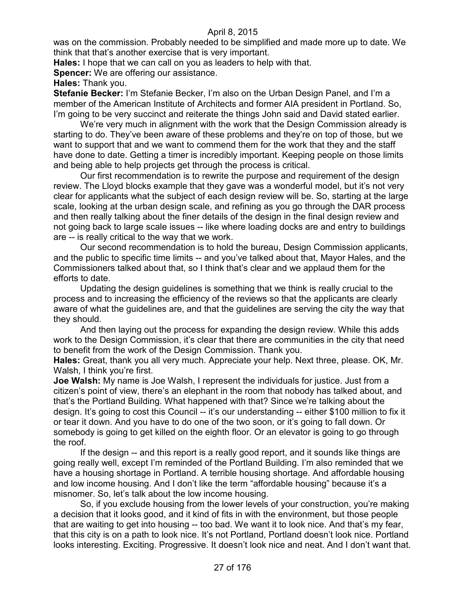was on the commission. Probably needed to be simplified and made more up to date. We think that that's another exercise that is very important.

**Hales:** I hope that we can call on you as leaders to help with that.

**Spencer:** We are offering our assistance.

**Hales:** Thank you.

**Stefanie Becker:** I'm Stefanie Becker, I'm also on the Urban Design Panel, and I'm a member of the American Institute of Architects and former AIA president in Portland. So, I'm going to be very succinct and reiterate the things John said and David stated earlier.

We're very much in alignment with the work that the Design Commission already is starting to do. They've been aware of these problems and they're on top of those, but we want to support that and we want to commend them for the work that they and the staff have done to date. Getting a timer is incredibly important. Keeping people on those limits and being able to help projects get through the process is critical.

Our first recommendation is to rewrite the purpose and requirement of the design review. The Lloyd blocks example that they gave was a wonderful model, but it's not very clear for applicants what the subject of each design review will be. So, starting at the large scale, looking at the urban design scale, and refining as you go through the DAR process and then really talking about the finer details of the design in the final design review and not going back to large scale issues -- like where loading docks are and entry to buildings are -- is really critical to the way that we work.

Our second recommendation is to hold the bureau, Design Commission applicants, and the public to specific time limits -- and you've talked about that, Mayor Hales, and the Commissioners talked about that, so I think that's clear and we applaud them for the efforts to date.

Updating the design guidelines is something that we think is really crucial to the process and to increasing the efficiency of the reviews so that the applicants are clearly aware of what the guidelines are, and that the guidelines are serving the city the way that they should.

And then laying out the process for expanding the design review. While this adds work to the Design Commission, it's clear that there are communities in the city that need to benefit from the work of the Design Commission. Thank you.

**Hales:** Great, thank you all very much. Appreciate your help. Next three, please. OK, Mr. Walsh, I think you're first.

**Joe Walsh:** My name is Joe Walsh, I represent the individuals for justice. Just from a citizen's point of view, there's an elephant in the room that nobody has talked about, and that's the Portland Building. What happened with that? Since we're talking about the design. It's going to cost this Council -- it's our understanding -- either \$100 million to fix it or tear it down. And you have to do one of the two soon, or it's going to fall down. Or somebody is going to get killed on the eighth floor. Or an elevator is going to go through the roof.

If the design -- and this report is a really good report, and it sounds like things are going really well, except I'm reminded of the Portland Building. I'm also reminded that we have a housing shortage in Portland. A terrible housing shortage. And affordable housing and low income housing. And I don't like the term "affordable housing" because it's a misnomer. So, let's talk about the low income housing.

So, if you exclude housing from the lower levels of your construction, you're making a decision that it looks good, and it kind of fits in with the environment, but those people that are waiting to get into housing -- too bad. We want it to look nice. And that's my fear, that this city is on a path to look nice. It's not Portland, Portland doesn't look nice. Portland looks interesting. Exciting. Progressive. It doesn't look nice and neat. And I don't want that.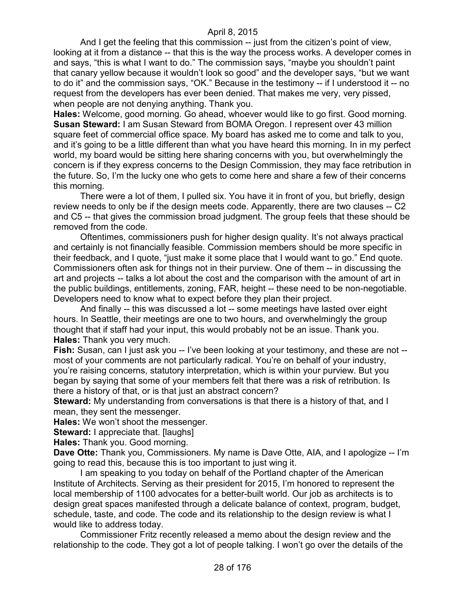And I get the feeling that this commission -- just from the citizen's point of view, looking at it from a distance -- that this is the way the process works. A developer comes in and says, "this is what I want to do." The commission says, "maybe you shouldn't paint that canary yellow because it wouldn't look so good" and the developer says, "but we want to do it" and the commission says, "OK." Because in the testimony -- if I understood it -- no request from the developers has ever been denied. That makes me very, very pissed, when people are not denying anything. Thank you.

**Hales:** Welcome, good morning. Go ahead, whoever would like to go first. Good morning. **Susan Steward:** I am Susan Steward from BOMA Oregon. I represent over 43 million square feet of commercial office space. My board has asked me to come and talk to you, and it's going to be a little different than what you have heard this morning. In in my perfect world, my board would be sitting here sharing concerns with you, but overwhelmingly the concern is if they express concerns to the Design Commission, they may face retribution in the future. So, I'm the lucky one who gets to come here and share a few of their concerns this morning.

There were a lot of them, I pulled six. You have it in front of you, but briefly, design review needs to only be if the design meets code. Apparently, there are two clauses -- C2 and C5 -- that gives the commission broad judgment. The group feels that these should be removed from the code.

Oftentimes, commissioners push for higher design quality. It's not always practical and certainly is not financially feasible. Commission members should be more specific in their feedback, and I quote, "just make it some place that I would want to go." End quote. Commissioners often ask for things not in their purview. One of them -- in discussing the art and projects -- talks a lot about the cost and the comparison with the amount of art in the public buildings, entitlements, zoning, FAR, height -- these need to be non-negotiable. Developers need to know what to expect before they plan their project.

And finally -- this was discussed a lot -- some meetings have lasted over eight hours. In Seattle, their meetings are one to two hours, and overwhelmingly the group thought that if staff had your input, this would probably not be an issue. Thank you. **Hales:** Thank you very much.

**Fish:** Susan, can I just ask you -- I've been looking at your testimony, and these are not -most of your comments are not particularly radical. You're on behalf of your industry, you're raising concerns, statutory interpretation, which is within your purview. But you began by saying that some of your members felt that there was a risk of retribution. Is there a history of that, or is that just an abstract concern?

**Steward:** My understanding from conversations is that there is a history of that, and I mean, they sent the messenger.

**Hales:** We won't shoot the messenger.

**Steward:** I appreciate that. [laughs]

**Hales:** Thank you. Good morning.

**Dave Otte:** Thank you, Commissioners. My name is Dave Otte, AIA, and I apologize -- I'm going to read this, because this is too important to just wing it.

I am speaking to you today on behalf of the Portland chapter of the American Institute of Architects. Serving as their president for 2015, I'm honored to represent the local membership of 1100 advocates for a better-built world. Our job as architects is to design great spaces manifested through a delicate balance of context, program, budget, schedule, taste, and code. The code and its relationship to the design review is what I would like to address today.

Commissioner Fritz recently released a memo about the design review and the relationship to the code. They got a lot of people talking. I won't go over the details of the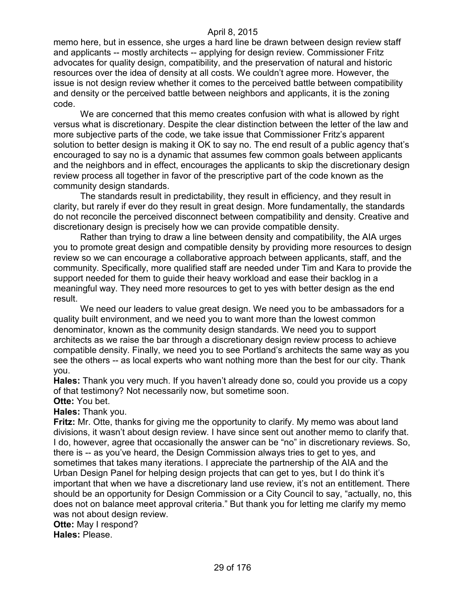memo here, but in essence, she urges a hard line be drawn between design review staff and applicants -- mostly architects -- applying for design review. Commissioner Fritz advocates for quality design, compatibility, and the preservation of natural and historic resources over the idea of density at all costs. We couldn't agree more. However, the issue is not design review whether it comes to the perceived battle between compatibility and density or the perceived battle between neighbors and applicants, it is the zoning code.

We are concerned that this memo creates confusion with what is allowed by right versus what is discretionary. Despite the clear distinction between the letter of the law and more subjective parts of the code, we take issue that Commissioner Fritz's apparent solution to better design is making it OK to say no. The end result of a public agency that's encouraged to say no is a dynamic that assumes few common goals between applicants and the neighbors and in effect, encourages the applicants to skip the discretionary design review process all together in favor of the prescriptive part of the code known as the community design standards.

The standards result in predictability, they result in efficiency, and they result in clarity, but rarely if ever do they result in great design. More fundamentally, the standards do not reconcile the perceived disconnect between compatibility and density. Creative and discretionary design is precisely how we can provide compatible density.

Rather than trying to draw a line between density and compatibility, the AIA urges you to promote great design and compatible density by providing more resources to design review so we can encourage a collaborative approach between applicants, staff, and the community. Specifically, more qualified staff are needed under Tim and Kara to provide the support needed for them to guide their heavy workload and ease their backlog in a meaningful way. They need more resources to get to yes with better design as the end result.

We need our leaders to value great design. We need you to be ambassadors for a quality built environment, and we need you to want more than the lowest common denominator, known as the community design standards. We need you to support architects as we raise the bar through a discretionary design review process to achieve compatible density. Finally, we need you to see Portland's architects the same way as you see the others -- as local experts who want nothing more than the best for our city. Thank you.

**Hales:** Thank you very much. If you haven't already done so, could you provide us a copy of that testimony? Not necessarily now, but sometime soon.

### **Otte:** You bet.

**Hales:** Thank you.

**Fritz:** Mr. Otte, thanks for giving me the opportunity to clarify. My memo was about land divisions, it wasn't about design review. I have since sent out another memo to clarify that. I do, however, agree that occasionally the answer can be "no" in discretionary reviews. So, there is -- as you've heard, the Design Commission always tries to get to yes, and sometimes that takes many iterations. I appreciate the partnership of the AIA and the Urban Design Panel for helping design projects that can get to yes, but I do think it's important that when we have a discretionary land use review, it's not an entitlement. There should be an opportunity for Design Commission or a City Council to say, "actually, no, this does not on balance meet approval criteria." But thank you for letting me clarify my memo was not about design review.

**Otte:** May I respond?

**Hales:** Please.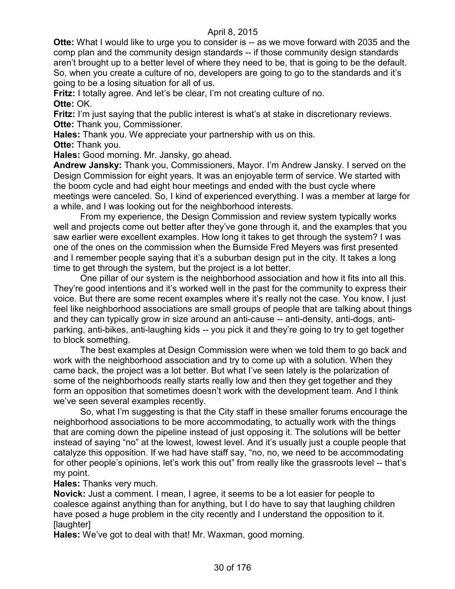**Otte:** What I would like to urge you to consider is -- as we move forward with 2035 and the comp plan and the community design standards -- if those community design standards aren't brought up to a better level of where they need to be, that is going to be the default. So, when you create a culture of no, developers are going to go to the standards and it's going to be a losing situation for all of us.

**Fritz:** I totally agree. And let's be clear, I'm not creating culture of no.

**Otte:** OK.

**Fritz:** I'm just saying that the public interest is what's at stake in discretionary reviews. **Otte: Thank you, Commissioner.** 

**Hales:** Thank you. We appreciate your partnership with us on this.

**Otte:** Thank you.

**Hales:** Good morning. Mr. Jansky, go ahead.

**Andrew Jansky:** Thank you, Commissioners, Mayor. I'm Andrew Jansky. I served on the Design Commission for eight years. It was an enjoyable term of service. We started with the boom cycle and had eight hour meetings and ended with the bust cycle where meetings were canceled. So, I kind of experienced everything. I was a member at large for a while, and I was looking out for the neighborhood interests.

From my experience, the Design Commission and review system typically works well and projects come out better after they've gone through it, and the examples that you saw earlier were excellent examples. How long it takes to get through the system? I was one of the ones on the commission when the Burnside Fred Meyers was first presented and I remember people saying that it's a suburban design put in the city. It takes a long time to get through the system, but the project is a lot better.

One pillar of our system is the neighborhood association and how it fits into all this. They're good intentions and it's worked well in the past for the community to express their voice. But there are some recent examples where it's really not the case. You know, I just feel like neighborhood associations are small groups of people that are talking about things and they can typically grow in size around an anti-cause -- anti-density, anti-dogs, antiparking, anti-bikes, anti-laughing kids -- you pick it and they're going to try to get together to block something.

The best examples at Design Commission were when we told them to go back and work with the neighborhood association and try to come up with a solution. When they came back, the project was a lot better. But what I've seen lately is the polarization of some of the neighborhoods really starts really low and then they get together and they form an opposition that sometimes doesn't work with the development team. And I think we've seen several examples recently.

So, what I'm suggesting is that the City staff in these smaller forums encourage the neighborhood associations to be more accommodating, to actually work with the things that are coming down the pipeline instead of just opposing it. The solutions will be better instead of saying "no" at the lowest, lowest level. And it's usually just a couple people that catalyze this opposition. If we had have staff say, "no, no, we need to be accommodating for other people's opinions, let's work this out" from really like the grassroots level -- that's my point.

**Hales:** Thanks very much.

**Novick:** Just a comment. I mean, I agree, it seems to be a lot easier for people to coalesce against anything than for anything, but I do have to say that laughing children have posed a huge problem in the city recently and I understand the opposition to it. **Ilaughterl** 

**Hales:** We've got to deal with that! Mr. Waxman, good morning.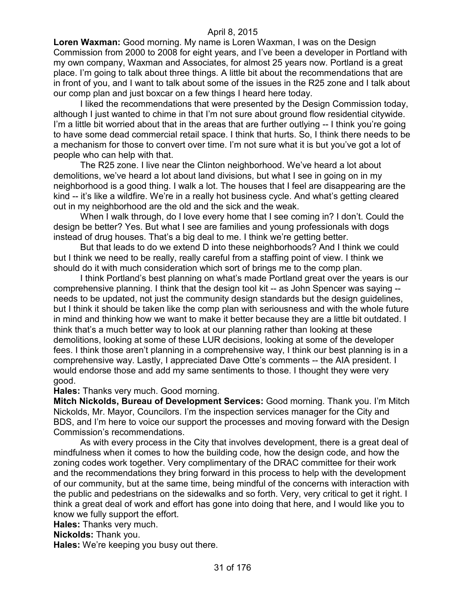**Loren Waxman:** Good morning. My name is Loren Waxman, I was on the Design Commission from 2000 to 2008 for eight years, and I've been a developer in Portland with my own company, Waxman and Associates, for almost 25 years now. Portland is a great place. I'm going to talk about three things. A little bit about the recommendations that are in front of you, and I want to talk about some of the issues in the R25 zone and I talk about our comp plan and just boxcar on a few things I heard here today.

I liked the recommendations that were presented by the Design Commission today, although I just wanted to chime in that I'm not sure about ground flow residential citywide. I'm a little bit worried about that in the areas that are further outlying -- I think you're going to have some dead commercial retail space. I think that hurts. So, I think there needs to be a mechanism for those to convert over time. I'm not sure what it is but you've got a lot of people who can help with that.

The R25 zone. I live near the Clinton neighborhood. We've heard a lot about demolitions, we've heard a lot about land divisions, but what I see in going on in my neighborhood is a good thing. I walk a lot. The houses that I feel are disappearing are the kind -- it's like a wildfire. We're in a really hot business cycle. And what's getting cleared out in my neighborhood are the old and the sick and the weak.

When I walk through, do I love every home that I see coming in? I don't. Could the design be better? Yes. But what I see are families and young professionals with dogs instead of drug houses. That's a big deal to me. I think we're getting better.

But that leads to do we extend D into these neighborhoods? And I think we could but I think we need to be really, really careful from a staffing point of view. I think we should do it with much consideration which sort of brings me to the comp plan.

I think Portland's best planning on what's made Portland great over the years is our comprehensive planning. I think that the design tool kit -- as John Spencer was saying - needs to be updated, not just the community design standards but the design guidelines, but I think it should be taken like the comp plan with seriousness and with the whole future in mind and thinking how we want to make it better because they are a little bit outdated. I think that's a much better way to look at our planning rather than looking at these demolitions, looking at some of these LUR decisions, looking at some of the developer fees. I think those aren't planning in a comprehensive way, I think our best planning is in a comprehensive way. Lastly, I appreciated Dave Otte's comments -- the AIA president. I would endorse those and add my same sentiments to those. I thought they were very good.

**Hales:** Thanks very much. Good morning.

**Mitch Nickolds, Bureau of Development Services:** Good morning. Thank you. I'm Mitch Nickolds, Mr. Mayor, Councilors. I'm the inspection services manager for the City and BDS, and I'm here to voice our support the processes and moving forward with the Design Commission's recommendations.

As with every process in the City that involves development, there is a great deal of mindfulness when it comes to how the building code, how the design code, and how the zoning codes work together. Very complimentary of the DRAC committee for their work and the recommendations they bring forward in this process to help with the development of our community, but at the same time, being mindful of the concerns with interaction with the public and pedestrians on the sidewalks and so forth. Very, very critical to get it right. I think a great deal of work and effort has gone into doing that here, and I would like you to know we fully support the effort.

**Hales:** Thanks very much.

**Nickolds:** Thank you.

**Hales:** We're keeping you busy out there.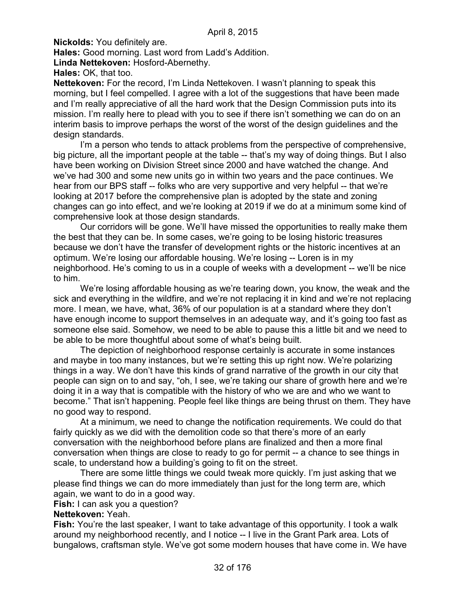**Nickolds:** You definitely are.

**Hales:** Good morning. Last word from Ladd's Addition.

**Linda Nettekoven:** Hosford-Abernethy.

**Hales:** OK, that too.

**Nettekoven:** For the record, I'm Linda Nettekoven. I wasn't planning to speak this morning, but I feel compelled. I agree with a lot of the suggestions that have been made and I'm really appreciative of all the hard work that the Design Commission puts into its mission. I'm really here to plead with you to see if there isn't something we can do on an interim basis to improve perhaps the worst of the worst of the design guidelines and the design standards.

I'm a person who tends to attack problems from the perspective of comprehensive, big picture, all the important people at the table -- that's my way of doing things. But I also have been working on Division Street since 2000 and have watched the change. And we've had 300 and some new units go in within two years and the pace continues. We hear from our BPS staff -- folks who are very supportive and very helpful -- that we're looking at 2017 before the comprehensive plan is adopted by the state and zoning changes can go into effect, and we're looking at 2019 if we do at a minimum some kind of comprehensive look at those design standards.

Our corridors will be gone. We'll have missed the opportunities to really make them the best that they can be. In some cases, we're going to be losing historic treasures because we don't have the transfer of development rights or the historic incentives at an optimum. We're losing our affordable housing. We're losing -- Loren is in my neighborhood. He's coming to us in a couple of weeks with a development -- we'll be nice to him.

We're losing affordable housing as we're tearing down, you know, the weak and the sick and everything in the wildfire, and we're not replacing it in kind and we're not replacing more. I mean, we have, what, 36% of our population is at a standard where they don't have enough income to support themselves in an adequate way, and it's going too fast as someone else said. Somehow, we need to be able to pause this a little bit and we need to be able to be more thoughtful about some of what's being built.

The depiction of neighborhood response certainly is accurate in some instances and maybe in too many instances, but we're setting this up right now. We're polarizing things in a way. We don't have this kinds of grand narrative of the growth in our city that people can sign on to and say, "oh, I see, we're taking our share of growth here and we're doing it in a way that is compatible with the history of who we are and who we want to become." That isn't happening. People feel like things are being thrust on them. They have no good way to respond.

At a minimum, we need to change the notification requirements. We could do that fairly quickly as we did with the demolition code so that there's more of an early conversation with the neighborhood before plans are finalized and then a more final conversation when things are close to ready to go for permit -- a chance to see things in scale, to understand how a building's going to fit on the street.

There are some little things we could tweak more quickly. I'm just asking that we please find things we can do more immediately than just for the long term are, which again, we want to do in a good way.

**Fish:** I can ask you a question?

## **Nettekoven:** Yeah.

**Fish:** You're the last speaker, I want to take advantage of this opportunity. I took a walk around my neighborhood recently, and I notice -- I live in the Grant Park area. Lots of bungalows, craftsman style. We've got some modern houses that have come in. We have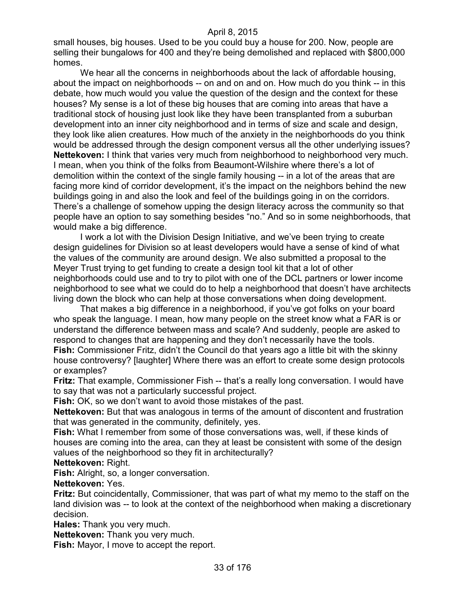small houses, big houses. Used to be you could buy a house for 200. Now, people are selling their bungalows for 400 and they're being demolished and replaced with \$800,000 homes.

We hear all the concerns in neighborhoods about the lack of affordable housing, about the impact on neighborhoods -- on and on and on. How much do you think -- in this debate, how much would you value the question of the design and the context for these houses? My sense is a lot of these big houses that are coming into areas that have a traditional stock of housing just look like they have been transplanted from a suburban development into an inner city neighborhood and in terms of size and scale and design, they look like alien creatures. How much of the anxiety in the neighborhoods do you think would be addressed through the design component versus all the other underlying issues? **Nettekoven:** I think that varies very much from neighborhood to neighborhood very much. I mean, when you think of the folks from Beaumont-Wilshire where there's a lot of demolition within the context of the single family housing -- in a lot of the areas that are facing more kind of corridor development, it's the impact on the neighbors behind the new buildings going in and also the look and feel of the buildings going in on the corridors. There's a challenge of somehow upping the design literacy across the community so that people have an option to say something besides "no." And so in some neighborhoods, that would make a big difference.

I work a lot with the Division Design Initiative, and we've been trying to create design guidelines for Division so at least developers would have a sense of kind of what the values of the community are around design. We also submitted a proposal to the Meyer Trust trying to get funding to create a design tool kit that a lot of other neighborhoods could use and to try to pilot with one of the DCL partners or lower income neighborhood to see what we could do to help a neighborhood that doesn't have architects living down the block who can help at those conversations when doing development.

That makes a big difference in a neighborhood, if you've got folks on your board who speak the language. I mean, how many people on the street know what a FAR is or understand the difference between mass and scale? And suddenly, people are asked to respond to changes that are happening and they don't necessarily have the tools. **Fish:** Commissioner Fritz, didn't the Council do that years ago a little bit with the skinny

house controversy? [laughter] Where there was an effort to create some design protocols or examples?

**Fritz:** That example, Commissioner Fish -- that's a really long conversation. I would have to say that was not a particularly successful project.

**Fish:** OK, so we don't want to avoid those mistakes of the past.

**Nettekoven:** But that was analogous in terms of the amount of discontent and frustration that was generated in the community, definitely, yes.

**Fish:** What I remember from some of those conversations was, well, if these kinds of houses are coming into the area, can they at least be consistent with some of the design values of the neighborhood so they fit in architecturally?

#### **Nettekoven:** Right.

**Fish:** Alright, so, a longer conversation.

#### **Nettekoven:** Yes.

**Fritz:** But coincidentally, Commissioner, that was part of what my memo to the staff on the land division was -- to look at the context of the neighborhood when making a discretionary decision.

**Hales:** Thank you very much.

**Nettekoven:** Thank you very much.

**Fish:** Mayor, I move to accept the report.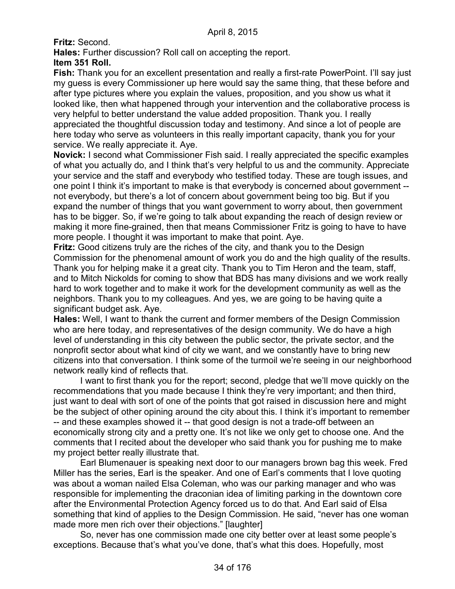**Fritz:** Second.

**Hales:** Further discussion? Roll call on accepting the report.

## **Item 351 Roll.**

**Fish:** Thank you for an excellent presentation and really a first-rate PowerPoint. I'll say just my guess is every Commissioner up here would say the same thing, that these before and after type pictures where you explain the values, proposition, and you show us what it looked like, then what happened through your intervention and the collaborative process is very helpful to better understand the value added proposition. Thank you. I really appreciated the thoughtful discussion today and testimony. And since a lot of people are here today who serve as volunteers in this really important capacity, thank you for your service. We really appreciate it. Aye.

**Novick:** I second what Commissioner Fish said. I really appreciated the specific examples of what you actually do, and I think that's very helpful to us and the community. Appreciate your service and the staff and everybody who testified today. These are tough issues, and one point I think it's important to make is that everybody is concerned about government - not everybody, but there's a lot of concern about government being too big. But if you expand the number of things that you want government to worry about, then government has to be bigger. So, if we're going to talk about expanding the reach of design review or making it more fine-grained, then that means Commissioner Fritz is going to have to have more people. I thought it was important to make that point. Aye.

**Fritz:** Good citizens truly are the riches of the city, and thank you to the Design Commission for the phenomenal amount of work you do and the high quality of the results. Thank you for helping make it a great city. Thank you to Tim Heron and the team, staff, and to Mitch Nickolds for coming to show that BDS has many divisions and we work really hard to work together and to make it work for the development community as well as the neighbors. Thank you to my colleagues. And yes, we are going to be having quite a significant budget ask. Aye.

**Hales:** Well, I want to thank the current and former members of the Design Commission who are here today, and representatives of the design community. We do have a high level of understanding in this city between the public sector, the private sector, and the nonprofit sector about what kind of city we want, and we constantly have to bring new citizens into that conversation. I think some of the turmoil we're seeing in our neighborhood network really kind of reflects that.

I want to first thank you for the report; second, pledge that we'll move quickly on the recommendations that you made because I think they're very important; and then third, just want to deal with sort of one of the points that got raised in discussion here and might be the subject of other opining around the city about this. I think it's important to remember -- and these examples showed it -- that good design is not a trade-off between an economically strong city and a pretty one. It's not like we only get to choose one. And the comments that I recited about the developer who said thank you for pushing me to make my project better really illustrate that.

Earl Blumenauer is speaking next door to our managers brown bag this week. Fred Miller has the series, Earl is the speaker. And one of Earl's comments that I love quoting was about a woman nailed Elsa Coleman, who was our parking manager and who was responsible for implementing the draconian idea of limiting parking in the downtown core after the Environmental Protection Agency forced us to do that. And Earl said of Elsa something that kind of applies to the Design Commission. He said, "never has one woman made more men rich over their objections." [laughter]

So, never has one commission made one city better over at least some people's exceptions. Because that's what you've done, that's what this does. Hopefully, most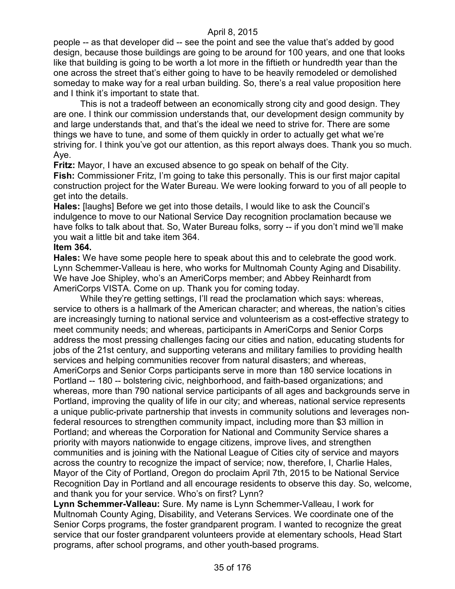people -- as that developer did -- see the point and see the value that's added by good design, because those buildings are going to be around for 100 years, and one that looks like that building is going to be worth a lot more in the fiftieth or hundredth year than the one across the street that's either going to have to be heavily remodeled or demolished someday to make way for a real urban building. So, there's a real value proposition here and I think it's important to state that.

This is not a tradeoff between an economically strong city and good design. They are one. I think our commission understands that, our development design community by and large understands that, and that's the ideal we need to strive for. There are some things we have to tune, and some of them quickly in order to actually get what we're striving for. I think you've got our attention, as this report always does. Thank you so much. Aye.

**Fritz:** Mayor, I have an excused absence to go speak on behalf of the City.

**Fish:** Commissioner Fritz, I'm going to take this personally. This is our first major capital construction project for the Water Bureau. We were looking forward to you of all people to get into the details.

**Hales:** [laughs] Before we get into those details, I would like to ask the Council's indulgence to move to our National Service Day recognition proclamation because we have folks to talk about that. So, Water Bureau folks, sorry -- if you don't mind we'll make you wait a little bit and take item 364.

#### **Item 364.**

**Hales:** We have some people here to speak about this and to celebrate the good work. Lynn Schemmer-Valleau is here, who works for Multnomah County Aging and Disability. We have Joe Shipley, who's an AmeriCorps member; and Abbey Reinhardt from AmeriCorps VISTA. Come on up. Thank you for coming today.

While they're getting settings, I'll read the proclamation which says: whereas, service to others is a hallmark of the American character; and whereas, the nation's cities are increasingly turning to national service and volunteerism as a cost-effective strategy to meet community needs; and whereas, participants in AmeriCorps and Senior Corps address the most pressing challenges facing our cities and nation, educating students for jobs of the 21st century, and supporting veterans and military families to providing health services and helping communities recover from natural disasters; and whereas, AmeriCorps and Senior Corps participants serve in more than 180 service locations in Portland -- 180 -- bolstering civic, neighborhood, and faith-based organizations; and whereas, more than 790 national service participants of all ages and backgrounds serve in Portland, improving the quality of life in our city; and whereas, national service represents a unique public-private partnership that invests in community solutions and leverages nonfederal resources to strengthen community impact, including more than \$3 million in Portland; and whereas the Corporation for National and Community Service shares a priority with mayors nationwide to engage citizens, improve lives, and strengthen communities and is joining with the National League of Cities city of service and mayors across the country to recognize the impact of service; now, therefore, I, Charlie Hales, Mayor of the City of Portland, Oregon do proclaim April 7th, 2015 to be National Service Recognition Day in Portland and all encourage residents to observe this day. So, welcome, and thank you for your service. Who's on first? Lynn?

**Lynn Schemmer-Valleau:** Sure. My name is Lynn Schemmer-Valleau, I work for Multnomah County Aging, Disability, and Veterans Services. We coordinate one of the Senior Corps programs, the foster grandparent program. I wanted to recognize the great service that our foster grandparent volunteers provide at elementary schools, Head Start programs, after school programs, and other youth-based programs.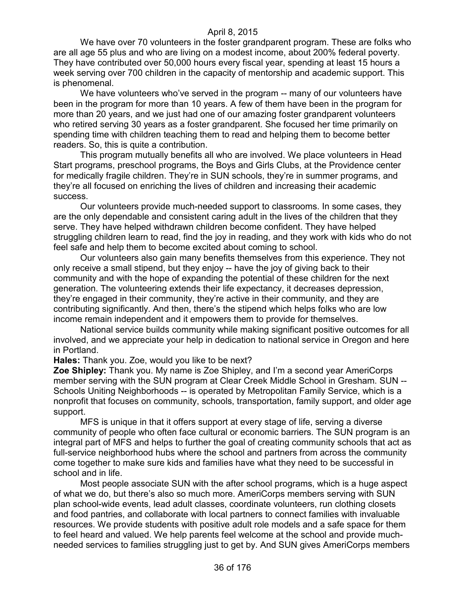We have over 70 volunteers in the foster grandparent program. These are folks who are all age 55 plus and who are living on a modest income, about 200% federal poverty. They have contributed over 50,000 hours every fiscal year, spending at least 15 hours a week serving over 700 children in the capacity of mentorship and academic support. This is phenomenal.

We have volunteers who've served in the program -- many of our volunteers have been in the program for more than 10 years. A few of them have been in the program for more than 20 years, and we just had one of our amazing foster grandparent volunteers who retired serving 30 years as a foster grandparent. She focused her time primarily on spending time with children teaching them to read and helping them to become better readers. So, this is quite a contribution.

This program mutually benefits all who are involved. We place volunteers in Head Start programs, preschool programs, the Boys and Girls Clubs, at the Providence center for medically fragile children. They're in SUN schools, they're in summer programs, and they're all focused on enriching the lives of children and increasing their academic success.

Our volunteers provide much-needed support to classrooms. In some cases, they are the only dependable and consistent caring adult in the lives of the children that they serve. They have helped withdrawn children become confident. They have helped struggling children learn to read, find the joy in reading, and they work with kids who do not feel safe and help them to become excited about coming to school.

Our volunteers also gain many benefits themselves from this experience. They not only receive a small stipend, but they enjoy -- have the joy of giving back to their community and with the hope of expanding the potential of these children for the next generation. The volunteering extends their life expectancy, it decreases depression, they're engaged in their community, they're active in their community, and they are contributing significantly. And then, there's the stipend which helps folks who are low income remain independent and it empowers them to provide for themselves.

National service builds community while making significant positive outcomes for all involved, and we appreciate your help in dedication to national service in Oregon and here in Portland.

**Hales:** Thank you. Zoe, would you like to be next?

**Zoe Shipley:** Thank you. My name is Zoe Shipley, and I'm a second year AmeriCorps member serving with the SUN program at Clear Creek Middle School in Gresham. SUN -- Schools Uniting Neighborhoods -- is operated by Metropolitan Family Service, which is a nonprofit that focuses on community, schools, transportation, family support, and older age support.

MFS is unique in that it offers support at every stage of life, serving a diverse community of people who often face cultural or economic barriers. The SUN program is an integral part of MFS and helps to further the goal of creating community schools that act as full-service neighborhood hubs where the school and partners from across the community come together to make sure kids and families have what they need to be successful in school and in life.

Most people associate SUN with the after school programs, which is a huge aspect of what we do, but there's also so much more. AmeriCorps members serving with SUN plan school-wide events, lead adult classes, coordinate volunteers, run clothing closets and food pantries, and collaborate with local partners to connect families with invaluable resources. We provide students with positive adult role models and a safe space for them to feel heard and valued. We help parents feel welcome at the school and provide muchneeded services to families struggling just to get by. And SUN gives AmeriCorps members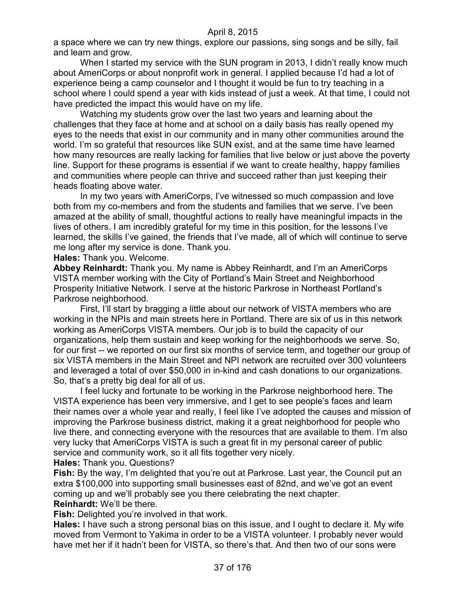a space where we can try new things, explore our passions, sing songs and be silly, fail and learn and grow.

When I started my service with the SUN program in 2013, I didn't really know much about AmeriCorps or about nonprofit work in general. I applied because I'd had a lot of experience being a camp counselor and I thought it would be fun to try teaching in a school where I could spend a year with kids instead of just a week. At that time, I could not have predicted the impact this would have on my life.

Watching my students grow over the last two years and learning about the challenges that they face at home and at school on a daily basis has really opened my eyes to the needs that exist in our community and in many other communities around the world. I'm so grateful that resources like SUN exist, and at the same time have learned how many resources are really lacking for families that live below or just above the poverty line. Support for these programs is essential if we want to create healthy, happy families and communities where people can thrive and succeed rather than just keeping their heads floating above water.

In my two years with AmeriCorps, I've witnessed so much compassion and love both from my co-members and from the students and families that we serve. I've been amazed at the ability of small, thoughtful actions to really have meaningful impacts in the lives of others. I am incredibly grateful for my time in this position, for the lessons I've learned, the skills I've gained, the friends that I've made, all of which will continue to serve me long after my service is done. Thank you.

**Hales:** Thank you. Welcome.

**Abbey Reinhardt:** Thank you. My name is Abbey Reinhardt, and I'm an AmeriCorps VISTA member working with the City of Portland's Main Street and Neighborhood Prosperity Initiative Network. I serve at the historic Parkrose in Northeast Portland's Parkrose neighborhood.

First, I'll start by bragging a little about our network of VISTA members who are working in the NPIs and main streets here in Portland. There are six of us in this network working as AmeriCorps VISTA members. Our job is to build the capacity of our organizations, help them sustain and keep working for the neighborhoods we serve. So, for our first -- we reported on our first six months of service term, and together our group of six VISTA members in the Main Street and NPI network are recruited over 300 volunteers and leveraged a total of over \$50,000 in in-kind and cash donations to our organizations. So, that's a pretty big deal for all of us.

I feel lucky and fortunate to be working in the Parkrose neighborhood here. The VISTA experience has been very immersive, and I get to see people's faces and learn their names over a whole year and really, I feel like I've adopted the causes and mission of improving the Parkrose business district, making it a great neighborhood for people who live there, and connecting everyone with the resources that are available to them. I'm also very lucky that AmeriCorps VISTA is such a great fit in my personal career of public service and community work, so it all fits together very nicely.

**Hales:** Thank you. Questions?

**Fish:** By the way, I'm delighted that you're out at Parkrose. Last year, the Council put an extra \$100,000 into supporting small businesses east of 82nd, and we've got an event coming up and we'll probably see you there celebrating the next chapter. **Reinhardt:** We'll be there.

**Fish:** Delighted you're involved in that work.

**Hales:** I have such a strong personal bias on this issue, and I ought to declare it. My wife moved from Vermont to Yakima in order to be a VISTA volunteer. I probably never would have met her if it hadn't been for VISTA, so there's that. And then two of our sons were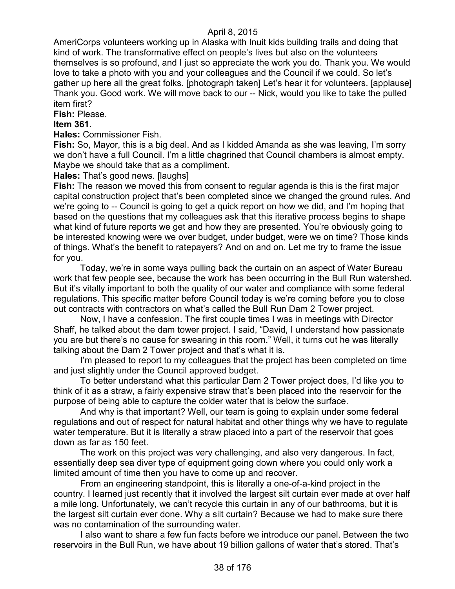AmeriCorps volunteers working up in Alaska with Inuit kids building trails and doing that kind of work. The transformative effect on people's lives but also on the volunteers themselves is so profound, and I just so appreciate the work you do. Thank you. We would love to take a photo with you and your colleagues and the Council if we could. So let's gather up here all the great folks. [photograph taken] Let's hear it for volunteers. [applause] Thank you. Good work. We will move back to our -- Nick, would you like to take the pulled item first?

**Fish:** Please.

## **Item 361.**

**Hales:** Commissioner Fish.

**Fish:** So, Mayor, this is a big deal. And as I kidded Amanda as she was leaving, I'm sorry we don't have a full Council. I'm a little chagrined that Council chambers is almost empty. Maybe we should take that as a compliment.

**Hales:** That's good news. [laughs]

**Fish:** The reason we moved this from consent to regular agenda is this is the first major capital construction project that's been completed since we changed the ground rules. And we're going to -- Council is going to get a quick report on how we did, and I'm hoping that based on the questions that my colleagues ask that this iterative process begins to shape what kind of future reports we get and how they are presented. You're obviously going to be interested knowing were we over budget, under budget, were we on time? Those kinds of things. What's the benefit to ratepayers? And on and on. Let me try to frame the issue for you.

Today, we're in some ways pulling back the curtain on an aspect of Water Bureau work that few people see, because the work has been occurring in the Bull Run watershed. But it's vitally important to both the quality of our water and compliance with some federal regulations. This specific matter before Council today is we're coming before you to close out contracts with contractors on what's called the Bull Run Dam 2 Tower project.

Now, I have a confession. The first couple times I was in meetings with Director Shaff, he talked about the dam tower project. I said, "David, I understand how passionate you are but there's no cause for swearing in this room." Well, it turns out he was literally talking about the Dam 2 Tower project and that's what it is.

I'm pleased to report to my colleagues that the project has been completed on time and just slightly under the Council approved budget.

To better understand what this particular Dam 2 Tower project does, I'd like you to think of it as a straw, a fairly expensive straw that's been placed into the reservoir for the purpose of being able to capture the colder water that is below the surface.

And why is that important? Well, our team is going to explain under some federal regulations and out of respect for natural habitat and other things why we have to regulate water temperature. But it is literally a straw placed into a part of the reservoir that goes down as far as 150 feet.

The work on this project was very challenging, and also very dangerous. In fact, essentially deep sea diver type of equipment going down where you could only work a limited amount of time then you have to come up and recover.

From an engineering standpoint, this is literally a one-of-a-kind project in the country. I learned just recently that it involved the largest silt curtain ever made at over half a mile long. Unfortunately, we can't recycle this curtain in any of our bathrooms, but it is the largest silt curtain ever done. Why a silt curtain? Because we had to make sure there was no contamination of the surrounding water.

I also want to share a few fun facts before we introduce our panel. Between the two reservoirs in the Bull Run, we have about 19 billion gallons of water that's stored. That's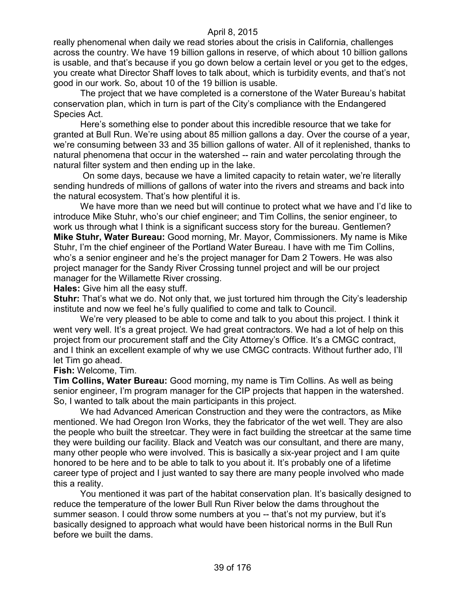really phenomenal when daily we read stories about the crisis in California, challenges across the country. We have 19 billion gallons in reserve, of which about 10 billion gallons is usable, and that's because if you go down below a certain level or you get to the edges, you create what Director Shaff loves to talk about, which is turbidity events, and that's not good in our work. So, about 10 of the 19 billion is usable.

The project that we have completed is a cornerstone of the Water Bureau's habitat conservation plan, which in turn is part of the City's compliance with the Endangered Species Act.

Here's something else to ponder about this incredible resource that we take for granted at Bull Run. We're using about 85 million gallons a day. Over the course of a year, we're consuming between 33 and 35 billion gallons of water. All of it replenished, thanks to natural phenomena that occur in the watershed -- rain and water percolating through the natural filter system and then ending up in the lake.

On some days, because we have a limited capacity to retain water, we're literally sending hundreds of millions of gallons of water into the rivers and streams and back into the natural ecosystem. That's how plentiful it is.

We have more than we need but will continue to protect what we have and I'd like to introduce Mike Stuhr, who's our chief engineer; and Tim Collins, the senior engineer, to work us through what I think is a significant success story for the bureau. Gentlemen? **Mike Stuhr, Water Bureau:** Good morning, Mr. Mayor, Commissioners. My name is Mike Stuhr, I'm the chief engineer of the Portland Water Bureau. I have with me Tim Collins, who's a senior engineer and he's the project manager for Dam 2 Towers. He was also project manager for the Sandy River Crossing tunnel project and will be our project manager for the Willamette River crossing.

**Hales:** Give him all the easy stuff.

**Stuhr:** That's what we do. Not only that, we just tortured him through the City's leadership institute and now we feel he's fully qualified to come and talk to Council.

We're very pleased to be able to come and talk to you about this project. I think it went very well. It's a great project. We had great contractors. We had a lot of help on this project from our procurement staff and the City Attorney's Office. It's a CMGC contract, and I think an excellent example of why we use CMGC contracts. Without further ado, I'll let Tim go ahead.

**Fish:** Welcome, Tim.

**Tim Collins, Water Bureau:** Good morning, my name is Tim Collins. As well as being senior engineer, I'm program manager for the CIP projects that happen in the watershed. So, I wanted to talk about the main participants in this project.

We had Advanced American Construction and they were the contractors, as Mike mentioned. We had Oregon Iron Works, they the fabricator of the wet well. They are also the people who built the streetcar. They were in fact building the streetcar at the same time they were building our facility. Black and Veatch was our consultant, and there are many, many other people who were involved. This is basically a six-year project and I am quite honored to be here and to be able to talk to you about it. It's probably one of a lifetime career type of project and I just wanted to say there are many people involved who made this a reality.

You mentioned it was part of the habitat conservation plan. It's basically designed to reduce the temperature of the lower Bull Run River below the dams throughout the summer season. I could throw some numbers at you -- that's not my purview, but it's basically designed to approach what would have been historical norms in the Bull Run before we built the dams.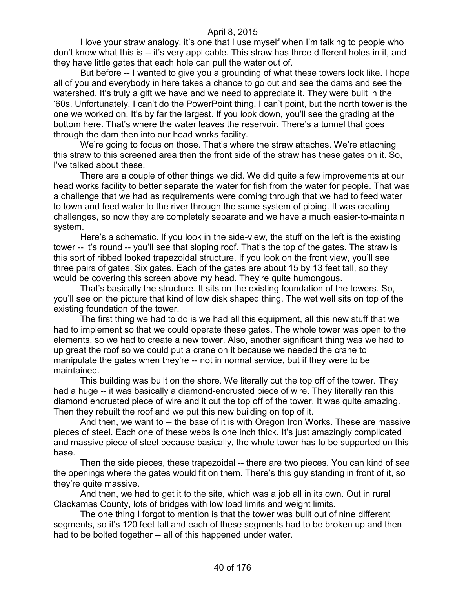I love your straw analogy, it's one that I use myself when I'm talking to people who don't know what this is -- it's very applicable. This straw has three different holes in it, and they have little gates that each hole can pull the water out of.

But before -- I wanted to give you a grounding of what these towers look like. I hope all of you and everybody in here takes a chance to go out and see the dams and see the watershed. It's truly a gift we have and we need to appreciate it. They were built in the '60s. Unfortunately, I can't do the PowerPoint thing. I can't point, but the north tower is the one we worked on. It's by far the largest. If you look down, you'll see the grading at the bottom here. That's where the water leaves the reservoir. There's a tunnel that goes through the dam then into our head works facility.

We're going to focus on those. That's where the straw attaches. We're attaching this straw to this screened area then the front side of the straw has these gates on it. So, I've talked about these.

There are a couple of other things we did. We did quite a few improvements at our head works facility to better separate the water for fish from the water for people. That was a challenge that we had as requirements were coming through that we had to feed water to town and feed water to the river through the same system of piping. It was creating challenges, so now they are completely separate and we have a much easier-to-maintain system.

Here's a schematic. If you look in the side-view, the stuff on the left is the existing tower -- it's round -- you'll see that sloping roof. That's the top of the gates. The straw is this sort of ribbed looked trapezoidal structure. If you look on the front view, you'll see three pairs of gates. Six gates. Each of the gates are about 15 by 13 feet tall, so they would be covering this screen above my head. They're quite humongous.

That's basically the structure. It sits on the existing foundation of the towers. So, you'll see on the picture that kind of low disk shaped thing. The wet well sits on top of the existing foundation of the tower.

The first thing we had to do is we had all this equipment, all this new stuff that we had to implement so that we could operate these gates. The whole tower was open to the elements, so we had to create a new tower. Also, another significant thing was we had to up great the roof so we could put a crane on it because we needed the crane to manipulate the gates when they're -- not in normal service, but if they were to be maintained.

This building was built on the shore. We literally cut the top off of the tower. They had a huge -- it was basically a diamond-encrusted piece of wire. They literally ran this diamond encrusted piece of wire and it cut the top off of the tower. It was quite amazing. Then they rebuilt the roof and we put this new building on top of it.

And then, we want to -- the base of it is with Oregon Iron Works. These are massive pieces of steel. Each one of these webs is one inch thick. It's just amazingly complicated and massive piece of steel because basically, the whole tower has to be supported on this base.

Then the side pieces, these trapezoidal -- there are two pieces. You can kind of see the openings where the gates would fit on them. There's this guy standing in front of it, so they're quite massive.

And then, we had to get it to the site, which was a job all in its own. Out in rural Clackamas County, lots of bridges with low load limits and weight limits.

The one thing I forgot to mention is that the tower was built out of nine different segments, so it's 120 feet tall and each of these segments had to be broken up and then had to be bolted together -- all of this happened under water.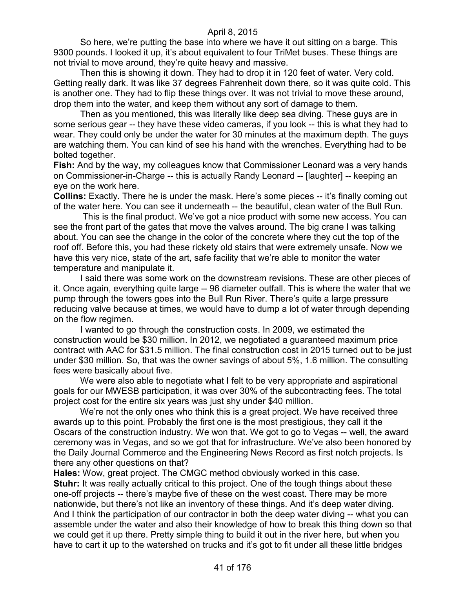So here, we're putting the base into where we have it out sitting on a barge. This 9300 pounds. I looked it up, it's about equivalent to four TriMet buses. These things are not trivial to move around, they're quite heavy and massive.

Then this is showing it down. They had to drop it in 120 feet of water. Very cold. Getting really dark. It was like 37 degrees Fahrenheit down there, so it was quite cold. This is another one. They had to flip these things over. It was not trivial to move these around, drop them into the water, and keep them without any sort of damage to them.

Then as you mentioned, this was literally like deep sea diving. These guys are in some serious gear -- they have these video cameras, if you look -- this is what they had to wear. They could only be under the water for 30 minutes at the maximum depth. The guys are watching them. You can kind of see his hand with the wrenches. Everything had to be bolted together.

**Fish:** And by the way, my colleagues know that Commissioner Leonard was a very hands on Commissioner-in-Charge -- this is actually Randy Leonard -- [laughter] -- keeping an eye on the work here.

**Collins:** Exactly. There he is under the mask. Here's some pieces -- it's finally coming out of the water here. You can see it underneath -- the beautiful, clean water of the Bull Run.

This is the final product. We've got a nice product with some new access. You can see the front part of the gates that move the valves around. The big crane I was talking about. You can see the change in the color of the concrete where they cut the top of the roof off. Before this, you had these rickety old stairs that were extremely unsafe. Now we have this very nice, state of the art, safe facility that we're able to monitor the water temperature and manipulate it.

I said there was some work on the downstream revisions. These are other pieces of it. Once again, everything quite large -- 96 diameter outfall. This is where the water that we pump through the towers goes into the Bull Run River. There's quite a large pressure reducing valve because at times, we would have to dump a lot of water through depending on the flow regimen.

I wanted to go through the construction costs. In 2009, we estimated the construction would be \$30 million. In 2012, we negotiated a guaranteed maximum price contract with AAC for \$31.5 million. The final construction cost in 2015 turned out to be just under \$30 million. So, that was the owner savings of about 5%, 1.6 million. The consulting fees were basically about five.

We were also able to negotiate what I felt to be very appropriate and aspirational goals for our MWESB participation, it was over 30% of the subcontracting fees. The total project cost for the entire six years was just shy under \$40 million.

We're not the only ones who think this is a great project. We have received three awards up to this point. Probably the first one is the most prestigious, they call it the Oscars of the construction industry. We won that. We got to go to Vegas -- well, the award ceremony was in Vegas, and so we got that for infrastructure. We've also been honored by the Daily Journal Commerce and the Engineering News Record as first notch projects. Is there any other questions on that?

**Hales:** Wow, great project. The CMGC method obviously worked in this case.

**Stuhr:** It was really actually critical to this project. One of the tough things about these one-off projects -- there's maybe five of these on the west coast. There may be more nationwide, but there's not like an inventory of these things. And it's deep water diving. And I think the participation of our contractor in both the deep water diving -- what you can assemble under the water and also their knowledge of how to break this thing down so that we could get it up there. Pretty simple thing to build it out in the river here, but when you have to cart it up to the watershed on trucks and it's got to fit under all these little bridges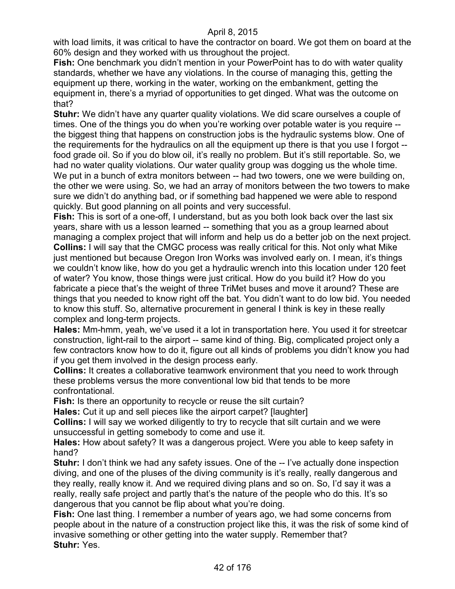with load limits, it was critical to have the contractor on board. We got them on board at the 60% design and they worked with us throughout the project.

**Fish:** One benchmark you didn't mention in your PowerPoint has to do with water quality standards, whether we have any violations. In the course of managing this, getting the equipment up there, working in the water, working on the embankment, getting the equipment in, there's a myriad of opportunities to get dinged. What was the outcome on that?

**Stuhr:** We didn't have any quarter quality violations. We did scare ourselves a couple of times. One of the things you do when you're working over potable water is you require -the biggest thing that happens on construction jobs is the hydraulic systems blow. One of the requirements for the hydraulics on all the equipment up there is that you use I forgot - food grade oil. So if you do blow oil, it's really no problem. But it's still reportable. So, we had no water quality violations. Our water quality group was dogging us the whole time. We put in a bunch of extra monitors between -- had two towers, one we were building on, the other we were using. So, we had an array of monitors between the two towers to make sure we didn't do anything bad, or if something bad happened we were able to respond quickly. But good planning on all points and very successful.

**Fish:** This is sort of a one-off, I understand, but as you both look back over the last six years, share with us a lesson learned -- something that you as a group learned about managing a complex project that will inform and help us do a better job on the next project. **Collins:** I will say that the CMGC process was really critical for this. Not only what Mike just mentioned but because Oregon Iron Works was involved early on. I mean, it's things we couldn't know like, how do you get a hydraulic wrench into this location under 120 feet of water? You know, those things were just critical. How do you build it? How do you fabricate a piece that's the weight of three TriMet buses and move it around? These are things that you needed to know right off the bat. You didn't want to do low bid. You needed to know this stuff. So, alternative procurement in general I think is key in these really complex and long-term projects.

**Hales:** Mm-hmm, yeah, we've used it a lot in transportation here. You used it for streetcar construction, light-rail to the airport -- same kind of thing. Big, complicated project only a few contractors know how to do it, figure out all kinds of problems you didn't know you had if you get them involved in the design process early.

**Collins:** It creates a collaborative teamwork environment that you need to work through these problems versus the more conventional low bid that tends to be more confrontational.

**Fish:** Is there an opportunity to recycle or reuse the silt curtain?

**Hales:** Cut it up and sell pieces like the airport carpet? [laughter]

**Collins:** I will say we worked diligently to try to recycle that silt curtain and we were unsuccessful in getting somebody to come and use it.

**Hales:** How about safety? It was a dangerous project. Were you able to keep safety in hand?

**Stuhr:** I don't think we had any safety issues. One of the -- I've actually done inspection diving, and one of the pluses of the diving community is it's really, really dangerous and they really, really know it. And we required diving plans and so on. So, I'd say it was a really, really safe project and partly that's the nature of the people who do this. It's so dangerous that you cannot be flip about what you're doing.

**Fish:** One last thing. I remember a number of years ago, we had some concerns from people about in the nature of a construction project like this, it was the risk of some kind of invasive something or other getting into the water supply. Remember that? **Stuhr:** Yes.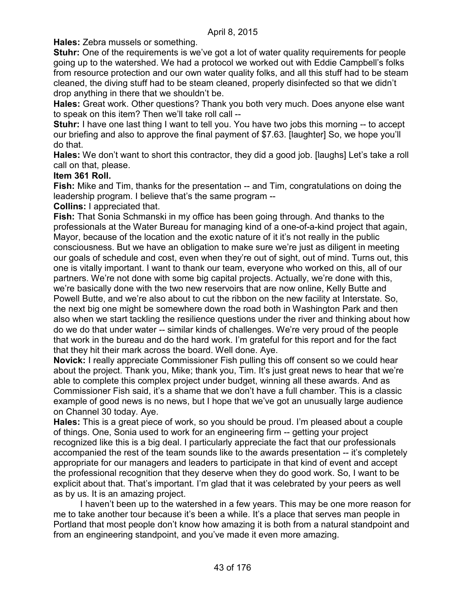**Hales:** Zebra mussels or something.

**Stuhr:** One of the requirements is we've got a lot of water quality requirements for people going up to the watershed. We had a protocol we worked out with Eddie Campbell's folks from resource protection and our own water quality folks, and all this stuff had to be steam cleaned, the diving stuff had to be steam cleaned, properly disinfected so that we didn't drop anything in there that we shouldn't be.

**Hales:** Great work. Other questions? Thank you both very much. Does anyone else want to speak on this item? Then we'll take roll call --

**Stuhr:** I have one last thing I want to tell you. You have two jobs this morning -- to accept our briefing and also to approve the final payment of \$7.63. [laughter] So, we hope you'll do that.

**Hales:** We don't want to short this contractor, they did a good job. [laughs] Let's take a roll call on that, please.

### **Item 361 Roll.**

**Fish:** Mike and Tim, thanks for the presentation -- and Tim, congratulations on doing the leadership program. I believe that's the same program --

**Collins:** I appreciated that.

**Fish:** That Sonia Schmanski in my office has been going through. And thanks to the professionals at the Water Bureau for managing kind of a one-of-a-kind project that again, Mayor, because of the location and the exotic nature of it it's not really in the public consciousness. But we have an obligation to make sure we're just as diligent in meeting our goals of schedule and cost, even when they're out of sight, out of mind. Turns out, this one is vitally important. I want to thank our team, everyone who worked on this, all of our partners. We're not done with some big capital projects. Actually, we're done with this, we're basically done with the two new reservoirs that are now online, Kelly Butte and Powell Butte, and we're also about to cut the ribbon on the new facility at Interstate. So, the next big one might be somewhere down the road both in Washington Park and then also when we start tackling the resilience questions under the river and thinking about how do we do that under water -- similar kinds of challenges. We're very proud of the people that work in the bureau and do the hard work. I'm grateful for this report and for the fact that they hit their mark across the board. Well done. Aye.

**Novick:** I really appreciate Commissioner Fish pulling this off consent so we could hear about the project. Thank you, Mike; thank you, Tim. It's just great news to hear that we're able to complete this complex project under budget, winning all these awards. And as Commissioner Fish said, it's a shame that we don't have a full chamber. This is a classic example of good news is no news, but I hope that we've got an unusually large audience on Channel 30 today. Aye.

**Hales:** This is a great piece of work, so you should be proud. I'm pleased about a couple of things. One, Sonia used to work for an engineering firm -- getting your project recognized like this is a big deal. I particularly appreciate the fact that our professionals accompanied the rest of the team sounds like to the awards presentation -- it's completely appropriate for our managers and leaders to participate in that kind of event and accept the professional recognition that they deserve when they do good work. So, I want to be explicit about that. That's important. I'm glad that it was celebrated by your peers as well as by us. It is an amazing project.

I haven't been up to the watershed in a few years. This may be one more reason for me to take another tour because it's been a while. It's a place that serves man people in Portland that most people don't know how amazing it is both from a natural standpoint and from an engineering standpoint, and you've made it even more amazing.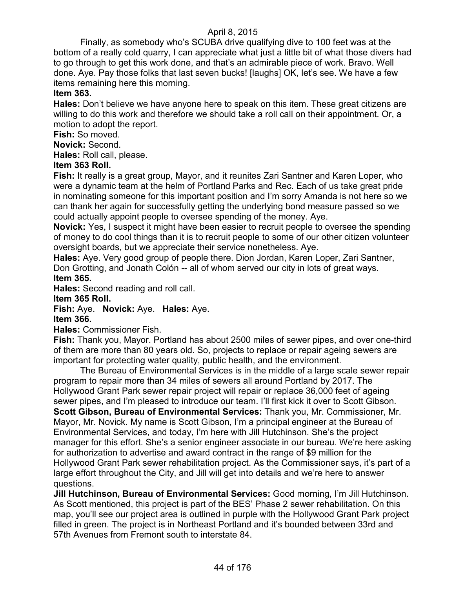Finally, as somebody who's SCUBA drive qualifying dive to 100 feet was at the bottom of a really cold quarry, I can appreciate what just a little bit of what those divers had to go through to get this work done, and that's an admirable piece of work. Bravo. Well done. Aye. Pay those folks that last seven bucks! [laughs] OK, let's see. We have a few items remaining here this morning.

## **Item 363.**

**Hales:** Don't believe we have anyone here to speak on this item. These great citizens are willing to do this work and therefore we should take a roll call on their appointment. Or, a motion to adopt the report.

**Fish:** So moved.

**Novick:** Second.

**Hales:** Roll call, please.

## **Item 363 Roll.**

**Fish:** It really is a great group, Mayor, and it reunites Zari Santner and Karen Loper, who were a dynamic team at the helm of Portland Parks and Rec. Each of us take great pride in nominating someone for this important position and I'm sorry Amanda is not here so we can thank her again for successfully getting the underlying bond measure passed so we could actually appoint people to oversee spending of the money. Aye.

**Novick:** Yes, I suspect it might have been easier to recruit people to oversee the spending of money to do cool things than it is to recruit people to some of our other citizen volunteer oversight boards, but we appreciate their service nonetheless. Aye.

**Hales:** Aye. Very good group of people there. Dion Jordan, Karen Loper, Zari Santner, Don Grotting, and Jonath Colón -- all of whom served our city in lots of great ways. **Item 365.**

**Hales:** Second reading and roll call.

#### **Item 365 Roll.**

**Fish:** Aye. **Novick:** Aye. **Hales:** Aye.

## **Item 366.**

#### **Hales:** Commissioner Fish.

**Fish:** Thank you, Mayor. Portland has about 2500 miles of sewer pipes, and over one-third of them are more than 80 years old. So, projects to replace or repair ageing sewers are important for protecting water quality, public health, and the environment.

The Bureau of Environmental Services is in the middle of a large scale sewer repair program to repair more than 34 miles of sewers all around Portland by 2017. The Hollywood Grant Park sewer repair project will repair or replace 36,000 feet of ageing sewer pipes, and I'm pleased to introduce our team. I'll first kick it over to Scott Gibson. **Scott Gibson, Bureau of Environmental Services:** Thank you, Mr. Commissioner, Mr. Mayor, Mr. Novick. My name is Scott Gibson, I'm a principal engineer at the Bureau of Environmental Services, and today, I'm here with Jill Hutchinson. She's the project manager for this effort. She's a senior engineer associate in our bureau. We're here asking for authorization to advertise and award contract in the range of \$9 million for the Hollywood Grant Park sewer rehabilitation project. As the Commissioner says, it's part of a large effort throughout the City, and Jill will get into details and we're here to answer questions.

**Jill Hutchinson, Bureau of Environmental Services:** Good morning, I'm Jill Hutchinson. As Scott mentioned, this project is part of the BES' Phase 2 sewer rehabilitation. On this map, you'll see our project area is outlined in purple with the Hollywood Grant Park project filled in green. The project is in Northeast Portland and it's bounded between 33rd and 57th Avenues from Fremont south to interstate 84.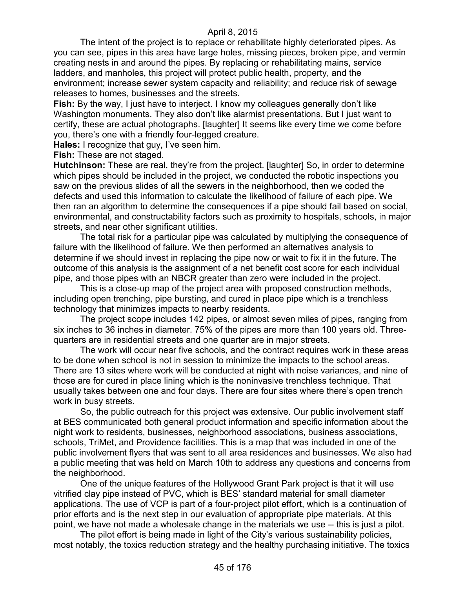The intent of the project is to replace or rehabilitate highly deteriorated pipes. As you can see, pipes in this area have large holes, missing pieces, broken pipe, and vermin creating nests in and around the pipes. By replacing or rehabilitating mains, service ladders, and manholes, this project will protect public health, property, and the environment; increase sewer system capacity and reliability; and reduce risk of sewage releases to homes, businesses and the streets.

**Fish:** By the way, I just have to interject. I know my colleagues generally don't like Washington monuments. They also don't like alarmist presentations. But I just want to certify, these are actual photographs. [laughter] It seems like every time we come before you, there's one with a friendly four-legged creature.

**Hales:** I recognize that guy, I've seen him.

**Fish:** These are not staged.

**Hutchinson:** These are real, they're from the project. [laughter] So, in order to determine which pipes should be included in the project, we conducted the robotic inspections you saw on the previous slides of all the sewers in the neighborhood, then we coded the defects and used this information to calculate the likelihood of failure of each pipe. We then ran an algorithm to determine the consequences if a pipe should fail based on social, environmental, and constructability factors such as proximity to hospitals, schools, in major streets, and near other significant utilities.

The total risk for a particular pipe was calculated by multiplying the consequence of failure with the likelihood of failure. We then performed an alternatives analysis to determine if we should invest in replacing the pipe now or wait to fix it in the future. The outcome of this analysis is the assignment of a net benefit cost score for each individual pipe, and those pipes with an NBCR greater than zero were included in the project.

This is a close-up map of the project area with proposed construction methods, including open trenching, pipe bursting, and cured in place pipe which is a trenchless technology that minimizes impacts to nearby residents.

The project scope includes 142 pipes, or almost seven miles of pipes, ranging from six inches to 36 inches in diameter. 75% of the pipes are more than 100 years old. Threequarters are in residential streets and one quarter are in major streets.

The work will occur near five schools, and the contract requires work in these areas to be done when school is not in session to minimize the impacts to the school areas. There are 13 sites where work will be conducted at night with noise variances, and nine of those are for cured in place lining which is the noninvasive trenchless technique. That usually takes between one and four days. There are four sites where there's open trench work in busy streets.

So, the public outreach for this project was extensive. Our public involvement staff at BES communicated both general product information and specific information about the night work to residents, businesses, neighborhood associations, business associations, schools, TriMet, and Providence facilities. This is a map that was included in one of the public involvement flyers that was sent to all area residences and businesses. We also had a public meeting that was held on March 10th to address any questions and concerns from the neighborhood.

One of the unique features of the Hollywood Grant Park project is that it will use vitrified clay pipe instead of PVC, which is BES' standard material for small diameter applications. The use of VCP is part of a four-project pilot effort, which is a continuation of prior efforts and is the next step in our evaluation of appropriate pipe materials. At this point, we have not made a wholesale change in the materials we use -- this is just a pilot.

The pilot effort is being made in light of the City's various sustainability policies, most notably, the toxics reduction strategy and the healthy purchasing initiative. The toxics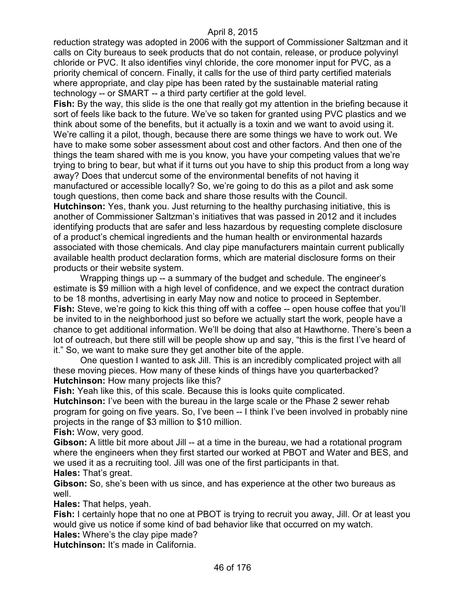reduction strategy was adopted in 2006 with the support of Commissioner Saltzman and it calls on City bureaus to seek products that do not contain, release, or produce polyvinyl chloride or PVC. It also identifies vinyl chloride, the core monomer input for PVC, as a priority chemical of concern. Finally, it calls for the use of third party certified materials where appropriate, and clay pipe has been rated by the sustainable material rating technology -- or SMART -- a third party certifier at the gold level.

**Fish:** By the way, this slide is the one that really got my attention in the briefing because it sort of feels like back to the future. We've so taken for granted using PVC plastics and we think about some of the benefits, but it actually is a toxin and we want to avoid using it. We're calling it a pilot, though, because there are some things we have to work out. We have to make some sober assessment about cost and other factors. And then one of the things the team shared with me is you know, you have your competing values that we're trying to bring to bear, but what if it turns out you have to ship this product from a long way away? Does that undercut some of the environmental benefits of not having it manufactured or accessible locally? So, we're going to do this as a pilot and ask some tough questions, then come back and share those results with the Council.

**Hutchinson:** Yes, thank you. Just returning to the healthy purchasing initiative, this is another of Commissioner Saltzman's initiatives that was passed in 2012 and it includes identifying products that are safer and less hazardous by requesting complete disclosure of a product's chemical ingredients and the human health or environmental hazards associated with those chemicals. And clay pipe manufacturers maintain current publically available health product declaration forms, which are material disclosure forms on their products or their website system.

Wrapping things up -- a summary of the budget and schedule. The engineer's estimate is \$9 million with a high level of confidence, and we expect the contract duration to be 18 months, advertising in early May now and notice to proceed in September. **Fish:** Steve, we're going to kick this thing off with a coffee -- open house coffee that you'll be invited to in the neighborhood just so before we actually start the work, people have a chance to get additional information. We'll be doing that also at Hawthorne. There's been a lot of outreach, but there still will be people show up and say, "this is the first I've heard of it." So, we want to make sure they get another bite of the apple.

One question I wanted to ask Jill. This is an incredibly complicated project with all these moving pieces. How many of these kinds of things have you quarterbacked? **Hutchinson:** How many projects like this?

**Fish:** Yeah like this, of this scale. Because this is looks quite complicated.

**Hutchinson:** I've been with the bureau in the large scale or the Phase 2 sewer rehab program for going on five years. So, I've been -- I think I've been involved in probably nine projects in the range of \$3 million to \$10 million.

**Fish:** Wow, very good.

**Gibson:** A little bit more about Jill -- at a time in the bureau, we had a rotational program where the engineers when they first started our worked at PBOT and Water and BES, and we used it as a recruiting tool. Jill was one of the first participants in that. **Hales:** That's great.

**Gibson:** So, she's been with us since, and has experience at the other two bureaus as well.

**Hales:** That helps, yeah.

**Fish:** I certainly hope that no one at PBOT is trying to recruit you away, Jill. Or at least you would give us notice if some kind of bad behavior like that occurred on my watch. **Hales:** Where's the clay pipe made?

**Hutchinson:** It's made in California.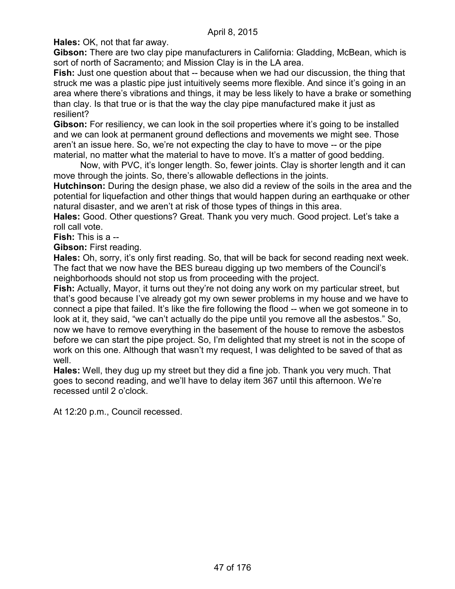**Hales:** OK, not that far away.

**Gibson:** There are two clay pipe manufacturers in California: Gladding, McBean, which is sort of north of Sacramento; and Mission Clay is in the LA area.

Fish: Just one question about that -- because when we had our discussion, the thing that struck me was a plastic pipe just intuitively seems more flexible. And since it's going in an area where there's vibrations and things, it may be less likely to have a brake or something than clay. Is that true or is that the way the clay pipe manufactured make it just as resilient?

**Gibson:** For resiliency, we can look in the soil properties where it's going to be installed and we can look at permanent ground deflections and movements we might see. Those aren't an issue here. So, we're not expecting the clay to have to move -- or the pipe material, no matter what the material to have to move. It's a matter of good bedding.

Now, with PVC, it's longer length. So, fewer joints. Clay is shorter length and it can move through the joints. So, there's allowable deflections in the joints.

**Hutchinson:** During the design phase, we also did a review of the soils in the area and the potential for liquefaction and other things that would happen during an earthquake or other natural disaster, and we aren't at risk of those types of things in this area.

**Hales:** Good. Other questions? Great. Thank you very much. Good project. Let's take a roll call vote.

**Fish:** This is a --

**Gibson:** First reading.

**Hales:** Oh, sorry, it's only first reading. So, that will be back for second reading next week. The fact that we now have the BES bureau digging up two members of the Council's neighborhoods should not stop us from proceeding with the project.

**Fish:** Actually, Mayor, it turns out they're not doing any work on my particular street, but that's good because I've already got my own sewer problems in my house and we have to connect a pipe that failed. It's like the fire following the flood -- when we got someone in to look at it, they said, "we can't actually do the pipe until you remove all the asbestos." So, now we have to remove everything in the basement of the house to remove the asbestos before we can start the pipe project. So, I'm delighted that my street is not in the scope of work on this one. Although that wasn't my request, I was delighted to be saved of that as well.

**Hales:** Well, they dug up my street but they did a fine job. Thank you very much. That goes to second reading, and we'll have to delay item 367 until this afternoon. We're recessed until 2 o'clock.

At 12:20 p.m., Council recessed.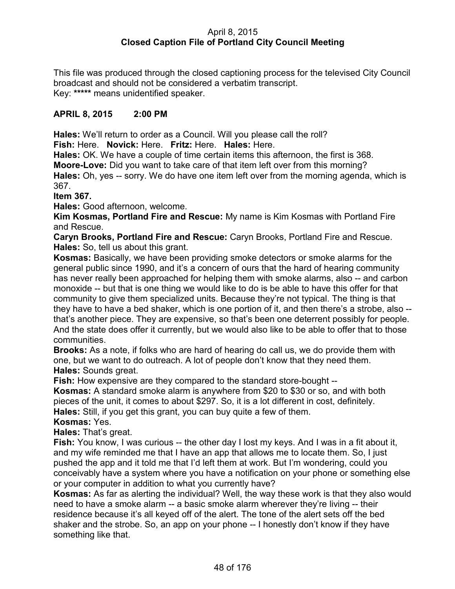## April 8, 2015 **Closed Caption File of Portland City Council Meeting**

This file was produced through the closed captioning process for the televised City Council broadcast and should not be considered a verbatim transcript. Key: **\*\*\*\*\*** means unidentified speaker.

## **APRIL 8, 2015 2:00 PM**

**Hales:** We'll return to order as a Council. Will you please call the roll?

**Fish:** Here. **Novick:** Here. **Fritz:** Here. **Hales:** Here.

**Hales:** OK. We have a couple of time certain items this afternoon, the first is 368.

**Moore-Love:** Did you want to take care of that item left over from this morning?

**Hales:** Oh, yes -- sorry. We do have one item left over from the morning agenda, which is 367.

**Item 367.**

**Hales:** Good afternoon, welcome.

**Kim Kosmas, Portland Fire and Rescue:** My name is Kim Kosmas with Portland Fire and Rescue.

**Caryn Brooks, Portland Fire and Rescue:** Caryn Brooks, Portland Fire and Rescue. **Hales:** So, tell us about this grant.

**Kosmas:** Basically, we have been providing smoke detectors or smoke alarms for the general public since 1990, and it's a concern of ours that the hard of hearing community has never really been approached for helping them with smoke alarms, also -- and carbon monoxide -- but that is one thing we would like to do is be able to have this offer for that community to give them specialized units. Because they're not typical. The thing is that they have to have a bed shaker, which is one portion of it, and then there's a strobe, also - that's another piece. They are expensive, so that's been one deterrent possibly for people. And the state does offer it currently, but we would also like to be able to offer that to those communities.

**Brooks:** As a note, if folks who are hard of hearing do call us, we do provide them with one, but we want to do outreach. A lot of people don't know that they need them. **Hales:** Sounds great.

**Fish:** How expensive are they compared to the standard store-bought --

**Kosmas:** A standard smoke alarm is anywhere from \$20 to \$30 or so, and with both pieces of the unit, it comes to about \$297. So, it is a lot different in cost, definitely. **Hales:** Still, if you get this grant, you can buy quite a few of them.

**Kosmas:** Yes.

**Hales:** That's great.

**Fish:** You know, I was curious -- the other day I lost my keys. And I was in a fit about it, and my wife reminded me that I have an app that allows me to locate them. So, I just pushed the app and it told me that I'd left them at work. But I'm wondering, could you conceivably have a system where you have a notification on your phone or something else or your computer in addition to what you currently have?

**Kosmas:** As far as alerting the individual? Well, the way these work is that they also would need to have a smoke alarm -- a basic smoke alarm wherever they're living -- their residence because it's all keyed off of the alert. The tone of the alert sets off the bed shaker and the strobe. So, an app on your phone -- I honestly don't know if they have something like that.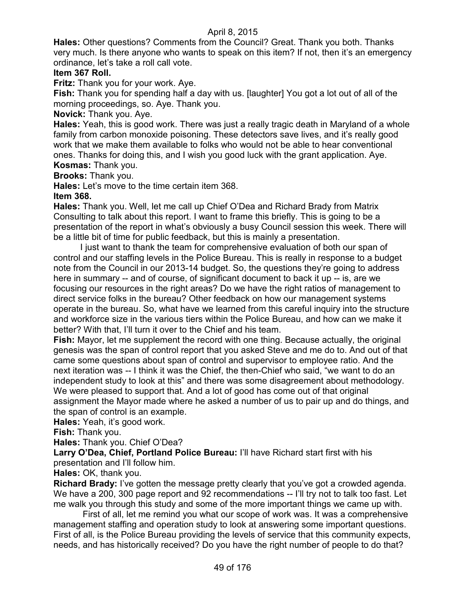**Hales:** Other questions? Comments from the Council? Great. Thank you both. Thanks very much. Is there anyone who wants to speak on this item? If not, then it's an emergency ordinance, let's take a roll call vote.

# **Item 367 Roll.**

**Fritz:** Thank you for your work. Aye.

**Fish:** Thank you for spending half a day with us. [laughter] You got a lot out of all of the morning proceedings, so. Aye. Thank you.

**Novick:** Thank you. Aye.

**Hales:** Yeah, this is good work. There was just a really tragic death in Maryland of a whole family from carbon monoxide poisoning. These detectors save lives, and it's really good work that we make them available to folks who would not be able to hear conventional ones. Thanks for doing this, and I wish you good luck with the grant application. Aye. **Kosmas:** Thank you.

**Brooks:** Thank you.

**Hales:** Let's move to the time certain item 368.

#### **Item 368.**

**Hales:** Thank you. Well, let me call up Chief O'Dea and Richard Brady from Matrix Consulting to talk about this report. I want to frame this briefly. This is going to be a presentation of the report in what's obviously a busy Council session this week. There will be a little bit of time for public feedback, but this is mainly a presentation.

I just want to thank the team for comprehensive evaluation of both our span of control and our staffing levels in the Police Bureau. This is really in response to a budget note from the Council in our 2013-14 budget. So, the questions they're going to address here in summary -- and of course, of significant document to back it up -- is, are we focusing our resources in the right areas? Do we have the right ratios of management to direct service folks in the bureau? Other feedback on how our management systems operate in the bureau. So, what have we learned from this careful inquiry into the structure and workforce size in the various tiers within the Police Bureau, and how can we make it better? With that, I'll turn it over to the Chief and his team.

**Fish:** Mayor, let me supplement the record with one thing. Because actually, the original genesis was the span of control report that you asked Steve and me do to. And out of that came some questions about span of control and supervisor to employee ratio. And the next iteration was -- I think it was the Chief, the then-Chief who said, "we want to do an independent study to look at this" and there was some disagreement about methodology. We were pleased to support that. And a lot of good has come out of that original assignment the Mayor made where he asked a number of us to pair up and do things, and the span of control is an example.

**Hales:** Yeah, it's good work.

**Fish:** Thank you.

**Hales:** Thank you. Chief O'Dea?

**Larry O'Dea, Chief, Portland Police Bureau:** I'll have Richard start first with his presentation and I'll follow him.

**Hales:** OK, thank you.

**Richard Brady:** I've gotten the message pretty clearly that you've got a crowded agenda. We have a 200, 300 page report and 92 recommendations -- I'll try not to talk too fast. Let me walk you through this study and some of the more important things we came up with.

First of all, let me remind you what our scope of work was. It was a comprehensive management staffing and operation study to look at answering some important questions. First of all, is the Police Bureau providing the levels of service that this community expects, needs, and has historically received? Do you have the right number of people to do that?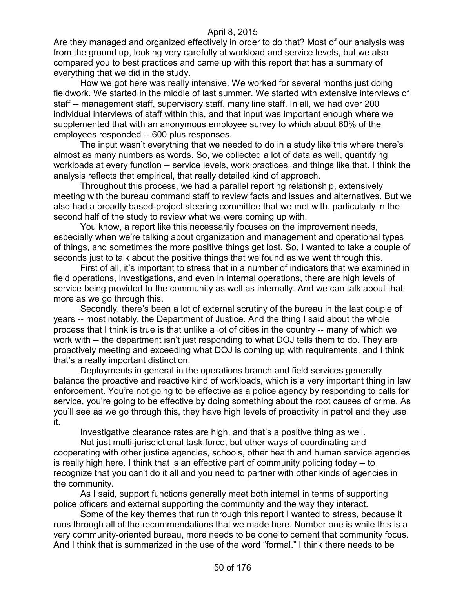Are they managed and organized effectively in order to do that? Most of our analysis was from the ground up, looking very carefully at workload and service levels, but we also compared you to best practices and came up with this report that has a summary of everything that we did in the study.

How we got here was really intensive. We worked for several months just doing fieldwork. We started in the middle of last summer. We started with extensive interviews of staff -- management staff, supervisory staff, many line staff. In all, we had over 200 individual interviews of staff within this, and that input was important enough where we supplemented that with an anonymous employee survey to which about 60% of the employees responded -- 600 plus responses.

The input wasn't everything that we needed to do in a study like this where there's almost as many numbers as words. So, we collected a lot of data as well, quantifying workloads at every function -- service levels, work practices, and things like that. I think the analysis reflects that empirical, that really detailed kind of approach.

Throughout this process, we had a parallel reporting relationship, extensively meeting with the bureau command staff to review facts and issues and alternatives. But we also had a broadly based-project steering committee that we met with, particularly in the second half of the study to review what we were coming up with.

You know, a report like this necessarily focuses on the improvement needs, especially when we're talking about organization and management and operational types of things, and sometimes the more positive things get lost. So, I wanted to take a couple of seconds just to talk about the positive things that we found as we went through this.

First of all, it's important to stress that in a number of indicators that we examined in field operations, investigations, and even in internal operations, there are high levels of service being provided to the community as well as internally. And we can talk about that more as we go through this.

Secondly, there's been a lot of external scrutiny of the bureau in the last couple of years -- most notably, the Department of Justice. And the thing I said about the whole process that I think is true is that unlike a lot of cities in the country -- many of which we work with -- the department isn't just responding to what DOJ tells them to do. They are proactively meeting and exceeding what DOJ is coming up with requirements, and I think that's a really important distinction.

Deployments in general in the operations branch and field services generally balance the proactive and reactive kind of workloads, which is a very important thing in law enforcement. You're not going to be effective as a police agency by responding to calls for service, you're going to be effective by doing something about the root causes of crime. As you'll see as we go through this, they have high levels of proactivity in patrol and they use it.

Investigative clearance rates are high, and that's a positive thing as well.

Not just multi-jurisdictional task force, but other ways of coordinating and cooperating with other justice agencies, schools, other health and human service agencies is really high here. I think that is an effective part of community policing today -- to recognize that you can't do it all and you need to partner with other kinds of agencies in the community.

As I said, support functions generally meet both internal in terms of supporting police officers and external supporting the community and the way they interact.

Some of the key themes that run through this report I wanted to stress, because it runs through all of the recommendations that we made here. Number one is while this is a very community-oriented bureau, more needs to be done to cement that community focus. And I think that is summarized in the use of the word "formal." I think there needs to be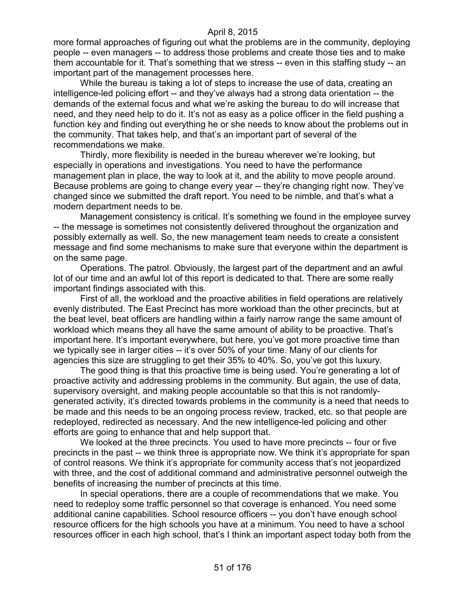more formal approaches of figuring out what the problems are in the community, deploying people -- even managers -- to address those problems and create those ties and to make them accountable for it. That's something that we stress -- even in this staffing study -- an important part of the management processes here.

While the bureau is taking a lot of steps to increase the use of data, creating an intelligence-led policing effort -- and they've always had a strong data orientation -- the demands of the external focus and what we're asking the bureau to do will increase that need, and they need help to do it. It's not as easy as a police officer in the field pushing a function key and finding out everything he or she needs to know about the problems out in the community. That takes help, and that's an important part of several of the recommendations we make.

Thirdly, more flexibility is needed in the bureau wherever we're looking, but especially in operations and investigations. You need to have the performance management plan in place, the way to look at it, and the ability to move people around. Because problems are going to change every year -- they're changing right now. They've changed since we submitted the draft report. You need to be nimble, and that's what a modern department needs to be.

Management consistency is critical. It's something we found in the employee survey -- the message is sometimes not consistently delivered throughout the organization and possibly externally as well. So, the new management team needs to create a consistent message and find some mechanisms to make sure that everyone within the department is on the same page.

Operations. The patrol. Obviously, the largest part of the department and an awful lot of our time and an awful lot of this report is dedicated to that. There are some really important findings associated with this.

First of all, the workload and the proactive abilities in field operations are relatively evenly distributed. The East Precinct has more workload than the other precincts, but at the beat level, beat officers are handling within a fairly narrow range the same amount of workload which means they all have the same amount of ability to be proactive. That's important here. It's important everywhere, but here, you've got more proactive time than we typically see in larger cities -- it's over 50% of your time. Many of our clients for agencies this size are struggling to get their 35% to 40%. So, you've got this luxury.

The good thing is that this proactive time is being used. You're generating a lot of proactive activity and addressing problems in the community. But again, the use of data, supervisory oversight, and making people accountable so that this is not randomlygenerated activity, it's directed towards problems in the community is a need that needs to be made and this needs to be an ongoing process review, tracked, etc. so that people are redeployed, redirected as necessary. And the new intelligence-led policing and other efforts are going to enhance that and help support that.

We looked at the three precincts. You used to have more precincts -- four or five precincts in the past -- we think three is appropriate now. We think it's appropriate for span of control reasons. We think it's appropriate for community access that's not jeopardized with three, and the cost of additional command and administrative personnel outweigh the benefits of increasing the number of precincts at this time.

In special operations, there are a couple of recommendations that we make. You need to redeploy some traffic personnel so that coverage is enhanced. You need some additional canine capabilities. School resource officers -- you don't have enough school resource officers for the high schools you have at a minimum. You need to have a school resources officer in each high school, that's I think an important aspect today both from the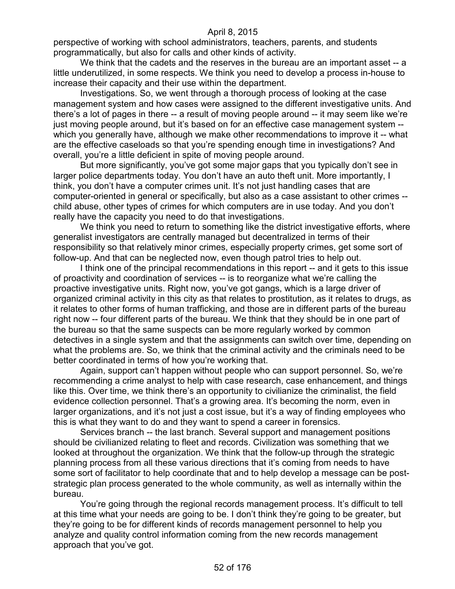perspective of working with school administrators, teachers, parents, and students programmatically, but also for calls and other kinds of activity.

We think that the cadets and the reserves in the bureau are an important asset -- a little underutilized, in some respects. We think you need to develop a process in-house to increase their capacity and their use within the department.

Investigations. So, we went through a thorough process of looking at the case management system and how cases were assigned to the different investigative units. And there's a lot of pages in there -- a result of moving people around -- it may seem like we're just moving people around, but it's based on for an effective case management system - which you generally have, although we make other recommendations to improve it -- what are the effective caseloads so that you're spending enough time in investigations? And overall, you're a little deficient in spite of moving people around.

But more significantly, you've got some major gaps that you typically don't see in larger police departments today. You don't have an auto theft unit. More importantly, I think, you don't have a computer crimes unit. It's not just handling cases that are computer-oriented in general or specifically, but also as a case assistant to other crimes - child abuse, other types of crimes for which computers are in use today. And you don't really have the capacity you need to do that investigations.

We think you need to return to something like the district investigative efforts, where generalist investigators are centrally managed but decentralized in terms of their responsibility so that relatively minor crimes, especially property crimes, get some sort of follow-up. And that can be neglected now, even though patrol tries to help out.

I think one of the principal recommendations in this report -- and it gets to this issue of proactivity and coordination of services -- is to reorganize what we're calling the proactive investigative units. Right now, you've got gangs, which is a large driver of organized criminal activity in this city as that relates to prostitution, as it relates to drugs, as it relates to other forms of human trafficking, and those are in different parts of the bureau right now -- four different parts of the bureau. We think that they should be in one part of the bureau so that the same suspects can be more regularly worked by common detectives in a single system and that the assignments can switch over time, depending on what the problems are. So, we think that the criminal activity and the criminals need to be better coordinated in terms of how you're working that.

Again, support can't happen without people who can support personnel. So, we're recommending a crime analyst to help with case research, case enhancement, and things like this. Over time, we think there's an opportunity to civilianize the criminalist, the field evidence collection personnel. That's a growing area. It's becoming the norm, even in larger organizations, and it's not just a cost issue, but it's a way of finding employees who this is what they want to do and they want to spend a career in forensics.

Services branch -- the last branch. Several support and management positions should be civilianized relating to fleet and records. Civilization was something that we looked at throughout the organization. We think that the follow-up through the strategic planning process from all these various directions that it's coming from needs to have some sort of facilitator to help coordinate that and to help develop a message can be poststrategic plan process generated to the whole community, as well as internally within the bureau.

You're going through the regional records management process. It's difficult to tell at this time what your needs are going to be. I don't think they're going to be greater, but they're going to be for different kinds of records management personnel to help you analyze and quality control information coming from the new records management approach that you've got.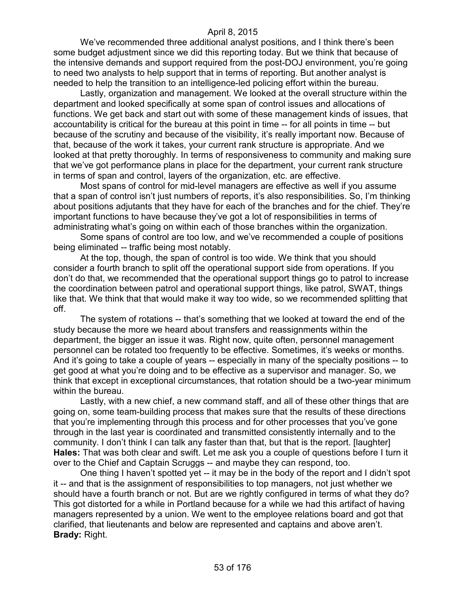We've recommended three additional analyst positions, and I think there's been some budget adjustment since we did this reporting today. But we think that because of the intensive demands and support required from the post-DOJ environment, you're going to need two analysts to help support that in terms of reporting. But another analyst is needed to help the transition to an intelligence-led policing effort within the bureau.

Lastly, organization and management. We looked at the overall structure within the department and looked specifically at some span of control issues and allocations of functions. We get back and start out with some of these management kinds of issues, that accountability is critical for the bureau at this point in time -- for all points in time -- but because of the scrutiny and because of the visibility, it's really important now. Because of that, because of the work it takes, your current rank structure is appropriate. And we looked at that pretty thoroughly. In terms of responsiveness to community and making sure that we've got performance plans in place for the department, your current rank structure in terms of span and control, layers of the organization, etc. are effective.

Most spans of control for mid-level managers are effective as well if you assume that a span of control isn't just numbers of reports, it's also responsibilities. So, I'm thinking about positions adjutants that they have for each of the branches and for the chief. They're important functions to have because they've got a lot of responsibilities in terms of administrating what's going on within each of those branches within the organization.

Some spans of control are too low, and we've recommended a couple of positions being eliminated -- traffic being most notably.

At the top, though, the span of control is too wide. We think that you should consider a fourth branch to split off the operational support side from operations. If you don't do that, we recommended that the operational support things go to patrol to increase the coordination between patrol and operational support things, like patrol, SWAT, things like that. We think that that would make it way too wide, so we recommended splitting that off.

The system of rotations -- that's something that we looked at toward the end of the study because the more we heard about transfers and reassignments within the department, the bigger an issue it was. Right now, quite often, personnel management personnel can be rotated too frequently to be effective. Sometimes, it's weeks or months. And it's going to take a couple of years -- especially in many of the specialty positions -- to get good at what you're doing and to be effective as a supervisor and manager. So, we think that except in exceptional circumstances, that rotation should be a two-year minimum within the bureau.

Lastly, with a new chief, a new command staff, and all of these other things that are going on, some team-building process that makes sure that the results of these directions that you're implementing through this process and for other processes that you've gone through in the last year is coordinated and transmitted consistently internally and to the community. I don't think I can talk any faster than that, but that is the report. [laughter] **Hales:** That was both clear and swift. Let me ask you a couple of questions before I turn it over to the Chief and Captain Scruggs -- and maybe they can respond, too.

One thing I haven't spotted yet -- it may be in the body of the report and I didn't spot it -- and that is the assignment of responsibilities to top managers, not just whether we should have a fourth branch or not. But are we rightly configured in terms of what they do? This got distorted for a while in Portland because for a while we had this artifact of having managers represented by a union. We went to the employee relations board and got that clarified, that lieutenants and below are represented and captains and above aren't. **Brady:** Right.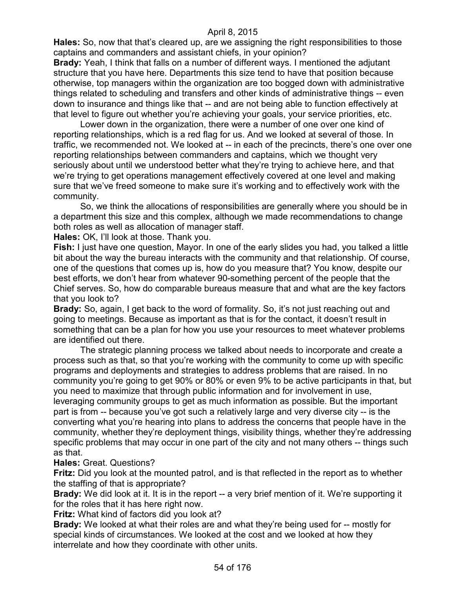**Hales:** So, now that that's cleared up, are we assigning the right responsibilities to those captains and commanders and assistant chiefs, in your opinion?

**Brady:** Yeah, I think that falls on a number of different ways. I mentioned the adjutant structure that you have here. Departments this size tend to have that position because otherwise, top managers within the organization are too bogged down with administrative things related to scheduling and transfers and other kinds of administrative things -- even down to insurance and things like that -- and are not being able to function effectively at that level to figure out whether you're achieving your goals, your service priorities, etc.

Lower down in the organization, there were a number of one over one kind of reporting relationships, which is a red flag for us. And we looked at several of those. In traffic, we recommended not. We looked at -- in each of the precincts, there's one over one reporting relationships between commanders and captains, which we thought very seriously about until we understood better what they're trying to achieve here, and that we're trying to get operations management effectively covered at one level and making sure that we've freed someone to make sure it's working and to effectively work with the community.

So, we think the allocations of responsibilities are generally where you should be in a department this size and this complex, although we made recommendations to change both roles as well as allocation of manager staff.

**Hales:** OK, I'll look at those. Thank you.

**Fish:** I just have one question, Mayor. In one of the early slides you had, you talked a little bit about the way the bureau interacts with the community and that relationship. Of course, one of the questions that comes up is, how do you measure that? You know, despite our best efforts, we don't hear from whatever 90-something percent of the people that the Chief serves. So, how do comparable bureaus measure that and what are the key factors that you look to?

**Brady:** So, again, I get back to the word of formality. So, it's not just reaching out and going to meetings. Because as important as that is for the contact, it doesn't result in something that can be a plan for how you use your resources to meet whatever problems are identified out there.

The strategic planning process we talked about needs to incorporate and create a process such as that, so that you're working with the community to come up with specific programs and deployments and strategies to address problems that are raised. In no community you're going to get 90% or 80% or even 9% to be active participants in that, but you need to maximize that through public information and for involvement in use, leveraging community groups to get as much information as possible. But the important part is from -- because you've got such a relatively large and very diverse city -- is the converting what you're hearing into plans to address the concerns that people have in the community, whether they're deployment things, visibility things, whether they're addressing specific problems that may occur in one part of the city and not many others -- things such as that.

## **Hales:** Great. Questions?

**Fritz:** Did you look at the mounted patrol, and is that reflected in the report as to whether the staffing of that is appropriate?

**Brady:** We did look at it. It is in the report -- a very brief mention of it. We're supporting it for the roles that it has here right now.

**Fritz:** What kind of factors did you look at?

**Brady:** We looked at what their roles are and what they're being used for -- mostly for special kinds of circumstances. We looked at the cost and we looked at how they interrelate and how they coordinate with other units.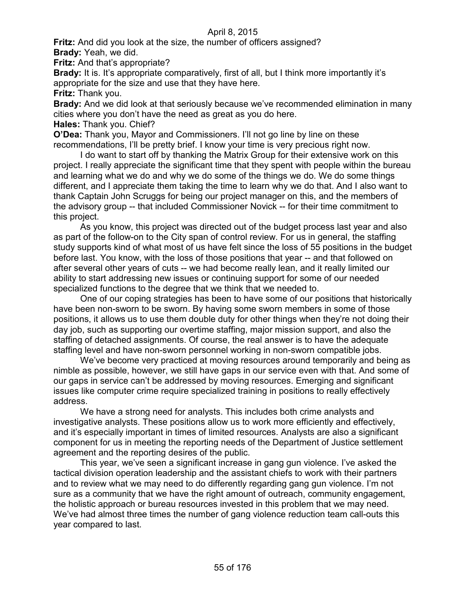**Fritz:** And did you look at the size, the number of officers assigned? **Brady:** Yeah, we did.

**Fritz:** And that's appropriate?

**Brady:** It is. It's appropriate comparatively, first of all, but I think more importantly it's appropriate for the size and use that they have here.

**Fritz:** Thank you.

**Brady:** And we did look at that seriously because we've recommended elimination in many cities where you don't have the need as great as you do here.

**Hales:** Thank you. Chief?

**O'Dea:** Thank you, Mayor and Commissioners. I'll not go line by line on these recommendations, I'll be pretty brief. I know your time is very precious right now.

I do want to start off by thanking the Matrix Group for their extensive work on this project. I really appreciate the significant time that they spent with people within the bureau and learning what we do and why we do some of the things we do. We do some things different, and I appreciate them taking the time to learn why we do that. And I also want to thank Captain John Scruggs for being our project manager on this, and the members of the advisory group -- that included Commissioner Novick -- for their time commitment to this project.

As you know, this project was directed out of the budget process last year and also as part of the follow-on to the City span of control review. For us in general, the staffing study supports kind of what most of us have felt since the loss of 55 positions in the budget before last. You know, with the loss of those positions that year -- and that followed on after several other years of cuts -- we had become really lean, and it really limited our ability to start addressing new issues or continuing support for some of our needed specialized functions to the degree that we think that we needed to.

One of our coping strategies has been to have some of our positions that historically have been non-sworn to be sworn. By having some sworn members in some of those positions, it allows us to use them double duty for other things when they're not doing their day job, such as supporting our overtime staffing, major mission support, and also the staffing of detached assignments. Of course, the real answer is to have the adequate staffing level and have non-sworn personnel working in non-sworn compatible jobs.

We've become very practiced at moving resources around temporarily and being as nimble as possible, however, we still have gaps in our service even with that. And some of our gaps in service can't be addressed by moving resources. Emerging and significant issues like computer crime require specialized training in positions to really effectively address.

We have a strong need for analysts. This includes both crime analysts and investigative analysts. These positions allow us to work more efficiently and effectively, and it's especially important in times of limited resources. Analysts are also a significant component for us in meeting the reporting needs of the Department of Justice settlement agreement and the reporting desires of the public.

This year, we've seen a significant increase in gang gun violence. I've asked the tactical division operation leadership and the assistant chiefs to work with their partners and to review what we may need to do differently regarding gang gun violence. I'm not sure as a community that we have the right amount of outreach, community engagement, the holistic approach or bureau resources invested in this problem that we may need. We've had almost three times the number of gang violence reduction team call-outs this year compared to last.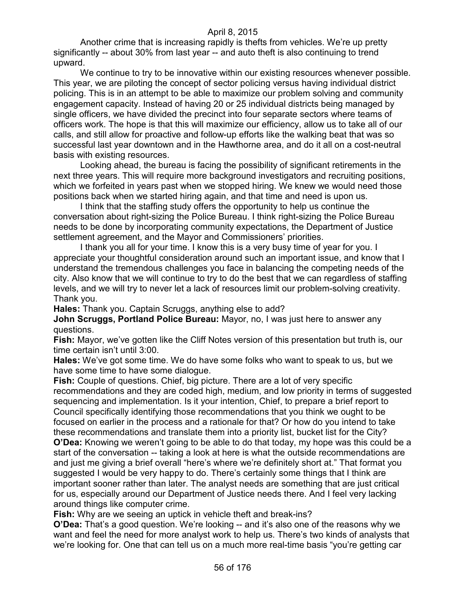Another crime that is increasing rapidly is thefts from vehicles. We're up pretty significantly -- about 30% from last year -- and auto theft is also continuing to trend upward.

We continue to try to be innovative within our existing resources whenever possible. This year, we are piloting the concept of sector policing versus having individual district policing. This is in an attempt to be able to maximize our problem solving and community engagement capacity. Instead of having 20 or 25 individual districts being managed by single officers, we have divided the precinct into four separate sectors where teams of officers work. The hope is that this will maximize our efficiency, allow us to take all of our calls, and still allow for proactive and follow-up efforts like the walking beat that was so successful last year downtown and in the Hawthorne area, and do it all on a cost-neutral basis with existing resources.

Looking ahead, the bureau is facing the possibility of significant retirements in the next three years. This will require more background investigators and recruiting positions, which we forfeited in years past when we stopped hiring. We knew we would need those positions back when we started hiring again, and that time and need is upon us.

I think that the staffing study offers the opportunity to help us continue the conversation about right-sizing the Police Bureau. I think right-sizing the Police Bureau needs to be done by incorporating community expectations, the Department of Justice settlement agreement, and the Mayor and Commissioners' priorities.

I thank you all for your time. I know this is a very busy time of year for you. I appreciate your thoughtful consideration around such an important issue, and know that I understand the tremendous challenges you face in balancing the competing needs of the city. Also know that we will continue to try to do the best that we can regardless of staffing levels, and we will try to never let a lack of resources limit our problem-solving creativity. Thank you.

**Hales:** Thank you. Captain Scruggs, anything else to add?

**John Scruggs, Portland Police Bureau:** Mayor, no, I was just here to answer any questions.

**Fish:** Mayor, we've gotten like the Cliff Notes version of this presentation but truth is, our time certain isn't until 3:00.

**Hales:** We've got some time. We do have some folks who want to speak to us, but we have some time to have some dialogue.

**Fish:** Couple of questions. Chief, big picture. There are a lot of very specific recommendations and they are coded high, medium, and low priority in terms of suggested sequencing and implementation. Is it your intention, Chief, to prepare a brief report to Council specifically identifying those recommendations that you think we ought to be focused on earlier in the process and a rationale for that? Or how do you intend to take these recommendations and translate them into a priority list, bucket list for the City?

**O'Dea:** Knowing we weren't going to be able to do that today, my hope was this could be a start of the conversation -- taking a look at here is what the outside recommendations are and just me giving a brief overall "here's where we're definitely short at." That format you suggested I would be very happy to do. There's certainly some things that I think are important sooner rather than later. The analyst needs are something that are just critical for us, especially around our Department of Justice needs there. And I feel very lacking around things like computer crime.

**Fish:** Why are we seeing an uptick in vehicle theft and break-ins?

**O'Dea:** That's a good question. We're looking -- and it's also one of the reasons why we want and feel the need for more analyst work to help us. There's two kinds of analysts that we're looking for. One that can tell us on a much more real-time basis "you're getting car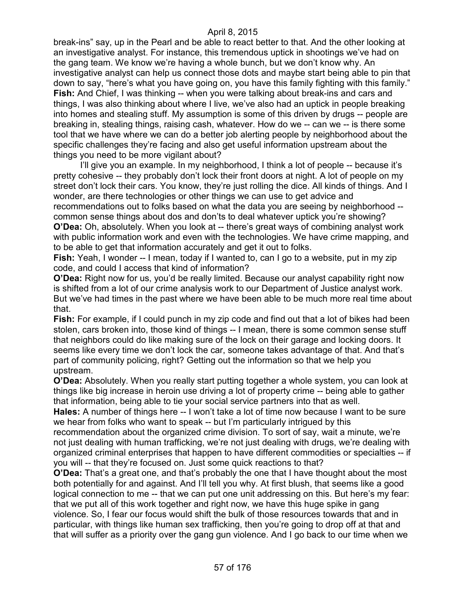break-ins" say, up in the Pearl and be able to react better to that. And the other looking at an investigative analyst. For instance, this tremendous uptick in shootings we've had on the gang team. We know we're having a whole bunch, but we don't know why. An investigative analyst can help us connect those dots and maybe start being able to pin that down to say, "here's what you have going on, you have this family fighting with this family." **Fish:** And Chief, I was thinking -- when you were talking about break-ins and cars and things, I was also thinking about where I live, we've also had an uptick in people breaking into homes and stealing stuff. My assumption is some of this driven by drugs -- people are breaking in, stealing things, raising cash, whatever. How do we -- can we -- is there some tool that we have where we can do a better job alerting people by neighborhood about the specific challenges they're facing and also get useful information upstream about the things you need to be more vigilant about?

I'll give you an example. In my neighborhood, I think a lot of people -- because it's pretty cohesive -- they probably don't lock their front doors at night. A lot of people on my street don't lock their cars. You know, they're just rolling the dice. All kinds of things. And I wonder, are there technologies or other things we can use to get advice and recommendations out to folks based on what the data you are seeing by neighborhood - common sense things about dos and don'ts to deal whatever uptick you're showing? **O'Dea:** Oh, absolutely. When you look at -- there's great ways of combining analyst work with public information work and even with the technologies. We have crime mapping, and to be able to get that information accurately and get it out to folks.

**Fish:** Yeah, I wonder -- I mean, today if I wanted to, can I go to a website, put in my zip code, and could I access that kind of information?

**O'Dea:** Right now for us, you'd be really limited. Because our analyst capability right now is shifted from a lot of our crime analysis work to our Department of Justice analyst work. But we've had times in the past where we have been able to be much more real time about that.

**Fish:** For example, if I could punch in my zip code and find out that a lot of bikes had been stolen, cars broken into, those kind of things -- I mean, there is some common sense stuff that neighbors could do like making sure of the lock on their garage and locking doors. It seems like every time we don't lock the car, someone takes advantage of that. And that's part of community policing, right? Getting out the information so that we help you upstream.

**O'Dea:** Absolutely. When you really start putting together a whole system, you can look at things like big increase in heroin use driving a lot of property crime -- being able to gather that information, being able to tie your social service partners into that as well.

**Hales:** A number of things here -- I won't take a lot of time now because I want to be sure we hear from folks who want to speak -- but I'm particularly intrigued by this

recommendation about the organized crime division. To sort of say, wait a minute, we're not just dealing with human trafficking, we're not just dealing with drugs, we're dealing with organized criminal enterprises that happen to have different commodities or specialties -- if you will -- that they're focused on. Just some quick reactions to that?

**O'Dea:** That's a great one, and that's probably the one that I have thought about the most both potentially for and against. And I'll tell you why. At first blush, that seems like a good logical connection to me -- that we can put one unit addressing on this. But here's my fear: that we put all of this work together and right now, we have this huge spike in gang violence. So, I fear our focus would shift the bulk of those resources towards that and in particular, with things like human sex trafficking, then you're going to drop off at that and that will suffer as a priority over the gang gun violence. And I go back to our time when we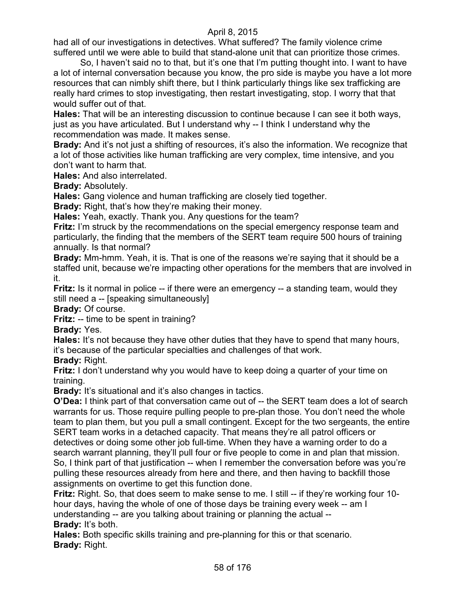had all of our investigations in detectives. What suffered? The family violence crime suffered until we were able to build that stand-alone unit that can prioritize those crimes.

So, I haven't said no to that, but it's one that I'm putting thought into. I want to have a lot of internal conversation because you know, the pro side is maybe you have a lot more resources that can nimbly shift there, but I think particularly things like sex trafficking are really hard crimes to stop investigating, then restart investigating, stop. I worry that that would suffer out of that.

**Hales:** That will be an interesting discussion to continue because I can see it both ways, just as you have articulated. But I understand why -- I think I understand why the recommendation was made. It makes sense.

**Brady:** And it's not just a shifting of resources, it's also the information. We recognize that a lot of those activities like human trafficking are very complex, time intensive, and you don't want to harm that.

**Hales:** And also interrelated.

**Brady:** Absolutely.

**Hales:** Gang violence and human trafficking are closely tied together.

**Brady:** Right, that's how they're making their money.

**Hales:** Yeah, exactly. Thank you. Any questions for the team?

**Fritz:** I'm struck by the recommendations on the special emergency response team and particularly, the finding that the members of the SERT team require 500 hours of training annually. Is that normal?

**Brady:** Mm-hmm. Yeah, it is. That is one of the reasons we're saying that it should be a staffed unit, because we're impacting other operations for the members that are involved in it.

**Fritz:** Is it normal in police -- if there were an emergency -- a standing team, would they still need a -- [speaking simultaneously]

**Brady:** Of course.

**Fritz:** -- time to be spent in training?

**Brady:** Yes.

**Hales:** It's not because they have other duties that they have to spend that many hours, it's because of the particular specialties and challenges of that work.

**Brady:** Right.

**Fritz:** I don't understand why you would have to keep doing a quarter of your time on training.

**Brady:** It's situational and it's also changes in tactics.

**O'Dea:** I think part of that conversation came out of -- the SERT team does a lot of search warrants for us. Those require pulling people to pre-plan those. You don't need the whole team to plan them, but you pull a small contingent. Except for the two sergeants, the entire SERT team works in a detached capacity. That means they're all patrol officers or detectives or doing some other job full-time. When they have a warning order to do a search warrant planning, they'll pull four or five people to come in and plan that mission. So, I think part of that justification -- when I remember the conversation before was you're pulling these resources already from here and there, and then having to backfill those assignments on overtime to get this function done.

**Fritz:** Right. So, that does seem to make sense to me. I still -- if they're working four 10hour days, having the whole of one of those days be training every week -- am I understanding -- are you talking about training or planning the actual -- **Brady:** It's both.

**Hales:** Both specific skills training and pre-planning for this or that scenario. **Brady:** Right.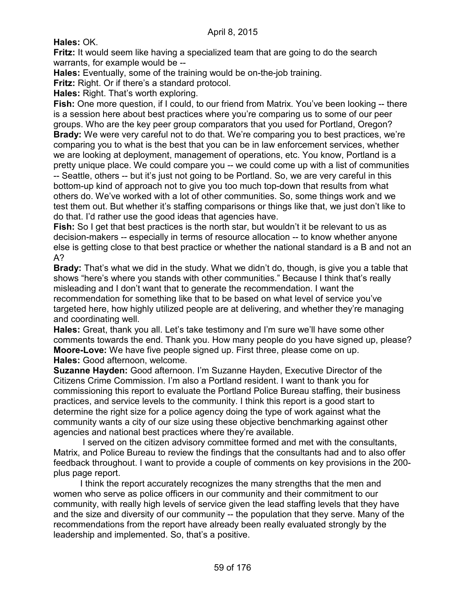**Hales:** OK.

**Fritz:** It would seem like having a specialized team that are going to do the search warrants, for example would be --

**Hales:** Eventually, some of the training would be on-the-job training.

**Fritz:** Right. Or if there's a standard protocol.

**Hales:** Right. That's worth exploring.

**Fish:** One more question, if I could, to our friend from Matrix. You've been looking -- there is a session here about best practices where you're comparing us to some of our peer groups. Who are the key peer group comparators that you used for Portland, Oregon? **Brady:** We were very careful not to do that. We're comparing you to best practices, we're comparing you to what is the best that you can be in law enforcement services, whether we are looking at deployment, management of operations, etc. You know, Portland is a pretty unique place. We could compare you -- we could come up with a list of communities -- Seattle, others -- but it's just not going to be Portland. So, we are very careful in this bottom-up kind of approach not to give you too much top-down that results from what others do. We've worked with a lot of other communities. So, some things work and we test them out. But whether it's staffing comparisons or things like that, we just don't like to do that. I'd rather use the good ideas that agencies have.

**Fish:** So I get that best practices is the north star, but wouldn't it be relevant to us as decision-makers -- especially in terms of resource allocation -- to know whether anyone else is getting close to that best practice or whether the national standard is a B and not an A?

**Brady:** That's what we did in the study. What we didn't do, though, is give you a table that shows "here's where you stands with other communities." Because I think that's really misleading and I don't want that to generate the recommendation. I want the recommendation for something like that to be based on what level of service you've targeted here, how highly utilized people are at delivering, and whether they're managing and coordinating well.

**Hales:** Great, thank you all. Let's take testimony and I'm sure we'll have some other comments towards the end. Thank you. How many people do you have signed up, please? **Moore-Love:** We have five people signed up. First three, please come on up. **Hales:** Good afternoon, welcome.

**Suzanne Hayden:** Good afternoon. I'm Suzanne Hayden, Executive Director of the Citizens Crime Commission. I'm also a Portland resident. I want to thank you for commissioning this report to evaluate the Portland Police Bureau staffing, their business practices, and service levels to the community. I think this report is a good start to determine the right size for a police agency doing the type of work against what the community wants a city of our size using these objective benchmarking against other agencies and national best practices where they're available.

I served on the citizen advisory committee formed and met with the consultants, Matrix, and Police Bureau to review the findings that the consultants had and to also offer feedback throughout. I want to provide a couple of comments on key provisions in the 200 plus page report.

I think the report accurately recognizes the many strengths that the men and women who serve as police officers in our community and their commitment to our community, with really high levels of service given the lead staffing levels that they have and the size and diversity of our community -- the population that they serve. Many of the recommendations from the report have already been really evaluated strongly by the leadership and implemented. So, that's a positive.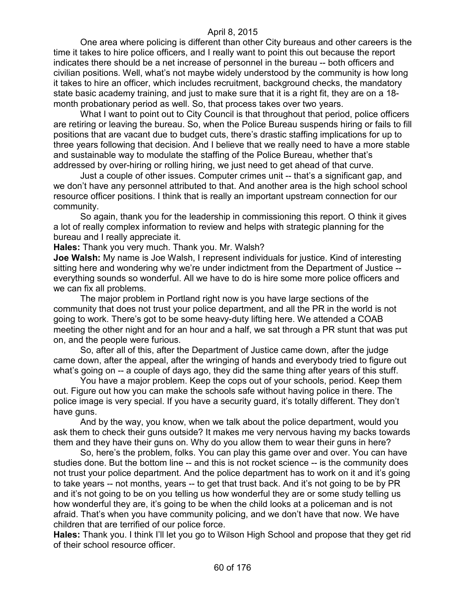One area where policing is different than other City bureaus and other careers is the time it takes to hire police officers, and I really want to point this out because the report indicates there should be a net increase of personnel in the bureau -- both officers and civilian positions. Well, what's not maybe widely understood by the community is how long it takes to hire an officer, which includes recruitment, background checks, the mandatory state basic academy training, and just to make sure that it is a right fit, they are on a 18 month probationary period as well. So, that process takes over two years.

What I want to point out to City Council is that throughout that period, police officers are retiring or leaving the bureau. So, when the Police Bureau suspends hiring or fails to fill positions that are vacant due to budget cuts, there's drastic staffing implications for up to three years following that decision. And I believe that we really need to have a more stable and sustainable way to modulate the staffing of the Police Bureau, whether that's addressed by over-hiring or rolling hiring, we just need to get ahead of that curve.

Just a couple of other issues. Computer crimes unit -- that's a significant gap, and we don't have any personnel attributed to that. And another area is the high school school resource officer positions. I think that is really an important upstream connection for our community.

So again, thank you for the leadership in commissioning this report. O think it gives a lot of really complex information to review and helps with strategic planning for the bureau and I really appreciate it.

**Hales:** Thank you very much. Thank you. Mr. Walsh?

**Joe Walsh:** My name is Joe Walsh, I represent individuals for justice. Kind of interesting sitting here and wondering why we're under indictment from the Department of Justice - everything sounds so wonderful. All we have to do is hire some more police officers and we can fix all problems.

The major problem in Portland right now is you have large sections of the community that does not trust your police department, and all the PR in the world is not going to work. There's got to be some heavy-duty lifting here. We attended a COAB meeting the other night and for an hour and a half, we sat through a PR stunt that was put on, and the people were furious.

So, after all of this, after the Department of Justice came down, after the judge came down, after the appeal, after the wringing of hands and everybody tried to figure out what's going on -- a couple of days ago, they did the same thing after years of this stuff.

You have a major problem. Keep the cops out of your schools, period. Keep them out. Figure out how you can make the schools safe without having police in there. The police image is very special. If you have a security guard, it's totally different. They don't have guns.

And by the way, you know, when we talk about the police department, would you ask them to check their guns outside? It makes me very nervous having my backs towards them and they have their guns on. Why do you allow them to wear their guns in here?

So, here's the problem, folks. You can play this game over and over. You can have studies done. But the bottom line -- and this is not rocket science -- is the community does not trust your police department. And the police department has to work on it and it's going to take years -- not months, years -- to get that trust back. And it's not going to be by PR and it's not going to be on you telling us how wonderful they are or some study telling us how wonderful they are, it's going to be when the child looks at a policeman and is not afraid. That's when you have community policing, and we don't have that now. We have children that are terrified of our police force.

**Hales:** Thank you. I think I'll let you go to Wilson High School and propose that they get rid of their school resource officer.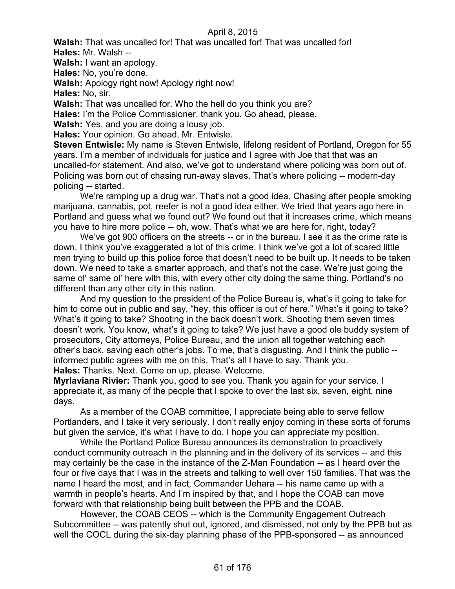**Walsh:** That was uncalled for! That was uncalled for! That was uncalled for!

**Hales:** Mr. Walsh --

**Walsh:** I want an apology.

**Hales:** No, you're done.

**Walsh:** Apology right now! Apology right now!

**Hales:** No, sir.

**Walsh:** That was uncalled for. Who the hell do you think you are?

**Hales:** I'm the Police Commissioner, thank you. Go ahead, please.

**Walsh:** Yes, and you are doing a lousy job.

**Hales:** Your opinion. Go ahead, Mr. Entwisle.

**Steven Entwisle:** My name is Steven Entwisle, lifelong resident of Portland, Oregon for 55 years. I'm a member of individuals for justice and I agree with Joe that that was an uncalled-for statement. And also, we've got to understand where policing was born out of. Policing was born out of chasing run-away slaves. That's where policing -- modern-day policing -- started.

We're ramping up a drug war. That's not a good idea. Chasing after people smoking marijuana, cannabis, pot, reefer is not a good idea either. We tried that years ago here in Portland and guess what we found out? We found out that it increases crime, which means you have to hire more police -- oh, wow. That's what we are here for, right, today?

We've got 900 officers on the streets -- or in the bureau. I see it as the crime rate is down. I think you've exaggerated a lot of this crime. I think we've got a lot of scared little men trying to build up this police force that doesn't need to be built up. It needs to be taken down. We need to take a smarter approach, and that's not the case. We're just going the same ol' same ol' here with this, with every other city doing the same thing. Portland's no different than any other city in this nation.

And my question to the president of the Police Bureau is, what's it going to take for him to come out in public and say, "hey, this officer is out of here." What's it going to take? What's it going to take? Shooting in the back doesn't work. Shooting them seven times doesn't work. You know, what's it going to take? We just have a good ole buddy system of prosecutors, City attorneys, Police Bureau, and the union all together watching each other's back, saving each other's jobs. To me, that's disgusting. And I think the public - informed public agrees with me on this. That's all I have to say. Thank you. **Hales:** Thanks. Next. Come on up, please. Welcome.

**Myrlaviana Rivier:** Thank you, good to see you. Thank you again for your service. I appreciate it, as many of the people that I spoke to over the last six, seven, eight, nine days.

As a member of the COAB committee, I appreciate being able to serve fellow Portlanders, and I take it very seriously. I don't really enjoy coming in these sorts of forums but given the service, it's what I have to do. I hope you can appreciate my position.

While the Portland Police Bureau announces its demonstration to proactively conduct community outreach in the planning and in the delivery of its services -- and this may certainly be the case in the instance of the Z-Man Foundation -- as I heard over the four or five days that I was in the streets and talking to well over 150 families. That was the name I heard the most, and in fact, Commander Uehara -- his name came up with a warmth in people's hearts. And I'm inspired by that, and I hope the COAB can move forward with that relationship being built between the PPB and the COAB.

However, the COAB CEOS -- which is the Community Engagement Outreach Subcommittee -- was patently shut out, ignored, and dismissed, not only by the PPB but as well the COCL during the six-day planning phase of the PPB-sponsored -- as announced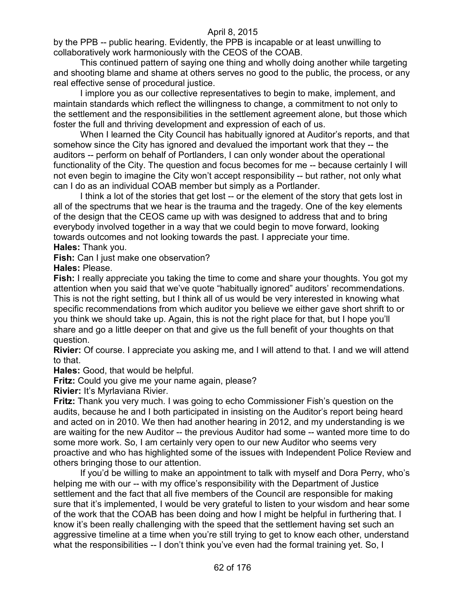by the PPB -- public hearing. Evidently, the PPB is incapable or at least unwilling to collaboratively work harmoniously with the CEOS of the COAB.

This continued pattern of saying one thing and wholly doing another while targeting and shooting blame and shame at others serves no good to the public, the process, or any real effective sense of procedural justice.

I implore you as our collective representatives to begin to make, implement, and maintain standards which reflect the willingness to change, a commitment to not only to the settlement and the responsibilities in the settlement agreement alone, but those which foster the full and thriving development and expression of each of us.

When I learned the City Council has habitually ignored at Auditor's reports, and that somehow since the City has ignored and devalued the important work that they -- the auditors -- perform on behalf of Portlanders, I can only wonder about the operational functionality of the City. The question and focus becomes for me -- because certainly I will not even begin to imagine the City won't accept responsibility -- but rather, not only what can I do as an individual COAB member but simply as a Portlander.

I think a lot of the stories that get lost -- or the element of the story that gets lost in all of the spectrums that we hear is the trauma and the tragedy. One of the key elements of the design that the CEOS came up with was designed to address that and to bring everybody involved together in a way that we could begin to move forward, looking towards outcomes and not looking towards the past. I appreciate your time. **Hales:** Thank you.

**Fish:** Can I just make one observation?

**Hales:** Please.

**Fish:** I really appreciate you taking the time to come and share your thoughts. You got my attention when you said that we've quote "habitually ignored" auditors' recommendations. This is not the right setting, but I think all of us would be very interested in knowing what specific recommendations from which auditor you believe we either gave short shrift to or you think we should take up. Again, this is not the right place for that, but I hope you'll share and go a little deeper on that and give us the full benefit of your thoughts on that question.

**Rivier:** Of course. I appreciate you asking me, and I will attend to that. I and we will attend to that.

**Hales:** Good, that would be helpful.

**Fritz:** Could you give me your name again, please?

**Rivier:** It's Myrlaviana Rivier.

**Fritz:** Thank you very much. I was going to echo Commissioner Fish's question on the audits, because he and I both participated in insisting on the Auditor's report being heard and acted on in 2010. We then had another hearing in 2012, and my understanding is we are waiting for the new Auditor -- the previous Auditor had some -- wanted more time to do some more work. So, I am certainly very open to our new Auditor who seems very proactive and who has highlighted some of the issues with Independent Police Review and others bringing those to our attention.

If you'd be willing to make an appointment to talk with myself and Dora Perry, who's helping me with our -- with my office's responsibility with the Department of Justice settlement and the fact that all five members of the Council are responsible for making sure that it's implemented, I would be very grateful to listen to your wisdom and hear some of the work that the COAB has been doing and how I might be helpful in furthering that. I know it's been really challenging with the speed that the settlement having set such an aggressive timeline at a time when you're still trying to get to know each other, understand what the responsibilities -- I don't think you've even had the formal training yet. So, I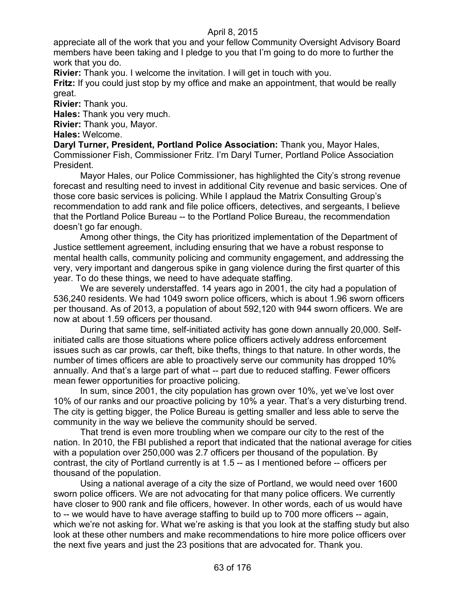appreciate all of the work that you and your fellow Community Oversight Advisory Board members have been taking and I pledge to you that I'm going to do more to further the work that you do.

**Rivier:** Thank you. I welcome the invitation. I will get in touch with you.

**Fritz:** If you could just stop by my office and make an appointment, that would be really great.

**Rivier:** Thank you.

**Hales:** Thank you very much.

**Rivier:** Thank you, Mayor.

**Hales:** Welcome.

**Daryl Turner, President, Portland Police Association:** Thank you, Mayor Hales, Commissioner Fish, Commissioner Fritz. I'm Daryl Turner, Portland Police Association President.

Mayor Hales, our Police Commissioner, has highlighted the City's strong revenue forecast and resulting need to invest in additional City revenue and basic services. One of those core basic services is policing. While I applaud the Matrix Consulting Group's recommendation to add rank and file police officers, detectives, and sergeants, I believe that the Portland Police Bureau -- to the Portland Police Bureau, the recommendation doesn't go far enough.

Among other things, the City has prioritized implementation of the Department of Justice settlement agreement, including ensuring that we have a robust response to mental health calls, community policing and community engagement, and addressing the very, very important and dangerous spike in gang violence during the first quarter of this year. To do these things, we need to have adequate staffing.

We are severely understaffed. 14 years ago in 2001, the city had a population of 536,240 residents. We had 1049 sworn police officers, which is about 1.96 sworn officers per thousand. As of 2013, a population of about 592,120 with 944 sworn officers. We are now at about 1.59 officers per thousand.

During that same time, self-initiated activity has gone down annually 20,000. Selfinitiated calls are those situations where police officers actively address enforcement issues such as car prowls, car theft, bike thefts, things to that nature. In other words, the number of times officers are able to proactively serve our community has dropped 10% annually. And that's a large part of what -- part due to reduced staffing. Fewer officers mean fewer opportunities for proactive policing.

In sum, since 2001, the city population has grown over 10%, yet we've lost over 10% of our ranks and our proactive policing by 10% a year. That's a very disturbing trend. The city is getting bigger, the Police Bureau is getting smaller and less able to serve the community in the way we believe the community should be served.

That trend is even more troubling when we compare our city to the rest of the nation. In 2010, the FBI published a report that indicated that the national average for cities with a population over 250,000 was 2.7 officers per thousand of the population. By contrast, the city of Portland currently is at 1.5 -- as I mentioned before -- officers per thousand of the population.

Using a national average of a city the size of Portland, we would need over 1600 sworn police officers. We are not advocating for that many police officers. We currently have closer to 900 rank and file officers, however. In other words, each of us would have to -- we would have to have average staffing to build up to 700 more officers -- again, which we're not asking for. What we're asking is that you look at the staffing study but also look at these other numbers and make recommendations to hire more police officers over the next five years and just the 23 positions that are advocated for. Thank you.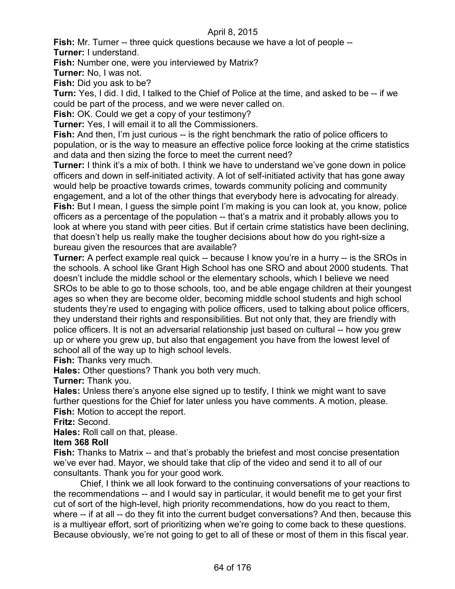**Fish:** Mr. Turner -- three quick questions because we have a lot of people -- **Turner:** I understand.

**Fish:** Number one, were you interviewed by Matrix?

**Turner:** No, I was not.

**Fish:** Did you ask to be?

**Turn:** Yes, I did. I did, I talked to the Chief of Police at the time, and asked to be -- if we could be part of the process, and we were never called on.

**Fish:** OK. Could we get a copy of your testimony?

**Turner:** Yes, I will email it to all the Commissioners.

**Fish:** And then, I'm just curious -- is the right benchmark the ratio of police officers to population, or is the way to measure an effective police force looking at the crime statistics and data and then sizing the force to meet the current need?

**Turner:** I think it's a mix of both. I think we have to understand we've gone down in police officers and down in self-initiated activity. A lot of self-initiated activity that has gone away would help be proactive towards crimes, towards community policing and community engagement, and a lot of the other things that everybody here is advocating for already. **Fish:** But I mean, I guess the simple point I'm making is you can look at, you know, police officers as a percentage of the population -- that's a matrix and it probably allows you to look at where you stand with peer cities. But if certain crime statistics have been declining, that doesn't help us really make the tougher decisions about how do you right-size a bureau given the resources that are available?

**Turner:** A perfect example real quick -- because I know you're in a hurry -- is the SROs in the schools. A school like Grant High School has one SRO and about 2000 students. That doesn't include the middle school or the elementary schools, which I believe we need SROs to be able to go to those schools, too, and be able engage children at their youngest ages so when they are become older, becoming middle school students and high school students they're used to engaging with police officers, used to talking about police officers, they understand their rights and responsibilities. But not only that, they are friendly with police officers. It is not an adversarial relationship just based on cultural -- how you grew up or where you grew up, but also that engagement you have from the lowest level of school all of the way up to high school levels.

**Fish:** Thanks very much.

**Hales:** Other questions? Thank you both very much.

**Turner:** Thank you.

**Hales:** Unless there's anyone else signed up to testify, I think we might want to save further questions for the Chief for later unless you have comments. A motion, please. **Fish:** Motion to accept the report.

**Fritz:** Second.

**Hales:** Roll call on that, please.

#### **Item 368 Roll**

**Fish:** Thanks to Matrix -- and that's probably the briefest and most concise presentation we've ever had. Mayor, we should take that clip of the video and send it to all of our consultants. Thank you for your good work.

Chief, I think we all look forward to the continuing conversations of your reactions to the recommendations -- and I would say in particular, it would benefit me to get your first cut of sort of the high-level, high priority recommendations, how do you react to them, where -- if at all -- do they fit into the current budget conversations? And then, because this is a multiyear effort, sort of prioritizing when we're going to come back to these questions. Because obviously, we're not going to get to all of these or most of them in this fiscal year.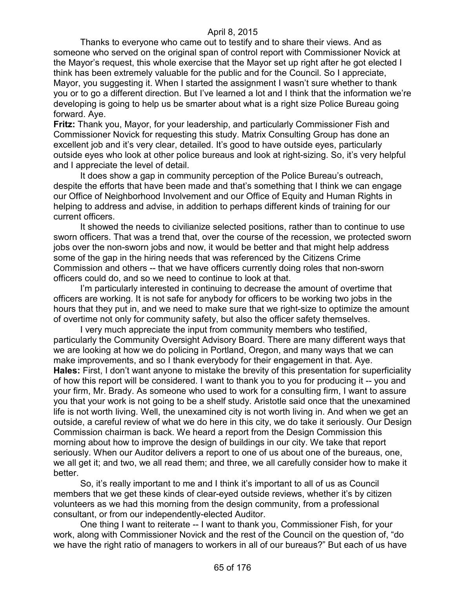Thanks to everyone who came out to testify and to share their views. And as someone who served on the original span of control report with Commissioner Novick at the Mayor's request, this whole exercise that the Mayor set up right after he got elected I think has been extremely valuable for the public and for the Council. So I appreciate, Mayor, you suggesting it. When I started the assignment I wasn't sure whether to thank you or to go a different direction. But I've learned a lot and I think that the information we're developing is going to help us be smarter about what is a right size Police Bureau going forward. Aye.

**Fritz:** Thank you, Mayor, for your leadership, and particularly Commissioner Fish and Commissioner Novick for requesting this study. Matrix Consulting Group has done an excellent job and it's very clear, detailed. It's good to have outside eyes, particularly outside eyes who look at other police bureaus and look at right-sizing. So, it's very helpful and I appreciate the level of detail.

It does show a gap in community perception of the Police Bureau's outreach, despite the efforts that have been made and that's something that I think we can engage our Office of Neighborhood Involvement and our Office of Equity and Human Rights in helping to address and advise, in addition to perhaps different kinds of training for our current officers.

It showed the needs to civilianize selected positions, rather than to continue to use sworn officers. That was a trend that, over the course of the recession, we protected sworn jobs over the non-sworn jobs and now, it would be better and that might help address some of the gap in the hiring needs that was referenced by the Citizens Crime Commission and others -- that we have officers currently doing roles that non-sworn officers could do, and so we need to continue to look at that.

I'm particularly interested in continuing to decrease the amount of overtime that officers are working. It is not safe for anybody for officers to be working two jobs in the hours that they put in, and we need to make sure that we right-size to optimize the amount of overtime not only for community safety, but also the officer safety themselves.

I very much appreciate the input from community members who testified, particularly the Community Oversight Advisory Board. There are many different ways that we are looking at how we do policing in Portland, Oregon, and many ways that we can make improvements, and so I thank everybody for their engagement in that. Aye. **Hales:** First, I don't want anyone to mistake the brevity of this presentation for superficiality of how this report will be considered. I want to thank you to you for producing it -- you and your firm, Mr. Brady. As someone who used to work for a consulting firm, I want to assure you that your work is not going to be a shelf study. Aristotle said once that the unexamined life is not worth living. Well, the unexamined city is not worth living in. And when we get an outside, a careful review of what we do here in this city, we do take it seriously. Our Design Commission chairman is back. We heard a report from the Design Commission this morning about how to improve the design of buildings in our city. We take that report seriously. When our Auditor delivers a report to one of us about one of the bureaus, one, we all get it; and two, we all read them; and three, we all carefully consider how to make it better.

So, it's really important to me and I think it's important to all of us as Council members that we get these kinds of clear-eyed outside reviews, whether it's by citizen volunteers as we had this morning from the design community, from a professional consultant, or from our independently-elected Auditor.

One thing I want to reiterate -- I want to thank you, Commissioner Fish, for your work, along with Commissioner Novick and the rest of the Council on the question of, "do we have the right ratio of managers to workers in all of our bureaus?" But each of us have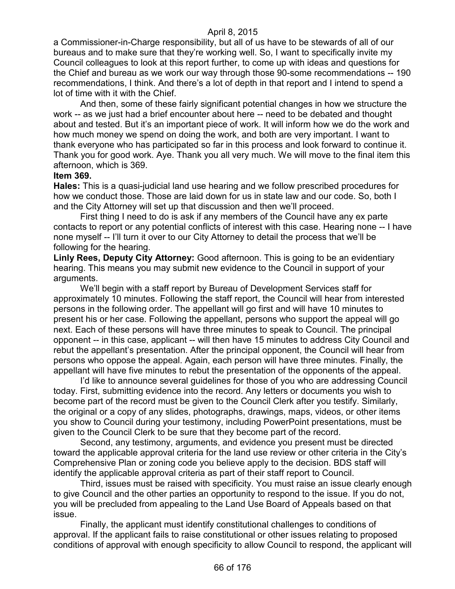a Commissioner-in-Charge responsibility, but all of us have to be stewards of all of our bureaus and to make sure that they're working well. So, I want to specifically invite my Council colleagues to look at this report further, to come up with ideas and questions for the Chief and bureau as we work our way through those 90-some recommendations -- 190 recommendations, I think. And there's a lot of depth in that report and I intend to spend a lot of time with it with the Chief.

And then, some of these fairly significant potential changes in how we structure the work -- as we just had a brief encounter about here -- need to be debated and thought about and tested. But it's an important piece of work. It will inform how we do the work and how much money we spend on doing the work, and both are very important. I want to thank everyone who has participated so far in this process and look forward to continue it. Thank you for good work. Aye. Thank you all very much. We will move to the final item this afternoon, which is 369.

#### **Item 369.**

**Hales:** This is a quasi-judicial land use hearing and we follow prescribed procedures for how we conduct those. Those are laid down for us in state law and our code. So, both I and the City Attorney will set up that discussion and then we'll proceed.

First thing I need to do is ask if any members of the Council have any ex parte contacts to report or any potential conflicts of interest with this case. Hearing none -- I have none myself -- I'll turn it over to our City Attorney to detail the process that we'll be following for the hearing.

**Linly Rees, Deputy City Attorney:** Good afternoon. This is going to be an evidentiary hearing. This means you may submit new evidence to the Council in support of your arguments.

We'll begin with a staff report by Bureau of Development Services staff for approximately 10 minutes. Following the staff report, the Council will hear from interested persons in the following order. The appellant will go first and will have 10 minutes to present his or her case. Following the appellant, persons who support the appeal will go next. Each of these persons will have three minutes to speak to Council. The principal opponent -- in this case, applicant -- will then have 15 minutes to address City Council and rebut the appellant's presentation. After the principal opponent, the Council will hear from persons who oppose the appeal. Again, each person will have three minutes. Finally, the appellant will have five minutes to rebut the presentation of the opponents of the appeal.

I'd like to announce several guidelines for those of you who are addressing Council today. First, submitting evidence into the record. Any letters or documents you wish to become part of the record must be given to the Council Clerk after you testify. Similarly, the original or a copy of any slides, photographs, drawings, maps, videos, or other items you show to Council during your testimony, including PowerPoint presentations, must be given to the Council Clerk to be sure that they become part of the record.

Second, any testimony, arguments, and evidence you present must be directed toward the applicable approval criteria for the land use review or other criteria in the City's Comprehensive Plan or zoning code you believe apply to the decision. BDS staff will identify the applicable approval criteria as part of their staff report to Council.

Third, issues must be raised with specificity. You must raise an issue clearly enough to give Council and the other parties an opportunity to respond to the issue. If you do not, you will be precluded from appealing to the Land Use Board of Appeals based on that issue.

Finally, the applicant must identify constitutional challenges to conditions of approval. If the applicant fails to raise constitutional or other issues relating to proposed conditions of approval with enough specificity to allow Council to respond, the applicant will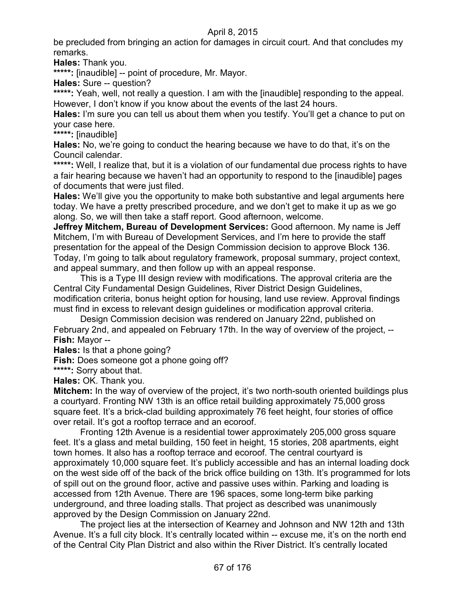be precluded from bringing an action for damages in circuit court. And that concludes my remarks.

**Hales:** Thank you.

\*\*\*\*\*: [inaudible] -- point of procedure, Mr. Mayor.

**Hales:** Sure -- question?

**\*\*\*\*\*:** Yeah, well, not really a question. I am with the [inaudible] responding to the appeal. However, I don't know if you know about the events of the last 24 hours.

**Hales:** I'm sure you can tell us about them when you testify. You'll get a chance to put on your case here.

**\*\*\*\*\*:** [inaudible]

**Hales:** No, we're going to conduct the hearing because we have to do that, it's on the Council calendar.

\*\*\*\*\*: Well, I realize that, but it is a violation of our fundamental due process rights to have a fair hearing because we haven't had an opportunity to respond to the [inaudible] pages of documents that were just filed.

**Hales:** We'll give you the opportunity to make both substantive and legal arguments here today. We have a pretty prescribed procedure, and we don't get to make it up as we go along. So, we will then take a staff report. Good afternoon, welcome.

**Jeffrey Mitchem, Bureau of Development Services:** Good afternoon. My name is Jeff Mitchem, I'm with Bureau of Development Services, and I'm here to provide the staff presentation for the appeal of the Design Commission decision to approve Block 136. Today, I'm going to talk about regulatory framework, proposal summary, project context, and appeal summary, and then follow up with an appeal response.

This is a Type III design review with modifications. The approval criteria are the Central City Fundamental Design Guidelines, River District Design Guidelines, modification criteria, bonus height option for housing, land use review. Approval findings must find in excess to relevant design guidelines or modification approval criteria.

Design Commission decision was rendered on January 22nd, published on February 2nd, and appealed on February 17th. In the way of overview of the project, -- **Fish:** Mayor --

**Hales:** Is that a phone going?

**Fish:** Does someone got a phone going off?

**\*\*\*\*\*:** Sorry about that.

**Hales:** OK. Thank you.

**Mitchem:** In the way of overview of the project, it's two north-south oriented buildings plus a courtyard. Fronting NW 13th is an office retail building approximately 75,000 gross square feet. It's a brick-clad building approximately 76 feet height, four stories of office over retail. It's got a rooftop terrace and an ecoroof.

Fronting 12th Avenue is a residential tower approximately 205,000 gross square feet. It's a glass and metal building, 150 feet in height, 15 stories, 208 apartments, eight town homes. It also has a rooftop terrace and ecoroof. The central courtyard is approximately 10,000 square feet. It's publicly accessible and has an internal loading dock on the west side off of the back of the brick office building on 13th. It's programmed for lots of spill out on the ground floor, active and passive uses within. Parking and loading is accessed from 12th Avenue. There are 196 spaces, some long-term bike parking underground, and three loading stalls. That project as described was unanimously approved by the Design Commission on January 22nd.

The project lies at the intersection of Kearney and Johnson and NW 12th and 13th Avenue. It's a full city block. It's centrally located within -- excuse me, it's on the north end of the Central City Plan District and also within the River District. It's centrally located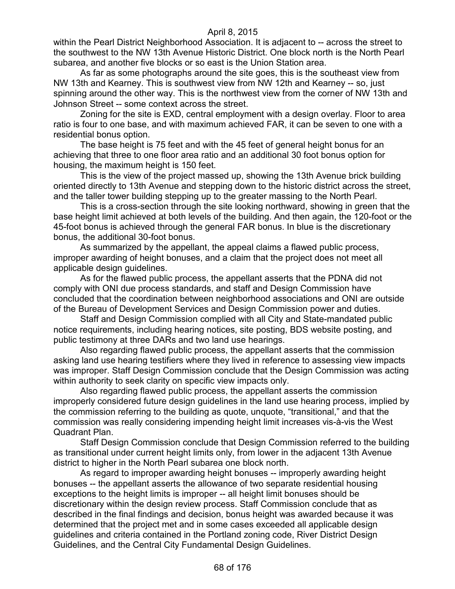within the Pearl District Neighborhood Association. It is adjacent to -- across the street to the southwest to the NW 13th Avenue Historic District. One block north is the North Pearl subarea, and another five blocks or so east is the Union Station area.

As far as some photographs around the site goes, this is the southeast view from NW 13th and Kearney. This is southwest view from NW 12th and Kearney -- so, just spinning around the other way. This is the northwest view from the corner of NW 13th and Johnson Street -- some context across the street.

Zoning for the site is EXD, central employment with a design overlay. Floor to area ratio is four to one base, and with maximum achieved FAR, it can be seven to one with a residential bonus option.

The base height is 75 feet and with the 45 feet of general height bonus for an achieving that three to one floor area ratio and an additional 30 foot bonus option for housing, the maximum height is 150 feet.

This is the view of the project massed up, showing the 13th Avenue brick building oriented directly to 13th Avenue and stepping down to the historic district across the street, and the taller tower building stepping up to the greater massing to the North Pearl.

This is a cross-section through the site looking northward, showing in green that the base height limit achieved at both levels of the building. And then again, the 120-foot or the 45-foot bonus is achieved through the general FAR bonus. In blue is the discretionary bonus, the additional 30-foot bonus.

As summarized by the appellant, the appeal claims a flawed public process, improper awarding of height bonuses, and a claim that the project does not meet all applicable design guidelines.

As for the flawed public process, the appellant asserts that the PDNA did not comply with ONI due process standards, and staff and Design Commission have concluded that the coordination between neighborhood associations and ONI are outside of the Bureau of Development Services and Design Commission power and duties.

Staff and Design Commission complied with all City and State-mandated public notice requirements, including hearing notices, site posting, BDS website posting, and public testimony at three DARs and two land use hearings.

Also regarding flawed public process, the appellant asserts that the commission asking land use hearing testifiers where they lived in reference to assessing view impacts was improper. Staff Design Commission conclude that the Design Commission was acting within authority to seek clarity on specific view impacts only.

Also regarding flawed public process, the appellant asserts the commission improperly considered future design guidelines in the land use hearing process, implied by the commission referring to the building as quote, unquote, "transitional," and that the commission was really considering impending height limit increases vis-à-vis the West Quadrant Plan.

Staff Design Commission conclude that Design Commission referred to the building as transitional under current height limits only, from lower in the adjacent 13th Avenue district to higher in the North Pearl subarea one block north.

As regard to improper awarding height bonuses -- improperly awarding height bonuses -- the appellant asserts the allowance of two separate residential housing exceptions to the height limits is improper -- all height limit bonuses should be discretionary within the design review process. Staff Commission conclude that as described in the final findings and decision, bonus height was awarded because it was determined that the project met and in some cases exceeded all applicable design guidelines and criteria contained in the Portland zoning code, River District Design Guidelines, and the Central City Fundamental Design Guidelines.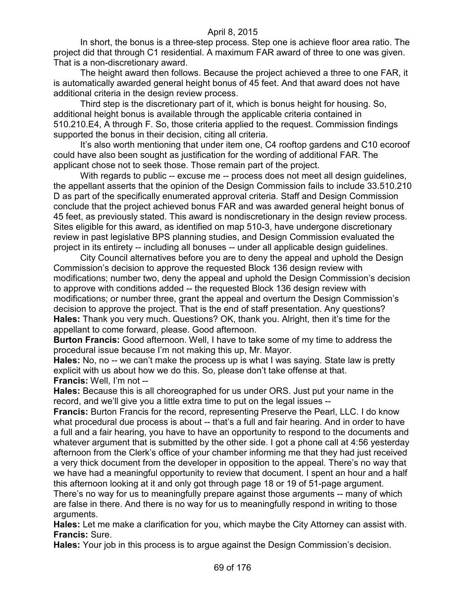In short, the bonus is a three-step process. Step one is achieve floor area ratio. The project did that through C1 residential. A maximum FAR award of three to one was given. That is a non-discretionary award.

The height award then follows. Because the project achieved a three to one FAR, it is automatically awarded general height bonus of 45 feet. And that award does not have additional criteria in the design review process.

Third step is the discretionary part of it, which is bonus height for housing. So, additional height bonus is available through the applicable criteria contained in 510.210.E4, A through F. So, those criteria applied to the request. Commission findings supported the bonus in their decision, citing all criteria.

It's also worth mentioning that under item one, C4 rooftop gardens and C10 ecoroof could have also been sought as justification for the wording of additional FAR. The applicant chose not to seek those. Those remain part of the project.

With regards to public -- excuse me -- process does not meet all design guidelines, the appellant asserts that the opinion of the Design Commission fails to include 33.510.210 D as part of the specifically enumerated approval criteria. Staff and Design Commission conclude that the project achieved bonus FAR and was awarded general height bonus of 45 feet, as previously stated. This award is nondiscretionary in the design review process. Sites eligible for this award, as identified on map 510-3, have undergone discretionary review in past legislative BPS planning studies, and Design Commission evaluated the project in its entirety -- including all bonuses -- under all applicable design guidelines.

City Council alternatives before you are to deny the appeal and uphold the Design Commission's decision to approve the requested Block 136 design review with modifications; number two, deny the appeal and uphold the Design Commission's decision to approve with conditions added -- the requested Block 136 design review with modifications; or number three, grant the appeal and overturn the Design Commission's decision to approve the project. That is the end of staff presentation. Any questions? **Hales:** Thank you very much. Questions? OK, thank you. Alright, then it's time for the appellant to come forward, please. Good afternoon.

**Burton Francis:** Good afternoon. Well, I have to take some of my time to address the procedural issue because I'm not making this up, Mr. Mayor.

**Hales:** No, no -- we can't make the process up is what I was saying. State law is pretty explicit with us about how we do this. So, please don't take offense at that. **Francis:** Well, I'm not --

**Hales:** Because this is all choreographed for us under ORS. Just put your name in the record, and we'll give you a little extra time to put on the legal issues --

**Francis:** Burton Francis for the record, representing Preserve the Pearl, LLC. I do know what procedural due process is about -- that's a full and fair hearing. And in order to have a full and a fair hearing, you have to have an opportunity to respond to the documents and whatever argument that is submitted by the other side. I got a phone call at 4:56 yesterday afternoon from the Clerk's office of your chamber informing me that they had just received a very thick document from the developer in opposition to the appeal. There's no way that we have had a meaningful opportunity to review that document. I spent an hour and a half this afternoon looking at it and only got through page 18 or 19 of 51-page argument.

There's no way for us to meaningfully prepare against those arguments -- many of which are false in there. And there is no way for us to meaningfully respond in writing to those arguments.

**Hales:** Let me make a clarification for you, which maybe the City Attorney can assist with. **Francis:** Sure.

**Hales:** Your job in this process is to argue against the Design Commission's decision.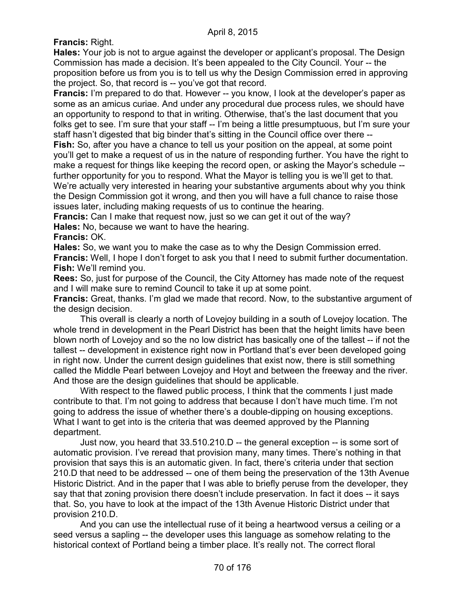**Francis:** Right.

**Hales:** Your job is not to argue against the developer or applicant's proposal. The Design Commission has made a decision. It's been appealed to the City Council. Your -- the proposition before us from you is to tell us why the Design Commission erred in approving the project. So, that record is -- you've got that record.

**Francis:** I'm prepared to do that. However -- you know, I look at the developer's paper as some as an amicus curiae. And under any procedural due process rules, we should have an opportunity to respond to that in writing. Otherwise, that's the last document that you folks get to see. I'm sure that your staff -- I'm being a little presumptuous, but I'm sure your staff hasn't digested that big binder that's sitting in the Council office over there -- **Fish:** So, after you have a chance to tell us your position on the appeal, at some point you'll get to make a request of us in the nature of responding further. You have the right to make a request for things like keeping the record open, or asking the Mayor's schedule - further opportunity for you to respond. What the Mayor is telling you is we'll get to that. We're actually very interested in hearing your substantive arguments about why you think the Design Commission got it wrong, and then you will have a full chance to raise those

issues later, including making requests of us to continue the hearing.

**Francis:** Can I make that request now, just so we can get it out of the way?

**Hales:** No, because we want to have the hearing.

**Francis:** OK.

**Hales:** So, we want you to make the case as to why the Design Commission erred. **Francis:** Well, I hope I don't forget to ask you that I need to submit further documentation. **Fish:** We'll remind you.

**Rees:** So, just for purpose of the Council, the City Attorney has made note of the request and I will make sure to remind Council to take it up at some point.

**Francis:** Great, thanks. I'm glad we made that record. Now, to the substantive argument of the design decision.

This overall is clearly a north of Lovejoy building in a south of Lovejoy location. The whole trend in development in the Pearl District has been that the height limits have been blown north of Lovejoy and so the no low district has basically one of the tallest -- if not the tallest -- development in existence right now in Portland that's ever been developed going in right now. Under the current design guidelines that exist now, there is still something called the Middle Pearl between Lovejoy and Hoyt and between the freeway and the river. And those are the design guidelines that should be applicable.

With respect to the flawed public process, I think that the comments I just made contribute to that. I'm not going to address that because I don't have much time. I'm not going to address the issue of whether there's a double-dipping on housing exceptions. What I want to get into is the criteria that was deemed approved by the Planning department.

Just now, you heard that 33.510.210.D -- the general exception -- is some sort of automatic provision. I've reread that provision many, many times. There's nothing in that provision that says this is an automatic given. In fact, there's criteria under that section 210.D that need to be addressed -- one of them being the preservation of the 13th Avenue Historic District. And in the paper that I was able to briefly peruse from the developer, they say that that zoning provision there doesn't include preservation. In fact it does -- it says that. So, you have to look at the impact of the 13th Avenue Historic District under that provision 210.D.

And you can use the intellectual ruse of it being a heartwood versus a ceiling or a seed versus a sapling -- the developer uses this language as somehow relating to the historical context of Portland being a timber place. It's really not. The correct floral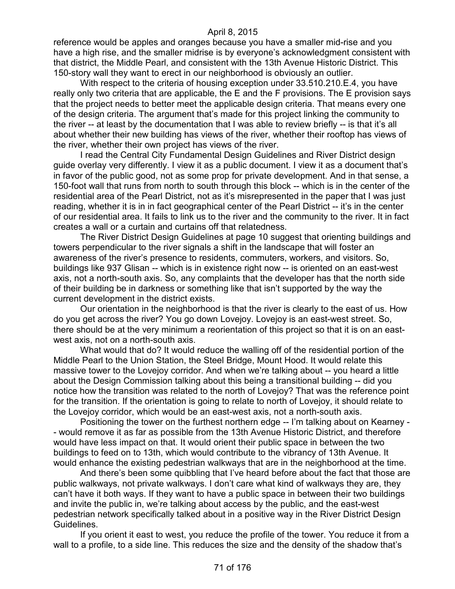reference would be apples and oranges because you have a smaller mid-rise and you have a high rise, and the smaller midrise is by everyone's acknowledgment consistent with that district, the Middle Pearl, and consistent with the 13th Avenue Historic District. This 150-story wall they want to erect in our neighborhood is obviously an outlier.

With respect to the criteria of housing exception under 33.510.210.E.4, you have really only two criteria that are applicable, the E and the F provisions. The E provision says that the project needs to better meet the applicable design criteria. That means every one of the design criteria. The argument that's made for this project linking the community to the river -- at least by the documentation that I was able to review briefly -- is that it's all about whether their new building has views of the river, whether their rooftop has views of the river, whether their own project has views of the river.

I read the Central City Fundamental Design Guidelines and River District design guide overlay very differently. I view it as a public document. I view it as a document that's in favor of the public good, not as some prop for private development. And in that sense, a 150-foot wall that runs from north to south through this block -- which is in the center of the residential area of the Pearl District, not as it's misrepresented in the paper that I was just reading, whether it is in in fact geographical center of the Pearl District -- it's in the center of our residential area. It fails to link us to the river and the community to the river. It in fact creates a wall or a curtain and curtains off that relatedness.

The River District Design Guidelines at page 10 suggest that orienting buildings and towers perpendicular to the river signals a shift in the landscape that will foster an awareness of the river's presence to residents, commuters, workers, and visitors. So, buildings like 937 Glisan -- which is in existence right now -- is oriented on an east-west axis, not a north-south axis. So, any complaints that the developer has that the north side of their building be in darkness or something like that isn't supported by the way the current development in the district exists.

Our orientation in the neighborhood is that the river is clearly to the east of us. How do you get across the river? You go down Lovejoy. Lovejoy is an east-west street. So, there should be at the very minimum a reorientation of this project so that it is on an eastwest axis, not on a north-south axis.

What would that do? It would reduce the walling off of the residential portion of the Middle Pearl to the Union Station, the Steel Bridge, Mount Hood. It would relate this massive tower to the Lovejoy corridor. And when we're talking about -- you heard a little about the Design Commission talking about this being a transitional building -- did you notice how the transition was related to the north of Lovejoy? That was the reference point for the transition. If the orientation is going to relate to north of Lovejoy, it should relate to the Lovejoy corridor, which would be an east-west axis, not a north-south axis.

Positioning the tower on the furthest northern edge -- I'm talking about on Kearney - - would remove it as far as possible from the 13th Avenue Historic District, and therefore would have less impact on that. It would orient their public space in between the two buildings to feed on to 13th, which would contribute to the vibrancy of 13th Avenue. It would enhance the existing pedestrian walkways that are in the neighborhood at the time.

And there's been some quibbling that I've heard before about the fact that those are public walkways, not private walkways. I don't care what kind of walkways they are, they can't have it both ways. If they want to have a public space in between their two buildings and invite the public in, we're talking about access by the public, and the east-west pedestrian network specifically talked about in a positive way in the River District Design Guidelines.

If you orient it east to west, you reduce the profile of the tower. You reduce it from a wall to a profile, to a side line. This reduces the size and the density of the shadow that's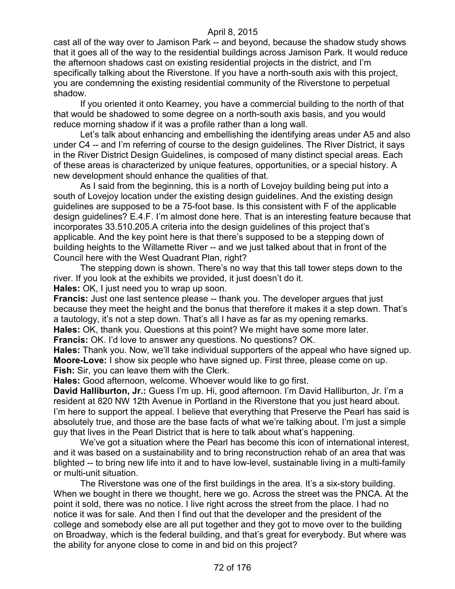cast all of the way over to Jamison Park -- and beyond, because the shadow study shows that it goes all of the way to the residential buildings across Jamison Park. It would reduce the afternoon shadows cast on existing residential projects in the district, and I'm specifically talking about the Riverstone. If you have a north-south axis with this project, you are condemning the existing residential community of the Riverstone to perpetual shadow.

If you oriented it onto Kearney, you have a commercial building to the north of that that would be shadowed to some degree on a north-south axis basis, and you would reduce morning shadow if it was a profile rather than a long wall.

Let's talk about enhancing and embellishing the identifying areas under A5 and also under C4 -- and I'm referring of course to the design guidelines. The River District, it says in the River District Design Guidelines, is composed of many distinct special areas. Each of these areas is characterized by unique features, opportunities, or a special history. A new development should enhance the qualities of that.

As I said from the beginning, this is a north of Lovejoy building being put into a south of Lovejoy location under the existing design guidelines. And the existing design guidelines are supposed to be a 75-foot base. Is this consistent with F of the applicable design guidelines? E.4.F. I'm almost done here. That is an interesting feature because that incorporates 33.510.205.A criteria into the design guidelines of this project that's applicable. And the key point here is that there's supposed to be a stepping down of building heights to the Willamette River -- and we just talked about that in front of the Council here with the West Quadrant Plan, right?

The stepping down is shown. There's no way that this tall tower steps down to the river. If you look at the exhibits we provided, it just doesn't do it. **Hales:** OK, I just need you to wrap up soon.

**Francis:** Just one last sentence please -- thank you. The developer argues that just because they meet the height and the bonus that therefore it makes it a step down. That's a tautology, it's not a step down. That's all I have as far as my opening remarks.

**Hales:** OK, thank you. Questions at this point? We might have some more later.

**Francis:** OK. I'd love to answer any questions. No questions? OK.

**Hales:** Thank you. Now, we'll take individual supporters of the appeal who have signed up. **Moore-Love:** I show six people who have signed up. First three, please come on up. **Fish:** Sir, you can leave them with the Clerk.

**Hales:** Good afternoon, welcome. Whoever would like to go first.

**David Halliburton, Jr.:** Guess I'm up. Hi, good afternoon. I'm David Halliburton, Jr. I'm a resident at 820 NW 12th Avenue in Portland in the Riverstone that you just heard about. I'm here to support the appeal. I believe that everything that Preserve the Pearl has said is absolutely true, and those are the base facts of what we're talking about. I'm just a simple guy that lives in the Pearl District that is here to talk about what's happening.

We've got a situation where the Pearl has become this icon of international interest, and it was based on a sustainability and to bring reconstruction rehab of an area that was blighted -- to bring new life into it and to have low-level, sustainable living in a multi-family or multi-unit situation.

The Riverstone was one of the first buildings in the area. It's a six-story building. When we bought in there we thought, here we go. Across the street was the PNCA. At the point it sold, there was no notice. I live right across the street from the place. I had no notice it was for sale. And then I find out that the developer and the president of the college and somebody else are all put together and they got to move over to the building on Broadway, which is the federal building, and that's great for everybody. But where was the ability for anyone close to come in and bid on this project?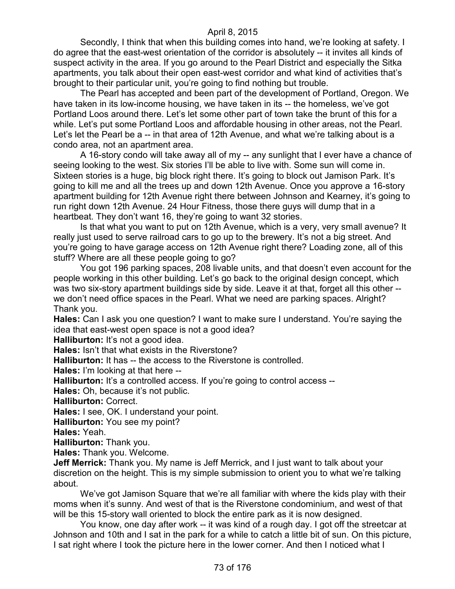Secondly, I think that when this building comes into hand, we're looking at safety. I do agree that the east-west orientation of the corridor is absolutely -- it invites all kinds of suspect activity in the area. If you go around to the Pearl District and especially the Sitka apartments, you talk about their open east-west corridor and what kind of activities that's brought to their particular unit, you're going to find nothing but trouble.

The Pearl has accepted and been part of the development of Portland, Oregon. We have taken in its low-income housing, we have taken in its -- the homeless, we've got Portland Loos around there. Let's let some other part of town take the brunt of this for a while. Let's put some Portland Loos and affordable housing in other areas, not the Pearl. Let's let the Pearl be a -- in that area of 12th Avenue, and what we're talking about is a condo area, not an apartment area.

A 16-story condo will take away all of my -- any sunlight that I ever have a chance of seeing looking to the west. Six stories I'll be able to live with. Some sun will come in. Sixteen stories is a huge, big block right there. It's going to block out Jamison Park. It's going to kill me and all the trees up and down 12th Avenue. Once you approve a 16-story apartment building for 12th Avenue right there between Johnson and Kearney, it's going to run right down 12th Avenue. 24 Hour Fitness, those there guys will dump that in a heartbeat. They don't want 16, they're going to want 32 stories.

Is that what you want to put on 12th Avenue, which is a very, very small avenue? It really just used to serve railroad cars to go up to the brewery. It's not a big street. And you're going to have garage access on 12th Avenue right there? Loading zone, all of this stuff? Where are all these people going to go?

You got 196 parking spaces, 208 livable units, and that doesn't even account for the people working in this other building. Let's go back to the original design concept, which was two six-story apartment buildings side by side. Leave it at that, forget all this other -we don't need office spaces in the Pearl. What we need are parking spaces. Alright? Thank you.

**Hales:** Can I ask you one question? I want to make sure I understand. You're saying the idea that east-west open space is not a good idea?

**Halliburton:** It's not a good idea.

**Hales:** Isn't that what exists in the Riverstone?

**Halliburton:** It has -- the access to the Riverstone is controlled.

**Hales:** I'm looking at that here --

**Halliburton:** It's a controlled access. If you're going to control access --

**Hales:** Oh, because it's not public.

**Halliburton:** Correct.

**Hales:** I see, OK. I understand your point.

**Halliburton:** You see my point?

**Hales:** Yeah.

**Halliburton:** Thank you.

**Hales:** Thank you. Welcome.

**Jeff Merrick:** Thank you. My name is Jeff Merrick, and I just want to talk about your discretion on the height. This is my simple submission to orient you to what we're talking about.

We've got Jamison Square that we're all familiar with where the kids play with their moms when it's sunny. And west of that is the Riverstone condominium, and west of that will be this 15-story wall oriented to block the entire park as it is now designed.

You know, one day after work -- it was kind of a rough day. I got off the streetcar at Johnson and 10th and I sat in the park for a while to catch a little bit of sun. On this picture, I sat right where I took the picture here in the lower corner. And then I noticed what I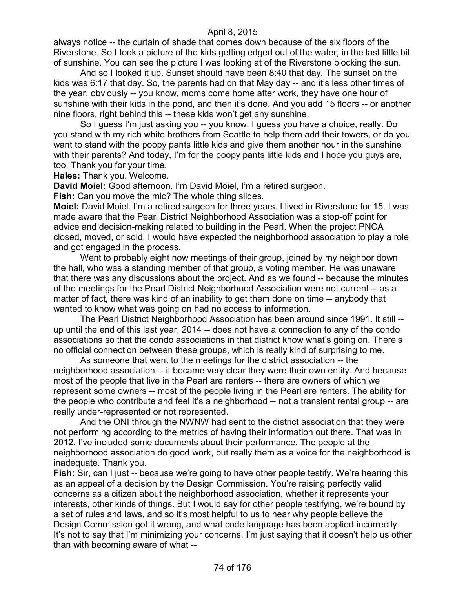always notice -- the curtain of shade that comes down because of the six floors of the Riverstone. So I took a picture of the kids getting edged out of the water, in the last little bit of sunshine. You can see the picture I was looking at of the Riverstone blocking the sun.

And so I looked it up. Sunset should have been 8:40 that day. The sunset on the kids was 6:17 that day. So, the parents had on that May day -- and it's less other times of the year, obviously -- you know, moms come home after work, they have one hour of sunshine with their kids in the pond, and then it's done. And you add 15 floors -- or another nine floors, right behind this -- these kids won't get any sunshine.

So I guess I'm just asking you -- you know, I guess you have a choice, really. Do you stand with my rich white brothers from Seattle to help them add their towers, or do you want to stand with the poopy pants little kids and give them another hour in the sunshine with their parents? And today, I'm for the poopy pants little kids and I hope you guys are, too. Thank you for your time.

**Hales:** Thank you. Welcome.

**David Moiel:** Good afternoon. I'm David Moiel, I'm a retired surgeon.

**Fish:** Can you move the mic? The whole thing slides.

**Moiel:** David Moiel. I'm a retired surgeon for three years. I lived in Riverstone for 15. I was made aware that the Pearl District Neighborhood Association was a stop-off point for advice and decision-making related to building in the Pearl. When the project PNCA closed, moved, or sold, I would have expected the neighborhood association to play a role and got engaged in the process.

Went to probably eight now meetings of their group, joined by my neighbor down the hall, who was a standing member of that group, a voting member. He was unaware that there was any discussions about the project. And as we found -- because the minutes of the meetings for the Pearl District Neighborhood Association were not current -- as a matter of fact, there was kind of an inability to get them done on time -- anybody that wanted to know what was going on had no access to information.

The Pearl District Neighborhood Association has been around since 1991. It still - up until the end of this last year, 2014 -- does not have a connection to any of the condo associations so that the condo associations in that district know what's going on. There's no official connection between these groups, which is really kind of surprising to me.

As someone that went to the meetings for the district association -- the neighborhood association -- it became very clear they were their own entity. And because most of the people that live in the Pearl are renters -- there are owners of which we represent some owners -- most of the people living in the Pearl are renters. The ability for the people who contribute and feel it's a neighborhood -- not a transient rental group -- are really under-represented or not represented.

And the ONI through the NWNW had sent to the district association that they were not performing according to the metrics of having their information out there. That was in 2012. I've included some documents about their performance. The people at the neighborhood association do good work, but really them as a voice for the neighborhood is inadequate. Thank you.

**Fish:** Sir, can I just -- because we're going to have other people testify. We're hearing this as an appeal of a decision by the Design Commission. You're raising perfectly valid concerns as a citizen about the neighborhood association, whether it represents your interests, other kinds of things. But I would say for other people testifying, we're bound by a set of rules and laws, and so it's most helpful to us to hear why people believe the Design Commission got it wrong, and what code language has been applied incorrectly. It's not to say that I'm minimizing your concerns, I'm just saying that it doesn't help us other than with becoming aware of what --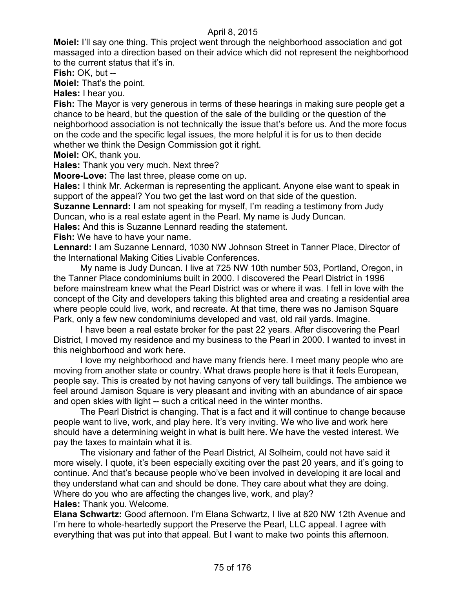**Moiel:** I'll say one thing. This project went through the neighborhood association and got massaged into a direction based on their advice which did not represent the neighborhood to the current status that it's in.

**Fish:** OK, but --

**Moiel:** That's the point.

**Hales:** I hear you.

**Fish:** The Mayor is very generous in terms of these hearings in making sure people get a chance to be heard, but the question of the sale of the building or the question of the neighborhood association is not technically the issue that's before us. And the more focus on the code and the specific legal issues, the more helpful it is for us to then decide whether we think the Design Commission got it right.

**Moiel:** OK, thank you.

**Hales:** Thank you very much. Next three?

**Moore-Love:** The last three, please come on up.

**Hales:** I think Mr. Ackerman is representing the applicant. Anyone else want to speak in support of the appeal? You two get the last word on that side of the question.

**Suzanne Lennard:** I am not speaking for myself, I'm reading a testimony from Judy Duncan, who is a real estate agent in the Pearl. My name is Judy Duncan.

**Hales:** And this is Suzanne Lennard reading the statement.

**Fish:** We have to have your name.

**Lennard:** I am Suzanne Lennard, 1030 NW Johnson Street in Tanner Place, Director of the International Making Cities Livable Conferences.

My name is Judy Duncan. I live at 725 NW 10th number 503, Portland, Oregon, in the Tanner Place condominiums built in 2000. I discovered the Pearl District in 1996 before mainstream knew what the Pearl District was or where it was. I fell in love with the concept of the City and developers taking this blighted area and creating a residential area where people could live, work, and recreate. At that time, there was no Jamison Square Park, only a few new condominiums developed and vast, old rail yards. Imagine.

I have been a real estate broker for the past 22 years. After discovering the Pearl District, I moved my residence and my business to the Pearl in 2000. I wanted to invest in this neighborhood and work here.

I love my neighborhood and have many friends here. I meet many people who are moving from another state or country. What draws people here is that it feels European, people say. This is created by not having canyons of very tall buildings. The ambience we feel around Jamison Square is very pleasant and inviting with an abundance of air space and open skies with light -- such a critical need in the winter months.

The Pearl District is changing. That is a fact and it will continue to change because people want to live, work, and play here. It's very inviting. We who live and work here should have a determining weight in what is built here. We have the vested interest. We pay the taxes to maintain what it is.

The visionary and father of the Pearl District, Al Solheim, could not have said it more wisely. I quote, it's been especially exciting over the past 20 years, and it's going to continue. And that's because people who've been involved in developing it are local and they understand what can and should be done. They care about what they are doing. Where do you who are affecting the changes live, work, and play? **Hales:** Thank you. Welcome.

**Elana Schwartz:** Good afternoon. I'm Elana Schwartz, I live at 820 NW 12th Avenue and I'm here to whole-heartedly support the Preserve the Pearl, LLC appeal. I agree with everything that was put into that appeal. But I want to make two points this afternoon.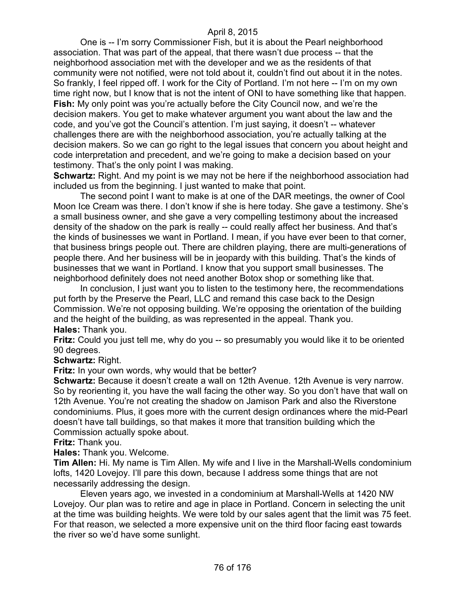One is -- I'm sorry Commissioner Fish, but it is about the Pearl neighborhood association. That was part of the appeal, that there wasn't due process -- that the neighborhood association met with the developer and we as the residents of that community were not notified, were not told about it, couldn't find out about it in the notes. So frankly, I feel ripped off. I work for the City of Portland. I'm not here -- I'm on my own time right now, but I know that is not the intent of ONI to have something like that happen. **Fish:** My only point was you're actually before the City Council now, and we're the decision makers. You get to make whatever argument you want about the law and the code, and you've got the Council's attention. I'm just saying, it doesn't -- whatever challenges there are with the neighborhood association, you're actually talking at the decision makers. So we can go right to the legal issues that concern you about height and code interpretation and precedent, and we're going to make a decision based on your testimony. That's the only point I was making.

**Schwartz:** Right. And my point is we may not be here if the neighborhood association had included us from the beginning. I just wanted to make that point.

The second point I want to make is at one of the DAR meetings, the owner of Cool Moon Ice Cream was there. I don't know if she is here today. She gave a testimony. She's a small business owner, and she gave a very compelling testimony about the increased density of the shadow on the park is really -- could really affect her business. And that's the kinds of businesses we want in Portland. I mean, if you have ever been to that corner, that business brings people out. There are children playing, there are multi-generations of people there. And her business will be in jeopardy with this building. That's the kinds of businesses that we want in Portland. I know that you support small businesses. The neighborhood definitely does not need another Botox shop or something like that.

In conclusion, I just want you to listen to the testimony here, the recommendations put forth by the Preserve the Pearl, LLC and remand this case back to the Design Commission. We're not opposing building. We're opposing the orientation of the building and the height of the building, as was represented in the appeal. Thank you. **Hales:** Thank you.

**Fritz:** Could you just tell me, why do you -- so presumably you would like it to be oriented 90 degrees.

**Schwartz:** Right.

**Fritz:** In your own words, why would that be better?

**Schwartz:** Because it doesn't create a wall on 12th Avenue. 12th Avenue is very narrow. So by reorienting it, you have the wall facing the other way. So you don't have that wall on 12th Avenue. You're not creating the shadow on Jamison Park and also the Riverstone condominiums. Plus, it goes more with the current design ordinances where the mid-Pearl doesn't have tall buildings, so that makes it more that transition building which the Commission actually spoke about.

**Fritz:** Thank you.

**Hales:** Thank you. Welcome.

**Tim Allen:** Hi. My name is Tim Allen. My wife and I live in the Marshall-Wells condominium lofts, 1420 Lovejoy. I'll pare this down, because I address some things that are not necessarily addressing the design.

Eleven years ago, we invested in a condominium at Marshall-Wells at 1420 NW Lovejoy. Our plan was to retire and age in place in Portland. Concern in selecting the unit at the time was building heights. We were told by our sales agent that the limit was 75 feet. For that reason, we selected a more expensive unit on the third floor facing east towards the river so we'd have some sunlight.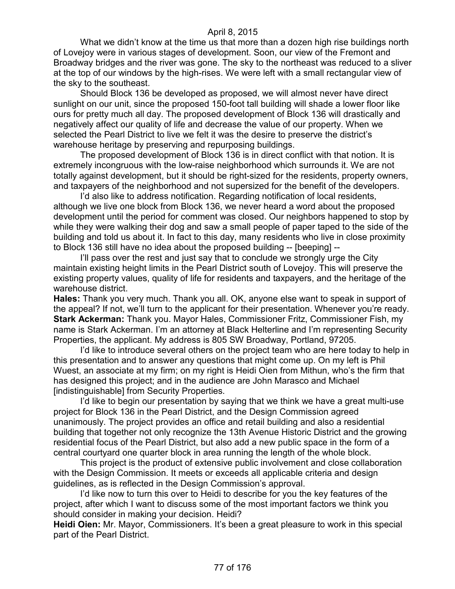What we didn't know at the time us that more than a dozen high rise buildings north of Lovejoy were in various stages of development. Soon, our view of the Fremont and Broadway bridges and the river was gone. The sky to the northeast was reduced to a sliver at the top of our windows by the high-rises. We were left with a small rectangular view of the sky to the southeast.

Should Block 136 be developed as proposed, we will almost never have direct sunlight on our unit, since the proposed 150-foot tall building will shade a lower floor like ours for pretty much all day. The proposed development of Block 136 will drastically and negatively affect our quality of life and decrease the value of our property. When we selected the Pearl District to live we felt it was the desire to preserve the district's warehouse heritage by preserving and repurposing buildings.

The proposed development of Block 136 is in direct conflict with that notion. It is extremely incongruous with the low-raise neighborhood which surrounds it. We are not totally against development, but it should be right-sized for the residents, property owners, and taxpayers of the neighborhood and not supersized for the benefit of the developers.

I'd also like to address notification. Regarding notification of local residents, although we live one block from Block 136, we never heard a word about the proposed development until the period for comment was closed. Our neighbors happened to stop by while they were walking their dog and saw a small people of paper taped to the side of the building and told us about it. In fact to this day, many residents who live in close proximity to Block 136 still have no idea about the proposed building -- [beeping] --

I'll pass over the rest and just say that to conclude we strongly urge the City maintain existing height limits in the Pearl District south of Lovejoy. This will preserve the existing property values, quality of life for residents and taxpayers, and the heritage of the warehouse district.

**Hales:** Thank you very much. Thank you all. OK, anyone else want to speak in support of the appeal? If not, we'll turn to the applicant for their presentation. Whenever you're ready. **Stark Ackerman:** Thank you. Mayor Hales, Commissioner Fritz, Commissioner Fish, my name is Stark Ackerman. I'm an attorney at Black Helterline and I'm representing Security Properties, the applicant. My address is 805 SW Broadway, Portland, 97205.

I'd like to introduce several others on the project team who are here today to help in this presentation and to answer any questions that might come up. On my left is Phil Wuest, an associate at my firm; on my right is Heidi Oien from Mithun, who's the firm that has designed this project; and in the audience are John Marasco and Michael [indistinguishable] from Security Properties.

I'd like to begin our presentation by saying that we think we have a great multi-use project for Block 136 in the Pearl District, and the Design Commission agreed unanimously. The project provides an office and retail building and also a residential building that together not only recognize the 13th Avenue Historic District and the growing residential focus of the Pearl District, but also add a new public space in the form of a central courtyard one quarter block in area running the length of the whole block.

This project is the product of extensive public involvement and close collaboration with the Design Commission. It meets or exceeds all applicable criteria and design guidelines, as is reflected in the Design Commission's approval.

I'd like now to turn this over to Heidi to describe for you the key features of the project, after which I want to discuss some of the most important factors we think you should consider in making your decision. Heidi?

**Heidi Oien:** Mr. Mayor, Commissioners. It's been a great pleasure to work in this special part of the Pearl District.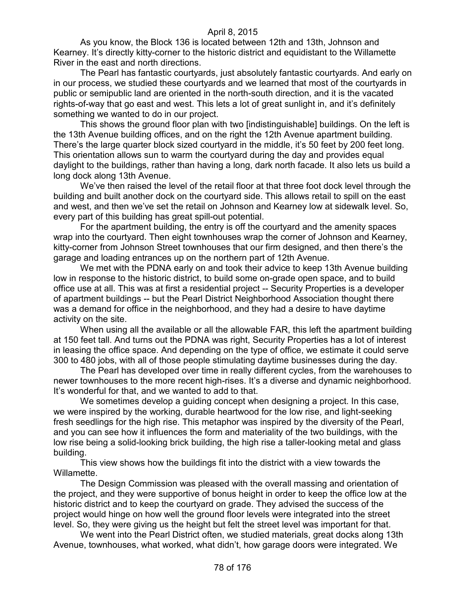As you know, the Block 136 is located between 12th and 13th, Johnson and Kearney. It's directly kitty-corner to the historic district and equidistant to the Willamette River in the east and north directions.

The Pearl has fantastic courtyards, just absolutely fantastic courtyards. And early on in our process, we studied these courtyards and we learned that most of the courtyards in public or semipublic land are oriented in the north-south direction, and it is the vacated rights-of-way that go east and west. This lets a lot of great sunlight in, and it's definitely something we wanted to do in our project.

This shows the ground floor plan with two [indistinguishable] buildings. On the left is the 13th Avenue building offices, and on the right the 12th Avenue apartment building. There's the large quarter block sized courtyard in the middle, it's 50 feet by 200 feet long. This orientation allows sun to warm the courtyard during the day and provides equal daylight to the buildings, rather than having a long, dark north facade. It also lets us build a long dock along 13th Avenue.

We've then raised the level of the retail floor at that three foot dock level through the building and built another dock on the courtyard side. This allows retail to spill on the east and west, and then we've set the retail on Johnson and Kearney low at sidewalk level. So, every part of this building has great spill-out potential.

For the apartment building, the entry is off the courtyard and the amenity spaces wrap into the courtyard. Then eight townhouses wrap the corner of Johnson and Kearney, kitty-corner from Johnson Street townhouses that our firm designed, and then there's the garage and loading entrances up on the northern part of 12th Avenue.

We met with the PDNA early on and took their advice to keep 13th Avenue building low in response to the historic district, to build some on-grade open space, and to build office use at all. This was at first a residential project -- Security Properties is a developer of apartment buildings -- but the Pearl District Neighborhood Association thought there was a demand for office in the neighborhood, and they had a desire to have daytime activity on the site.

When using all the available or all the allowable FAR, this left the apartment building at 150 feet tall. And turns out the PDNA was right, Security Properties has a lot of interest in leasing the office space. And depending on the type of office, we estimate it could serve 300 to 480 jobs, with all of those people stimulating daytime businesses during the day.

The Pearl has developed over time in really different cycles, from the warehouses to newer townhouses to the more recent high-rises. It's a diverse and dynamic neighborhood. It's wonderful for that, and we wanted to add to that.

We sometimes develop a guiding concept when designing a project. In this case, we were inspired by the working, durable heartwood for the low rise, and light-seeking fresh seedlings for the high rise. This metaphor was inspired by the diversity of the Pearl, and you can see how it influences the form and materiality of the two buildings, with the low rise being a solid-looking brick building, the high rise a taller-looking metal and glass building.

This view shows how the buildings fit into the district with a view towards the Willamette.

The Design Commission was pleased with the overall massing and orientation of the project, and they were supportive of bonus height in order to keep the office low at the historic district and to keep the courtyard on grade. They advised the success of the project would hinge on how well the ground floor levels were integrated into the street level. So, they were giving us the height but felt the street level was important for that.

We went into the Pearl District often, we studied materials, great docks along 13th Avenue, townhouses, what worked, what didn't, how garage doors were integrated. We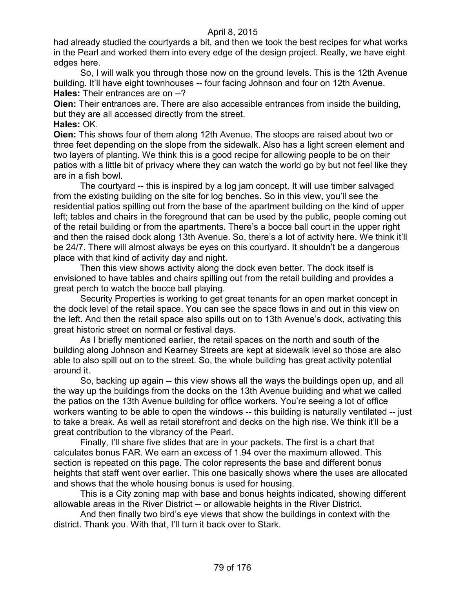had already studied the courtyards a bit, and then we took the best recipes for what works in the Pearl and worked them into every edge of the design project. Really, we have eight edges here.

So, I will walk you through those now on the ground levels. This is the 12th Avenue building. It'll have eight townhouses -- four facing Johnson and four on 12th Avenue. **Hales:** Their entrances are on --?

**Oien:** Their entrances are. There are also accessible entrances from inside the building, but they are all accessed directly from the street.

**Hales:** OK.

**Oien:** This shows four of them along 12th Avenue. The stoops are raised about two or three feet depending on the slope from the sidewalk. Also has a light screen element and two layers of planting. We think this is a good recipe for allowing people to be on their patios with a little bit of privacy where they can watch the world go by but not feel like they are in a fish bowl.

The courtyard -- this is inspired by a log jam concept. It will use timber salvaged from the existing building on the site for log benches. So in this view, you'll see the residential patios spilling out from the base of the apartment building on the kind of upper left; tables and chairs in the foreground that can be used by the public, people coming out of the retail building or from the apartments. There's a bocce ball court in the upper right and then the raised dock along 13th Avenue. So, there's a lot of activity here. We think it'll be 24/7. There will almost always be eyes on this courtyard. It shouldn't be a dangerous place with that kind of activity day and night.

Then this view shows activity along the dock even better. The dock itself is envisioned to have tables and chairs spilling out from the retail building and provides a great perch to watch the bocce ball playing.

Security Properties is working to get great tenants for an open market concept in the dock level of the retail space. You can see the space flows in and out in this view on the left. And then the retail space also spills out on to 13th Avenue's dock, activating this great historic street on normal or festival days.

As I briefly mentioned earlier, the retail spaces on the north and south of the building along Johnson and Kearney Streets are kept at sidewalk level so those are also able to also spill out on to the street. So, the whole building has great activity potential around it.

So, backing up again -- this view shows all the ways the buildings open up, and all the way up the buildings from the docks on the 13th Avenue building and what we called the patios on the 13th Avenue building for office workers. You're seeing a lot of office workers wanting to be able to open the windows -- this building is naturally ventilated -- just to take a break. As well as retail storefront and decks on the high rise. We think it'll be a great contribution to the vibrancy of the Pearl.

Finally, I'll share five slides that are in your packets. The first is a chart that calculates bonus FAR. We earn an excess of 1.94 over the maximum allowed. This section is repeated on this page. The color represents the base and different bonus heights that staff went over earlier. This one basically shows where the uses are allocated and shows that the whole housing bonus is used for housing.

This is a City zoning map with base and bonus heights indicated, showing different allowable areas in the River District -- or allowable heights in the River District.

And then finally two bird's eye views that show the buildings in context with the district. Thank you. With that, I'll turn it back over to Stark.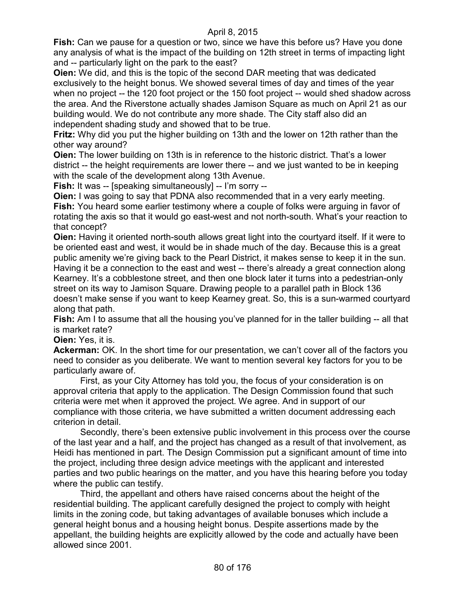**Fish:** Can we pause for a question or two, since we have this before us? Have you done any analysis of what is the impact of the building on 12th street in terms of impacting light and -- particularly light on the park to the east?

**Oien:** We did, and this is the topic of the second DAR meeting that was dedicated exclusively to the height bonus. We showed several times of day and times of the year when no project -- the 120 foot project or the 150 foot project -- would shed shadow across the area. And the Riverstone actually shades Jamison Square as much on April 21 as our building would. We do not contribute any more shade. The City staff also did an independent shading study and showed that to be true.

**Fritz:** Why did you put the higher building on 13th and the lower on 12th rather than the other way around?

**Oien:** The lower building on 13th is in reference to the historic district. That's a lower district -- the height requirements are lower there -- and we just wanted to be in keeping with the scale of the development along 13th Avenue.

**Fish:** It was -- [speaking simultaneously] -- I'm sorry --

**Oien:** I was going to say that PDNA also recommended that in a very early meeting. **Fish:** You heard some earlier testimony where a couple of folks were arguing in favor of rotating the axis so that it would go east-west and not north-south. What's your reaction to that concept?

**Oien:** Having it oriented north-south allows great light into the courtyard itself. If it were to be oriented east and west, it would be in shade much of the day. Because this is a great public amenity we're giving back to the Pearl District, it makes sense to keep it in the sun. Having it be a connection to the east and west -- there's already a great connection along Kearney. It's a cobblestone street, and then one block later it turns into a pedestrian-only street on its way to Jamison Square. Drawing people to a parallel path in Block 136 doesn't make sense if you want to keep Kearney great. So, this is a sun-warmed courtyard along that path.

**Fish:** Am I to assume that all the housing you've planned for in the taller building -- all that is market rate?

**Oien:** Yes, it is.

**Ackerman:** OK. In the short time for our presentation, we can't cover all of the factors you need to consider as you deliberate. We want to mention several key factors for you to be particularly aware of.

First, as your City Attorney has told you, the focus of your consideration is on approval criteria that apply to the application. The Design Commission found that such criteria were met when it approved the project. We agree. And in support of our compliance with those criteria, we have submitted a written document addressing each criterion in detail.

Secondly, there's been extensive public involvement in this process over the course of the last year and a half, and the project has changed as a result of that involvement, as Heidi has mentioned in part. The Design Commission put a significant amount of time into the project, including three design advice meetings with the applicant and interested parties and two public hearings on the matter, and you have this hearing before you today where the public can testify.

Third, the appellant and others have raised concerns about the height of the residential building. The applicant carefully designed the project to comply with height limits in the zoning code, but taking advantages of available bonuses which include a general height bonus and a housing height bonus. Despite assertions made by the appellant, the building heights are explicitly allowed by the code and actually have been allowed since 2001.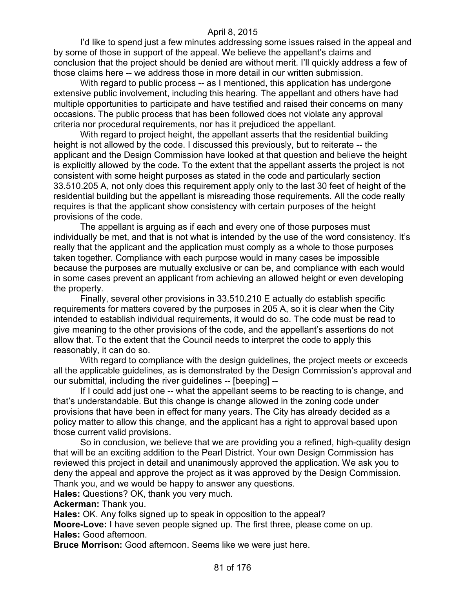I'd like to spend just a few minutes addressing some issues raised in the appeal and by some of those in support of the appeal. We believe the appellant's claims and conclusion that the project should be denied are without merit. I'll quickly address a few of those claims here -- we address those in more detail in our written submission.

With regard to public process -- as I mentioned, this application has undergone extensive public involvement, including this hearing. The appellant and others have had multiple opportunities to participate and have testified and raised their concerns on many occasions. The public process that has been followed does not violate any approval criteria nor procedural requirements, nor has it prejudiced the appellant.

With regard to project height, the appellant asserts that the residential building height is not allowed by the code. I discussed this previously, but to reiterate -- the applicant and the Design Commission have looked at that question and believe the height is explicitly allowed by the code. To the extent that the appellant asserts the project is not consistent with some height purposes as stated in the code and particularly section 33.510.205 A, not only does this requirement apply only to the last 30 feet of height of the residential building but the appellant is misreading those requirements. All the code really requires is that the applicant show consistency with certain purposes of the height provisions of the code.

The appellant is arguing as if each and every one of those purposes must individually be met, and that is not what is intended by the use of the word consistency. It's really that the applicant and the application must comply as a whole to those purposes taken together. Compliance with each purpose would in many cases be impossible because the purposes are mutually exclusive or can be, and compliance with each would in some cases prevent an applicant from achieving an allowed height or even developing the property.

Finally, several other provisions in 33.510.210 E actually do establish specific requirements for matters covered by the purposes in 205 A, so it is clear when the City intended to establish individual requirements, it would do so. The code must be read to give meaning to the other provisions of the code, and the appellant's assertions do not allow that. To the extent that the Council needs to interpret the code to apply this reasonably, it can do so.

With regard to compliance with the design guidelines, the project meets or exceeds all the applicable guidelines, as is demonstrated by the Design Commission's approval and our submittal, including the river guidelines -- [beeping] --

If I could add just one -- what the appellant seems to be reacting to is change, and that's understandable. But this change is change allowed in the zoning code under provisions that have been in effect for many years. The City has already decided as a policy matter to allow this change, and the applicant has a right to approval based upon those current valid provisions.

So in conclusion, we believe that we are providing you a refined, high-quality design that will be an exciting addition to the Pearl District. Your own Design Commission has reviewed this project in detail and unanimously approved the application. We ask you to deny the appeal and approve the project as it was approved by the Design Commission. Thank you, and we would be happy to answer any questions.

**Hales:** Questions? OK, thank you very much.

**Ackerman:** Thank you.

**Hales:** OK. Any folks signed up to speak in opposition to the appeal?

**Moore-Love:** I have seven people signed up. The first three, please come on up. **Hales:** Good afternoon.

**Bruce Morrison:** Good afternoon. Seems like we were just here.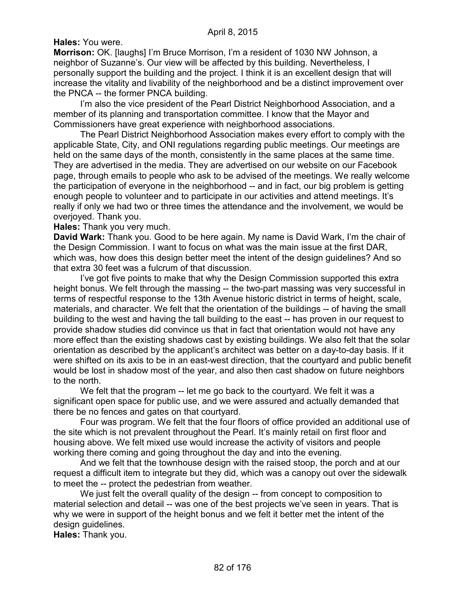# **Hales:** You were.

**Morrison:** OK. [laughs] I'm Bruce Morrison, I'm a resident of 1030 NW Johnson, a neighbor of Suzanne's. Our view will be affected by this building. Nevertheless, I personally support the building and the project. I think it is an excellent design that will increase the vitality and livability of the neighborhood and be a distinct improvement over the PNCA -- the former PNCA building.

I'm also the vice president of the Pearl District Neighborhood Association, and a member of its planning and transportation committee. I know that the Mayor and Commissioners have great experience with neighborhood associations.

The Pearl District Neighborhood Association makes every effort to comply with the applicable State, City, and ONI regulations regarding public meetings. Our meetings are held on the same days of the month, consistently in the same places at the same time. They are advertised in the media. They are advertised on our website on our Facebook page, through emails to people who ask to be advised of the meetings. We really welcome the participation of everyone in the neighborhood -- and in fact, our big problem is getting enough people to volunteer and to participate in our activities and attend meetings. It's really if only we had two or three times the attendance and the involvement, we would be overjoyed. Thank you.

**Hales:** Thank you very much.

**David Wark:** Thank you. Good to be here again. My name is David Wark, I'm the chair of the Design Commission. I want to focus on what was the main issue at the first DAR, which was, how does this design better meet the intent of the design guidelines? And so that extra 30 feet was a fulcrum of that discussion.

I've got five points to make that why the Design Commission supported this extra height bonus. We felt through the massing -- the two-part massing was very successful in terms of respectful response to the 13th Avenue historic district in terms of height, scale, materials, and character. We felt that the orientation of the buildings -- of having the small building to the west and having the tall building to the east -- has proven in our request to provide shadow studies did convince us that in fact that orientation would not have any more effect than the existing shadows cast by existing buildings. We also felt that the solar orientation as described by the applicant's architect was better on a day-to-day basis. If it were shifted on its axis to be in an east-west direction, that the courtyard and public benefit would be lost in shadow most of the year, and also then cast shadow on future neighbors to the north.

We felt that the program -- let me go back to the courtyard. We felt it was a significant open space for public use, and we were assured and actually demanded that there be no fences and gates on that courtyard.

Four was program. We felt that the four floors of office provided an additional use of the site which is not prevalent throughout the Pearl. It's mainly retail on first floor and housing above. We felt mixed use would increase the activity of visitors and people working there coming and going throughout the day and into the evening.

And we felt that the townhouse design with the raised stoop, the porch and at our request a difficult item to integrate but they did, which was a canopy out over the sidewalk to meet the -- protect the pedestrian from weather.

We just felt the overall quality of the design -- from concept to composition to material selection and detail -- was one of the best projects we've seen in years. That is why we were in support of the height bonus and we felt it better met the intent of the design guidelines.

**Hales:** Thank you.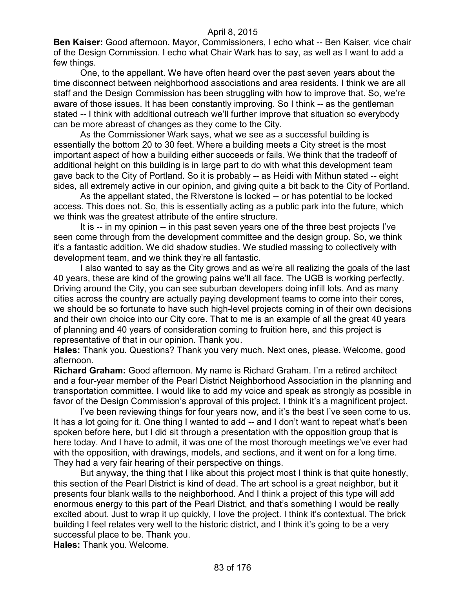**Ben Kaiser:** Good afternoon. Mayor, Commissioners, I echo what -- Ben Kaiser, vice chair of the Design Commission. I echo what Chair Wark has to say, as well as I want to add a few things.

One, to the appellant. We have often heard over the past seven years about the time disconnect between neighborhood associations and area residents. I think we are all staff and the Design Commission has been struggling with how to improve that. So, we're aware of those issues. It has been constantly improving. So I think -- as the gentleman stated -- I think with additional outreach we'll further improve that situation so everybody can be more abreast of changes as they come to the City.

As the Commissioner Wark says, what we see as a successful building is essentially the bottom 20 to 30 feet. Where a building meets a City street is the most important aspect of how a building either succeeds or fails. We think that the tradeoff of additional height on this building is in large part to do with what this development team gave back to the City of Portland. So it is probably -- as Heidi with Mithun stated -- eight sides, all extremely active in our opinion, and giving quite a bit back to the City of Portland.

As the appellant stated, the Riverstone is locked -- or has potential to be locked access. This does not. So, this is essentially acting as a public park into the future, which we think was the greatest attribute of the entire structure.

It is -- in my opinion -- in this past seven years one of the three best projects I've seen come through from the development committee and the design group. So, we think it's a fantastic addition. We did shadow studies. We studied massing to collectively with development team, and we think they're all fantastic.

I also wanted to say as the City grows and as we're all realizing the goals of the last 40 years, these are kind of the growing pains we'll all face. The UGB is working perfectly. Driving around the City, you can see suburban developers doing infill lots. And as many cities across the country are actually paying development teams to come into their cores, we should be so fortunate to have such high-level projects coming in of their own decisions and their own choice into our City core. That to me is an example of all the great 40 years of planning and 40 years of consideration coming to fruition here, and this project is representative of that in our opinion. Thank you.

**Hales:** Thank you. Questions? Thank you very much. Next ones, please. Welcome, good afternoon.

**Richard Graham:** Good afternoon. My name is Richard Graham. I'm a retired architect and a four-year member of the Pearl District Neighborhood Association in the planning and transportation committee. I would like to add my voice and speak as strongly as possible in favor of the Design Commission's approval of this project. I think it's a magnificent project.

I've been reviewing things for four years now, and it's the best I've seen come to us. It has a lot going for it. One thing I wanted to add -- and I don't want to repeat what's been spoken before here, but I did sit through a presentation with the opposition group that is here today. And I have to admit, it was one of the most thorough meetings we've ever had with the opposition, with drawings, models, and sections, and it went on for a long time. They had a very fair hearing of their perspective on things.

But anyway, the thing that I like about this project most I think is that quite honestly, this section of the Pearl District is kind of dead. The art school is a great neighbor, but it presents four blank walls to the neighborhood. And I think a project of this type will add enormous energy to this part of the Pearl District, and that's something I would be really excited about. Just to wrap it up quickly, I love the project. I think it's contextual. The brick building I feel relates very well to the historic district, and I think it's going to be a very successful place to be. Thank you.

**Hales:** Thank you. Welcome.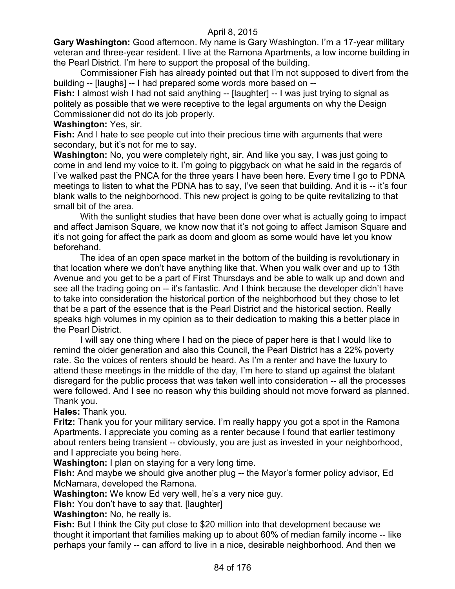**Gary Washington:** Good afternoon. My name is Gary Washington. I'm a 17-year military veteran and three-year resident. I live at the Ramona Apartments, a low income building in the Pearl District. I'm here to support the proposal of the building.

Commissioner Fish has already pointed out that I'm not supposed to divert from the building -- [laughs] -- I had prepared some words more based on --

**Fish:** I almost wish I had not said anything -- [laughter] -- I was just trying to signal as politely as possible that we were receptive to the legal arguments on why the Design Commissioner did not do its job properly.

#### **Washington:** Yes, sir.

**Fish:** And I hate to see people cut into their precious time with arguments that were secondary, but it's not for me to say.

**Washington:** No, you were completely right, sir. And like you say, I was just going to come in and lend my voice to it. I'm going to piggyback on what he said in the regards of I've walked past the PNCA for the three years I have been here. Every time I go to PDNA meetings to listen to what the PDNA has to say, I've seen that building. And it is -- it's four blank walls to the neighborhood. This new project is going to be quite revitalizing to that small bit of the area.

With the sunlight studies that have been done over what is actually going to impact and affect Jamison Square, we know now that it's not going to affect Jamison Square and it's not going for affect the park as doom and gloom as some would have let you know beforehand.

The idea of an open space market in the bottom of the building is revolutionary in that location where we don't have anything like that. When you walk over and up to 13th Avenue and you get to be a part of First Thursdays and be able to walk up and down and see all the trading going on -- it's fantastic. And I think because the developer didn't have to take into consideration the historical portion of the neighborhood but they chose to let that be a part of the essence that is the Pearl District and the historical section. Really speaks high volumes in my opinion as to their dedication to making this a better place in the Pearl District.

I will say one thing where I had on the piece of paper here is that I would like to remind the older generation and also this Council, the Pearl District has a 22% poverty rate. So the voices of renters should be heard. As I'm a renter and have the luxury to attend these meetings in the middle of the day, I'm here to stand up against the blatant disregard for the public process that was taken well into consideration -- all the processes were followed. And I see no reason why this building should not move forward as planned. Thank you.

**Hales:** Thank you.

**Fritz:** Thank you for your military service. I'm really happy you got a spot in the Ramona Apartments. I appreciate you coming as a renter because I found that earlier testimony about renters being transient -- obviously, you are just as invested in your neighborhood, and I appreciate you being here.

**Washington:** I plan on staying for a very long time.

**Fish:** And maybe we should give another plug -- the Mayor's former policy advisor, Ed McNamara, developed the Ramona.

**Washington:** We know Ed very well, he's a very nice guy.

**Fish:** You don't have to say that. [laughter]

**Washington:** No, he really is.

**Fish:** But I think the City put close to \$20 million into that development because we thought it important that families making up to about 60% of median family income -- like perhaps your family -- can afford to live in a nice, desirable neighborhood. And then we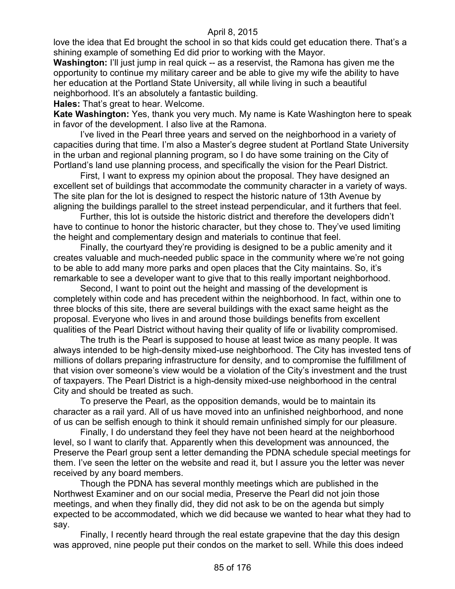love the idea that Ed brought the school in so that kids could get education there. That's a shining example of something Ed did prior to working with the Mayor.

**Washington:** I'll just jump in real quick -- as a reservist, the Ramona has given me the opportunity to continue my military career and be able to give my wife the ability to have her education at the Portland State University, all while living in such a beautiful neighborhood. It's an absolutely a fantastic building.

**Hales:** That's great to hear. Welcome.

**Kate Washington:** Yes, thank you very much. My name is Kate Washington here to speak in favor of the development. I also live at the Ramona.

I've lived in the Pearl three years and served on the neighborhood in a variety of capacities during that time. I'm also a Master's degree student at Portland State University in the urban and regional planning program, so I do have some training on the City of Portland's land use planning process, and specifically the vision for the Pearl District.

First, I want to express my opinion about the proposal. They have designed an excellent set of buildings that accommodate the community character in a variety of ways. The site plan for the lot is designed to respect the historic nature of 13th Avenue by aligning the buildings parallel to the street instead perpendicular, and it furthers that feel.

Further, this lot is outside the historic district and therefore the developers didn't have to continue to honor the historic character, but they chose to. They've used limiting the height and complementary design and materials to continue that feel.

Finally, the courtyard they're providing is designed to be a public amenity and it creates valuable and much-needed public space in the community where we're not going to be able to add many more parks and open places that the City maintains. So, it's remarkable to see a developer want to give that to this really important neighborhood.

Second, I want to point out the height and massing of the development is completely within code and has precedent within the neighborhood. In fact, within one to three blocks of this site, there are several buildings with the exact same height as the proposal. Everyone who lives in and around those buildings benefits from excellent qualities of the Pearl District without having their quality of life or livability compromised.

The truth is the Pearl is supposed to house at least twice as many people. It was always intended to be high-density mixed-use neighborhood. The City has invested tens of millions of dollars preparing infrastructure for density, and to compromise the fulfillment of that vision over someone's view would be a violation of the City's investment and the trust of taxpayers. The Pearl District is a high-density mixed-use neighborhood in the central City and should be treated as such.

To preserve the Pearl, as the opposition demands, would be to maintain its character as a rail yard. All of us have moved into an unfinished neighborhood, and none of us can be selfish enough to think it should remain unfinished simply for our pleasure.

Finally, I do understand they feel they have not been heard at the neighborhood level, so I want to clarify that. Apparently when this development was announced, the Preserve the Pearl group sent a letter demanding the PDNA schedule special meetings for them. I've seen the letter on the website and read it, but I assure you the letter was never received by any board members.

Though the PDNA has several monthly meetings which are published in the Northwest Examiner and on our social media, Preserve the Pearl did not join those meetings, and when they finally did, they did not ask to be on the agenda but simply expected to be accommodated, which we did because we wanted to hear what they had to say.

Finally, I recently heard through the real estate grapevine that the day this design was approved, nine people put their condos on the market to sell. While this does indeed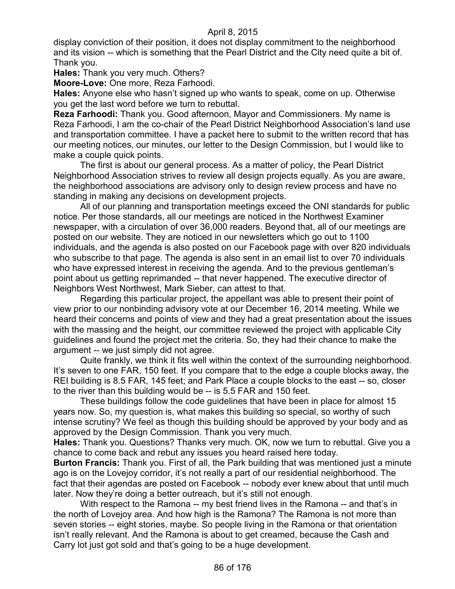display conviction of their position, it does not display commitment to the neighborhood and its vision -- which is something that the Pearl District and the City need quite a bit of. Thank you.

**Hales:** Thank you very much. Others?

**Moore-Love:** One more, Reza Farhoodi.

**Hales:** Anyone else who hasn't signed up who wants to speak, come on up. Otherwise you get the last word before we turn to rebuttal.

**Reza Farhoodi:** Thank you. Good afternoon, Mayor and Commissioners. My name is Reza Farhoodi, I am the co-chair of the Pearl District Neighborhood Association's land use and transportation committee. I have a packet here to submit to the written record that has our meeting notices, our minutes, our letter to the Design Commission, but I would like to make a couple quick points.

The first is about our general process. As a matter of policy, the Pearl District Neighborhood Association strives to review all design projects equally. As you are aware, the neighborhood associations are advisory only to design review process and have no standing in making any decisions on development projects.

All of our planning and transportation meetings exceed the ONI standards for public notice. Per those standards, all our meetings are noticed in the Northwest Examiner newspaper, with a circulation of over 36,000 readers. Beyond that, all of our meetings are posted on our website. They are noticed in our newsletters which go out to 1100 individuals, and the agenda is also posted on our Facebook page with over 820 individuals who subscribe to that page. The agenda is also sent in an email list to over 70 individuals who have expressed interest in receiving the agenda. And to the previous gentleman's point about us getting reprimanded -- that never happened. The executive director of Neighbors West Northwest, Mark Sieber, can attest to that.

Regarding this particular project, the appellant was able to present their point of view prior to our nonbinding advisory vote at our December 16, 2014 meeting. While we heard their concerns and points of view and they had a great presentation about the issues with the massing and the height, our committee reviewed the project with applicable City guidelines and found the project met the criteria. So, they had their chance to make the argument -- we just simply did not agree.

Quite frankly, we think it fits well within the context of the surrounding neighborhood. It's seven to one FAR, 150 feet. If you compare that to the edge a couple blocks away, the REI building is 8.5 FAR, 145 feet; and Park Place a couple blocks to the east -- so, closer to the river than this building would be -- is 5.5 FAR and 150 feet.

These buildings follow the code guidelines that have been in place for almost 15 years now. So, my question is, what makes this building so special, so worthy of such intense scrutiny? We feel as though this building should be approved by your body and as approved by the Design Commission. Thank you very much.

**Hales:** Thank you. Questions? Thanks very much. OK, now we turn to rebuttal. Give you a chance to come back and rebut any issues you heard raised here today.

**Burton Francis:** Thank you. First of all, the Park building that was mentioned just a minute ago is on the Lovejoy corridor, it's not really a part of our residential neighborhood. The fact that their agendas are posted on Facebook -- nobody ever knew about that until much later. Now they're doing a better outreach, but it's still not enough.

With respect to the Ramona -- my best friend lives in the Ramona -- and that's in the north of Lovejoy area. And how high is the Ramona? The Ramona is not more than seven stories -- eight stories, maybe. So people living in the Ramona or that orientation isn't really relevant. And the Ramona is about to get creamed, because the Cash and Carry lot just got sold and that's going to be a huge development.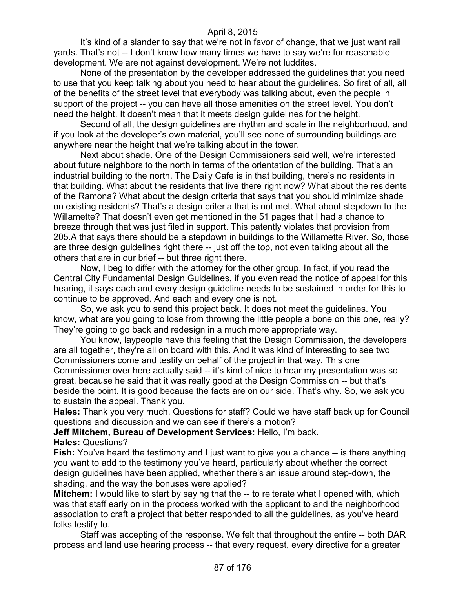It's kind of a slander to say that we're not in favor of change, that we just want rail yards. That's not -- I don't know how many times we have to say we're for reasonable development. We are not against development. We're not luddites.

None of the presentation by the developer addressed the guidelines that you need to use that you keep talking about you need to hear about the guidelines. So first of all, all of the benefits of the street level that everybody was talking about, even the people in support of the project -- you can have all those amenities on the street level. You don't need the height. It doesn't mean that it meets design guidelines for the height.

Second of all, the design guidelines are rhythm and scale in the neighborhood, and if you look at the developer's own material, you'll see none of surrounding buildings are anywhere near the height that we're talking about in the tower.

Next about shade. One of the Design Commissioners said well, we're interested about future neighbors to the north in terms of the orientation of the building. That's an industrial building to the north. The Daily Cafe is in that building, there's no residents in that building. What about the residents that live there right now? What about the residents of the Ramona? What about the design criteria that says that you should minimize shade on existing residents? That's a design criteria that is not met. What about stepdown to the Willamette? That doesn't even get mentioned in the 51 pages that I had a chance to breeze through that was just filed in support. This patently violates that provision from 205.A that says there should be a stepdown in buildings to the Willamette River. So, those are three design guidelines right there -- just off the top, not even talking about all the others that are in our brief -- but three right there.

Now, I beg to differ with the attorney for the other group. In fact, if you read the Central City Fundamental Design Guidelines, if you even read the notice of appeal for this hearing, it says each and every design guideline needs to be sustained in order for this to continue to be approved. And each and every one is not.

So, we ask you to send this project back. It does not meet the guidelines. You know, what are you going to lose from throwing the little people a bone on this one, really? They're going to go back and redesign in a much more appropriate way.

You know, laypeople have this feeling that the Design Commission, the developers are all together, they're all on board with this. And it was kind of interesting to see two Commissioners come and testify on behalf of the project in that way. This one Commissioner over here actually said -- it's kind of nice to hear my presentation was so great, because he said that it was really good at the Design Commission -- but that's beside the point. It is good because the facts are on our side. That's why. So, we ask you to sustain the appeal. Thank you.

**Hales:** Thank you very much. Questions for staff? Could we have staff back up for Council questions and discussion and we can see if there's a motion?

**Jeff Mitchem, Bureau of Development Services:** Hello, I'm back.

#### **Hales:** Questions?

**Fish:** You've heard the testimony and I just want to give you a chance -- is there anything you want to add to the testimony you've heard, particularly about whether the correct design guidelines have been applied, whether there's an issue around step-down, the shading, and the way the bonuses were applied?

**Mitchem:** I would like to start by saying that the -- to reiterate what I opened with, which was that staff early on in the process worked with the applicant to and the neighborhood association to craft a project that better responded to all the guidelines, as you've heard folks testify to.

Staff was accepting of the response. We felt that throughout the entire -- both DAR process and land use hearing process -- that every request, every directive for a greater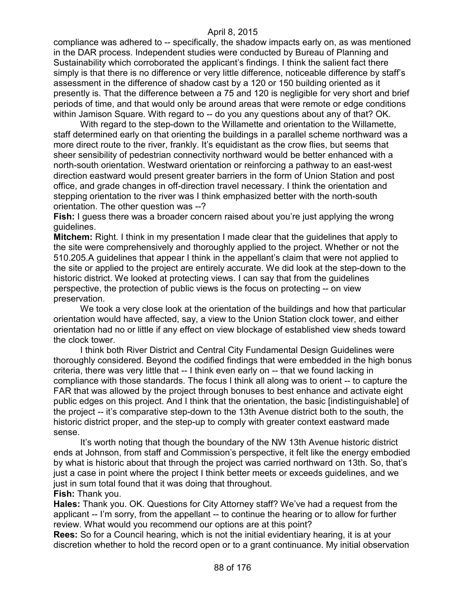compliance was adhered to -- specifically, the shadow impacts early on, as was mentioned in the DAR process. Independent studies were conducted by Bureau of Planning and Sustainability which corroborated the applicant's findings. I think the salient fact there simply is that there is no difference or very little difference, noticeable difference by staff's assessment in the difference of shadow cast by a 120 or 150 building oriented as it presently is. That the difference between a 75 and 120 is negligible for very short and brief periods of time, and that would only be around areas that were remote or edge conditions within Jamison Square. With regard to -- do you any questions about any of that? OK.

With regard to the step-down to the Willamette and orientation to the Willamette, staff determined early on that orienting the buildings in a parallel scheme northward was a more direct route to the river, frankly. It's equidistant as the crow flies, but seems that sheer sensibility of pedestrian connectivity northward would be better enhanced with a north-south orientation. Westward orientation or reinforcing a pathway to an east-west direction eastward would present greater barriers in the form of Union Station and post office, and grade changes in off-direction travel necessary. I think the orientation and stepping orientation to the river was I think emphasized better with the north-south orientation. The other question was --?

**Fish:** I guess there was a broader concern raised about you're just applying the wrong guidelines.

**Mitchem:** Right. I think in my presentation I made clear that the guidelines that apply to the site were comprehensively and thoroughly applied to the project. Whether or not the 510.205.A guidelines that appear I think in the appellant's claim that were not applied to the site or applied to the project are entirely accurate. We did look at the step-down to the historic district. We looked at protecting views. I can say that from the guidelines perspective, the protection of public views is the focus on protecting -- on view preservation.

We took a very close look at the orientation of the buildings and how that particular orientation would have affected, say, a view to the Union Station clock tower, and either orientation had no or little if any effect on view blockage of established view sheds toward the clock tower.

I think both River District and Central City Fundamental Design Guidelines were thoroughly considered. Beyond the codified findings that were embedded in the high bonus criteria, there was very little that -- I think even early on -- that we found lacking in compliance with those standards. The focus I think all along was to orient -- to capture the FAR that was allowed by the project through bonuses to best enhance and activate eight public edges on this project. And I think that the orientation, the basic [indistinguishable] of the project -- it's comparative step-down to the 13th Avenue district both to the south, the historic district proper, and the step-up to comply with greater context eastward made sense.

It's worth noting that though the boundary of the NW 13th Avenue historic district ends at Johnson, from staff and Commission's perspective, it felt like the energy embodied by what is historic about that through the project was carried northward on 13th. So, that's just a case in point where the project I think better meets or exceeds guidelines, and we just in sum total found that it was doing that throughout. **Fish:** Thank you.

**Hales:** Thank you. OK. Questions for City Attorney staff? We've had a request from the applicant -- I'm sorry, from the appellant -- to continue the hearing or to allow for further review. What would you recommend our options are at this point?

**Rees:** So for a Council hearing, which is not the initial evidentiary hearing, it is at your discretion whether to hold the record open or to a grant continuance. My initial observation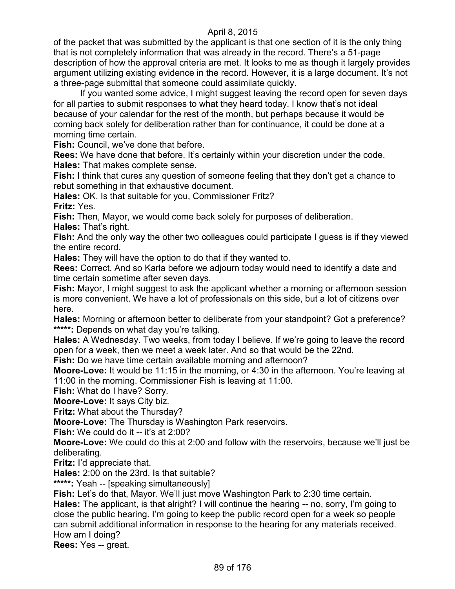of the packet that was submitted by the applicant is that one section of it is the only thing that is not completely information that was already in the record. There's a 51-page description of how the approval criteria are met. It looks to me as though it largely provides argument utilizing existing evidence in the record. However, it is a large document. It's not a three-page submittal that someone could assimilate quickly.

If you wanted some advice, I might suggest leaving the record open for seven days for all parties to submit responses to what they heard today. I know that's not ideal because of your calendar for the rest of the month, but perhaps because it would be coming back solely for deliberation rather than for continuance, it could be done at a morning time certain.

**Fish:** Council, we've done that before.

**Rees:** We have done that before. It's certainly within your discretion under the code. **Hales:** That makes complete sense.

**Fish:** I think that cures any question of someone feeling that they don't get a chance to rebut something in that exhaustive document.

**Hales:** OK. Is that suitable for you, Commissioner Fritz?

**Fritz:** Yes.

**Fish:** Then, Mayor, we would come back solely for purposes of deliberation.

**Hales:** That's right.

**Fish:** And the only way the other two colleagues could participate I guess is if they viewed the entire record.

**Hales:** They will have the option to do that if they wanted to.

**Rees:** Correct. And so Karla before we adjourn today would need to identify a date and time certain sometime after seven days.

**Fish:** Mayor, I might suggest to ask the applicant whether a morning or afternoon session is more convenient. We have a lot of professionals on this side, but a lot of citizens over here.

**Hales:** Morning or afternoon better to deliberate from your standpoint? Got a preference? **\*\*\*\*\*:** Depends on what day you're talking.

**Hales:** A Wednesday. Two weeks, from today I believe. If we're going to leave the record open for a week, then we meet a week later. And so that would be the 22nd.

**Fish:** Do we have time certain available morning and afternoon?

**Moore-Love:** It would be 11:15 in the morning, or 4:30 in the afternoon. You're leaving at 11:00 in the morning. Commissioner Fish is leaving at 11:00.

**Fish:** What do I have? Sorry.

**Moore-Love:** It says City biz.

**Fritz:** What about the Thursday?

**Moore-Love:** The Thursday is Washington Park reservoirs.

**Fish:** We could do it -- it's at 2:00?

**Moore-Love:** We could do this at 2:00 and follow with the reservoirs, because we'll just be deliberating.

**Fritz:** I'd appreciate that.

**Hales:** 2:00 on the 23rd. Is that suitable?

**\*\*\*\*\*:** Yeah -- [speaking simultaneously]

**Fish:** Let's do that, Mayor. We'll just move Washington Park to 2:30 time certain.

**Hales:** The applicant, is that alright? I will continue the hearing -- no, sorry, I'm going to close the public hearing. I'm going to keep the public record open for a week so people can submit additional information in response to the hearing for any materials received. How am I doing?

**Rees:** Yes -- great.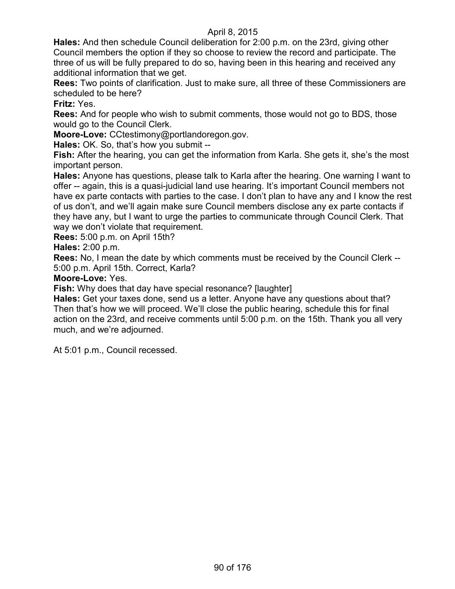**Hales:** And then schedule Council deliberation for 2:00 p.m. on the 23rd, giving other Council members the option if they so choose to review the record and participate. The three of us will be fully prepared to do so, having been in this hearing and received any additional information that we get.

**Rees:** Two points of clarification. Just to make sure, all three of these Commissioners are scheduled to be here?

**Fritz:** Yes.

**Rees:** And for people who wish to submit comments, those would not go to BDS, those would go to the Council Clerk.

**Moore-Love:** CCtestimony@portlandoregon.gov.

**Hales:** OK. So, that's how you submit --

**Fish:** After the hearing, you can get the information from Karla. She gets it, she's the most important person.

**Hales:** Anyone has questions, please talk to Karla after the hearing. One warning I want to offer -- again, this is a quasi-judicial land use hearing. It's important Council members not have ex parte contacts with parties to the case. I don't plan to have any and I know the rest of us don't, and we'll again make sure Council members disclose any ex parte contacts if they have any, but I want to urge the parties to communicate through Council Clerk. That way we don't violate that requirement.

**Rees:** 5:00 p.m. on April 15th?

**Hales:** 2:00 p.m.

**Rees:** No, I mean the date by which comments must be received by the Council Clerk -- 5:00 p.m. April 15th. Correct, Karla?

**Moore-Love:** Yes.

**Fish:** Why does that day have special resonance? [laughter]

**Hales:** Get your taxes done, send us a letter. Anyone have any questions about that? Then that's how we will proceed. We'll close the public hearing, schedule this for final action on the 23rd, and receive comments until 5:00 p.m. on the 15th. Thank you all very much, and we're adjourned.

At 5:01 p.m., Council recessed.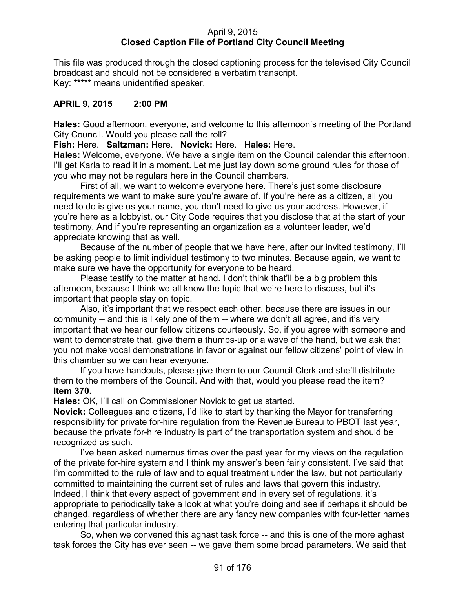# April 9, 2015 **Closed Caption File of Portland City Council Meeting**

This file was produced through the closed captioning process for the televised City Council broadcast and should not be considered a verbatim transcript. Key: **\*\*\*\*\*** means unidentified speaker.

# **APRIL 9, 2015 2:00 PM**

**Hales:** Good afternoon, everyone, and welcome to this afternoon's meeting of the Portland City Council. Would you please call the roll?

**Fish:** Here. **Saltzman:** Here. **Novick:** Here. **Hales:** Here.

**Hales:** Welcome, everyone. We have a single item on the Council calendar this afternoon. I'll get Karla to read it in a moment. Let me just lay down some ground rules for those of you who may not be regulars here in the Council chambers.

First of all, we want to welcome everyone here. There's just some disclosure requirements we want to make sure you're aware of. If you're here as a citizen, all you need to do is give us your name, you don't need to give us your address. However, if you're here as a lobbyist, our City Code requires that you disclose that at the start of your testimony. And if you're representing an organization as a volunteer leader, we'd appreciate knowing that as well.

Because of the number of people that we have here, after our invited testimony, I'll be asking people to limit individual testimony to two minutes. Because again, we want to make sure we have the opportunity for everyone to be heard.

Please testify to the matter at hand. I don't think that'll be a big problem this afternoon, because I think we all know the topic that we're here to discuss, but it's important that people stay on topic.

Also, it's important that we respect each other, because there are issues in our community -- and this is likely one of them -- where we don't all agree, and it's very important that we hear our fellow citizens courteously. So, if you agree with someone and want to demonstrate that, give them a thumbs-up or a wave of the hand, but we ask that you not make vocal demonstrations in favor or against our fellow citizens' point of view in this chamber so we can hear everyone.

If you have handouts, please give them to our Council Clerk and she'll distribute them to the members of the Council. And with that, would you please read the item? **Item 370.**

**Hales:** OK, I'll call on Commissioner Novick to get us started.

**Novick:** Colleagues and citizens, I'd like to start by thanking the Mayor for transferring responsibility for private for-hire regulation from the Revenue Bureau to PBOT last year, because the private for-hire industry is part of the transportation system and should be recognized as such.

I've been asked numerous times over the past year for my views on the regulation of the private for-hire system and I think my answer's been fairly consistent. I've said that I'm committed to the rule of law and to equal treatment under the law, but not particularly committed to maintaining the current set of rules and laws that govern this industry. Indeed, I think that every aspect of government and in every set of regulations, it's appropriate to periodically take a look at what you're doing and see if perhaps it should be changed, regardless of whether there are any fancy new companies with four-letter names entering that particular industry.

So, when we convened this aghast task force -- and this is one of the more aghast task forces the City has ever seen -- we gave them some broad parameters. We said that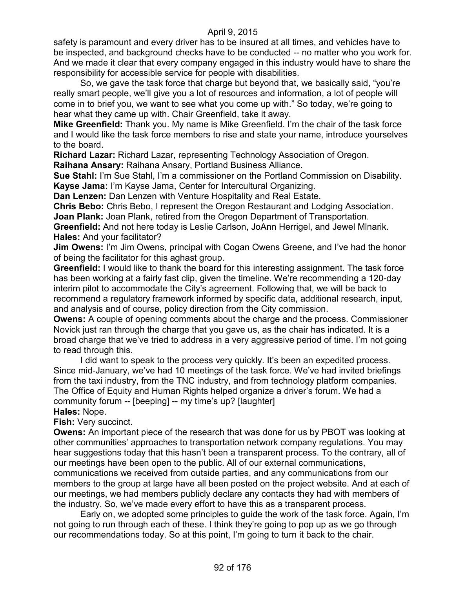safety is paramount and every driver has to be insured at all times, and vehicles have to be inspected, and background checks have to be conducted -- no matter who you work for. And we made it clear that every company engaged in this industry would have to share the responsibility for accessible service for people with disabilities.

So, we gave the task force that charge but beyond that, we basically said, "you're really smart people, we'll give you a lot of resources and information, a lot of people will come in to brief you, we want to see what you come up with." So today, we're going to hear what they came up with. Chair Greenfield, take it away.

**Mike Greenfield:** Thank you. My name is Mike Greenfield. I'm the chair of the task force and I would like the task force members to rise and state your name, introduce yourselves to the board.

**Richard Lazar:** Richard Lazar, representing Technology Association of Oregon. **Raihana Ansary:** Raihana Ansary, Portland Business Alliance.

**Sue Stahl:** I'm Sue Stahl, I'm a commissioner on the Portland Commission on Disability. **Kayse Jama:** I'm Kayse Jama, Center for Intercultural Organizing.

**Dan Lenzen:** Dan Lenzen with Venture Hospitality and Real Estate.

**Chris Bebo:** Chris Bebo, I represent the Oregon Restaurant and Lodging Association. **Joan Plank:** Joan Plank, retired from the Oregon Department of Transportation.

**Greenfield:** And not here today is Leslie Carlson, JoAnn Herrigel, and Jewel Mlnarik. **Hales:** And your facilitator?

**Jim Owens:** I'm Jim Owens, principal with Cogan Owens Greene, and I've had the honor of being the facilitator for this aghast group.

**Greenfield:** I would like to thank the board for this interesting assignment. The task force has been working at a fairly fast clip, given the timeline. We're recommending a 120-day interim pilot to accommodate the City's agreement. Following that, we will be back to recommend a regulatory framework informed by specific data, additional research, input, and analysis and of course, policy direction from the City commission.

**Owens:** A couple of opening comments about the charge and the process. Commissioner Novick just ran through the charge that you gave us, as the chair has indicated. It is a broad charge that we've tried to address in a very aggressive period of time. I'm not going to read through this.

I did want to speak to the process very quickly. It's been an expedited process. Since mid-January, we've had 10 meetings of the task force. We've had invited briefings from the taxi industry, from the TNC industry, and from technology platform companies. The Office of Equity and Human Rights helped organize a driver's forum. We had a community forum -- [beeping] -- my time's up? [laughter]

### **Hales:** Nope.

**Fish:** Very succinct.

**Owens:** An important piece of the research that was done for us by PBOT was looking at other communities' approaches to transportation network company regulations. You may hear suggestions today that this hasn't been a transparent process. To the contrary, all of our meetings have been open to the public. All of our external communications, communications we received from outside parties, and any communications from our members to the group at large have all been posted on the project website. And at each of our meetings, we had members publicly declare any contacts they had with members of the industry. So, we've made every effort to have this as a transparent process.

Early on, we adopted some principles to guide the work of the task force. Again, I'm not going to run through each of these. I think they're going to pop up as we go through our recommendations today. So at this point, I'm going to turn it back to the chair.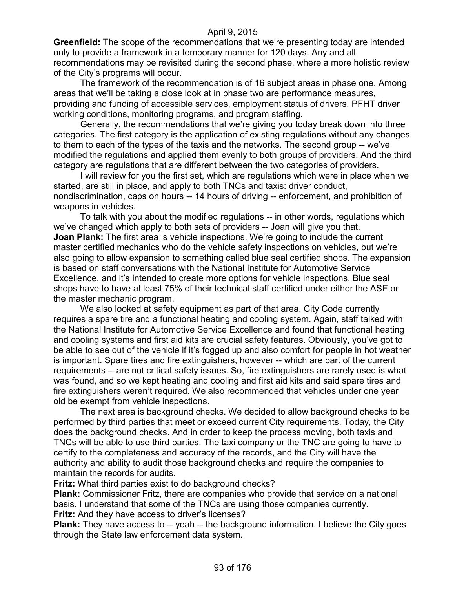**Greenfield:** The scope of the recommendations that we're presenting today are intended only to provide a framework in a temporary manner for 120 days. Any and all recommendations may be revisited during the second phase, where a more holistic review of the City's programs will occur.

The framework of the recommendation is of 16 subject areas in phase one. Among areas that we'll be taking a close look at in phase two are performance measures, providing and funding of accessible services, employment status of drivers, PFHT driver working conditions, monitoring programs, and program staffing.

Generally, the recommendations that we're giving you today break down into three categories. The first category is the application of existing regulations without any changes to them to each of the types of the taxis and the networks. The second group -- we've modified the regulations and applied them evenly to both groups of providers. And the third category are regulations that are different between the two categories of providers.

I will review for you the first set, which are regulations which were in place when we started, are still in place, and apply to both TNCs and taxis: driver conduct, nondiscrimination, caps on hours -- 14 hours of driving -- enforcement, and prohibition of weapons in vehicles.

To talk with you about the modified regulations -- in other words, regulations which we've changed which apply to both sets of providers -- Joan will give you that. **Joan Plank:** The first area is vehicle inspections. We're going to include the current master certified mechanics who do the vehicle safety inspections on vehicles, but we're also going to allow expansion to something called blue seal certified shops. The expansion is based on staff conversations with the National Institute for Automotive Service Excellence, and it's intended to create more options for vehicle inspections. Blue seal shops have to have at least 75% of their technical staff certified under either the ASE or the master mechanic program.

We also looked at safety equipment as part of that area. City Code currently requires a spare tire and a functional heating and cooling system. Again, staff talked with the National Institute for Automotive Service Excellence and found that functional heating and cooling systems and first aid kits are crucial safety features. Obviously, you've got to be able to see out of the vehicle if it's fogged up and also comfort for people in hot weather is important. Spare tires and fire extinguishers, however -- which are part of the current requirements -- are not critical safety issues. So, fire extinguishers are rarely used is what was found, and so we kept heating and cooling and first aid kits and said spare tires and fire extinguishers weren't required. We also recommended that vehicles under one year old be exempt from vehicle inspections.

The next area is background checks. We decided to allow background checks to be performed by third parties that meet or exceed current City requirements. Today, the City does the background checks. And in order to keep the process moving, both taxis and TNCs will be able to use third parties. The taxi company or the TNC are going to have to certify to the completeness and accuracy of the records, and the City will have the authority and ability to audit those background checks and require the companies to maintain the records for audits.

**Fritz:** What third parties exist to do background checks?

**Plank:** Commissioner Fritz, there are companies who provide that service on a national basis. I understand that some of the TNCs are using those companies currently. **Fritz:** And they have access to driver's licenses?

**Plank:** They have access to -- yeah -- the background information. I believe the City goes through the State law enforcement data system.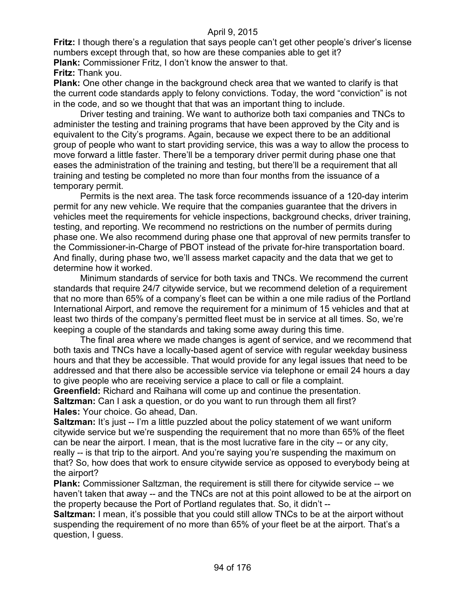**Fritz:** I though there's a regulation that says people can't get other people's driver's license numbers except through that, so how are these companies able to get it? **Plank:** Commissioner Fritz, I don't know the answer to that.

# **Fritz:** Thank you.

**Plank:** One other change in the background check area that we wanted to clarify is that the current code standards apply to felony convictions. Today, the word "conviction" is not in the code, and so we thought that that was an important thing to include.

Driver testing and training. We want to authorize both taxi companies and TNCs to administer the testing and training programs that have been approved by the City and is equivalent to the City's programs. Again, because we expect there to be an additional group of people who want to start providing service, this was a way to allow the process to move forward a little faster. There'll be a temporary driver permit during phase one that eases the administration of the training and testing, but there'll be a requirement that all training and testing be completed no more than four months from the issuance of a temporary permit.

Permits is the next area. The task force recommends issuance of a 120-day interim permit for any new vehicle. We require that the companies guarantee that the drivers in vehicles meet the requirements for vehicle inspections, background checks, driver training, testing, and reporting. We recommend no restrictions on the number of permits during phase one. We also recommend during phase one that approval of new permits transfer to the Commissioner-in-Charge of PBOT instead of the private for-hire transportation board. And finally, during phase two, we'll assess market capacity and the data that we get to determine how it worked.

Minimum standards of service for both taxis and TNCs. We recommend the current standards that require 24/7 citywide service, but we recommend deletion of a requirement that no more than 65% of a company's fleet can be within a one mile radius of the Portland International Airport, and remove the requirement for a minimum of 15 vehicles and that at least two thirds of the company's permitted fleet must be in service at all times. So, we're keeping a couple of the standards and taking some away during this time.

The final area where we made changes is agent of service, and we recommend that both taxis and TNCs have a locally-based agent of service with regular weekday business hours and that they be accessible. That would provide for any legal issues that need to be addressed and that there also be accessible service via telephone or email 24 hours a day to give people who are receiving service a place to call or file a complaint.

**Greenfield:** Richard and Raihana will come up and continue the presentation. **Saltzman:** Can I ask a question, or do you want to run through them all first?

**Hales:** Your choice. Go ahead, Dan.

**Saltzman:** It's just -- I'm a little puzzled about the policy statement of we want uniform citywide service but we're suspending the requirement that no more than 65% of the fleet can be near the airport. I mean, that is the most lucrative fare in the city -- or any city, really -- is that trip to the airport. And you're saying you're suspending the maximum on that? So, how does that work to ensure citywide service as opposed to everybody being at the airport?

**Plank:** Commissioner Saltzman, the requirement is still there for citywide service -- we haven't taken that away -- and the TNCs are not at this point allowed to be at the airport on the property because the Port of Portland regulates that. So, it didn't --

**Saltzman:** I mean, it's possible that you could still allow TNCs to be at the airport without suspending the requirement of no more than 65% of your fleet be at the airport. That's a question, I guess.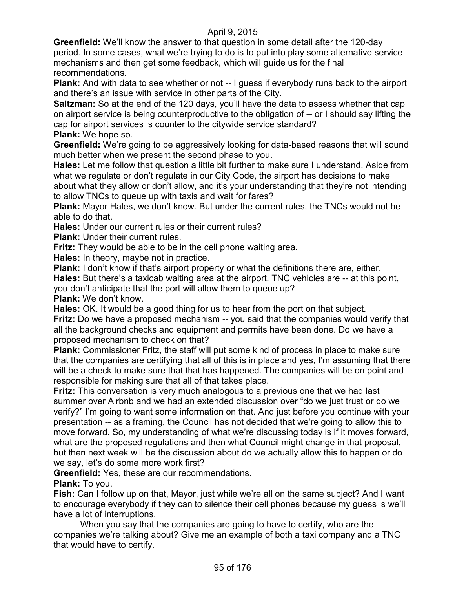**Greenfield:** We'll know the answer to that question in some detail after the 120-day period. In some cases, what we're trying to do is to put into play some alternative service mechanisms and then get some feedback, which will guide us for the final recommendations.

**Plank:** And with data to see whether or not -- I guess if everybody runs back to the airport and there's an issue with service in other parts of the City.

**Saltzman:** So at the end of the 120 days, you'll have the data to assess whether that cap on airport service is being counterproductive to the obligation of -- or I should say lifting the cap for airport services is counter to the citywide service standard? **Plank:** We hope so.

**Greenfield:** We're going to be aggressively looking for data-based reasons that will sound much better when we present the second phase to you.

**Hales:** Let me follow that question a little bit further to make sure I understand. Aside from what we regulate or don't regulate in our City Code, the airport has decisions to make about what they allow or don't allow, and it's your understanding that they're not intending to allow TNCs to queue up with taxis and wait for fares?

**Plank:** Mayor Hales, we don't know. But under the current rules, the TNCs would not be able to do that.

**Hales:** Under our current rules or their current rules?

**Plank: Under their current rules.** 

**Fritz:** They would be able to be in the cell phone waiting area.

**Hales:** In theory, maybe not in practice.

**Plank:** I don't know if that's airport property or what the definitions there are, either.

**Hales:** But there's a taxicab waiting area at the airport. TNC vehicles are -- at this point, you don't anticipate that the port will allow them to queue up?

**Plank:** We don't know.

**Hales:** OK. It would be a good thing for us to hear from the port on that subject.

**Fritz:** Do we have a proposed mechanism -- you said that the companies would verify that all the background checks and equipment and permits have been done. Do we have a proposed mechanism to check on that?

**Plank:** Commissioner Fritz, the staff will put some kind of process in place to make sure that the companies are certifying that all of this is in place and yes, I'm assuming that there will be a check to make sure that that has happened. The companies will be on point and responsible for making sure that all of that takes place.

**Fritz:** This conversation is very much analogous to a previous one that we had last summer over Airbnb and we had an extended discussion over "do we just trust or do we verify?" I'm going to want some information on that. And just before you continue with your presentation -- as a framing, the Council has not decided that we're going to allow this to move forward. So, my understanding of what we're discussing today is if it moves forward, what are the proposed regulations and then what Council might change in that proposal, but then next week will be the discussion about do we actually allow this to happen or do we say, let's do some more work first?

**Greenfield:** Yes, these are our recommendations.

**Plank:** To you.

**Fish:** Can I follow up on that, Mayor, just while we're all on the same subject? And I want to encourage everybody if they can to silence their cell phones because my guess is we'll have a lot of interruptions.

When you say that the companies are going to have to certify, who are the companies we're talking about? Give me an example of both a taxi company and a TNC that would have to certify.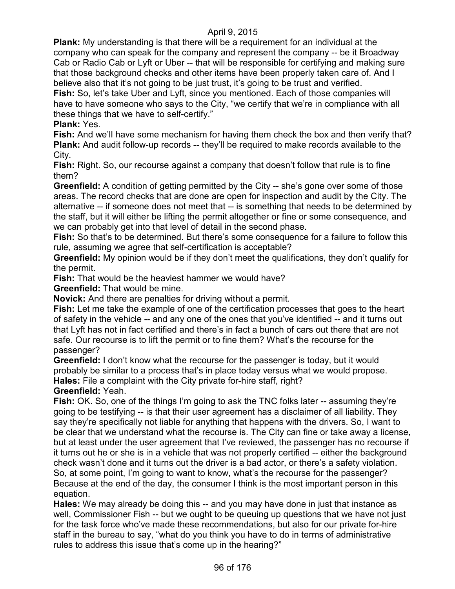**Plank:** My understanding is that there will be a requirement for an individual at the company who can speak for the company and represent the company -- be it Broadway Cab or Radio Cab or Lyft or Uber -- that will be responsible for certifying and making sure that those background checks and other items have been properly taken care of. And I believe also that it's not going to be just trust, it's going to be trust and verified. **Fish:** So, let's take Uber and Lyft, since you mentioned. Each of those companies will have to have someone who says to the City, "we certify that we're in compliance with all

these things that we have to self-certify."

# **Plank:** Yes.

**Fish:** And we'll have some mechanism for having them check the box and then verify that? **Plank:** And audit follow-up records -- they'll be required to make records available to the City.

**Fish:** Right. So, our recourse against a company that doesn't follow that rule is to fine them?

**Greenfield:** A condition of getting permitted by the City -- she's gone over some of those areas. The record checks that are done are open for inspection and audit by the City. The alternative -- if someone does not meet that -- is something that needs to be determined by the staff, but it will either be lifting the permit altogether or fine or some consequence, and we can probably get into that level of detail in the second phase.

**Fish:** So that's to be determined. But there's some consequence for a failure to follow this rule, assuming we agree that self-certification is acceptable?

**Greenfield:** My opinion would be if they don't meet the qualifications, they don't qualify for the permit.

**Fish:** That would be the heaviest hammer we would have?

**Greenfield:** That would be mine.

**Novick:** And there are penalties for driving without a permit.

**Fish:** Let me take the example of one of the certification processes that goes to the heart of safety in the vehicle -- and any one of the ones that you've identified -- and it turns out that Lyft has not in fact certified and there's in fact a bunch of cars out there that are not safe. Our recourse is to lift the permit or to fine them? What's the recourse for the passenger?

**Greenfield:** I don't know what the recourse for the passenger is today, but it would probably be similar to a process that's in place today versus what we would propose. **Hales:** File a complaint with the City private for-hire staff, right?

# **Greenfield:** Yeah.

**Fish:** OK. So, one of the things I'm going to ask the TNC folks later -- assuming they're going to be testifying -- is that their user agreement has a disclaimer of all liability. They say they're specifically not liable for anything that happens with the drivers. So, I want to be clear that we understand what the recourse is. The City can fine or take away a license, but at least under the user agreement that I've reviewed, the passenger has no recourse if it turns out he or she is in a vehicle that was not properly certified -- either the background check wasn't done and it turns out the driver is a bad actor, or there's a safety violation. So, at some point, I'm going to want to know, what's the recourse for the passenger? Because at the end of the day, the consumer I think is the most important person in this equation.

**Hales:** We may already be doing this -- and you may have done in just that instance as well, Commissioner Fish -- but we ought to be queuing up questions that we have not just for the task force who've made these recommendations, but also for our private for-hire staff in the bureau to say, "what do you think you have to do in terms of administrative rules to address this issue that's come up in the hearing?"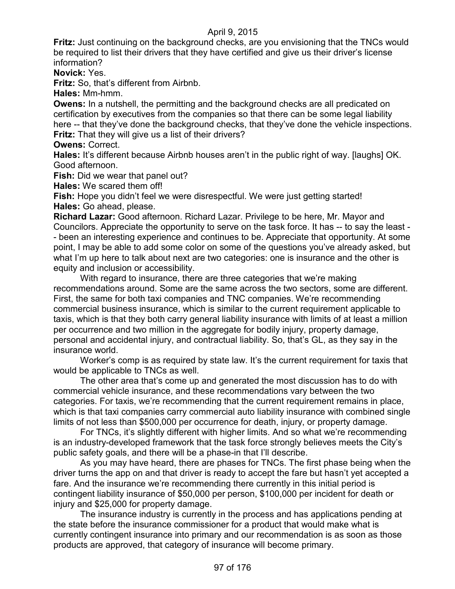**Fritz:** Just continuing on the background checks, are you envisioning that the TNCs would be required to list their drivers that they have certified and give us their driver's license information?

**Novick:** Yes.

**Fritz:** So, that's different from Airbnb.

**Hales:** Mm-hmm.

**Owens:** In a nutshell, the permitting and the background checks are all predicated on certification by executives from the companies so that there can be some legal liability here -- that they've done the background checks, that they've done the vehicle inspections. **Fritz:** That they will give us a list of their drivers?

**Owens:** Correct.

**Hales:** It's different because Airbnb houses aren't in the public right of way. [laughs] OK. Good afternoon.

**Fish:** Did we wear that panel out?

**Hales:** We scared them off!

**Fish:** Hope you didn't feel we were disrespectful. We were just getting started! **Hales:** Go ahead, please.

**Richard Lazar:** Good afternoon. Richard Lazar. Privilege to be here, Mr. Mayor and Councilors. Appreciate the opportunity to serve on the task force. It has -- to say the least - - been an interesting experience and continues to be. Appreciate that opportunity. At some point, I may be able to add some color on some of the questions you've already asked, but what I'm up here to talk about next are two categories: one is insurance and the other is equity and inclusion or accessibility.

With regard to insurance, there are three categories that we're making recommendations around. Some are the same across the two sectors, some are different. First, the same for both taxi companies and TNC companies. We're recommending commercial business insurance, which is similar to the current requirement applicable to taxis, which is that they both carry general liability insurance with limits of at least a million per occurrence and two million in the aggregate for bodily injury, property damage, personal and accidental injury, and contractual liability. So, that's GL, as they say in the insurance world.

Worker's comp is as required by state law. It's the current requirement for taxis that would be applicable to TNCs as well.

The other area that's come up and generated the most discussion has to do with commercial vehicle insurance, and these recommendations vary between the two categories. For taxis, we're recommending that the current requirement remains in place, which is that taxi companies carry commercial auto liability insurance with combined single limits of not less than \$500,000 per occurrence for death, injury, or property damage.

For TNCs, it's slightly different with higher limits. And so what we're recommending is an industry-developed framework that the task force strongly believes meets the City's public safety goals, and there will be a phase-in that I'll describe.

As you may have heard, there are phases for TNCs. The first phase being when the driver turns the app on and that driver is ready to accept the fare but hasn't yet accepted a fare. And the insurance we're recommending there currently in this initial period is contingent liability insurance of \$50,000 per person, \$100,000 per incident for death or injury and \$25,000 for property damage.

The insurance industry is currently in the process and has applications pending at the state before the insurance commissioner for a product that would make what is currently contingent insurance into primary and our recommendation is as soon as those products are approved, that category of insurance will become primary.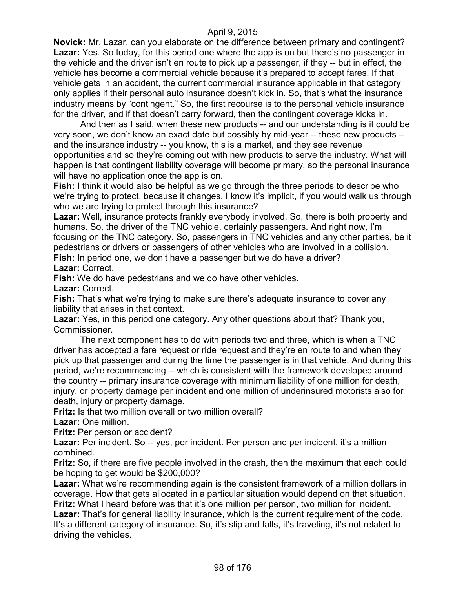**Novick:** Mr. Lazar, can you elaborate on the difference between primary and contingent? **Lazar:** Yes. So today, for this period one where the app is on but there's no passenger in the vehicle and the driver isn't en route to pick up a passenger, if they -- but in effect, the vehicle has become a commercial vehicle because it's prepared to accept fares. If that vehicle gets in an accident, the current commercial insurance applicable in that category only applies if their personal auto insurance doesn't kick in. So, that's what the insurance industry means by "contingent." So, the first recourse is to the personal vehicle insurance for the driver, and if that doesn't carry forward, then the contingent coverage kicks in.

And then as I said, when these new products -- and our understanding is it could be very soon, we don't know an exact date but possibly by mid-year -- these new products - and the insurance industry -- you know, this is a market, and they see revenue opportunities and so they're coming out with new products to serve the industry. What will happen is that contingent liability coverage will become primary, so the personal insurance will have no application once the app is on.

**Fish:** I think it would also be helpful as we go through the three periods to describe who we're trying to protect, because it changes. I know it's implicit, if you would walk us through who we are trying to protect through this insurance?

Lazar: Well, insurance protects frankly everybody involved. So, there is both property and humans. So, the driver of the TNC vehicle, certainly passengers. And right now, I'm focusing on the TNC category. So, passengers in TNC vehicles and any other parties, be it pedestrians or drivers or passengers of other vehicles who are involved in a collision. Fish: In period one, we don't have a passenger but we do have a driver? **Lazar:** Correct.

**Fish:** We do have pedestrians and we do have other vehicles.

**Lazar:** Correct.

**Fish:** That's what we're trying to make sure there's adequate insurance to cover any liability that arises in that context.

**Lazar:** Yes, in this period one category. Any other questions about that? Thank you, Commissioner.

The next component has to do with periods two and three, which is when a TNC driver has accepted a fare request or ride request and they're en route to and when they pick up that passenger and during the time the passenger is in that vehicle. And during this period, we're recommending -- which is consistent with the framework developed around the country -- primary insurance coverage with minimum liability of one million for death, injury, or property damage per incident and one million of underinsured motorists also for death, injury or property damage.

**Fritz:** Is that two million overall or two million overall?

**Lazar:** One million.

**Fritz:** Per person or accident?

Lazar: Per incident. So -- yes, per incident. Per person and per incident, it's a million combined.

**Fritz:** So, if there are five people involved in the crash, then the maximum that each could be hoping to get would be \$200,000?

**Lazar:** What we're recommending again is the consistent framework of a million dollars in coverage. How that gets allocated in a particular situation would depend on that situation. **Fritz:** What I heard before was that it's one million per person, two million for incident.

Lazar: That's for general liability insurance, which is the current requirement of the code. It's a different category of insurance. So, it's slip and falls, it's traveling, it's not related to driving the vehicles.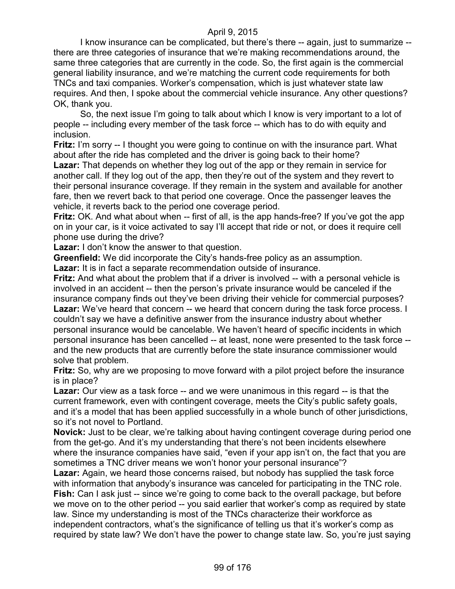I know insurance can be complicated, but there's there -- again, just to summarize - there are three categories of insurance that we're making recommendations around, the same three categories that are currently in the code. So, the first again is the commercial general liability insurance, and we're matching the current code requirements for both TNCs and taxi companies. Worker's compensation, which is just whatever state law requires. And then, I spoke about the commercial vehicle insurance. Any other questions? OK, thank you.

So, the next issue I'm going to talk about which I know is very important to a lot of people -- including every member of the task force -- which has to do with equity and inclusion.

**Fritz:** I'm sorry -- I thought you were going to continue on with the insurance part. What about after the ride has completed and the driver is going back to their home? **Lazar:** That depends on whether they log out of the app or they remain in service for another call. If they log out of the app, then they're out of the system and they revert to their personal insurance coverage. If they remain in the system and available for another fare, then we revert back to that period one coverage. Once the passenger leaves the

vehicle, it reverts back to the period one coverage period.

**Fritz:** OK. And what about when -- first of all, is the app hands-free? If you've got the app on in your car, is it voice activated to say I'll accept that ride or not, or does it require cell phone use during the drive?

**Lazar:** I don't know the answer to that question.

**Greenfield:** We did incorporate the City's hands-free policy as an assumption.

**Lazar:** It is in fact a separate recommendation outside of insurance.

**Fritz:** And what about the problem that if a driver is involved -- with a personal vehicle is involved in an accident -- then the person's private insurance would be canceled if the insurance company finds out they've been driving their vehicle for commercial purposes? Lazar: We've heard that concern -- we heard that concern during the task force process. I couldn't say we have a definitive answer from the insurance industry about whether personal insurance would be cancelable. We haven't heard of specific incidents in which personal insurance has been cancelled -- at least, none were presented to the task force - and the new products that are currently before the state insurance commissioner would solve that problem.

**Fritz:** So, why are we proposing to move forward with a pilot project before the insurance is in place?

**Lazar:** Our view as a task force -- and we were unanimous in this regard -- is that the current framework, even with contingent coverage, meets the City's public safety goals, and it's a model that has been applied successfully in a whole bunch of other jurisdictions, so it's not novel to Portland.

**Novick:** Just to be clear, we're talking about having contingent coverage during period one from the get-go. And it's my understanding that there's not been incidents elsewhere where the insurance companies have said, "even if your app isn't on, the fact that you are sometimes a TNC driver means we won't honor your personal insurance"?

**Lazar:** Again, we heard those concerns raised, but nobody has supplied the task force with information that anybody's insurance was canceled for participating in the TNC role. **Fish:** Can I ask just -- since we're going to come back to the overall package, but before we move on to the other period -- you said earlier that worker's comp as required by state law. Since my understanding is most of the TNCs characterize their workforce as independent contractors, what's the significance of telling us that it's worker's comp as required by state law? We don't have the power to change state law. So, you're just saying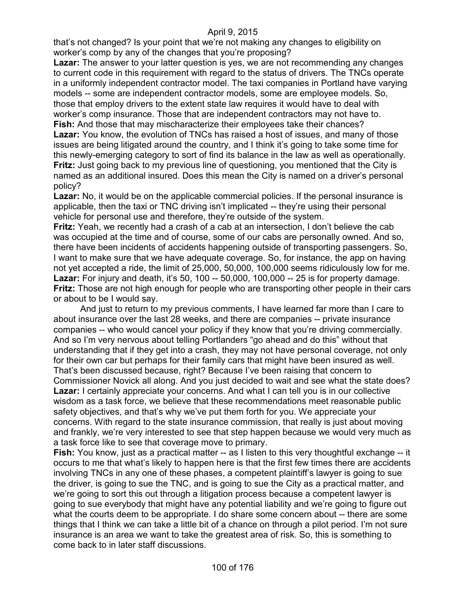that's not changed? Is your point that we're not making any changes to eligibility on worker's comp by any of the changes that you're proposing?

**Lazar:** The answer to your latter question is yes, we are not recommending any changes to current code in this requirement with regard to the status of drivers. The TNCs operate in a uniformly independent contractor model. The taxi companies in Portland have varying models -- some are independent contractor models, some are employee models. So, those that employ drivers to the extent state law requires it would have to deal with worker's comp insurance. Those that are independent contractors may not have to. **Fish:** And those that may mischaracterize their employees take their chances? Lazar: You know, the evolution of TNCs has raised a host of issues, and many of those issues are being litigated around the country, and I think it's going to take some time for this newly-emerging category to sort of find its balance in the law as well as operationally.

**Fritz:** Just going back to my previous line of questioning, you mentioned that the City is named as an additional insured. Does this mean the City is named on a driver's personal policy?

Lazar: No, it would be on the applicable commercial policies. If the personal insurance is applicable, then the taxi or TNC driving isn't implicated -- they're using their personal vehicle for personal use and therefore, they're outside of the system.

**Fritz:** Yeah, we recently had a crash of a cab at an intersection, I don't believe the cab was occupied at the time and of course, some of our cabs are personally owned. And so, there have been incidents of accidents happening outside of transporting passengers. So, I want to make sure that we have adequate coverage. So, for instance, the app on having not yet accepted a ride, the limit of 25,000, 50,000, 100,000 seems ridiculously low for me. **Lazar:** For injury and death, it's 50, 100 -- 50,000, 100,000 -- 25 is for property damage. **Fritz:** Those are not high enough for people who are transporting other people in their cars or about to be I would say.

And just to return to my previous comments, I have learned far more than I care to about insurance over the last 28 weeks, and there are companies -- private insurance companies -- who would cancel your policy if they know that you're driving commercially. And so I'm very nervous about telling Portlanders "go ahead and do this" without that understanding that if they get into a crash, they may not have personal coverage, not only for their own car but perhaps for their family cars that might have been insured as well. That's been discussed because, right? Because I've been raising that concern to Commissioner Novick all along. And you just decided to wait and see what the state does? **Lazar:** I certainly appreciate your concerns. And what I can tell you is in our collective wisdom as a task force, we believe that these recommendations meet reasonable public safety objectives, and that's why we've put them forth for you. We appreciate your concerns. With regard to the state insurance commission, that really is just about moving and frankly, we're very interested to see that step happen because we would very much as a task force like to see that coverage move to primary.

**Fish:** You know, just as a practical matter -- as I listen to this very thoughtful exchange -- it occurs to me that what's likely to happen here is that the first few times there are accidents involving TNCs in any one of these phases, a competent plaintiff's lawyer is going to sue the driver, is going to sue the TNC, and is going to sue the City as a practical matter, and we're going to sort this out through a litigation process because a competent lawyer is going to sue everybody that might have any potential liability and we're going to figure out what the courts deem to be appropriate. I do share some concern about -- there are some things that I think we can take a little bit of a chance on through a pilot period. I'm not sure insurance is an area we want to take the greatest area of risk. So, this is something to come back to in later staff discussions.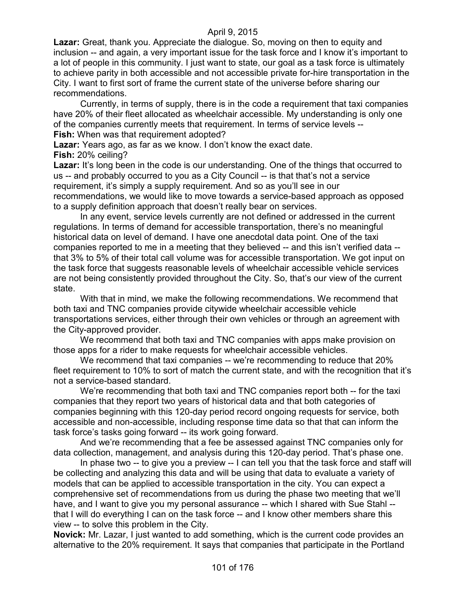**Lazar:** Great, thank you. Appreciate the dialogue. So, moving on then to equity and inclusion -- and again, a very important issue for the task force and I know it's important to a lot of people in this community. I just want to state, our goal as a task force is ultimately to achieve parity in both accessible and not accessible private for-hire transportation in the City. I want to first sort of frame the current state of the universe before sharing our recommendations.

Currently, in terms of supply, there is in the code a requirement that taxi companies have 20% of their fleet allocated as wheelchair accessible. My understanding is only one of the companies currently meets that requirement. In terms of service levels -- **Fish:** When was that requirement adopted?

**Lazar:** Years ago, as far as we know. I don't know the exact date.

**Fish:** 20% ceiling?

**Lazar:** It's long been in the code is our understanding. One of the things that occurred to us -- and probably occurred to you as a City Council -- is that that's not a service requirement, it's simply a supply requirement. And so as you'll see in our recommendations, we would like to move towards a service-based approach as opposed to a supply definition approach that doesn't really bear on services.

In any event, service levels currently are not defined or addressed in the current regulations. In terms of demand for accessible transportation, there's no meaningful historical data on level of demand. I have one anecdotal data point. One of the taxi companies reported to me in a meeting that they believed -- and this isn't verified data - that 3% to 5% of their total call volume was for accessible transportation. We got input on the task force that suggests reasonable levels of wheelchair accessible vehicle services are not being consistently provided throughout the City. So, that's our view of the current state.

With that in mind, we make the following recommendations. We recommend that both taxi and TNC companies provide citywide wheelchair accessible vehicle transportations services, either through their own vehicles or through an agreement with the City-approved provider.

We recommend that both taxi and TNC companies with apps make provision on those apps for a rider to make requests for wheelchair accessible vehicles.

We recommend that taxi companies -- we're recommending to reduce that 20% fleet requirement to 10% to sort of match the current state, and with the recognition that it's not a service-based standard.

We're recommending that both taxi and TNC companies report both -- for the taxi companies that they report two years of historical data and that both categories of companies beginning with this 120-day period record ongoing requests for service, both accessible and non-accessible, including response time data so that that can inform the task force's tasks going forward -- its work going forward.

And we're recommending that a fee be assessed against TNC companies only for data collection, management, and analysis during this 120-day period. That's phase one.

In phase two -- to give you a preview -- I can tell you that the task force and staff will be collecting and analyzing this data and will be using that data to evaluate a variety of models that can be applied to accessible transportation in the city. You can expect a comprehensive set of recommendations from us during the phase two meeting that we'll have, and I want to give you my personal assurance -- which I shared with Sue Stahl -that I will do everything I can on the task force -- and I know other members share this view -- to solve this problem in the City.

**Novick:** Mr. Lazar, I just wanted to add something, which is the current code provides an alternative to the 20% requirement. It says that companies that participate in the Portland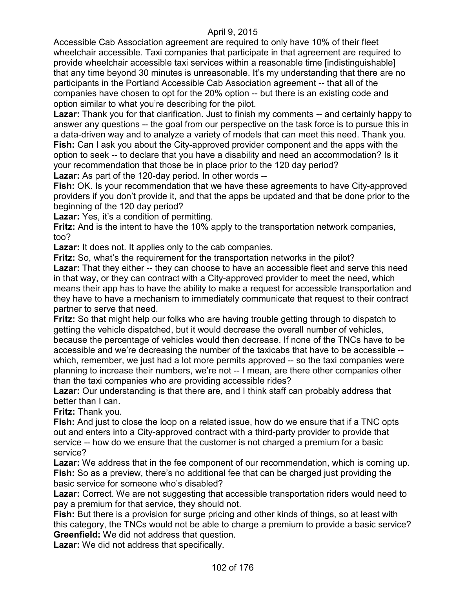Accessible Cab Association agreement are required to only have 10% of their fleet wheelchair accessible. Taxi companies that participate in that agreement are required to provide wheelchair accessible taxi services within a reasonable time [indistinguishable] that any time beyond 30 minutes is unreasonable. It's my understanding that there are no participants in the Portland Accessible Cab Association agreement -- that all of the companies have chosen to opt for the 20% option -- but there is an existing code and option similar to what you're describing for the pilot.

Lazar: Thank you for that clarification. Just to finish my comments -- and certainly happy to answer any questions -- the goal from our perspective on the task force is to pursue this in a data-driven way and to analyze a variety of models that can meet this need. Thank you. **Fish:** Can I ask you about the City-approved provider component and the apps with the option to seek -- to declare that you have a disability and need an accommodation? Is it your recommendation that those be in place prior to the 120 day period?

**Lazar:** As part of the 120-day period. In other words --

**Fish:** OK. Is your recommendation that we have these agreements to have City-approved providers if you don't provide it, and that the apps be updated and that be done prior to the beginning of the 120 day period?

Lazar: Yes, it's a condition of permitting.

**Fritz:** And is the intent to have the 10% apply to the transportation network companies, too?

**Lazar:** It does not. It applies only to the cab companies.

**Fritz:** So, what's the requirement for the transportation networks in the pilot?

**Lazar:** That they either -- they can choose to have an accessible fleet and serve this need in that way, or they can contract with a City-approved provider to meet the need, which means their app has to have the ability to make a request for accessible transportation and they have to have a mechanism to immediately communicate that request to their contract partner to serve that need.

**Fritz:** So that might help our folks who are having trouble getting through to dispatch to getting the vehicle dispatched, but it would decrease the overall number of vehicles, because the percentage of vehicles would then decrease. If none of the TNCs have to be accessible and we're decreasing the number of the taxicabs that have to be accessible - which, remember, we just had a lot more permits approved -- so the taxi companies were planning to increase their numbers, we're not -- I mean, are there other companies other than the taxi companies who are providing accessible rides?

**Lazar:** Our understanding is that there are, and I think staff can probably address that better than I can.

**Fritz:** Thank you.

**Fish:** And just to close the loop on a related issue, how do we ensure that if a TNC opts out and enters into a City-approved contract with a third-party provider to provide that service -- how do we ensure that the customer is not charged a premium for a basic service?

**Lazar:** We address that in the fee component of our recommendation, which is coming up. **Fish:** So as a preview, there's no additional fee that can be charged just providing the basic service for someone who's disabled?

**Lazar:** Correct. We are not suggesting that accessible transportation riders would need to pay a premium for that service, they should not.

**Fish:** But there is a provision for surge pricing and other kinds of things, so at least with this category, the TNCs would not be able to charge a premium to provide a basic service? **Greenfield:** We did not address that question.

**Lazar:** We did not address that specifically.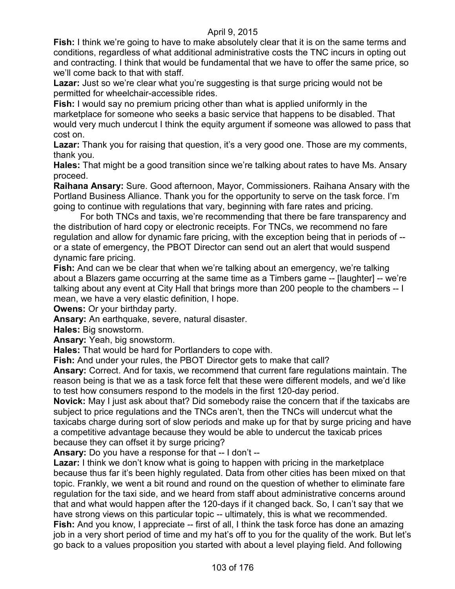**Fish:** I think we're going to have to make absolutely clear that it is on the same terms and conditions, regardless of what additional administrative costs the TNC incurs in opting out and contracting. I think that would be fundamental that we have to offer the same price, so we'll come back to that with staff.

**Lazar:** Just so we're clear what you're suggesting is that surge pricing would not be permitted for wheelchair-accessible rides.

**Fish:** I would say no premium pricing other than what is applied uniformly in the marketplace for someone who seeks a basic service that happens to be disabled. That would very much undercut I think the equity argument if someone was allowed to pass that cost on.

**Lazar:** Thank you for raising that question, it's a very good one. Those are my comments, thank you.

**Hales:** That might be a good transition since we're talking about rates to have Ms. Ansary proceed.

**Raihana Ansary:** Sure. Good afternoon, Mayor, Commissioners. Raihana Ansary with the Portland Business Alliance. Thank you for the opportunity to serve on the task force. I'm going to continue with regulations that vary, beginning with fare rates and pricing.

For both TNCs and taxis, we're recommending that there be fare transparency and the distribution of hard copy or electronic receipts. For TNCs, we recommend no fare regulation and allow for dynamic fare pricing, with the exception being that in periods of - or a state of emergency, the PBOT Director can send out an alert that would suspend dynamic fare pricing.

**Fish:** And can we be clear that when we're talking about an emergency, we're talking about a Blazers game occurring at the same time as a Timbers game -- [laughter] -- we're talking about any event at City Hall that brings more than 200 people to the chambers -- I mean, we have a very elastic definition, I hope.

**Owens:** Or your birthday party.

**Ansary:** An earthquake, severe, natural disaster.

**Hales:** Big snowstorm.

**Ansary:** Yeah, big snowstorm.

**Hales:** That would be hard for Portlanders to cope with.

**Fish:** And under your rules, the PBOT Director gets to make that call?

**Ansary:** Correct. And for taxis, we recommend that current fare regulations maintain. The reason being is that we as a task force felt that these were different models, and we'd like to test how consumers respond to the models in the first 120-day period.

**Novick:** May I just ask about that? Did somebody raise the concern that if the taxicabs are subject to price regulations and the TNCs aren't, then the TNCs will undercut what the taxicabs charge during sort of slow periods and make up for that by surge pricing and have a competitive advantage because they would be able to undercut the taxicab prices because they can offset it by surge pricing?

**Ansary:** Do you have a response for that -- I don't --

Lazar: I think we don't know what is going to happen with pricing in the marketplace because thus far it's been highly regulated. Data from other cities has been mixed on that topic. Frankly, we went a bit round and round on the question of whether to eliminate fare regulation for the taxi side, and we heard from staff about administrative concerns around that and what would happen after the 120-days if it changed back. So, I can't say that we have strong views on this particular topic -- ultimately, this is what we recommended. **Fish:** And you know, I appreciate -- first of all, I think the task force has done an amazing job in a very short period of time and my hat's off to you for the quality of the work. But let's go back to a values proposition you started with about a level playing field. And following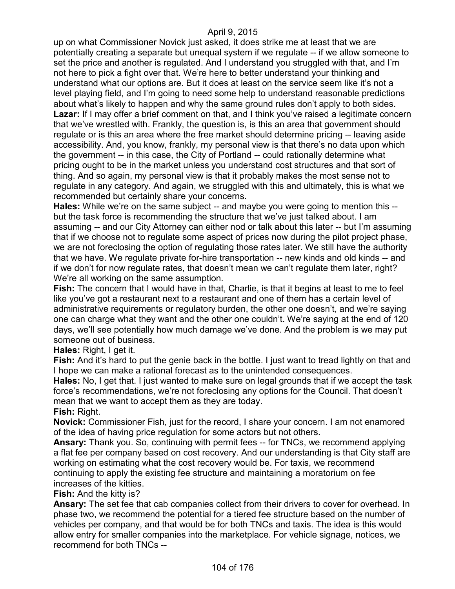up on what Commissioner Novick just asked, it does strike me at least that we are potentially creating a separate but unequal system if we regulate -- if we allow someone to set the price and another is regulated. And I understand you struggled with that, and I'm not here to pick a fight over that. We're here to better understand your thinking and understand what our options are. But it does at least on the service seem like it's not a level playing field, and I'm going to need some help to understand reasonable predictions about what's likely to happen and why the same ground rules don't apply to both sides. **Lazar:** If I may offer a brief comment on that, and I think you've raised a legitimate concern that we've wrestled with. Frankly, the question is, is this an area that government should regulate or is this an area where the free market should determine pricing -- leaving aside accessibility. And, you know, frankly, my personal view is that there's no data upon which the government -- in this case, the City of Portland -- could rationally determine what pricing ought to be in the market unless you understand cost structures and that sort of thing. And so again, my personal view is that it probably makes the most sense not to regulate in any category. And again, we struggled with this and ultimately, this is what we recommended but certainly share your concerns.

**Hales:** While we're on the same subject -- and maybe you were going to mention this - but the task force is recommending the structure that we've just talked about. I am assuming -- and our City Attorney can either nod or talk about this later -- but I'm assuming that if we choose not to regulate some aspect of prices now during the pilot project phase, we are not foreclosing the option of regulating those rates later. We still have the authority that we have. We regulate private for-hire transportation -- new kinds and old kinds -- and if we don't for now regulate rates, that doesn't mean we can't regulate them later, right? We're all working on the same assumption.

**Fish:** The concern that I would have in that, Charlie, is that it begins at least to me to feel like you've got a restaurant next to a restaurant and one of them has a certain level of administrative requirements or regulatory burden, the other one doesn't, and we're saying one can charge what they want and the other one couldn't. We're saying at the end of 120 days, we'll see potentially how much damage we've done. And the problem is we may put someone out of business.

**Hales:** Right, I get it.

**Fish:** And it's hard to put the genie back in the bottle. I just want to tread lightly on that and I hope we can make a rational forecast as to the unintended consequences.

**Hales:** No, I get that. I just wanted to make sure on legal grounds that if we accept the task force's recommendations, we're not foreclosing any options for the Council. That doesn't mean that we want to accept them as they are today.

**Fish:** Right.

**Novick:** Commissioner Fish, just for the record, I share your concern. I am not enamored of the idea of having price regulation for some actors but not others.

**Ansary:** Thank you. So, continuing with permit fees -- for TNCs, we recommend applying a flat fee per company based on cost recovery. And our understanding is that City staff are working on estimating what the cost recovery would be. For taxis, we recommend continuing to apply the existing fee structure and maintaining a moratorium on fee increases of the kitties.

**Fish:** And the kitty is?

**Ansary:** The set fee that cab companies collect from their drivers to cover for overhead. In phase two, we recommend the potential for a tiered fee structure based on the number of vehicles per company, and that would be for both TNCs and taxis. The idea is this would allow entry for smaller companies into the marketplace. For vehicle signage, notices, we recommend for both TNCs --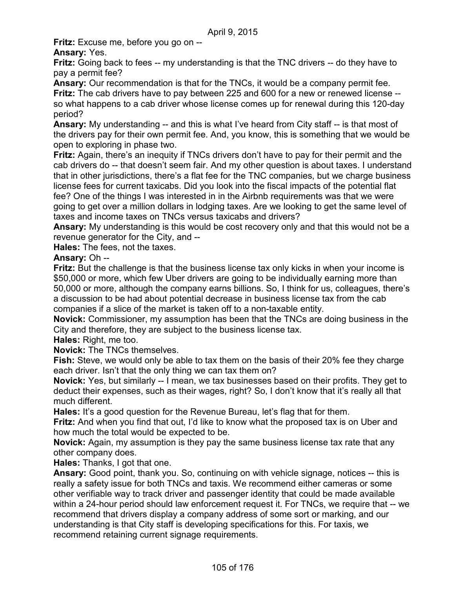**Fritz:** Excuse me, before you go on --

# **Ansary:** Yes.

**Fritz:** Going back to fees -- my understanding is that the TNC drivers -- do they have to pay a permit fee?

**Ansary:** Our recommendation is that for the TNCs, it would be a company permit fee. **Fritz:** The cab drivers have to pay between 225 and 600 for a new or renewed license - so what happens to a cab driver whose license comes up for renewal during this 120-day period?

**Ansary:** My understanding -- and this is what I've heard from City staff -- is that most of the drivers pay for their own permit fee. And, you know, this is something that we would be open to exploring in phase two.

**Fritz:** Again, there's an inequity if TNCs drivers don't have to pay for their permit and the cab drivers do -- that doesn't seem fair. And my other question is about taxes. I understand that in other jurisdictions, there's a flat fee for the TNC companies, but we charge business license fees for current taxicabs. Did you look into the fiscal impacts of the potential flat fee? One of the things I was interested in in the Airbnb requirements was that we were going to get over a million dollars in lodging taxes. Are we looking to get the same level of taxes and income taxes on TNCs versus taxicabs and drivers?

**Ansary:** My understanding is this would be cost recovery only and that this would not be a revenue generator for the City, and --

**Hales:** The fees, not the taxes.

# **Ansary:** Oh --

**Fritz:** But the challenge is that the business license tax only kicks in when your income is \$50,000 or more, which few Uber drivers are going to be individually earning more than 50,000 or more, although the company earns billions. So, I think for us, colleagues, there's a discussion to be had about potential decrease in business license tax from the cab companies if a slice of the market is taken off to a non-taxable entity.

**Novick:** Commissioner, my assumption has been that the TNCs are doing business in the City and therefore, they are subject to the business license tax.

# **Hales:** Right, me too.

**Novick:** The TNCs themselves.

**Fish:** Steve, we would only be able to tax them on the basis of their 20% fee they charge each driver. Isn't that the only thing we can tax them on?

**Novick:** Yes, but similarly -- I mean, we tax businesses based on their profits. They get to deduct their expenses, such as their wages, right? So, I don't know that it's really all that much different.

**Hales:** It's a good question for the Revenue Bureau, let's flag that for them.

**Fritz:** And when you find that out, I'd like to know what the proposed tax is on Uber and how much the total would be expected to be.

**Novick:** Again, my assumption is they pay the same business license tax rate that any other company does.

**Hales:** Thanks, I got that one.

**Ansary:** Good point, thank you. So, continuing on with vehicle signage, notices -- this is really a safety issue for both TNCs and taxis. We recommend either cameras or some other verifiable way to track driver and passenger identity that could be made available within a 24-hour period should law enforcement request it. For TNCs, we require that -- we recommend that drivers display a company address of some sort or marking, and our understanding is that City staff is developing specifications for this. For taxis, we recommend retaining current signage requirements.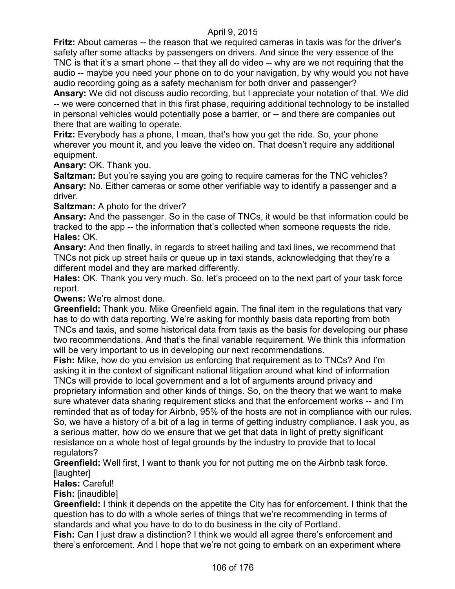**Fritz:** About cameras -- the reason that we required cameras in taxis was for the driver's safety after some attacks by passengers on drivers. And since the very essence of the TNC is that it's a smart phone -- that they all do video -- why are we not requiring that the audio -- maybe you need your phone on to do your navigation, by why would you not have audio recording going as a safety mechanism for both driver and passenger?

**Ansary:** We did not discuss audio recording, but I appreciate your notation of that. We did -- we were concerned that in this first phase, requiring additional technology to be installed in personal vehicles would potentially pose a barrier, or -- and there are companies out there that are waiting to operate.

**Fritz:** Everybody has a phone, I mean, that's how you get the ride. So, your phone wherever you mount it, and you leave the video on. That doesn't require any additional equipment.

**Ansary:** OK. Thank you.

**Saltzman:** But you're saying you are going to require cameras for the TNC vehicles? **Ansary:** No. Either cameras or some other verifiable way to identify a passenger and a driver.

**Saltzman:** A photo for the driver?

**Ansary:** And the passenger. So in the case of TNCs, it would be that information could be tracked to the app -- the information that's collected when someone requests the ride. **Hales:** OK.

**Ansary:** And then finally, in regards to street hailing and taxi lines, we recommend that TNCs not pick up street hails or queue up in taxi stands, acknowledging that they're a different model and they are marked differently.

**Hales:** OK. Thank you very much. So, let's proceed on to the next part of your task force report.

**Owens:** We're almost done.

**Greenfield:** Thank you. Mike Greenfield again. The final item in the regulations that vary has to do with data reporting. We're asking for monthly basis data reporting from both TNCs and taxis, and some historical data from taxis as the basis for developing our phase two recommendations. And that's the final variable requirement. We think this information will be very important to us in developing our next recommendations.

**Fish:** Mike, how do you envision us enforcing that requirement as to TNCs? And I'm asking it in the context of significant national litigation around what kind of information TNCs will provide to local government and a lot of arguments around privacy and proprietary information and other kinds of things. So, on the theory that we want to make sure whatever data sharing requirement sticks and that the enforcement works -- and I'm reminded that as of today for Airbnb, 95% of the hosts are not in compliance with our rules. So, we have a history of a bit of a lag in terms of getting industry compliance. I ask you, as a serious matter, how do we ensure that we get that data in light of pretty significant resistance on a whole host of legal grounds by the industry to provide that to local regulators?

**Greenfield:** Well first, I want to thank you for not putting me on the Airbnb task force. [laughter]

**Hales:** Careful!

**Fish:** [inaudible]

**Greenfield:** I think it depends on the appetite the City has for enforcement. I think that the question has to do with a whole series of things that we're recommending in terms of standards and what you have to do to do business in the city of Portland.

**Fish:** Can I just draw a distinction? I think we would all agree there's enforcement and there's enforcement. And I hope that we're not going to embark on an experiment where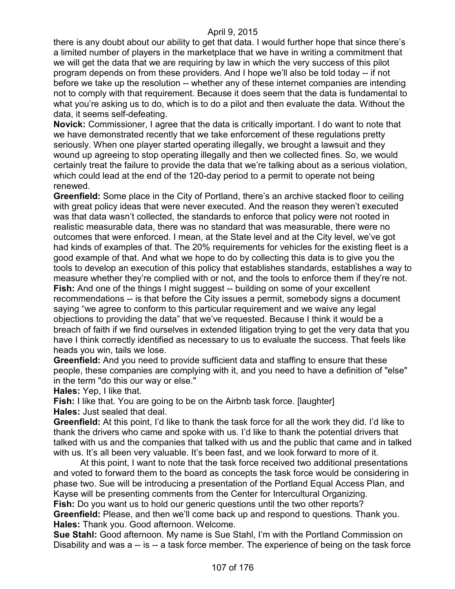there is any doubt about our ability to get that data. I would further hope that since there's a limited number of players in the marketplace that we have in writing a commitment that we will get the data that we are requiring by law in which the very success of this pilot program depends on from these providers. And I hope we'll also be told today -- if not before we take up the resolution -- whether any of these internet companies are intending not to comply with that requirement. Because it does seem that the data is fundamental to what you're asking us to do, which is to do a pilot and then evaluate the data. Without the data, it seems self-defeating.

**Novick:** Commissioner, I agree that the data is critically important. I do want to note that we have demonstrated recently that we take enforcement of these regulations pretty seriously. When one player started operating illegally, we brought a lawsuit and they wound up agreeing to stop operating illegally and then we collected fines. So, we would certainly treat the failure to provide the data that we're talking about as a serious violation, which could lead at the end of the 120-day period to a permit to operate not being renewed.

**Greenfield:** Some place in the City of Portland, there's an archive stacked floor to ceiling with great policy ideas that were never executed. And the reason they weren't executed was that data wasn't collected, the standards to enforce that policy were not rooted in realistic measurable data, there was no standard that was measurable, there were no outcomes that were enforced. I mean, at the State level and at the City level, we've got had kinds of examples of that. The 20% requirements for vehicles for the existing fleet is a good example of that. And what we hope to do by collecting this data is to give you the tools to develop an execution of this policy that establishes standards, establishes a way to measure whether they're complied with or not, and the tools to enforce them if they're not. **Fish:** And one of the things I might suggest -- building on some of your excellent recommendations -- is that before the City issues a permit, somebody signs a document saying "we agree to conform to this particular requirement and we waive any legal objections to providing the data" that we've requested. Because I think it would be a breach of faith if we find ourselves in extended litigation trying to get the very data that you have I think correctly identified as necessary to us to evaluate the success. That feels like heads you win, tails we lose.

**Greenfield:** And you need to provide sufficient data and staffing to ensure that these people, these companies are complying with it, and you need to have a definition of "else" in the term "do this our way or else."

**Hales:** Yep, I like that.

**Fish:** I like that. You are going to be on the Airbnb task force. [laughter] **Hales:** Just sealed that deal.

**Greenfield:** At this point, I'd like to thank the task force for all the work they did. I'd like to thank the drivers who came and spoke with us. I'd like to thank the potential drivers that talked with us and the companies that talked with us and the public that came and in talked with us. It's all been very valuable. It's been fast, and we look forward to more of it.

At this point, I want to note that the task force received two additional presentations and voted to forward them to the board as concepts the task force would be considering in phase two. Sue will be introducing a presentation of the Portland Equal Access Plan, and Kayse will be presenting comments from the Center for Intercultural Organizing. **Fish:** Do you want us to hold our generic questions until the two other reports?

**Greenfield:** Please, and then we'll come back up and respond to questions. Thank you. **Hales:** Thank you. Good afternoon. Welcome.

**Sue Stahl:** Good afternoon. My name is Sue Stahl, I'm with the Portland Commission on Disability and was a -- is -- a task force member. The experience of being on the task force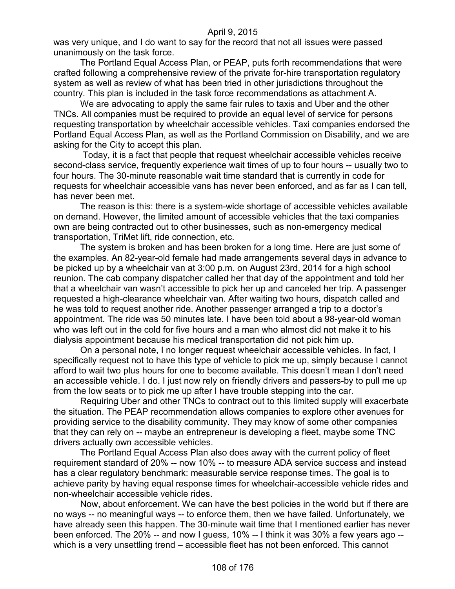was very unique, and I do want to say for the record that not all issues were passed unanimously on the task force.

The Portland Equal Access Plan, or PEAP, puts forth recommendations that were crafted following a comprehensive review of the private for-hire transportation regulatory system as well as review of what has been tried in other jurisdictions throughout the country. This plan is included in the task force recommendations as attachment A.

We are advocating to apply the same fair rules to taxis and Uber and the other TNCs. All companies must be required to provide an equal level of service for persons requesting transportation by wheelchair accessible vehicles. Taxi companies endorsed the Portland Equal Access Plan, as well as the Portland Commission on Disability, and we are asking for the City to accept this plan.

Today, it is a fact that people that request wheelchair accessible vehicles receive second-class service, frequently experience wait times of up to four hours -- usually two to four hours. The 30-minute reasonable wait time standard that is currently in code for requests for wheelchair accessible vans has never been enforced, and as far as I can tell, has never been met.

The reason is this: there is a system-wide shortage of accessible vehicles available on demand. However, the limited amount of accessible vehicles that the taxi companies own are being contracted out to other businesses, such as non-emergency medical transportation, TriMet lift, ride connection, etc.

The system is broken and has been broken for a long time. Here are just some of the examples. An 82-year-old female had made arrangements several days in advance to be picked up by a wheelchair van at 3:00 p.m. on August 23rd, 2014 for a high school reunion. The cab company dispatcher called her that day of the appointment and told her that a wheelchair van wasn't accessible to pick her up and canceled her trip. A passenger requested a high-clearance wheelchair van. After waiting two hours, dispatch called and he was told to request another ride. Another passenger arranged a trip to a doctor's appointment. The ride was 50 minutes late. I have been told about a 98-year-old woman who was left out in the cold for five hours and a man who almost did not make it to his dialysis appointment because his medical transportation did not pick him up.

On a personal note, I no longer request wheelchair accessible vehicles. In fact, I specifically request not to have this type of vehicle to pick me up, simply because I cannot afford to wait two plus hours for one to become available. This doesn't mean I don't need an accessible vehicle. I do. I just now rely on friendly drivers and passers-by to pull me up from the low seats or to pick me up after I have trouble stepping into the car.

Requiring Uber and other TNCs to contract out to this limited supply will exacerbate the situation. The PEAP recommendation allows companies to explore other avenues for providing service to the disability community. They may know of some other companies that they can rely on -- maybe an entrepreneur is developing a fleet, maybe some TNC drivers actually own accessible vehicles.

The Portland Equal Access Plan also does away with the current policy of fleet requirement standard of 20% -- now 10% -- to measure ADA service success and instead has a clear regulatory benchmark: measurable service response times. The goal is to achieve parity by having equal response times for wheelchair-accessible vehicle rides and non-wheelchair accessible vehicle rides.

Now, about enforcement. We can have the best policies in the world but if there are no ways -- no meaningful ways -- to enforce them, then we have failed. Unfortunately, we have already seen this happen. The 30-minute wait time that I mentioned earlier has never been enforced. The 20% -- and now I guess, 10% -- I think it was 30% a few years ago - which is a very unsettling trend – accessible fleet has not been enforced. This cannot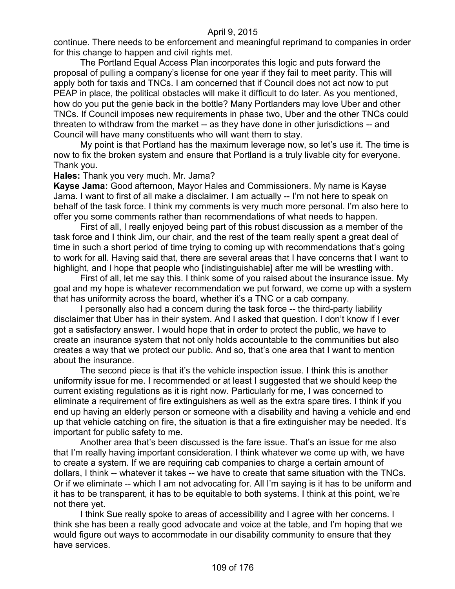continue. There needs to be enforcement and meaningful reprimand to companies in order for this change to happen and civil rights met.

The Portland Equal Access Plan incorporates this logic and puts forward the proposal of pulling a company's license for one year if they fail to meet parity. This will apply both for taxis and TNCs. I am concerned that if Council does not act now to put PEAP in place, the political obstacles will make it difficult to do later. As you mentioned, how do you put the genie back in the bottle? Many Portlanders may love Uber and other TNCs. If Council imposes new requirements in phase two, Uber and the other TNCs could threaten to withdraw from the market -- as they have done in other jurisdictions -- and Council will have many constituents who will want them to stay.

My point is that Portland has the maximum leverage now, so let's use it. The time is now to fix the broken system and ensure that Portland is a truly livable city for everyone. Thank you.

**Hales:** Thank you very much. Mr. Jama?

**Kayse Jama:** Good afternoon, Mayor Hales and Commissioners. My name is Kayse Jama. I want to first of all make a disclaimer. I am actually -- I'm not here to speak on behalf of the task force. I think my comments is very much more personal. I'm also here to offer you some comments rather than recommendations of what needs to happen.

First of all, I really enjoyed being part of this robust discussion as a member of the task force and I think Jim, our chair, and the rest of the team really spent a great deal of time in such a short period of time trying to coming up with recommendations that's going to work for all. Having said that, there are several areas that I have concerns that I want to highlight, and I hope that people who [indistinguishable] after me will be wrestling with.

First of all, let me say this. I think some of you raised about the insurance issue. My goal and my hope is whatever recommendation we put forward, we come up with a system that has uniformity across the board, whether it's a TNC or a cab company.

I personally also had a concern during the task force -- the third-party liability disclaimer that Uber has in their system. And I asked that question. I don't know if I ever got a satisfactory answer. I would hope that in order to protect the public, we have to create an insurance system that not only holds accountable to the communities but also creates a way that we protect our public. And so, that's one area that I want to mention about the insurance.

The second piece is that it's the vehicle inspection issue. I think this is another uniformity issue for me. I recommended or at least I suggested that we should keep the current existing regulations as it is right now. Particularly for me, I was concerned to eliminate a requirement of fire extinguishers as well as the extra spare tires. I think if you end up having an elderly person or someone with a disability and having a vehicle and end up that vehicle catching on fire, the situation is that a fire extinguisher may be needed. It's important for public safety to me.

Another area that's been discussed is the fare issue. That's an issue for me also that I'm really having important consideration. I think whatever we come up with, we have to create a system. If we are requiring cab companies to charge a certain amount of dollars, I think -- whatever it takes -- we have to create that same situation with the TNCs. Or if we eliminate -- which I am not advocating for. All I'm saying is it has to be uniform and it has to be transparent, it has to be equitable to both systems. I think at this point, we're not there yet.

I think Sue really spoke to areas of accessibility and I agree with her concerns. I think she has been a really good advocate and voice at the table, and I'm hoping that we would figure out ways to accommodate in our disability community to ensure that they have services.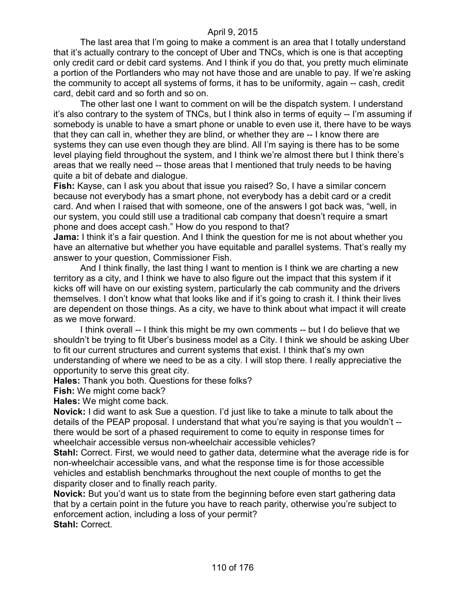The last area that I'm going to make a comment is an area that I totally understand that it's actually contrary to the concept of Uber and TNCs, which is one is that accepting only credit card or debit card systems. And I think if you do that, you pretty much eliminate a portion of the Portlanders who may not have those and are unable to pay. If we're asking the community to accept all systems of forms, it has to be uniformity, again -- cash, credit card, debit card and so forth and so on.

The other last one I want to comment on will be the dispatch system. I understand it's also contrary to the system of TNCs, but I think also in terms of equity -- I'm assuming if somebody is unable to have a smart phone or unable to even use it, there have to be ways that they can call in, whether they are blind, or whether they are -- I know there are systems they can use even though they are blind. All I'm saying is there has to be some level playing field throughout the system, and I think we're almost there but I think there's areas that we really need -- those areas that I mentioned that truly needs to be having quite a bit of debate and dialogue.

**Fish:** Kayse, can I ask you about that issue you raised? So, I have a similar concern because not everybody has a smart phone, not everybody has a debit card or a credit card. And when I raised that with someone, one of the answers I got back was, "well, in our system, you could still use a traditional cab company that doesn't require a smart phone and does accept cash." How do you respond to that?

**Jama:** I think it's a fair question. And I think the question for me is not about whether you have an alternative but whether you have equitable and parallel systems. That's really my answer to your question, Commissioner Fish.

And I think finally, the last thing I want to mention is I think we are charting a new territory as a city, and I think we have to also figure out the impact that this system if it kicks off will have on our existing system, particularly the cab community and the drivers themselves. I don't know what that looks like and if it's going to crash it. I think their lives are dependent on those things. As a city, we have to think about what impact it will create as we move forward.

I think overall -- I think this might be my own comments -- but I do believe that we shouldn't be trying to fit Uber's business model as a City. I think we should be asking Uber to fit our current structures and current systems that exist. I think that's my own understanding of where we need to be as a city. I will stop there. I really appreciative the opportunity to serve this great city.

**Hales:** Thank you both. Questions for these folks?

**Fish:** We might come back?

**Hales:** We might come back.

**Novick:** I did want to ask Sue a question. I'd just like to take a minute to talk about the details of the PEAP proposal. I understand that what you're saying is that you wouldn't - there would be sort of a phased requirement to come to equity in response times for wheelchair accessible versus non-wheelchair accessible vehicles?

**Stahl:** Correct. First, we would need to gather data, determine what the average ride is for non-wheelchair accessible vans, and what the response time is for those accessible vehicles and establish benchmarks throughout the next couple of months to get the disparity closer and to finally reach parity.

**Novick:** But you'd want us to state from the beginning before even start gathering data that by a certain point in the future you have to reach parity, otherwise you're subject to enforcement action, including a loss of your permit? **Stahl:** Correct.

110 of 176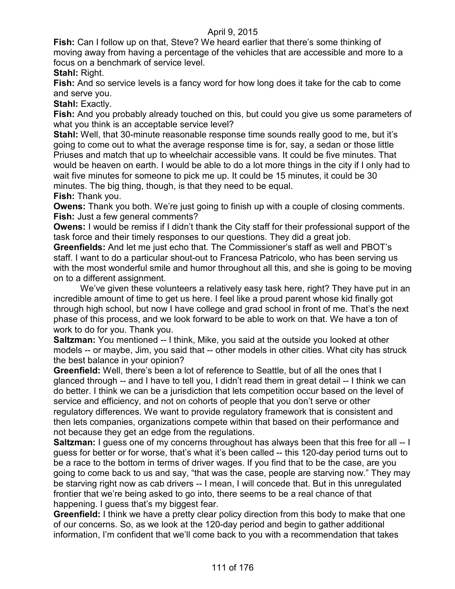**Fish:** Can I follow up on that, Steve? We heard earlier that there's some thinking of moving away from having a percentage of the vehicles that are accessible and more to a focus on a benchmark of service level.

**Stahl:** Right.

**Fish:** And so service levels is a fancy word for how long does it take for the cab to come and serve you.

**Stahl:** Exactly.

**Fish:** And you probably already touched on this, but could you give us some parameters of what you think is an acceptable service level?

**Stahl:** Well, that 30-minute reasonable response time sounds really good to me, but it's going to come out to what the average response time is for, say, a sedan or those little Priuses and match that up to wheelchair accessible vans. It could be five minutes. That would be heaven on earth. I would be able to do a lot more things in the city if I only had to wait five minutes for someone to pick me up. It could be 15 minutes, it could be 30 minutes. The big thing, though, is that they need to be equal.

**Fish:** Thank you.

**Owens:** Thank you both. We're just going to finish up with a couple of closing comments. **Fish:** Just a few general comments?

**Owens:** I would be remiss if I didn't thank the City staff for their professional support of the task force and their timely responses to our questions. They did a great job.

**Greenfields:** And let me just echo that. The Commissioner's staff as well and PBOT's staff. I want to do a particular shout-out to Francesa Patricolo, who has been serving us with the most wonderful smile and humor throughout all this, and she is going to be moving on to a different assignment.

We've given these volunteers a relatively easy task here, right? They have put in an incredible amount of time to get us here. I feel like a proud parent whose kid finally got through high school, but now I have college and grad school in front of me. That's the next phase of this process, and we look forward to be able to work on that. We have a ton of work to do for you. Thank you.

**Saltzman:** You mentioned -- I think, Mike, you said at the outside you looked at other models -- or maybe, Jim, you said that -- other models in other cities. What city has struck the best balance in your opinion?

**Greenfield:** Well, there's been a lot of reference to Seattle, but of all the ones that I glanced through -- and I have to tell you, I didn't read them in great detail -- I think we can do better. I think we can be a jurisdiction that lets competition occur based on the level of service and efficiency, and not on cohorts of people that you don't serve or other regulatory differences. We want to provide regulatory framework that is consistent and then lets companies, organizations compete within that based on their performance and not because they get an edge from the regulations.

**Saltzman:** I guess one of my concerns throughout has always been that this free for all -- I guess for better or for worse, that's what it's been called -- this 120-day period turns out to be a race to the bottom in terms of driver wages. If you find that to be the case, are you going to come back to us and say, "that was the case, people are starving now." They may be starving right now as cab drivers -- I mean, I will concede that. But in this unregulated frontier that we're being asked to go into, there seems to be a real chance of that happening. I guess that's my biggest fear.

**Greenfield:** I think we have a pretty clear policy direction from this body to make that one of our concerns. So, as we look at the 120-day period and begin to gather additional information, I'm confident that we'll come back to you with a recommendation that takes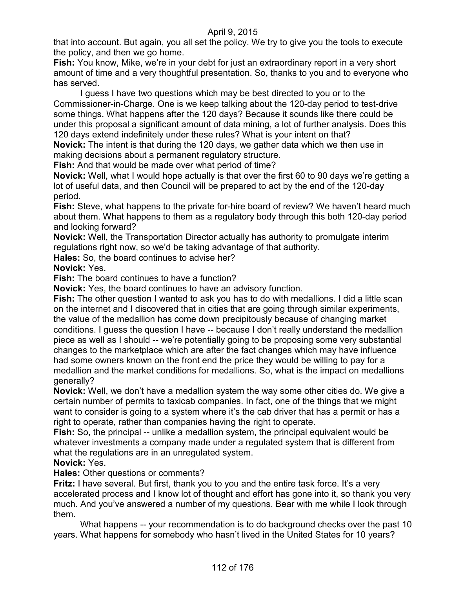that into account. But again, you all set the policy. We try to give you the tools to execute the policy, and then we go home.

**Fish:** You know, Mike, we're in your debt for just an extraordinary report in a very short amount of time and a very thoughtful presentation. So, thanks to you and to everyone who has served.

I guess I have two questions which may be best directed to you or to the Commissioner-in-Charge. One is we keep talking about the 120-day period to test-drive some things. What happens after the 120 days? Because it sounds like there could be under this proposal a significant amount of data mining, a lot of further analysis. Does this 120 days extend indefinitely under these rules? What is your intent on that?

**Novick:** The intent is that during the 120 days, we gather data which we then use in making decisions about a permanent regulatory structure.

**Fish:** And that would be made over what period of time?

**Novick:** Well, what I would hope actually is that over the first 60 to 90 days we're getting a lot of useful data, and then Council will be prepared to act by the end of the 120-day period.

**Fish:** Steve, what happens to the private for-hire board of review? We haven't heard much about them. What happens to them as a regulatory body through this both 120-day period and looking forward?

**Novick:** Well, the Transportation Director actually has authority to promulgate interim regulations right now, so we'd be taking advantage of that authority.

**Hales:** So, the board continues to advise her?

**Novick:** Yes.

**Fish:** The board continues to have a function?

**Novick:** Yes, the board continues to have an advisory function.

**Fish:** The other question I wanted to ask you has to do with medallions. I did a little scan on the internet and I discovered that in cities that are going through similar experiments, the value of the medallion has come down precipitously because of changing market conditions. I guess the question I have -- because I don't really understand the medallion piece as well as I should -- we're potentially going to be proposing some very substantial changes to the marketplace which are after the fact changes which may have influence had some owners known on the front end the price they would be willing to pay for a medallion and the market conditions for medallions. So, what is the impact on medallions generally?

**Novick:** Well, we don't have a medallion system the way some other cities do. We give a certain number of permits to taxicab companies. In fact, one of the things that we might want to consider is going to a system where it's the cab driver that has a permit or has a right to operate, rather than companies having the right to operate.

**Fish:** So, the principal -- unlike a medallion system, the principal equivalent would be whatever investments a company made under a regulated system that is different from what the regulations are in an unregulated system.

### **Novick:** Yes.

#### **Hales:** Other questions or comments?

**Fritz:** I have several. But first, thank you to you and the entire task force. It's a very accelerated process and I know lot of thought and effort has gone into it, so thank you very much. And you've answered a number of my questions. Bear with me while I look through them.

What happens -- your recommendation is to do background checks over the past 10 years. What happens for somebody who hasn't lived in the United States for 10 years?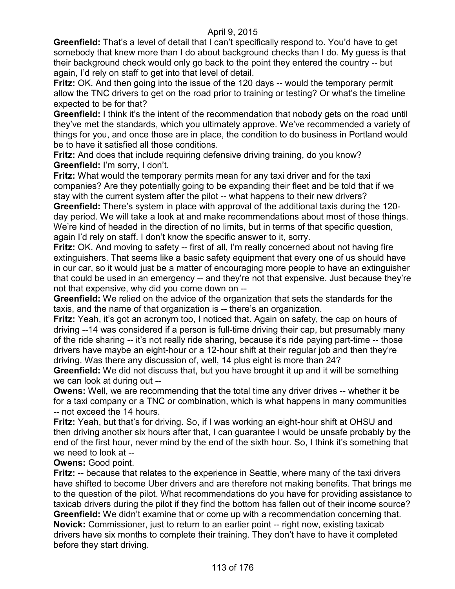**Greenfield:** That's a level of detail that I can't specifically respond to. You'd have to get somebody that knew more than I do about background checks than I do. My guess is that their background check would only go back to the point they entered the country -- but again, I'd rely on staff to get into that level of detail.

**Fritz:** OK. And then going into the issue of the 120 days -- would the temporary permit allow the TNC drivers to get on the road prior to training or testing? Or what's the timeline expected to be for that?

**Greenfield:** I think it's the intent of the recommendation that nobody gets on the road until they've met the standards, which you ultimately approve. We've recommended a variety of things for you, and once those are in place, the condition to do business in Portland would be to have it satisfied all those conditions.

**Fritz:** And does that include requiring defensive driving training, do you know? **Greenfield:** I'm sorry, I don't.

**Fritz:** What would the temporary permits mean for any taxi driver and for the taxi companies? Are they potentially going to be expanding their fleet and be told that if we stay with the current system after the pilot -- what happens to their new drivers?

**Greenfield:** There's system in place with approval of the additional taxis during the 120 day period. We will take a look at and make recommendations about most of those things. We're kind of headed in the direction of no limits, but in terms of that specific question, again I'd rely on staff. I don't know the specific answer to it, sorry.

**Fritz:** OK. And moving to safety -- first of all, I'm really concerned about not having fire extinguishers. That seems like a basic safety equipment that every one of us should have in our car, so it would just be a matter of encouraging more people to have an extinguisher that could be used in an emergency -- and they're not that expensive. Just because they're not that expensive, why did you come down on --

**Greenfield:** We relied on the advice of the organization that sets the standards for the taxis, and the name of that organization is -- there's an organization.

**Fritz:** Yeah, it's got an acronym too, I noticed that. Again on safety, the cap on hours of driving --14 was considered if a person is full-time driving their cap, but presumably many of the ride sharing -- it's not really ride sharing, because it's ride paying part-time -- those drivers have maybe an eight-hour or a 12-hour shift at their regular job and then they're driving. Was there any discussion of, well, 14 plus eight is more than 24?

**Greenfield:** We did not discuss that, but you have brought it up and it will be something we can look at during out --

**Owens:** Well, we are recommending that the total time any driver drives -- whether it be for a taxi company or a TNC or combination, which is what happens in many communities -- not exceed the 14 hours.

**Fritz:** Yeah, but that's for driving. So, if I was working an eight-hour shift at OHSU and then driving another six hours after that, I can guarantee I would be unsafe probably by the end of the first hour, never mind by the end of the sixth hour. So, I think it's something that we need to look at --

### **Owens:** Good point.

**Fritz:** -- because that relates to the experience in Seattle, where many of the taxi drivers have shifted to become Uber drivers and are therefore not making benefits. That brings me to the question of the pilot. What recommendations do you have for providing assistance to taxicab drivers during the pilot if they find the bottom has fallen out of their income source? **Greenfield:** We didn't examine that or come up with a recommendation concerning that. **Novick:** Commissioner, just to return to an earlier point -- right now, existing taxicab drivers have six months to complete their training. They don't have to have it completed before they start driving.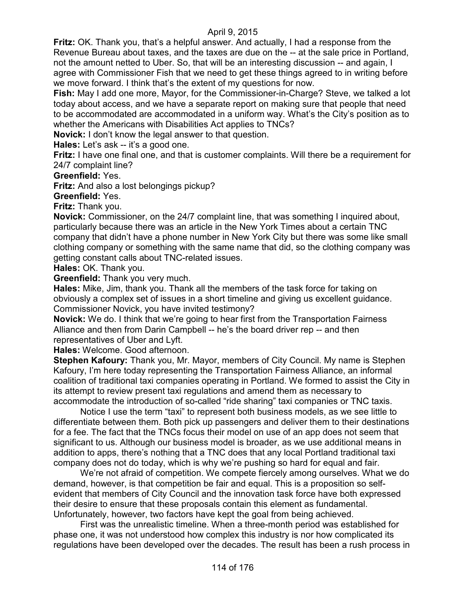**Fritz:** OK. Thank you, that's a helpful answer. And actually, I had a response from the Revenue Bureau about taxes, and the taxes are due on the -- at the sale price in Portland, not the amount netted to Uber. So, that will be an interesting discussion -- and again, I agree with Commissioner Fish that we need to get these things agreed to in writing before we move forward. I think that's the extent of my questions for now.

**Fish:** May I add one more, Mayor, for the Commissioner-in-Charge? Steve, we talked a lot today about access, and we have a separate report on making sure that people that need to be accommodated are accommodated in a uniform way. What's the City's position as to whether the Americans with Disabilities Act applies to TNCs?

**Novick:** I don't know the legal answer to that question.

**Hales:** Let's ask -- it's a good one.

**Fritz:** I have one final one, and that is customer complaints. Will there be a requirement for 24/7 complaint line?

#### **Greenfield:** Yes.

**Fritz:** And also a lost belongings pickup?

**Greenfield:** Yes.

**Fritz:** Thank you.

**Novick:** Commissioner, on the 24/7 complaint line, that was something I inquired about, particularly because there was an article in the New York Times about a certain TNC company that didn't have a phone number in New York City but there was some like small clothing company or something with the same name that did, so the clothing company was getting constant calls about TNC-related issues.

**Hales:** OK. Thank you.

**Greenfield:** Thank you very much.

**Hales:** Mike, Jim, thank you. Thank all the members of the task force for taking on obviously a complex set of issues in a short timeline and giving us excellent guidance. Commissioner Novick, you have invited testimony?

**Novick:** We do. I think that we're going to hear first from the Transportation Fairness Alliance and then from Darin Campbell -- he's the board driver rep -- and then representatives of Uber and Lyft.

**Hales:** Welcome. Good afternoon.

**Stephen Kafoury:** Thank you, Mr. Mayor, members of City Council. My name is Stephen Kafoury, I'm here today representing the Transportation Fairness Alliance, an informal coalition of traditional taxi companies operating in Portland. We formed to assist the City in its attempt to review present taxi regulations and amend them as necessary to accommodate the introduction of so-called "ride sharing" taxi companies or TNC taxis.

Notice I use the term "taxi" to represent both business models, as we see little to differentiate between them. Both pick up passengers and deliver them to their destinations for a fee. The fact that the TNCs focus their model on use of an app does not seem that significant to us. Although our business model is broader, as we use additional means in addition to apps, there's nothing that a TNC does that any local Portland traditional taxi company does not do today, which is why we're pushing so hard for equal and fair.

We're not afraid of competition. We compete fiercely among ourselves. What we do demand, however, is that competition be fair and equal. This is a proposition so selfevident that members of City Council and the innovation task force have both expressed their desire to ensure that these proposals contain this element as fundamental. Unfortunately, however, two factors have kept the goal from being achieved.

First was the unrealistic timeline. When a three-month period was established for phase one, it was not understood how complex this industry is nor how complicated its regulations have been developed over the decades. The result has been a rush process in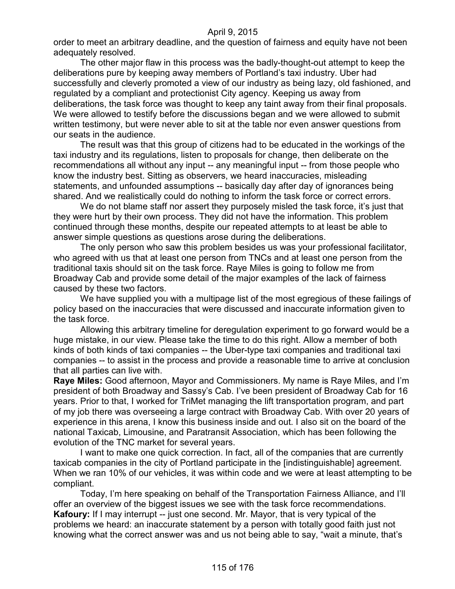order to meet an arbitrary deadline, and the question of fairness and equity have not been adequately resolved.

The other major flaw in this process was the badly-thought-out attempt to keep the deliberations pure by keeping away members of Portland's taxi industry. Uber had successfully and cleverly promoted a view of our industry as being lazy, old fashioned, and regulated by a compliant and protectionist City agency. Keeping us away from deliberations, the task force was thought to keep any taint away from their final proposals. We were allowed to testify before the discussions began and we were allowed to submit written testimony, but were never able to sit at the table nor even answer questions from our seats in the audience.

The result was that this group of citizens had to be educated in the workings of the taxi industry and its regulations, listen to proposals for change, then deliberate on the recommendations all without any input -- any meaningful input -- from those people who know the industry best. Sitting as observers, we heard inaccuracies, misleading statements, and unfounded assumptions -- basically day after day of ignorances being shared. And we realistically could do nothing to inform the task force or correct errors.

We do not blame staff nor assert they purposely misled the task force, it's just that they were hurt by their own process. They did not have the information. This problem continued through these months, despite our repeated attempts to at least be able to answer simple questions as questions arose during the deliberations.

The only person who saw this problem besides us was your professional facilitator, who agreed with us that at least one person from TNCs and at least one person from the traditional taxis should sit on the task force. Raye Miles is going to follow me from Broadway Cab and provide some detail of the major examples of the lack of fairness caused by these two factors.

We have supplied you with a multipage list of the most egregious of these failings of policy based on the inaccuracies that were discussed and inaccurate information given to the task force.

Allowing this arbitrary timeline for deregulation experiment to go forward would be a huge mistake, in our view. Please take the time to do this right. Allow a member of both kinds of both kinds of taxi companies -- the Uber-type taxi companies and traditional taxi companies -- to assist in the process and provide a reasonable time to arrive at conclusion that all parties can live with.

**Raye Miles:** Good afternoon, Mayor and Commissioners. My name is Raye Miles, and I'm president of both Broadway and Sassy's Cab. I've been president of Broadway Cab for 16 years. Prior to that, I worked for TriMet managing the lift transportation program, and part of my job there was overseeing a large contract with Broadway Cab. With over 20 years of experience in this arena, I know this business inside and out. I also sit on the board of the national Taxicab, Limousine, and Paratransit Association, which has been following the evolution of the TNC market for several years.

I want to make one quick correction. In fact, all of the companies that are currently taxicab companies in the city of Portland participate in the [indistinguishable] agreement. When we ran 10% of our vehicles, it was within code and we were at least attempting to be compliant.

Today, I'm here speaking on behalf of the Transportation Fairness Alliance, and I'll offer an overview of the biggest issues we see with the task force recommendations. **Kafoury:** If I may interrupt -- just one second. Mr. Mayor, that is very typical of the problems we heard: an inaccurate statement by a person with totally good faith just not knowing what the correct answer was and us not being able to say, "wait a minute, that's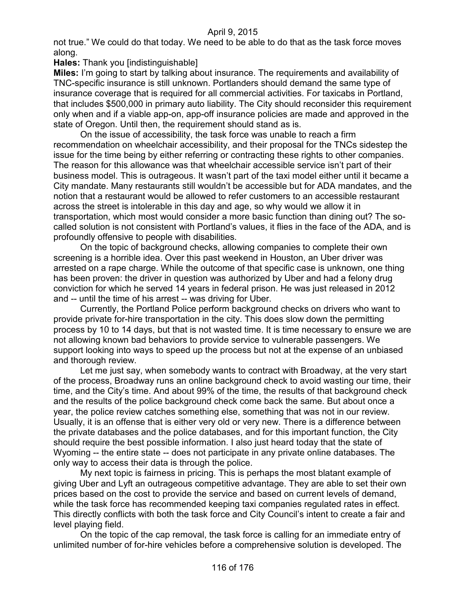not true." We could do that today. We need to be able to do that as the task force moves along.

**Hales:** Thank you [indistinguishable]

**Miles:** I'm going to start by talking about insurance. The requirements and availability of TNC-specific insurance is still unknown. Portlanders should demand the same type of insurance coverage that is required for all commercial activities. For taxicabs in Portland, that includes \$500,000 in primary auto liability. The City should reconsider this requirement only when and if a viable app-on, app-off insurance policies are made and approved in the state of Oregon. Until then, the requirement should stand as is.

On the issue of accessibility, the task force was unable to reach a firm recommendation on wheelchair accessibility, and their proposal for the TNCs sidestep the issue for the time being by either referring or contracting these rights to other companies. The reason for this allowance was that wheelchair accessible service isn't part of their business model. This is outrageous. It wasn't part of the taxi model either until it became a City mandate. Many restaurants still wouldn't be accessible but for ADA mandates, and the notion that a restaurant would be allowed to refer customers to an accessible restaurant across the street is intolerable in this day and age, so why would we allow it in transportation, which most would consider a more basic function than dining out? The socalled solution is not consistent with Portland's values, it flies in the face of the ADA, and is profoundly offensive to people with disabilities.

On the topic of background checks, allowing companies to complete their own screening is a horrible idea. Over this past weekend in Houston, an Uber driver was arrested on a rape charge. While the outcome of that specific case is unknown, one thing has been proven: the driver in question was authorized by Uber and had a felony drug conviction for which he served 14 years in federal prison. He was just released in 2012 and -- until the time of his arrest -- was driving for Uber.

Currently, the Portland Police perform background checks on drivers who want to provide private for-hire transportation in the city. This does slow down the permitting process by 10 to 14 days, but that is not wasted time. It is time necessary to ensure we are not allowing known bad behaviors to provide service to vulnerable passengers. We support looking into ways to speed up the process but not at the expense of an unbiased and thorough review.

Let me just say, when somebody wants to contract with Broadway, at the very start of the process, Broadway runs an online background check to avoid wasting our time, their time, and the City's time. And about 99% of the time, the results of that background check and the results of the police background check come back the same. But about once a year, the police review catches something else, something that was not in our review. Usually, it is an offense that is either very old or very new. There is a difference between the private databases and the police databases, and for this important function, the City should require the best possible information. I also just heard today that the state of Wyoming -- the entire state -- does not participate in any private online databases. The only way to access their data is through the police.

My next topic is fairness in pricing. This is perhaps the most blatant example of giving Uber and Lyft an outrageous competitive advantage. They are able to set their own prices based on the cost to provide the service and based on current levels of demand, while the task force has recommended keeping taxi companies regulated rates in effect. This directly conflicts with both the task force and City Council's intent to create a fair and level playing field.

On the topic of the cap removal, the task force is calling for an immediate entry of unlimited number of for-hire vehicles before a comprehensive solution is developed. The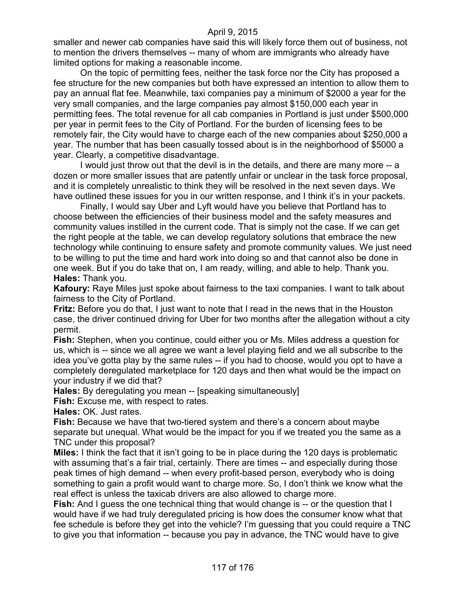smaller and newer cab companies have said this will likely force them out of business, not to mention the drivers themselves -- many of whom are immigrants who already have limited options for making a reasonable income.

On the topic of permitting fees, neither the task force nor the City has proposed a fee structure for the new companies but both have expressed an intention to allow them to pay an annual flat fee. Meanwhile, taxi companies pay a minimum of \$2000 a year for the very small companies, and the large companies pay almost \$150,000 each year in permitting fees. The total revenue for all cab companies in Portland is just under \$500,000 per year in permit fees to the City of Portland. For the burden of licensing fees to be remotely fair, the City would have to charge each of the new companies about \$250,000 a year. The number that has been casually tossed about is in the neighborhood of \$5000 a year. Clearly, a competitive disadvantage.

I would just throw out that the devil is in the details, and there are many more -- a dozen or more smaller issues that are patently unfair or unclear in the task force proposal, and it is completely unrealistic to think they will be resolved in the next seven days. We have outlined these issues for you in our written response, and I think it's in your packets.

Finally, I would say Uber and Lyft would have you believe that Portland has to choose between the efficiencies of their business model and the safety measures and community values instilled in the current code. That is simply not the case. If we can get the right people at the table, we can develop regulatory solutions that embrace the new technology while continuing to ensure safety and promote community values. We just need to be willing to put the time and hard work into doing so and that cannot also be done in one week. But if you do take that on, I am ready, willing, and able to help. Thank you. **Hales:** Thank you.

**Kafoury:** Raye Miles just spoke about fairness to the taxi companies. I want to talk about fairness to the City of Portland.

**Fritz:** Before you do that, I just want to note that I read in the news that in the Houston case, the driver continued driving for Uber for two months after the allegation without a city permit.

**Fish:** Stephen, when you continue, could either you or Ms. Miles address a question for us, which is -- since we all agree we want a level playing field and we all subscribe to the idea you've gotta play by the same rules -- if you had to choose, would you opt to have a completely deregulated marketplace for 120 days and then what would be the impact on your industry if we did that?

**Hales:** By deregulating you mean -- [speaking simultaneously]

**Fish:** Excuse me, with respect to rates.

**Hales:** OK. Just rates.

**Fish:** Because we have that two-tiered system and there's a concern about maybe separate but unequal. What would be the impact for you if we treated you the same as a TNC under this proposal?

**Miles:** I think the fact that it isn't going to be in place during the 120 days is problematic with assuming that's a fair trial, certainly. There are times -- and especially during those peak times of high demand -- when every profit-based person, everybody who is doing something to gain a profit would want to charge more. So, I don't think we know what the real effect is unless the taxicab drivers are also allowed to charge more.

**Fish:** And I guess the one technical thing that would change is -- or the question that I would have if we had truly deregulated pricing is how does the consumer know what that fee schedule is before they get into the vehicle? I'm guessing that you could require a TNC to give you that information -- because you pay in advance, the TNC would have to give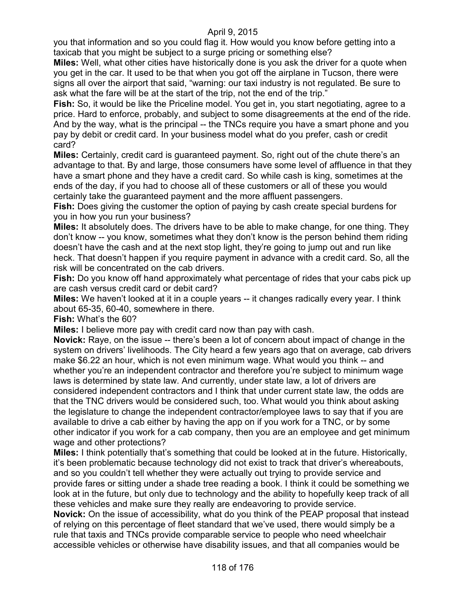you that information and so you could flag it. How would you know before getting into a taxicab that you might be subject to a surge pricing or something else?

**Miles:** Well, what other cities have historically done is you ask the driver for a quote when you get in the car. It used to be that when you got off the airplane in Tucson, there were signs all over the airport that said, "warning: our taxi industry is not regulated. Be sure to ask what the fare will be at the start of the trip, not the end of the trip."

**Fish:** So, it would be like the Priceline model. You get in, you start negotiating, agree to a price. Hard to enforce, probably, and subject to some disagreements at the end of the ride. And by the way, what is the principal -- the TNCs require you have a smart phone and you pay by debit or credit card. In your business model what do you prefer, cash or credit card?

**Miles:** Certainly, credit card is guaranteed payment. So, right out of the chute there's an advantage to that. By and large, those consumers have some level of affluence in that they have a smart phone and they have a credit card. So while cash is king, sometimes at the ends of the day, if you had to choose all of these customers or all of these you would certainly take the guaranteed payment and the more affluent passengers.

**Fish:** Does giving the customer the option of paying by cash create special burdens for you in how you run your business?

**Miles:** It absolutely does. The drivers have to be able to make change, for one thing. They don't know -- you know, sometimes what they don't know is the person behind them riding doesn't have the cash and at the next stop light, they're going to jump out and run like heck. That doesn't happen if you require payment in advance with a credit card. So, all the risk will be concentrated on the cab drivers.

**Fish:** Do you know off hand approximately what percentage of rides that your cabs pick up are cash versus credit card or debit card?

**Miles:** We haven't looked at it in a couple years -- it changes radically every year. I think about 65-35, 60-40, somewhere in there.

**Fish:** What's the 60?

**Miles:** I believe more pay with credit card now than pay with cash.

**Novick:** Raye, on the issue -- there's been a lot of concern about impact of change in the system on drivers' livelihoods. The City heard a few years ago that on average, cab drivers make \$6.22 an hour, which is not even minimum wage. What would you think -- and whether you're an independent contractor and therefore you're subject to minimum wage laws is determined by state law. And currently, under state law, a lot of drivers are considered independent contractors and I think that under current state law, the odds are that the TNC drivers would be considered such, too. What would you think about asking the legislature to change the independent contractor/employee laws to say that if you are available to drive a cab either by having the app on if you work for a TNC, or by some other indicator if you work for a cab company, then you are an employee and get minimum wage and other protections?

**Miles:** I think potentially that's something that could be looked at in the future. Historically, it's been problematic because technology did not exist to track that driver's whereabouts, and so you couldn't tell whether they were actually out trying to provide service and provide fares or sitting under a shade tree reading a book. I think it could be something we look at in the future, but only due to technology and the ability to hopefully keep track of all these vehicles and make sure they really are endeavoring to provide service.

**Novick:** On the issue of accessibility, what do you think of the PEAP proposal that instead of relying on this percentage of fleet standard that we've used, there would simply be a rule that taxis and TNCs provide comparable service to people who need wheelchair accessible vehicles or otherwise have disability issues, and that all companies would be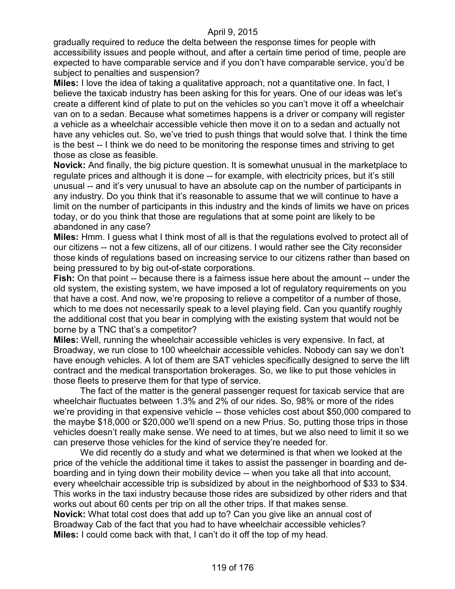gradually required to reduce the delta between the response times for people with accessibility issues and people without, and after a certain time period of time, people are expected to have comparable service and if you don't have comparable service, you'd be subject to penalties and suspension?

**Miles:** I love the idea of taking a qualitative approach, not a quantitative one. In fact, I believe the taxicab industry has been asking for this for years. One of our ideas was let's create a different kind of plate to put on the vehicles so you can't move it off a wheelchair van on to a sedan. Because what sometimes happens is a driver or company will register a vehicle as a wheelchair accessible vehicle then move it on to a sedan and actually not have any vehicles out. So, we've tried to push things that would solve that. I think the time is the best -- I think we do need to be monitoring the response times and striving to get those as close as feasible.

**Novick:** And finally, the big picture question. It is somewhat unusual in the marketplace to regulate prices and although it is done -- for example, with electricity prices, but it's still unusual -- and it's very unusual to have an absolute cap on the number of participants in any industry. Do you think that it's reasonable to assume that we will continue to have a limit on the number of participants in this industry and the kinds of limits we have on prices today, or do you think that those are regulations that at some point are likely to be abandoned in any case?

**Miles:** Hmm. I guess what I think most of all is that the regulations evolved to protect all of our citizens -- not a few citizens, all of our citizens. I would rather see the City reconsider those kinds of regulations based on increasing service to our citizens rather than based on being pressured to by big out-of-state corporations.

**Fish:** On that point -- because there is a fairness issue here about the amount -- under the old system, the existing system, we have imposed a lot of regulatory requirements on you that have a cost. And now, we're proposing to relieve a competitor of a number of those, which to me does not necessarily speak to a level playing field. Can you quantify roughly the additional cost that you bear in complying with the existing system that would not be borne by a TNC that's a competitor?

**Miles:** Well, running the wheelchair accessible vehicles is very expensive. In fact, at Broadway, we run close to 100 wheelchair accessible vehicles. Nobody can say we don't have enough vehicles. A lot of them are SAT vehicles specifically designed to serve the lift contract and the medical transportation brokerages. So, we like to put those vehicles in those fleets to preserve them for that type of service.

The fact of the matter is the general passenger request for taxicab service that are wheelchair fluctuates between 1.3% and 2% of our rides. So, 98% or more of the rides we're providing in that expensive vehicle -- those vehicles cost about \$50,000 compared to the maybe \$18,000 or \$20,000 we'll spend on a new Prius. So, putting those trips in those vehicles doesn't really make sense. We need to at times, but we also need to limit it so we can preserve those vehicles for the kind of service they're needed for.

We did recently do a study and what we determined is that when we looked at the price of the vehicle the additional time it takes to assist the passenger in boarding and deboarding and in tying down their mobility device -- when you take all that into account, every wheelchair accessible trip is subsidized by about in the neighborhood of \$33 to \$34. This works in the taxi industry because those rides are subsidized by other riders and that works out about 60 cents per trip on all the other trips. If that makes sense. **Novick:** What total cost does that add up to? Can you give like an annual cost of Broadway Cab of the fact that you had to have wheelchair accessible vehicles? **Miles:** I could come back with that, I can't do it off the top of my head.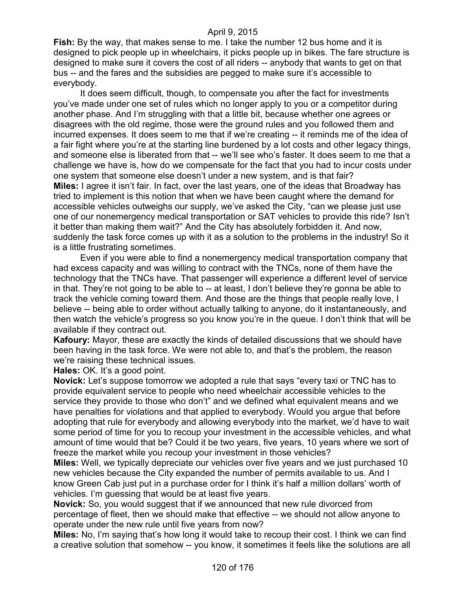**Fish:** By the way, that makes sense to me. I take the number 12 bus home and it is designed to pick people up in wheelchairs, it picks people up in bikes. The fare structure is designed to make sure it covers the cost of all riders -- anybody that wants to get on that bus -- and the fares and the subsidies are pegged to make sure it's accessible to everybody.

It does seem difficult, though, to compensate you after the fact for investments you've made under one set of rules which no longer apply to you or a competitor during another phase. And I'm struggling with that a little bit, because whether one agrees or disagrees with the old regime, those were the ground rules and you followed them and incurred expenses. It does seem to me that if we're creating -- it reminds me of the idea of a fair fight where you're at the starting line burdened by a lot costs and other legacy things, and someone else is liberated from that -- we'll see who's faster. It does seem to me that a challenge we have is, how do we compensate for the fact that you had to incur costs under one system that someone else doesn't under a new system, and is that fair? **Miles:** I agree it isn't fair. In fact, over the last years, one of the ideas that Broadway has tried to implement is this notion that when we have been caught where the demand for accessible vehicles outweighs our supply, we've asked the City, "can we please just use one of our nonemergency medical transportation or SAT vehicles to provide this ride? Isn't it better than making them wait?" And the City has absolutely forbidden it. And now, suddenly the task force comes up with it as a solution to the problems in the industry! So it is a little frustrating sometimes.

Even if you were able to find a nonemergency medical transportation company that had excess capacity and was willing to contract with the TNCs, none of them have the technology that the TNCs have. That passenger will experience a different level of service in that. They're not going to be able to -- at least, I don't believe they're gonna be able to track the vehicle coming toward them. And those are the things that people really love, I believe -- being able to order without actually talking to anyone, do it instantaneously, and then watch the vehicle's progress so you know you're in the queue. I don't think that will be available if they contract out.

**Kafoury:** Mayor, these are exactly the kinds of detailed discussions that we should have been having in the task force. We were not able to, and that's the problem, the reason we're raising these technical issues.

**Hales:** OK. It's a good point.

**Novick:** Let's suppose tomorrow we adopted a rule that says "every taxi or TNC has to provide equivalent service to people who need wheelchair accessible vehicles to the service they provide to those who don't" and we defined what equivalent means and we have penalties for violations and that applied to everybody. Would you argue that before adopting that rule for everybody and allowing everybody into the market, we'd have to wait some period of time for you to recoup your investment in the accessible vehicles, and what amount of time would that be? Could it be two years, five years, 10 years where we sort of freeze the market while you recoup your investment in those vehicles?

**Miles:** Well, we typically depreciate our vehicles over five years and we just purchased 10 new vehicles because the City expanded the number of permits available to us. And I know Green Cab just put in a purchase order for I think it's half a million dollars' worth of vehicles. I'm guessing that would be at least five years.

**Novick:** So, you would suggest that if we announced that new rule divorced from percentage of fleet, then we should make that effective -- we should not allow anyone to operate under the new rule until five years from now?

**Miles:** No, I'm saying that's how long it would take to recoup their cost. I think we can find a creative solution that somehow -- you know, it sometimes it feels like the solutions are all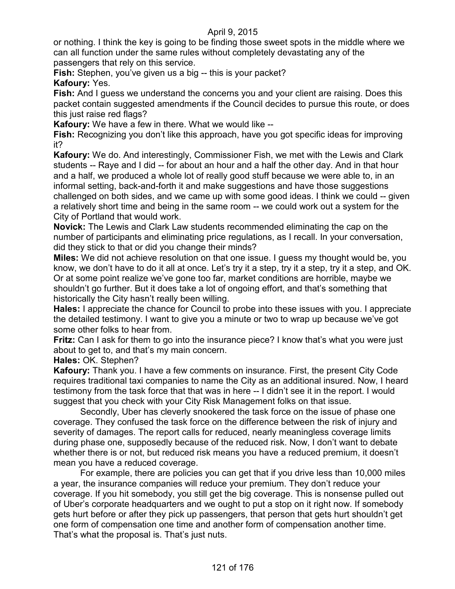or nothing. I think the key is going to be finding those sweet spots in the middle where we can all function under the same rules without completely devastating any of the passengers that rely on this service.

**Fish:** Stephen, you've given us a big -- this is your packet? **Kafoury:** Yes.

**Fish:** And I guess we understand the concerns you and your client are raising. Does this packet contain suggested amendments if the Council decides to pursue this route, or does this just raise red flags?

**Kafoury:** We have a few in there. What we would like --

**Fish:** Recognizing you don't like this approach, have you got specific ideas for improving it?

**Kafoury:** We do. And interestingly, Commissioner Fish, we met with the Lewis and Clark students -- Raye and I did -- for about an hour and a half the other day. And in that hour and a half, we produced a whole lot of really good stuff because we were able to, in an informal setting, back-and-forth it and make suggestions and have those suggestions challenged on both sides, and we came up with some good ideas. I think we could -- given a relatively short time and being in the same room -- we could work out a system for the City of Portland that would work.

**Novick:** The Lewis and Clark Law students recommended eliminating the cap on the number of participants and eliminating price regulations, as I recall. In your conversation, did they stick to that or did you change their minds?

**Miles:** We did not achieve resolution on that one issue. I guess my thought would be, you know, we don't have to do it all at once. Let's try it a step, try it a step, try it a step, and OK. Or at some point realize we've gone too far, market conditions are horrible, maybe we shouldn't go further. But it does take a lot of ongoing effort, and that's something that historically the City hasn't really been willing.

**Hales:** I appreciate the chance for Council to probe into these issues with you. I appreciate the detailed testimony. I want to give you a minute or two to wrap up because we've got some other folks to hear from.

**Fritz:** Can I ask for them to go into the insurance piece? I know that's what you were just about to get to, and that's my main concern.

**Hales:** OK. Stephen?

**Kafoury:** Thank you. I have a few comments on insurance. First, the present City Code requires traditional taxi companies to name the City as an additional insured. Now, I heard testimony from the task force that that was in here -- I didn't see it in the report. I would suggest that you check with your City Risk Management folks on that issue.

Secondly, Uber has cleverly snookered the task force on the issue of phase one coverage. They confused the task force on the difference between the risk of injury and severity of damages. The report calls for reduced, nearly meaningless coverage limits during phase one, supposedly because of the reduced risk. Now, I don't want to debate whether there is or not, but reduced risk means you have a reduced premium, it doesn't mean you have a reduced coverage.

For example, there are policies you can get that if you drive less than 10,000 miles a year, the insurance companies will reduce your premium. They don't reduce your coverage. If you hit somebody, you still get the big coverage. This is nonsense pulled out of Uber's corporate headquarters and we ought to put a stop on it right now. If somebody gets hurt before or after they pick up passengers, that person that gets hurt shouldn't get one form of compensation one time and another form of compensation another time. That's what the proposal is. That's just nuts.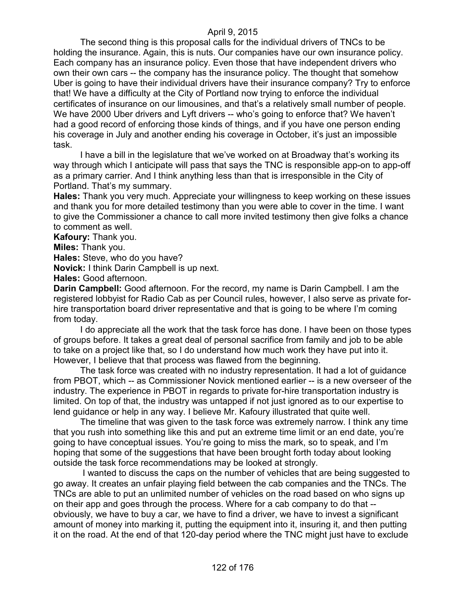The second thing is this proposal calls for the individual drivers of TNCs to be holding the insurance. Again, this is nuts. Our companies have our own insurance policy. Each company has an insurance policy. Even those that have independent drivers who own their own cars -- the company has the insurance policy. The thought that somehow Uber is going to have their individual drivers have their insurance company? Try to enforce that! We have a difficulty at the City of Portland now trying to enforce the individual certificates of insurance on our limousines, and that's a relatively small number of people. We have 2000 Uber drivers and Lyft drivers -- who's going to enforce that? We haven't had a good record of enforcing those kinds of things, and if you have one person ending his coverage in July and another ending his coverage in October, it's just an impossible task.

I have a bill in the legislature that we've worked on at Broadway that's working its way through which I anticipate will pass that says the TNC is responsible app-on to app-off as a primary carrier. And I think anything less than that is irresponsible in the City of Portland. That's my summary.

**Hales:** Thank you very much. Appreciate your willingness to keep working on these issues and thank you for more detailed testimony than you were able to cover in the time. I want to give the Commissioner a chance to call more invited testimony then give folks a chance to comment as well.

**Kafoury:** Thank you.

**Miles:** Thank you.

**Hales:** Steve, who do you have?

**Novick:** I think Darin Campbell is up next.

**Hales:** Good afternoon.

**Darin Campbell:** Good afternoon. For the record, my name is Darin Campbell. I am the registered lobbyist for Radio Cab as per Council rules, however, I also serve as private forhire transportation board driver representative and that is going to be where I'm coming from today.

I do appreciate all the work that the task force has done. I have been on those types of groups before. It takes a great deal of personal sacrifice from family and job to be able to take on a project like that, so I do understand how much work they have put into it. However, I believe that that process was flawed from the beginning.

The task force was created with no industry representation. It had a lot of guidance from PBOT, which -- as Commissioner Novick mentioned earlier -- is a new overseer of the industry. The experience in PBOT in regards to private for-hire transportation industry is limited. On top of that, the industry was untapped if not just ignored as to our expertise to lend guidance or help in any way. I believe Mr. Kafoury illustrated that quite well.

The timeline that was given to the task force was extremely narrow. I think any time that you rush into something like this and put an extreme time limit or an end date, you're going to have conceptual issues. You're going to miss the mark, so to speak, and I'm hoping that some of the suggestions that have been brought forth today about looking outside the task force recommendations may be looked at strongly.

I wanted to discuss the caps on the number of vehicles that are being suggested to go away. It creates an unfair playing field between the cab companies and the TNCs. The TNCs are able to put an unlimited number of vehicles on the road based on who signs up on their app and goes through the process. Where for a cab company to do that - obviously, we have to buy a car, we have to find a driver, we have to invest a significant amount of money into marking it, putting the equipment into it, insuring it, and then putting it on the road. At the end of that 120-day period where the TNC might just have to exclude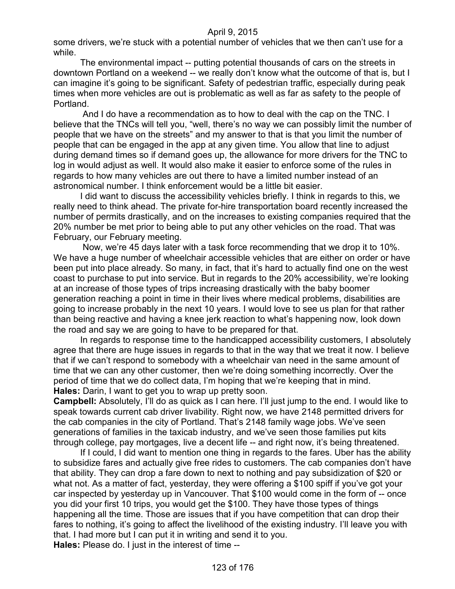some drivers, we're stuck with a potential number of vehicles that we then can't use for a while.

The environmental impact -- putting potential thousands of cars on the streets in downtown Portland on a weekend -- we really don't know what the outcome of that is, but I can imagine it's going to be significant. Safety of pedestrian traffic, especially during peak times when more vehicles are out is problematic as well as far as safety to the people of Portland.

And I do have a recommendation as to how to deal with the cap on the TNC. I believe that the TNCs will tell you, "well, there's no way we can possibly limit the number of people that we have on the streets" and my answer to that is that you limit the number of people that can be engaged in the app at any given time. You allow that line to adjust during demand times so if demand goes up, the allowance for more drivers for the TNC to log in would adjust as well. It would also make it easier to enforce some of the rules in regards to how many vehicles are out there to have a limited number instead of an astronomical number. I think enforcement would be a little bit easier.

I did want to discuss the accessibility vehicles briefly. I think in regards to this, we really need to think ahead. The private for-hire transportation board recently increased the number of permits drastically, and on the increases to existing companies required that the 20% number be met prior to being able to put any other vehicles on the road. That was February, our February meeting.

Now, we're 45 days later with a task force recommending that we drop it to 10%. We have a huge number of wheelchair accessible vehicles that are either on order or have been put into place already. So many, in fact, that it's hard to actually find one on the west coast to purchase to put into service. But in regards to the 20% accessibility, we're looking at an increase of those types of trips increasing drastically with the baby boomer generation reaching a point in time in their lives where medical problems, disabilities are going to increase probably in the next 10 years. I would love to see us plan for that rather than being reactive and having a knee jerk reaction to what's happening now, look down the road and say we are going to have to be prepared for that.

In regards to response time to the handicapped accessibility customers, I absolutely agree that there are huge issues in regards to that in the way that we treat it now. I believe that if we can't respond to somebody with a wheelchair van need in the same amount of time that we can any other customer, then we're doing something incorrectly. Over the period of time that we do collect data, I'm hoping that we're keeping that in mind. **Hales:** Darin, I want to get you to wrap up pretty soon.

**Campbell:** Absolutely, I'll do as quick as I can here. I'll just jump to the end. I would like to speak towards current cab driver livability. Right now, we have 2148 permitted drivers for the cab companies in the city of Portland. That's 2148 family wage jobs. We've seen generations of families in the taxicab industry, and we've seen those families put kits through college, pay mortgages, live a decent life -- and right now, it's being threatened.

If I could, I did want to mention one thing in regards to the fares. Uber has the ability to subsidize fares and actually give free rides to customers. The cab companies don't have that ability. They can drop a fare down to next to nothing and pay subsidization of \$20 or what not. As a matter of fact, yesterday, they were offering a \$100 spiff if you've got your car inspected by yesterday up in Vancouver. That \$100 would come in the form of -- once you did your first 10 trips, you would get the \$100. They have those types of things happening all the time. Those are issues that if you have competition that can drop their fares to nothing, it's going to affect the livelihood of the existing industry. I'll leave you with that. I had more but I can put it in writing and send it to you. **Hales:** Please do. I just in the interest of time --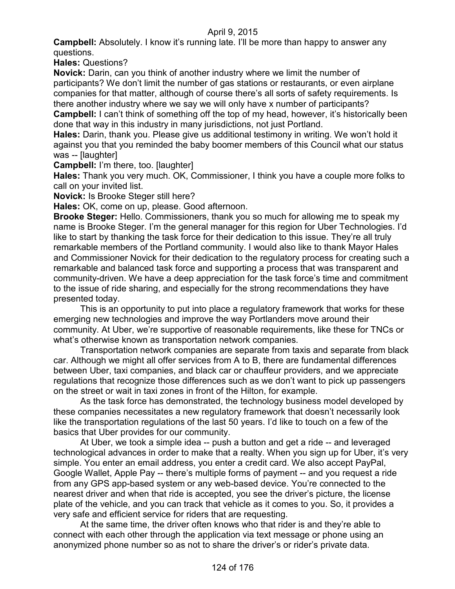**Campbell:** Absolutely. I know it's running late. I'll be more than happy to answer any questions.

**Hales:** Questions?

**Novick:** Darin, can you think of another industry where we limit the number of participants? We don't limit the number of gas stations or restaurants, or even airplane companies for that matter, although of course there's all sorts of safety requirements. Is there another industry where we say we will only have x number of participants?

**Campbell:** I can't think of something off the top of my head, however, it's historically been done that way in this industry in many jurisdictions, not just Portland.

**Hales:** Darin, thank you. Please give us additional testimony in writing. We won't hold it against you that you reminded the baby boomer members of this Council what our status was -- [laughter]

**Campbell:** I'm there, too. [laughter]

**Hales:** Thank you very much. OK, Commissioner, I think you have a couple more folks to call on your invited list.

**Novick:** Is Brooke Steger still here?

**Hales:** OK, come on up, please. Good afternoon.

**Brooke Steger:** Hello. Commissioners, thank you so much for allowing me to speak my name is Brooke Steger. I'm the general manager for this region for Uber Technologies. I'd like to start by thanking the task force for their dedication to this issue. They're all truly remarkable members of the Portland community. I would also like to thank Mayor Hales and Commissioner Novick for their dedication to the regulatory process for creating such a remarkable and balanced task force and supporting a process that was transparent and community-driven. We have a deep appreciation for the task force's time and commitment to the issue of ride sharing, and especially for the strong recommendations they have presented today.

This is an opportunity to put into place a regulatory framework that works for these emerging new technologies and improve the way Portlanders move around their community. At Uber, we're supportive of reasonable requirements, like these for TNCs or what's otherwise known as transportation network companies.

Transportation network companies are separate from taxis and separate from black car. Although we might all offer services from A to B, there are fundamental differences between Uber, taxi companies, and black car or chauffeur providers, and we appreciate regulations that recognize those differences such as we don't want to pick up passengers on the street or wait in taxi zones in front of the Hilton, for example.

As the task force has demonstrated, the technology business model developed by these companies necessitates a new regulatory framework that doesn't necessarily look like the transportation regulations of the last 50 years. I'd like to touch on a few of the basics that Uber provides for our community.

At Uber, we took a simple idea -- push a button and get a ride -- and leveraged technological advances in order to make that a realty. When you sign up for Uber, it's very simple. You enter an email address, you enter a credit card. We also accept PayPal, Google Wallet, Apple Pay -- there's multiple forms of payment -- and you request a ride from any GPS app-based system or any web-based device. You're connected to the nearest driver and when that ride is accepted, you see the driver's picture, the license plate of the vehicle, and you can track that vehicle as it comes to you. So, it provides a very safe and efficient service for riders that are requesting.

At the same time, the driver often knows who that rider is and they're able to connect with each other through the application via text message or phone using an anonymized phone number so as not to share the driver's or rider's private data.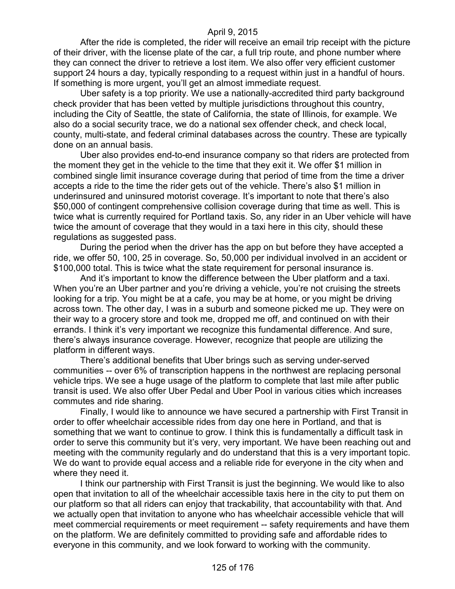After the ride is completed, the rider will receive an email trip receipt with the picture of their driver, with the license plate of the car, a full trip route, and phone number where they can connect the driver to retrieve a lost item. We also offer very efficient customer support 24 hours a day, typically responding to a request within just in a handful of hours. If something is more urgent, you'll get an almost immediate request.

Uber safety is a top priority. We use a nationally-accredited third party background check provider that has been vetted by multiple jurisdictions throughout this country, including the City of Seattle, the state of California, the state of Illinois, for example. We also do a social security trace, we do a national sex offender check, and check local, county, multi-state, and federal criminal databases across the country. These are typically done on an annual basis.

Uber also provides end-to-end insurance company so that riders are protected from the moment they get in the vehicle to the time that they exit it. We offer \$1 million in combined single limit insurance coverage during that period of time from the time a driver accepts a ride to the time the rider gets out of the vehicle. There's also \$1 million in underinsured and uninsured motorist coverage. It's important to note that there's also \$50,000 of contingent comprehensive collision coverage during that time as well. This is twice what is currently required for Portland taxis. So, any rider in an Uber vehicle will have twice the amount of coverage that they would in a taxi here in this city, should these regulations as suggested pass.

During the period when the driver has the app on but before they have accepted a ride, we offer 50, 100, 25 in coverage. So, 50,000 per individual involved in an accident or \$100,000 total. This is twice what the state requirement for personal insurance is.

And it's important to know the difference between the Uber platform and a taxi. When you're an Uber partner and you're driving a vehicle, you're not cruising the streets looking for a trip. You might be at a cafe, you may be at home, or you might be driving across town. The other day, I was in a suburb and someone picked me up. They were on their way to a grocery store and took me, dropped me off, and continued on with their errands. I think it's very important we recognize this fundamental difference. And sure, there's always insurance coverage. However, recognize that people are utilizing the platform in different ways.

There's additional benefits that Uber brings such as serving under-served communities -- over 6% of transcription happens in the northwest are replacing personal vehicle trips. We see a huge usage of the platform to complete that last mile after public transit is used. We also offer Uber Pedal and Uber Pool in various cities which increases commutes and ride sharing.

Finally, I would like to announce we have secured a partnership with First Transit in order to offer wheelchair accessible rides from day one here in Portland, and that is something that we want to continue to grow. I think this is fundamentally a difficult task in order to serve this community but it's very, very important. We have been reaching out and meeting with the community regularly and do understand that this is a very important topic. We do want to provide equal access and a reliable ride for everyone in the city when and where they need it.

I think our partnership with First Transit is just the beginning. We would like to also open that invitation to all of the wheelchair accessible taxis here in the city to put them on our platform so that all riders can enjoy that trackability, that accountability with that. And we actually open that invitation to anyone who has wheelchair accessible vehicle that will meet commercial requirements or meet requirement -- safety requirements and have them on the platform. We are definitely committed to providing safe and affordable rides to everyone in this community, and we look forward to working with the community.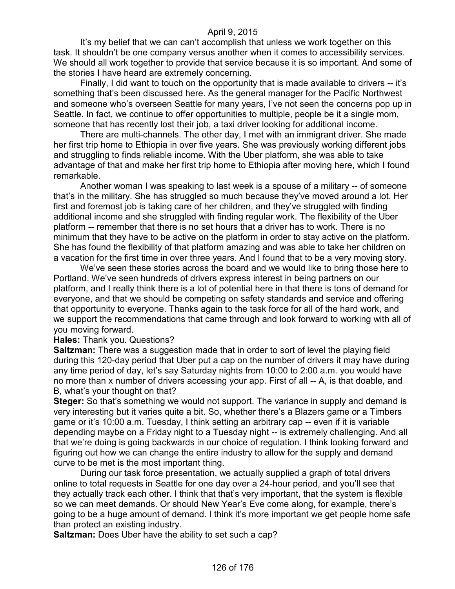It's my belief that we can can't accomplish that unless we work together on this task. It shouldn't be one company versus another when it comes to accessibility services. We should all work together to provide that service because it is so important. And some of the stories I have heard are extremely concerning.

Finally, I did want to touch on the opportunity that is made available to drivers -- it's something that's been discussed here. As the general manager for the Pacific Northwest and someone who's overseen Seattle for many years, I've not seen the concerns pop up in Seattle. In fact, we continue to offer opportunities to multiple, people be it a single mom, someone that has recently lost their job, a taxi driver looking for additional income.

There are multi-channels. The other day, I met with an immigrant driver. She made her first trip home to Ethiopia in over five years. She was previously working different jobs and struggling to finds reliable income. With the Uber platform, she was able to take advantage of that and make her first trip home to Ethiopia after moving here, which I found remarkable.

Another woman I was speaking to last week is a spouse of a military -- of someone that's in the military. She has struggled so much because they've moved around a lot. Her first and foremost job is taking care of her children, and they've struggled with finding additional income and she struggled with finding regular work. The flexibility of the Uber platform -- remember that there is no set hours that a driver has to work. There is no minimum that they have to be active on the platform in order to stay active on the platform. She has found the flexibility of that platform amazing and was able to take her children on a vacation for the first time in over three years. And I found that to be a very moving story.

We've seen these stories across the board and we would like to bring those here to Portland. We've seen hundreds of drivers express interest in being partners on our platform, and I really think there is a lot of potential here in that there is tons of demand for everyone, and that we should be competing on safety standards and service and offering that opportunity to everyone. Thanks again to the task force for all of the hard work, and we support the recommendations that came through and look forward to working with all of you moving forward.

#### **Hales:** Thank you. Questions?

**Saltzman:** There was a suggestion made that in order to sort of level the playing field during this 120-day period that Uber put a cap on the number of drivers it may have during any time period of day, let's say Saturday nights from 10:00 to 2:00 a.m. you would have no more than x number of drivers accessing your app. First of all -- A, is that doable, and B, what's your thought on that?

**Steger:** So that's something we would not support. The variance in supply and demand is very interesting but it varies quite a bit. So, whether there's a Blazers game or a Timbers game or it's 10:00 a.m. Tuesday, I think setting an arbitrary cap -- even if it is variable depending maybe on a Friday night to a Tuesday night -- is extremely challenging. And all that we're doing is going backwards in our choice of regulation. I think looking forward and figuring out how we can change the entire industry to allow for the supply and demand curve to be met is the most important thing.

During our task force presentation, we actually supplied a graph of total drivers online to total requests in Seattle for one day over a 24-hour period, and you'll see that they actually track each other. I think that that's very important, that the system is flexible so we can meet demands. Or should New Year's Eve come along, for example, there's going to be a huge amount of demand. I think it's more important we get people home safe than protect an existing industry.

**Saltzman:** Does Uber have the ability to set such a cap?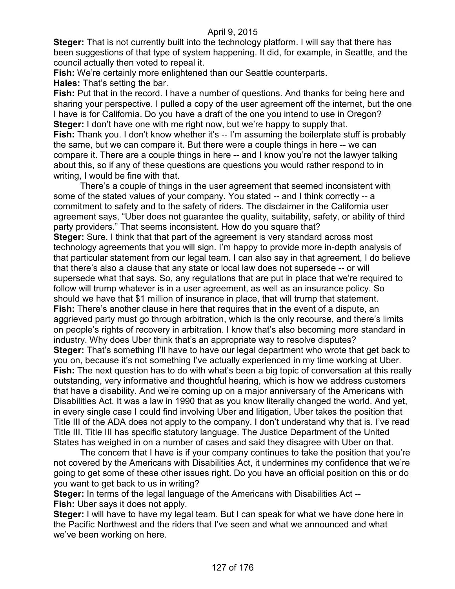**Steger:** That is not currently built into the technology platform. I will say that there has been suggestions of that type of system happening. It did, for example, in Seattle, and the council actually then voted to repeal it.

**Fish:** We're certainly more enlightened than our Seattle counterparts.

**Hales:** That's setting the bar.

**Fish:** Put that in the record. I have a number of questions. And thanks for being here and sharing your perspective. I pulled a copy of the user agreement off the internet, but the one I have is for California. Do you have a draft of the one you intend to use in Oregon? **Steger:** I don't have one with me right now, but we're happy to supply that. **Fish:** Thank you. I don't know whether it's -- I'm assuming the boilerplate stuff is probably the same, but we can compare it. But there were a couple things in here -- we can compare it. There are a couple things in here -- and I know you're not the lawyer talking about this, so if any of these questions are questions you would rather respond to in writing, I would be fine with that.

There's a couple of things in the user agreement that seemed inconsistent with some of the stated values of your company. You stated -- and I think correctly -- a commitment to safety and to the safety of riders. The disclaimer in the California user agreement says, "Uber does not guarantee the quality, suitability, safety, or ability of third party providers." That seems inconsistent. How do you square that? **Steger:** Sure. I think that that part of the agreement is very standard across most technology agreements that you will sign. I'm happy to provide more in-depth analysis of that particular statement from our legal team. I can also say in that agreement, I do believe that there's also a clause that any state or local law does not supersede -- or will supersede what that says. So, any regulations that are put in place that we're required to follow will trump whatever is in a user agreement, as well as an insurance policy. So should we have that \$1 million of insurance in place, that will trump that statement. **Fish:** There's another clause in here that requires that in the event of a dispute, an aggrieved party must go through arbitration, which is the only recourse, and there's limits on people's rights of recovery in arbitration. I know that's also becoming more standard in industry. Why does Uber think that's an appropriate way to resolve disputes? **Steger:** That's something I'll have to have our legal department who wrote that get back to you on, because it's not something I've actually experienced in my time working at Uber. **Fish:** The next question has to do with what's been a big topic of conversation at this really outstanding, very informative and thoughtful hearing, which is how we address customers that have a disability. And we're coming up on a major anniversary of the Americans with Disabilities Act. It was a law in 1990 that as you know literally changed the world. And yet, in every single case I could find involving Uber and litigation, Uber takes the position that Title III of the ADA does not apply to the company. I don't understand why that is. I've read Title III. Title III has specific statutory language. The Justice Department of the United States has weighed in on a number of cases and said they disagree with Uber on that.

The concern that I have is if your company continues to take the position that you're not covered by the Americans with Disabilities Act, it undermines my confidence that we're going to get some of these other issues right. Do you have an official position on this or do you want to get back to us in writing?

**Steger:** In terms of the legal language of the Americans with Disabilities Act -- **Fish:** Uber says it does not apply.

**Steger:** I will have to have my legal team. But I can speak for what we have done here in the Pacific Northwest and the riders that I've seen and what we announced and what we've been working on here.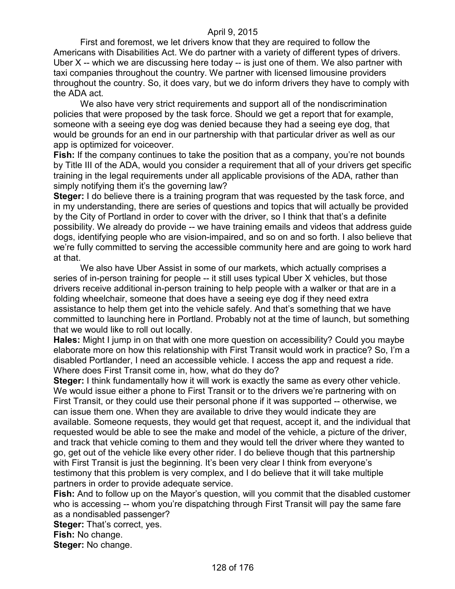First and foremost, we let drivers know that they are required to follow the Americans with Disabilities Act. We do partner with a variety of different types of drivers. Uber X -- which we are discussing here today -- is just one of them. We also partner with taxi companies throughout the country. We partner with licensed limousine providers throughout the country. So, it does vary, but we do inform drivers they have to comply with the ADA act.

We also have very strict requirements and support all of the nondiscrimination policies that were proposed by the task force. Should we get a report that for example, someone with a seeing eye dog was denied because they had a seeing eye dog, that would be grounds for an end in our partnership with that particular driver as well as our app is optimized for voiceover.

**Fish:** If the company continues to take the position that as a company, you're not bounds by Title III of the ADA, would you consider a requirement that all of your drivers get specific training in the legal requirements under all applicable provisions of the ADA, rather than simply notifying them it's the governing law?

**Steger:** I do believe there is a training program that was requested by the task force, and in my understanding, there are series of questions and topics that will actually be provided by the City of Portland in order to cover with the driver, so I think that that's a definite possibility. We already do provide -- we have training emails and videos that address guide dogs, identifying people who are vision-impaired, and so on and so forth. I also believe that we're fully committed to serving the accessible community here and are going to work hard at that.

We also have Uber Assist in some of our markets, which actually comprises a series of in-person training for people -- it still uses typical Uber X vehicles, but those drivers receive additional in-person training to help people with a walker or that are in a folding wheelchair, someone that does have a seeing eye dog if they need extra assistance to help them get into the vehicle safely. And that's something that we have committed to launching here in Portland. Probably not at the time of launch, but something that we would like to roll out locally.

**Hales:** Might I jump in on that with one more question on accessibility? Could you maybe elaborate more on how this relationship with First Transit would work in practice? So, I'm a disabled Portlander, I need an accessible vehicle. I access the app and request a ride. Where does First Transit come in, how, what do they do?

**Steger:** I think fundamentally how it will work is exactly the same as every other vehicle. We would issue either a phone to First Transit or to the drivers we're partnering with on First Transit, or they could use their personal phone if it was supported -- otherwise, we can issue them one. When they are available to drive they would indicate they are available. Someone requests, they would get that request, accept it, and the individual that requested would be able to see the make and model of the vehicle, a picture of the driver, and track that vehicle coming to them and they would tell the driver where they wanted to go, get out of the vehicle like every other rider. I do believe though that this partnership with First Transit is just the beginning. It's been very clear I think from everyone's testimony that this problem is very complex, and I do believe that it will take multiple partners in order to provide adequate service.

**Fish:** And to follow up on the Mayor's question, will you commit that the disabled customer who is accessing -- whom you're dispatching through First Transit will pay the same fare as a nondisabled passenger?

**Steger:** That's correct, yes.

**Fish:** No change.

**Steger:** No change.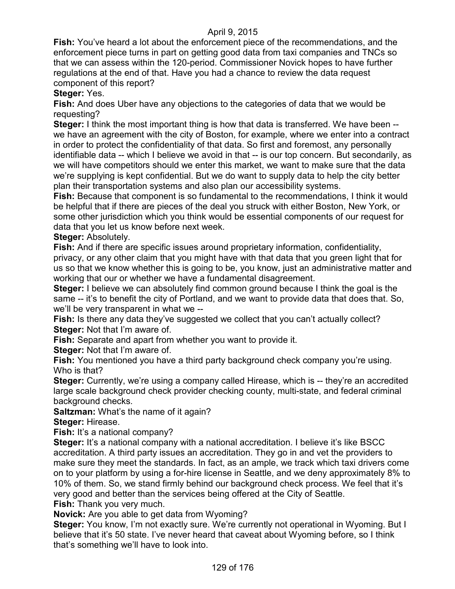**Fish:** You've heard a lot about the enforcement piece of the recommendations, and the enforcement piece turns in part on getting good data from taxi companies and TNCs so that we can assess within the 120-period. Commissioner Novick hopes to have further regulations at the end of that. Have you had a chance to review the data request component of this report?

**Steger:** Yes.

**Fish:** And does Uber have any objections to the categories of data that we would be requesting?

**Steger:** I think the most important thing is how that data is transferred. We have been - we have an agreement with the city of Boston, for example, where we enter into a contract in order to protect the confidentiality of that data. So first and foremost, any personally identifiable data -- which I believe we avoid in that -- is our top concern. But secondarily, as we will have competitors should we enter this market, we want to make sure that the data we're supplying is kept confidential. But we do want to supply data to help the city better plan their transportation systems and also plan our accessibility systems.

**Fish:** Because that component is so fundamental to the recommendations, I think it would be helpful that if there are pieces of the deal you struck with either Boston, New York, or some other jurisdiction which you think would be essential components of our request for data that you let us know before next week.

**Steger:** Absolutely.

**Fish:** And if there are specific issues around proprietary information, confidentiality, privacy, or any other claim that you might have with that data that you green light that for us so that we know whether this is going to be, you know, just an administrative matter and working that our or whether we have a fundamental disagreement.

**Steger:** I believe we can absolutely find common ground because I think the goal is the same -- it's to benefit the city of Portland, and we want to provide data that does that. So, we'll be very transparent in what we --

**Fish:** Is there any data they've suggested we collect that you can't actually collect? **Steger:** Not that I'm aware of.

**Fish:** Separate and apart from whether you want to provide it.

**Steger:** Not that I'm aware of.

**Fish:** You mentioned you have a third party background check company you're using. Who is that?

**Steger:** Currently, we're using a company called Hirease, which is -- they're an accredited large scale background check provider checking county, multi-state, and federal criminal background checks.

**Saltzman:** What's the name of it again?

**Steger:** Hirease.

**Fish:** It's a national company?

**Steger:** It's a national company with a national accreditation. I believe it's like BSCC accreditation. A third party issues an accreditation. They go in and vet the providers to make sure they meet the standards. In fact, as an ample, we track which taxi drivers come on to your platform by using a for-hire license in Seattle, and we deny approximately 8% to 10% of them. So, we stand firmly behind our background check process. We feel that it's very good and better than the services being offered at the City of Seattle. **Fish:** Thank you very much.

**Novick:** Are you able to get data from Wyoming?

**Steger:** You know, I'm not exactly sure. We're currently not operational in Wyoming. But I believe that it's 50 state. I've never heard that caveat about Wyoming before, so I think that's something we'll have to look into.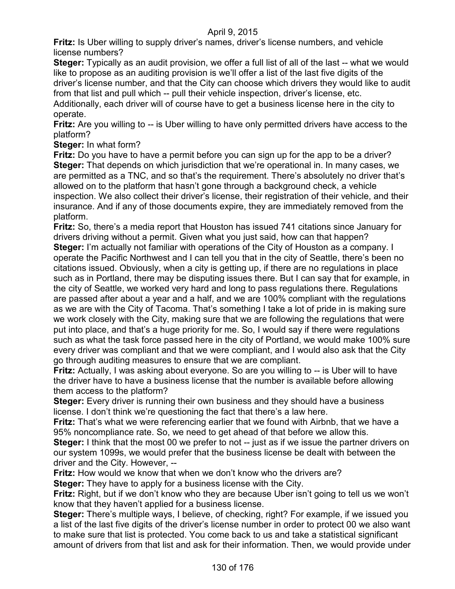**Fritz:** Is Uber willing to supply driver's names, driver's license numbers, and vehicle license numbers?

**Steger:** Typically as an audit provision, we offer a full list of all of the last -- what we would like to propose as an auditing provision is we'll offer a list of the last five digits of the driver's license number, and that the City can choose which drivers they would like to audit from that list and pull which -- pull their vehicle inspection, driver's license, etc.

Additionally, each driver will of course have to get a business license here in the city to operate.

**Fritz:** Are you willing to -- is Uber willing to have only permitted drivers have access to the platform?

**Steger:** In what form?

**Fritz:** Do you have to have a permit before you can sign up for the app to be a driver? **Steger:** That depends on which jurisdiction that we're operational in. In many cases, we are permitted as a TNC, and so that's the requirement. There's absolutely no driver that's allowed on to the platform that hasn't gone through a background check, a vehicle inspection. We also collect their driver's license, their registration of their vehicle, and their insurance. And if any of those documents expire, they are immediately removed from the platform.

**Fritz:** So, there's a media report that Houston has issued 741 citations since January for drivers driving without a permit. Given what you just said, how can that happen? **Steger:** I'm actually not familiar with operations of the City of Houston as a company. I operate the Pacific Northwest and I can tell you that in the city of Seattle, there's been no citations issued. Obviously, when a city is getting up, if there are no regulations in place such as in Portland, there may be disputing issues there. But I can say that for example, in the city of Seattle, we worked very hard and long to pass regulations there. Regulations are passed after about a year and a half, and we are 100% compliant with the regulations as we are with the City of Tacoma. That's something I take a lot of pride in is making sure we work closely with the City, making sure that we are following the regulations that were put into place, and that's a huge priority for me. So, I would say if there were regulations such as what the task force passed here in the city of Portland, we would make 100% sure every driver was compliant and that we were compliant, and I would also ask that the City go through auditing measures to ensure that we are compliant.

**Fritz:** Actually, I was asking about everyone. So are you willing to -- is Uber will to have the driver have to have a business license that the number is available before allowing them access to the platform?

**Steger:** Every driver is running their own business and they should have a business license. I don't think we're questioning the fact that there's a law here.

**Fritz:** That's what we were referencing earlier that we found with Airbnb, that we have a 95% noncompliance rate. So, we need to get ahead of that before we allow this.

**Steger:** I think that the most 00 we prefer to not -- just as if we issue the partner drivers on our system 1099s, we would prefer that the business license be dealt with between the driver and the City. However, --

**Fritz:** How would we know that when we don't know who the drivers are?

**Steger:** They have to apply for a business license with the City.

**Fritz:** Right, but if we don't know who they are because Uber isn't going to tell us we won't know that they haven't applied for a business license.

**Steger:** There's multiple ways, I believe, of checking, right? For example, if we issued you a list of the last five digits of the driver's license number in order to protect 00 we also want to make sure that list is protected. You come back to us and take a statistical significant amount of drivers from that list and ask for their information. Then, we would provide under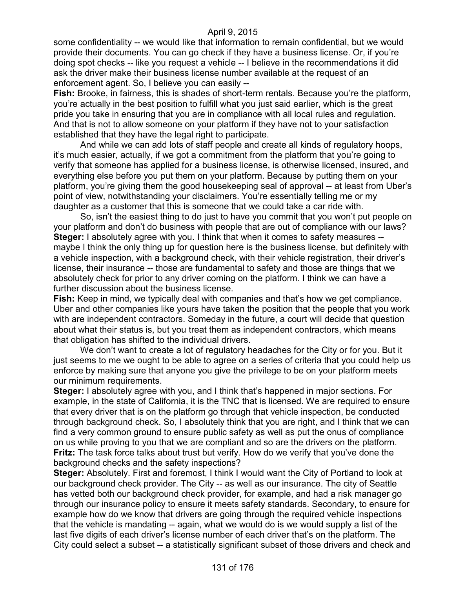some confidentiality -- we would like that information to remain confidential, but we would provide their documents. You can go check if they have a business license. Or, if you're doing spot checks -- like you request a vehicle -- I believe in the recommendations it did ask the driver make their business license number available at the request of an enforcement agent. So, I believe you can easily --

**Fish:** Brooke, in fairness, this is shades of short-term rentals. Because you're the platform, you're actually in the best position to fulfill what you just said earlier, which is the great pride you take in ensuring that you are in compliance with all local rules and regulation. And that is not to allow someone on your platform if they have not to your satisfaction established that they have the legal right to participate.

And while we can add lots of staff people and create all kinds of regulatory hoops, it's much easier, actually, if we got a commitment from the platform that you're going to verify that someone has applied for a business license, is otherwise licensed, insured, and everything else before you put them on your platform. Because by putting them on your platform, you're giving them the good housekeeping seal of approval -- at least from Uber's point of view, notwithstanding your disclaimers. You're essentially telling me or my daughter as a customer that this is someone that we could take a car ride with.

So, isn't the easiest thing to do just to have you commit that you won't put people on your platform and don't do business with people that are out of compliance with our laws? **Steger:** I absolutely agree with you. I think that when it comes to safety measures - maybe I think the only thing up for question here is the business license, but definitely with a vehicle inspection, with a background check, with their vehicle registration, their driver's license, their insurance -- those are fundamental to safety and those are things that we absolutely check for prior to any driver coming on the platform. I think we can have a further discussion about the business license.

**Fish:** Keep in mind, we typically deal with companies and that's how we get compliance. Uber and other companies like yours have taken the position that the people that you work with are independent contractors. Someday in the future, a court will decide that question about what their status is, but you treat them as independent contractors, which means that obligation has shifted to the individual drivers.

We don't want to create a lot of regulatory headaches for the City or for you. But it just seems to me we ought to be able to agree on a series of criteria that you could help us enforce by making sure that anyone you give the privilege to be on your platform meets our minimum requirements.

**Steger:** I absolutely agree with you, and I think that's happened in major sections. For example, in the state of California, it is the TNC that is licensed. We are required to ensure that every driver that is on the platform go through that vehicle inspection, be conducted through background check. So, I absolutely think that you are right, and I think that we can find a very common ground to ensure public safety as well as put the onus of compliance on us while proving to you that we are compliant and so are the drivers on the platform. **Fritz:** The task force talks about trust but verify. How do we verify that you've done the background checks and the safety inspections?

**Steger:** Absolutely. First and foremost, I think I would want the City of Portland to look at our background check provider. The City -- as well as our insurance. The city of Seattle has vetted both our background check provider, for example, and had a risk manager go through our insurance policy to ensure it meets safety standards. Secondary, to ensure for example how do we know that drivers are going through the required vehicle inspections that the vehicle is mandating -- again, what we would do is we would supply a list of the last five digits of each driver's license number of each driver that's on the platform. The City could select a subset -- a statistically significant subset of those drivers and check and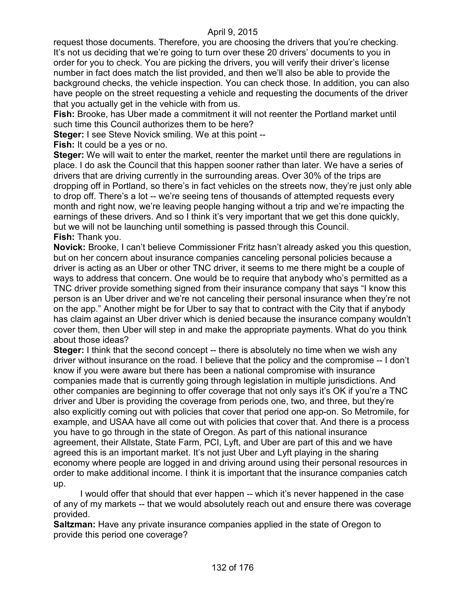request those documents. Therefore, you are choosing the drivers that you're checking. It's not us deciding that we're going to turn over these 20 drivers' documents to you in order for you to check. You are picking the drivers, you will verify their driver's license number in fact does match the list provided, and then we'll also be able to provide the background checks, the vehicle inspection. You can check those. In addition, you can also have people on the street requesting a vehicle and requesting the documents of the driver that you actually get in the vehicle with from us.

**Fish:** Brooke, has Uber made a commitment it will not reenter the Portland market until such time this Council authorizes them to be here?

**Steger:** I see Steve Novick smiling. We at this point --

**Fish:** It could be a yes or no.

**Steger:** We will wait to enter the market, reenter the market until there are regulations in place. I do ask the Council that this happen sooner rather than later. We have a series of drivers that are driving currently in the surrounding areas. Over 30% of the trips are dropping off in Portland, so there's in fact vehicles on the streets now, they're just only able to drop off. There's a lot -- we're seeing tens of thousands of attempted requests every month and right now, we're leaving people hanging without a trip and we're impacting the earnings of these drivers. And so I think it's very important that we get this done quickly, but we will not be launching until something is passed through this Council. **Fish:** Thank you.

**Novick:** Brooke, I can't believe Commissioner Fritz hasn't already asked you this question, but on her concern about insurance companies canceling personal policies because a driver is acting as an Uber or other TNC driver, it seems to me there might be a couple of ways to address that concern. One would be to require that anybody who's permitted as a TNC driver provide something signed from their insurance company that says "I know this person is an Uber driver and we're not canceling their personal insurance when they're not on the app." Another might be for Uber to say that to contract with the City that if anybody has claim against an Uber driver which is denied because the insurance company wouldn't cover them, then Uber will step in and make the appropriate payments. What do you think about those ideas?

**Steger:** I think that the second concept -- there is absolutely no time when we wish any driver without insurance on the road. I believe that the policy and the compromise -- I don't know if you were aware but there has been a national compromise with insurance companies made that is currently going through legislation in multiple jurisdictions. And other companies are beginning to offer coverage that not only says it's OK if you're a TNC driver and Uber is providing the coverage from periods one, two, and three, but they're also explicitly coming out with policies that cover that period one app-on. So Metromile, for example, and USAA have all come out with policies that cover that. And there is a process you have to go through in the state of Oregon. As part of this national insurance agreement, their Allstate, State Farm, PCI, Lyft, and Uber are part of this and we have agreed this is an important market. It's not just Uber and Lyft playing in the sharing economy where people are logged in and driving around using their personal resources in order to make additional income. I think it is important that the insurance companies catch up.

I would offer that should that ever happen -- which it's never happened in the case of any of my markets -- that we would absolutely reach out and ensure there was coverage provided.

**Saltzman:** Have any private insurance companies applied in the state of Oregon to provide this period one coverage?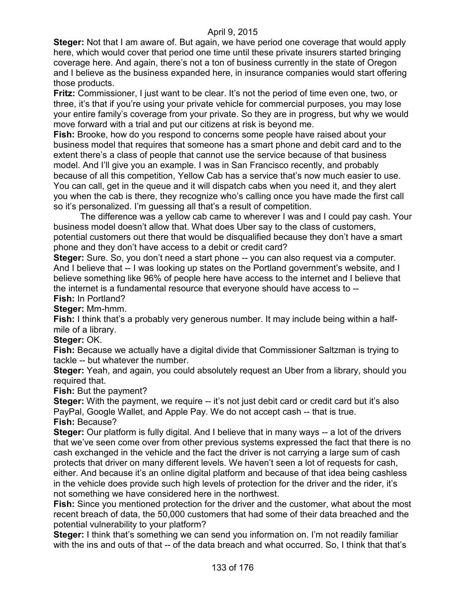**Steger:** Not that I am aware of. But again, we have period one coverage that would apply here, which would cover that period one time until these private insurers started bringing coverage here. And again, there's not a ton of business currently in the state of Oregon and I believe as the business expanded here, in insurance companies would start offering those products.

**Fritz:** Commissioner, I just want to be clear. It's not the period of time even one, two, or three, it's that if you're using your private vehicle for commercial purposes, you may lose your entire family's coverage from your private. So they are in progress, but why we would move forward with a trial and put our citizens at risk is beyond me.

**Fish:** Brooke, how do you respond to concerns some people have raised about your business model that requires that someone has a smart phone and debit card and to the extent there's a class of people that cannot use the service because of that business model. And I'll give you an example. I was in San Francisco recently, and probably because of all this competition, Yellow Cab has a service that's now much easier to use. You can call, get in the queue and it will dispatch cabs when you need it, and they alert you when the cab is there, they recognize who's calling once you have made the first call so it's personalized. I'm guessing all that's a result of competition.

The difference was a yellow cab came to wherever I was and I could pay cash. Your business model doesn't allow that. What does Uber say to the class of customers, potential customers out there that would be disqualified because they don't have a smart phone and they don't have access to a debit or credit card?

**Steger:** Sure. So, you don't need a start phone -- you can also request via a computer. And I believe that -- I was looking up states on the Portland government's website, and I believe something like 96% of people here have access to the internet and I believe that the internet is a fundamental resource that everyone should have access to -- **Fish:** In Portland?

**Steger:** Mm-hmm.

**Fish:** I think that's a probably very generous number. It may include being within a halfmile of a library.

### **Steger:** OK.

**Fish:** Because we actually have a digital divide that Commissioner Saltzman is trying to tackle -- but whatever the number.

**Steger:** Yeah, and again, you could absolutely request an Uber from a library, should you required that.

**Fish:** But the payment?

**Steger:** With the payment, we require -- it's not just debit card or credit card but it's also PayPal, Google Wallet, and Apple Pay. We do not accept cash -- that is true.

**Fish:** Because?

**Steger:** Our platform is fully digital. And I believe that in many ways -- a lot of the drivers that we've seen come over from other previous systems expressed the fact that there is no cash exchanged in the vehicle and the fact the driver is not carrying a large sum of cash protects that driver on many different levels. We haven't seen a lot of requests for cash, either. And because it's an online digital platform and because of that idea being cashless in the vehicle does provide such high levels of protection for the driver and the rider, it's not something we have considered here in the northwest.

**Fish:** Since you mentioned protection for the driver and the customer, what about the most recent breach of data, the 50,000 customers that had some of their data breached and the potential vulnerability to your platform?

**Steger:** I think that's something we can send you information on. I'm not readily familiar with the ins and outs of that -- of the data breach and what occurred. So, I think that that's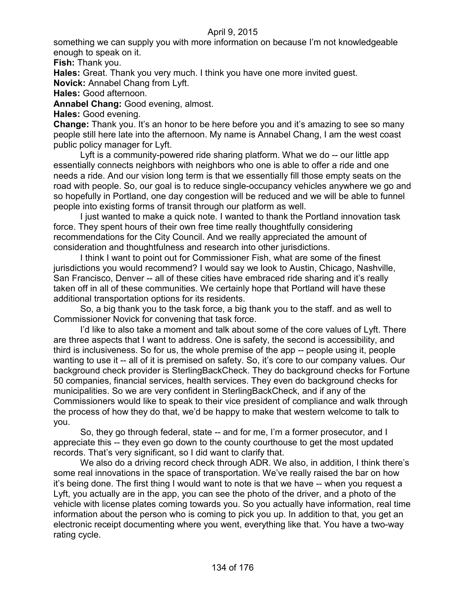something we can supply you with more information on because I'm not knowledgeable enough to speak on it.

**Fish:** Thank you.

**Hales:** Great. Thank you very much. I think you have one more invited guest.

**Novick:** Annabel Chang from Lyft.

**Hales:** Good afternoon.

**Annabel Chang:** Good evening, almost.

**Hales:** Good evening.

**Change:** Thank you. It's an honor to be here before you and it's amazing to see so many people still here late into the afternoon. My name is Annabel Chang, I am the west coast public policy manager for Lyft.

Lyft is a community-powered ride sharing platform. What we do -- our little app essentially connects neighbors with neighbors who one is able to offer a ride and one needs a ride. And our vision long term is that we essentially fill those empty seats on the road with people. So, our goal is to reduce single-occupancy vehicles anywhere we go and so hopefully in Portland, one day congestion will be reduced and we will be able to funnel people into existing forms of transit through our platform as well.

I just wanted to make a quick note. I wanted to thank the Portland innovation task force. They spent hours of their own free time really thoughtfully considering recommendations for the City Council. And we really appreciated the amount of consideration and thoughtfulness and research into other jurisdictions.

I think I want to point out for Commissioner Fish, what are some of the finest jurisdictions you would recommend? I would say we look to Austin, Chicago, Nashville, San Francisco, Denver -- all of these cities have embraced ride sharing and it's really taken off in all of these communities. We certainly hope that Portland will have these additional transportation options for its residents.

So, a big thank you to the task force, a big thank you to the staff. and as well to Commissioner Novick for convening that task force.

I'd like to also take a moment and talk about some of the core values of Lyft. There are three aspects that I want to address. One is safety, the second is accessibility, and third is inclusiveness. So for us, the whole premise of the app -- people using it, people wanting to use it -- all of it is premised on safety. So, it's core to our company values. Our background check provider is SterlingBackCheck. They do background checks for Fortune 50 companies, financial services, health services. They even do background checks for municipalities. So we are very confident in SterlingBackCheck, and if any of the Commissioners would like to speak to their vice president of compliance and walk through the process of how they do that, we'd be happy to make that western welcome to talk to you.

So, they go through federal, state -- and for me, I'm a former prosecutor, and I appreciate this -- they even go down to the county courthouse to get the most updated records. That's very significant, so I did want to clarify that.

We also do a driving record check through ADR. We also, in addition, I think there's some real innovations in the space of transportation. We've really raised the bar on how it's being done. The first thing I would want to note is that we have -- when you request a Lyft, you actually are in the app, you can see the photo of the driver, and a photo of the vehicle with license plates coming towards you. So you actually have information, real time information about the person who is coming to pick you up. In addition to that, you get an electronic receipt documenting where you went, everything like that. You have a two-way rating cycle.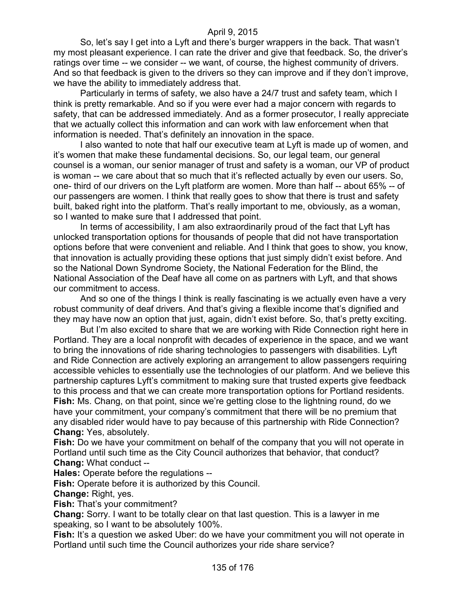So, let's say I get into a Lyft and there's burger wrappers in the back. That wasn't my most pleasant experience. I can rate the driver and give that feedback. So, the driver's ratings over time -- we consider -- we want, of course, the highest community of drivers. And so that feedback is given to the drivers so they can improve and if they don't improve, we have the ability to immediately address that.

Particularly in terms of safety, we also have a 24/7 trust and safety team, which I think is pretty remarkable. And so if you were ever had a major concern with regards to safety, that can be addressed immediately. And as a former prosecutor, I really appreciate that we actually collect this information and can work with law enforcement when that information is needed. That's definitely an innovation in the space.

I also wanted to note that half our executive team at Lyft is made up of women, and it's women that make these fundamental decisions. So, our legal team, our general counsel is a woman, our senior manager of trust and safety is a woman, our VP of product is woman -- we care about that so much that it's reflected actually by even our users. So, one- third of our drivers on the Lyft platform are women. More than half -- about 65% -- of our passengers are women. I think that really goes to show that there is trust and safety built, baked right into the platform. That's really important to me, obviously, as a woman, so I wanted to make sure that I addressed that point.

In terms of accessibility, I am also extraordinarily proud of the fact that Lyft has unlocked transportation options for thousands of people that did not have transportation options before that were convenient and reliable. And I think that goes to show, you know, that innovation is actually providing these options that just simply didn't exist before. And so the National Down Syndrome Society, the National Federation for the Blind, the National Association of the Deaf have all come on as partners with Lyft, and that shows our commitment to access.

And so one of the things I think is really fascinating is we actually even have a very robust community of deaf drivers. And that's giving a flexible income that's dignified and they may have now an option that just, again, didn't exist before. So, that's pretty exciting.

But I'm also excited to share that we are working with Ride Connection right here in Portland. They are a local nonprofit with decades of experience in the space, and we want to bring the innovations of ride sharing technologies to passengers with disabilities. Lyft and Ride Connection are actively exploring an arrangement to allow passengers requiring accessible vehicles to essentially use the technologies of our platform. And we believe this partnership captures Lyft's commitment to making sure that trusted experts give feedback to this process and that we can create more transportation options for Portland residents. **Fish:** Ms. Chang, on that point, since we're getting close to the lightning round, do we have your commitment, your company's commitment that there will be no premium that any disabled rider would have to pay because of this partnership with Ride Connection? **Chang:** Yes, absolutely.

**Fish:** Do we have your commitment on behalf of the company that you will not operate in Portland until such time as the City Council authorizes that behavior, that conduct? **Chang:** What conduct --

**Hales:** Operate before the regulations --

**Fish:** Operate before it is authorized by this Council.

**Change:** Right, yes.

**Fish:** That's your commitment?

**Chang:** Sorry. I want to be totally clear on that last question. This is a lawyer in me speaking, so I want to be absolutely 100%.

**Fish:** It's a question we asked Uber: do we have your commitment you will not operate in Portland until such time the Council authorizes your ride share service?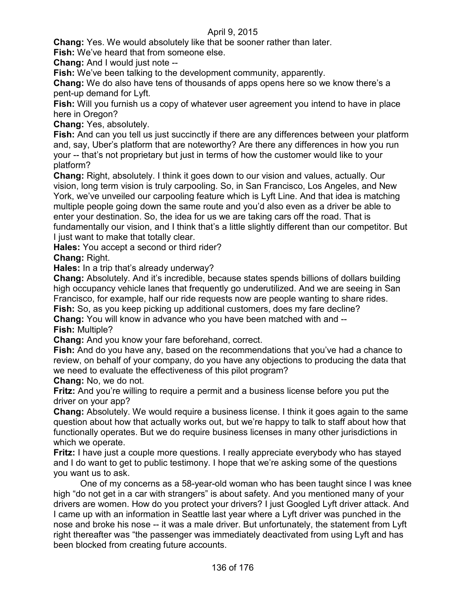**Chang:** Yes. We would absolutely like that be sooner rather than later.

**Fish:** We've heard that from someone else.

**Chang:** And I would just note --

**Fish:** We've been talking to the development community, apparently.

**Chang:** We do also have tens of thousands of apps opens here so we know there's a pent-up demand for Lyft.

**Fish:** Will you furnish us a copy of whatever user agreement you intend to have in place here in Oregon?

**Chang:** Yes, absolutely.

**Fish:** And can you tell us just succinctly if there are any differences between your platform and, say, Uber's platform that are noteworthy? Are there any differences in how you run your -- that's not proprietary but just in terms of how the customer would like to your platform?

**Chang:** Right, absolutely. I think it goes down to our vision and values, actually. Our vision, long term vision is truly carpooling. So, in San Francisco, Los Angeles, and New York, we've unveiled our carpooling feature which is Lyft Line. And that idea is matching multiple people going down the same route and you'd also even as a driver be able to enter your destination. So, the idea for us we are taking cars off the road. That is fundamentally our vision, and I think that's a little slightly different than our competitor. But I just want to make that totally clear.

**Hales:** You accept a second or third rider?

**Chang:** Right.

**Hales:** In a trip that's already underway?

**Chang:** Absolutely. And it's incredible, because states spends billions of dollars building high occupancy vehicle lanes that frequently go underutilized. And we are seeing in San Francisco, for example, half our ride requests now are people wanting to share rides.

**Fish:** So, as you keep picking up additional customers, does my fare decline?

**Chang:** You will know in advance who you have been matched with and -- **Fish:** Multiple?

**Chang:** And you know your fare beforehand, correct.

**Fish:** And do you have any, based on the recommendations that you've had a chance to review, on behalf of your company, do you have any objections to producing the data that we need to evaluate the effectiveness of this pilot program?

**Chang:** No, we do not.

**Fritz:** And you're willing to require a permit and a business license before you put the driver on your app?

**Chang:** Absolutely. We would require a business license. I think it goes again to the same question about how that actually works out, but we're happy to talk to staff about how that functionally operates. But we do require business licenses in many other jurisdictions in which we operate.

**Fritz:** I have just a couple more questions. I really appreciate everybody who has stayed and I do want to get to public testimony. I hope that we're asking some of the questions you want us to ask.

One of my concerns as a 58-year-old woman who has been taught since I was knee high "do not get in a car with strangers" is about safety. And you mentioned many of your drivers are women. How do you protect your drivers? I just Googled Lyft driver attack. And I came up with an information in Seattle last year where a Lyft driver was punched in the nose and broke his nose -- it was a male driver. But unfortunately, the statement from Lyft right thereafter was "the passenger was immediately deactivated from using Lyft and has been blocked from creating future accounts.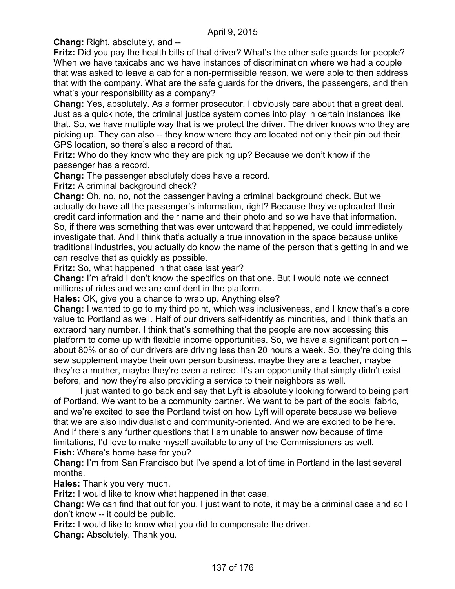**Chang:** Right, absolutely, and --

**Fritz:** Did you pay the health bills of that driver? What's the other safe guards for people? When we have taxicabs and we have instances of discrimination where we had a couple that was asked to leave a cab for a non-permissible reason, we were able to then address that with the company. What are the safe guards for the drivers, the passengers, and then what's your responsibility as a company?

**Chang:** Yes, absolutely. As a former prosecutor, I obviously care about that a great deal. Just as a quick note, the criminal justice system comes into play in certain instances like that. So, we have multiple way that is we protect the driver. The driver knows who they are picking up. They can also -- they know where they are located not only their pin but their GPS location, so there's also a record of that.

**Fritz:** Who do they know who they are picking up? Because we don't know if the passenger has a record.

**Chang:** The passenger absolutely does have a record.

**Fritz:** A criminal background check?

**Chang:** Oh, no, no, not the passenger having a criminal background check. But we actually do have all the passenger's information, right? Because they've uploaded their credit card information and their name and their photo and so we have that information. So, if there was something that was ever untoward that happened, we could immediately investigate that. And I think that's actually a true innovation in the space because unlike traditional industries, you actually do know the name of the person that's getting in and we can resolve that as quickly as possible.

**Fritz:** So, what happened in that case last year?

**Chang:** I'm afraid I don't know the specifics on that one. But I would note we connect millions of rides and we are confident in the platform.

**Hales:** OK, give you a chance to wrap up. Anything else?

**Chang:** I wanted to go to my third point, which was inclusiveness, and I know that's a core value to Portland as well. Half of our drivers self-identify as minorities, and I think that's an extraordinary number. I think that's something that the people are now accessing this platform to come up with flexible income opportunities. So, we have a significant portion - about 80% or so of our drivers are driving less than 20 hours a week. So, they're doing this sew supplement maybe their own person business, maybe they are a teacher, maybe they're a mother, maybe they're even a retiree. It's an opportunity that simply didn't exist before, and now they're also providing a service to their neighbors as well.

I just wanted to go back and say that Lyft is absolutely looking forward to being part of Portland. We want to be a community partner. We want to be part of the social fabric, and we're excited to see the Portland twist on how Lyft will operate because we believe that we are also individualistic and community-oriented. And we are excited to be here. And if there's any further questions that I am unable to answer now because of time limitations, I'd love to make myself available to any of the Commissioners as well. **Fish:** Where's home base for you?

**Chang:** I'm from San Francisco but I've spend a lot of time in Portland in the last several months.

**Hales:** Thank you very much.

**Fritz:** I would like to know what happened in that case.

**Chang:** We can find that out for you. I just want to note, it may be a criminal case and so I don't know -- it could be public.

**Fritz:** I would like to know what you did to compensate the driver.

**Chang:** Absolutely. Thank you.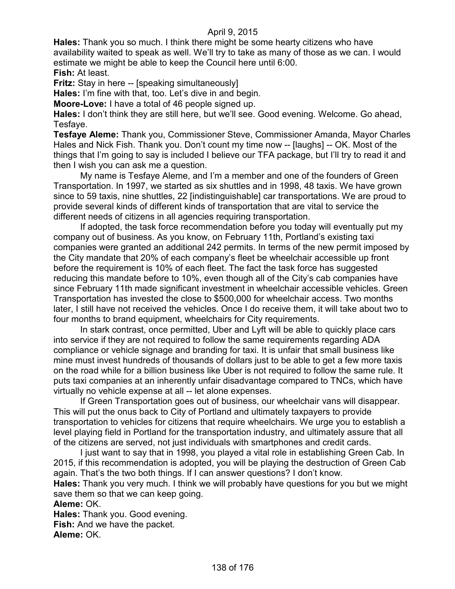**Hales:** Thank you so much. I think there might be some hearty citizens who have availability waited to speak as well. We'll try to take as many of those as we can. I would estimate we might be able to keep the Council here until 6:00. **Fish:** At least.

**Fritz:** Stay in here -- [speaking simultaneously]

**Hales:** I'm fine with that, too. Let's dive in and begin.

**Moore-Love:** I have a total of 46 people signed up.

**Hales:** I don't think they are still here, but we'll see. Good evening. Welcome. Go ahead, Tesfaye.

**Tesfaye Aleme:** Thank you, Commissioner Steve, Commissioner Amanda, Mayor Charles Hales and Nick Fish. Thank you. Don't count my time now -- [laughs] -- OK. Most of the things that I'm going to say is included I believe our TFA package, but I'll try to read it and then I wish you can ask me a question.

My name is Tesfaye Aleme, and I'm a member and one of the founders of Green Transportation. In 1997, we started as six shuttles and in 1998, 48 taxis. We have grown since to 59 taxis, nine shuttles, 22 [indistinguishable] car transportations. We are proud to provide several kinds of different kinds of transportation that are vital to service the different needs of citizens in all agencies requiring transportation.

If adopted, the task force recommendation before you today will eventually put my company out of business. As you know, on February 11th, Portland's existing taxi companies were granted an additional 242 permits. In terms of the new permit imposed by the City mandate that 20% of each company's fleet be wheelchair accessible up front before the requirement is 10% of each fleet. The fact the task force has suggested reducing this mandate before to 10%, even though all of the City's cab companies have since February 11th made significant investment in wheelchair accessible vehicles. Green Transportation has invested the close to \$500,000 for wheelchair access. Two months later, I still have not received the vehicles. Once I do receive them, it will take about two to four months to brand equipment, wheelchairs for City requirements.

In stark contrast, once permitted, Uber and Lyft will be able to quickly place cars into service if they are not required to follow the same requirements regarding ADA compliance or vehicle signage and branding for taxi. It is unfair that small business like mine must invest hundreds of thousands of dollars just to be able to get a few more taxis on the road while for a billion business like Uber is not required to follow the same rule. It puts taxi companies at an inherently unfair disadvantage compared to TNCs, which have virtually no vehicle expense at all -- let alone expenses.

If Green Transportation goes out of business, our wheelchair vans will disappear. This will put the onus back to City of Portland and ultimately taxpayers to provide transportation to vehicles for citizens that require wheelchairs. We urge you to establish a level playing field in Portland for the transportation industry, and ultimately assure that all of the citizens are served, not just individuals with smartphones and credit cards.

I just want to say that in 1998, you played a vital role in establishing Green Cab. In 2015, if this recommendation is adopted, you will be playing the destruction of Green Cab again. That's the two both things. If I can answer questions? I don't know.

**Hales:** Thank you very much. I think we will probably have questions for you but we might save them so that we can keep going.

**Aleme:** OK.

**Hales:** Thank you. Good evening. **Fish:** And we have the packet. **Aleme:** OK.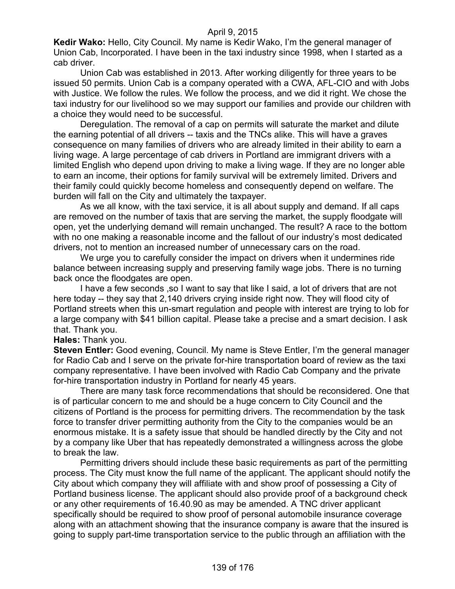**Kedir Wako:** Hello, City Council. My name is Kedir Wako, I'm the general manager of Union Cab, Incorporated. I have been in the taxi industry since 1998, when I started as a cab driver.

Union Cab was established in 2013. After working diligently for three years to be issued 50 permits. Union Cab is a company operated with a CWA, AFL-CIO and with Jobs with Justice. We follow the rules. We follow the process, and we did it right. We chose the taxi industry for our livelihood so we may support our families and provide our children with a choice they would need to be successful.

Deregulation. The removal of a cap on permits will saturate the market and dilute the earning potential of all drivers -- taxis and the TNCs alike. This will have a graves consequence on many families of drivers who are already limited in their ability to earn a living wage. A large percentage of cab drivers in Portland are immigrant drivers with a limited English who depend upon driving to make a living wage. If they are no longer able to earn an income, their options for family survival will be extremely limited. Drivers and their family could quickly become homeless and consequently depend on welfare. The burden will fall on the City and ultimately the taxpayer.

As we all know, with the taxi service, it is all about supply and demand. If all caps are removed on the number of taxis that are serving the market, the supply floodgate will open, yet the underlying demand will remain unchanged. The result? A race to the bottom with no one making a reasonable income and the fallout of our industry's most dedicated drivers, not to mention an increased number of unnecessary cars on the road.

We urge you to carefully consider the impact on drivers when it undermines ride balance between increasing supply and preserving family wage jobs. There is no turning back once the floodgates are open.

I have a few seconds ,so I want to say that like I said, a lot of drivers that are not here today -- they say that 2,140 drivers crying inside right now. They will flood city of Portland streets when this un-smart regulation and people with interest are trying to lob for a large company with \$41 billion capital. Please take a precise and a smart decision. I ask that. Thank you.

#### **Hales:** Thank you.

**Steven Entler:** Good evening, Council. My name is Steve Entler, I'm the general manager for Radio Cab and I serve on the private for-hire transportation board of review as the taxi company representative. I have been involved with Radio Cab Company and the private for-hire transportation industry in Portland for nearly 45 years.

There are many task force recommendations that should be reconsidered. One that is of particular concern to me and should be a huge concern to City Council and the citizens of Portland is the process for permitting drivers. The recommendation by the task force to transfer driver permitting authority from the City to the companies would be an enormous mistake. It is a safety issue that should be handled directly by the City and not by a company like Uber that has repeatedly demonstrated a willingness across the globe to break the law.

Permitting drivers should include these basic requirements as part of the permitting process. The City must know the full name of the applicant. The applicant should notify the City about which company they will affiliate with and show proof of possessing a City of Portland business license. The applicant should also provide proof of a background check or any other requirements of 16.40.90 as may be amended. A TNC driver applicant specifically should be required to show proof of personal automobile insurance coverage along with an attachment showing that the insurance company is aware that the insured is going to supply part-time transportation service to the public through an affiliation with the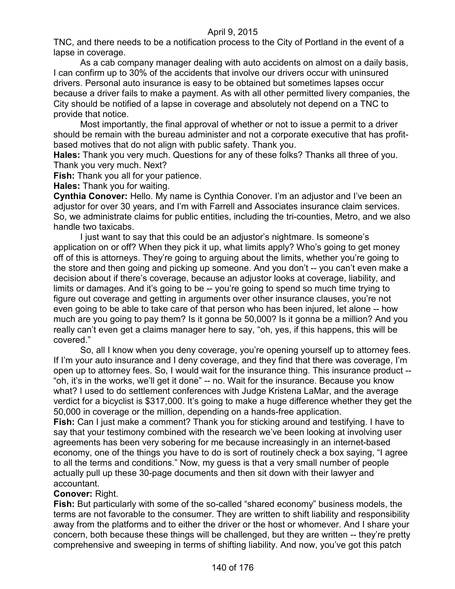TNC, and there needs to be a notification process to the City of Portland in the event of a lapse in coverage.

As a cab company manager dealing with auto accidents on almost on a daily basis, I can confirm up to 30% of the accidents that involve our drivers occur with uninsured drivers. Personal auto insurance is easy to be obtained but sometimes lapses occur because a driver fails to make a payment. As with all other permitted livery companies, the City should be notified of a lapse in coverage and absolutely not depend on a TNC to provide that notice.

Most importantly, the final approval of whether or not to issue a permit to a driver should be remain with the bureau administer and not a corporate executive that has profitbased motives that do not align with public safety. Thank you.

**Hales:** Thank you very much. Questions for any of these folks? Thanks all three of you. Thank you very much. Next?

**Fish:** Thank you all for your patience.

**Hales:** Thank you for waiting.

**Cynthia Conover:** Hello. My name is Cynthia Conover. I'm an adjustor and I've been an adjustor for over 30 years, and I'm with Farrell and Associates insurance claim services. So, we administrate claims for public entities, including the tri-counties, Metro, and we also handle two taxicabs.

I just want to say that this could be an adjustor's nightmare. Is someone's application on or off? When they pick it up, what limits apply? Who's going to get money off of this is attorneys. They're going to arguing about the limits, whether you're going to the store and then going and picking up someone. And you don't -- you can't even make a decision about if there's coverage, because an adjustor looks at coverage, liability, and limits or damages. And it's going to be -- you're going to spend so much time trying to figure out coverage and getting in arguments over other insurance clauses, you're not even going to be able to take care of that person who has been injured, let alone -- how much are you going to pay them? Is it gonna be 50,000? Is it gonna be a million? And you really can't even get a claims manager here to say, "oh, yes, if this happens, this will be covered."

So, all I know when you deny coverage, you're opening yourself up to attorney fees. If I'm your auto insurance and I deny coverage, and they find that there was coverage, I'm open up to attorney fees. So, I would wait for the insurance thing. This insurance product -- "oh, it's in the works, we'll get it done" -- no. Wait for the insurance. Because you know what? I used to do settlement conferences with Judge Kristena LaMar, and the average verdict for a bicyclist is \$317,000. It's going to make a huge difference whether they get the 50,000 in coverage or the million, depending on a hands-free application.

**Fish:** Can I just make a comment? Thank you for sticking around and testifying. I have to say that your testimony combined with the research we've been looking at involving user agreements has been very sobering for me because increasingly in an internet-based economy, one of the things you have to do is sort of routinely check a box saying, "I agree to all the terms and conditions." Now, my guess is that a very small number of people actually pull up these 30-page documents and then sit down with their lawyer and accountant.

### **Conover:** Right.

**Fish:** But particularly with some of the so-called "shared economy" business models, the terms are not favorable to the consumer. They are written to shift liability and responsibility away from the platforms and to either the driver or the host or whomever. And I share your concern, both because these things will be challenged, but they are written -- they're pretty comprehensive and sweeping in terms of shifting liability. And now, you've got this patch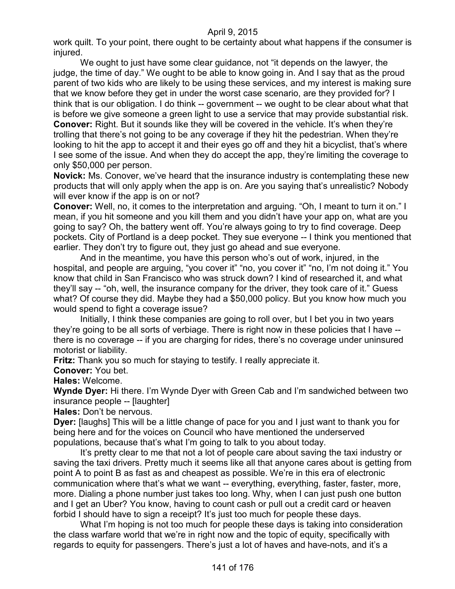work quilt. To your point, there ought to be certainty about what happens if the consumer is injured.

We ought to just have some clear guidance, not "it depends on the lawyer, the judge, the time of day." We ought to be able to know going in. And I say that as the proud parent of two kids who are likely to be using these services, and my interest is making sure that we know before they get in under the worst case scenario, are they provided for? I think that is our obligation. I do think -- government -- we ought to be clear about what that is before we give someone a green light to use a service that may provide substantial risk. **Conover:** Right. But it sounds like they will be covered in the vehicle. It's when they're trolling that there's not going to be any coverage if they hit the pedestrian. When they're looking to hit the app to accept it and their eyes go off and they hit a bicyclist, that's where I see some of the issue. And when they do accept the app, they're limiting the coverage to only \$50,000 per person.

**Novick:** Ms. Conover, we've heard that the insurance industry is contemplating these new products that will only apply when the app is on. Are you saying that's unrealistic? Nobody will ever know if the app is on or not?

**Conover:** Well, no, it comes to the interpretation and arguing. "Oh, I meant to turn it on." I mean, if you hit someone and you kill them and you didn't have your app on, what are you going to say? Oh, the battery went off. You're always going to try to find coverage. Deep pockets. City of Portland is a deep pocket. They sue everyone -- I think you mentioned that earlier. They don't try to figure out, they just go ahead and sue everyone.

And in the meantime, you have this person who's out of work, injured, in the hospital, and people are arguing, "you cover it" "no, you cover it" "no, I'm not doing it." You know that child in San Francisco who was struck down? I kind of researched it, and what they'll say -- "oh, well, the insurance company for the driver, they took care of it." Guess what? Of course they did. Maybe they had a \$50,000 policy. But you know how much you would spend to fight a coverage issue?

Initially, I think these companies are going to roll over, but I bet you in two years they're going to be all sorts of verbiage. There is right now in these policies that I have - there is no coverage -- if you are charging for rides, there's no coverage under uninsured motorist or liability.

**Fritz:** Thank you so much for staying to testify. I really appreciate it.

**Conover:** You bet.

**Hales:** Welcome.

**Wynde Dyer:** Hi there. I'm Wynde Dyer with Green Cab and I'm sandwiched between two insurance people -- [laughter]

**Hales:** Don't be nervous.

**Dyer:** [laughs] This will be a little change of pace for you and I just want to thank you for being here and for the voices on Council who have mentioned the underserved populations, because that's what I'm going to talk to you about today.

It's pretty clear to me that not a lot of people care about saving the taxi industry or saving the taxi drivers. Pretty much it seems like all that anyone cares about is getting from point A to point B as fast as and cheapest as possible. We're in this era of electronic communication where that's what we want -- everything, everything, faster, faster, more, more. Dialing a phone number just takes too long. Why, when I can just push one button and I get an Uber? You know, having to count cash or pull out a credit card or heaven forbid I should have to sign a receipt? It's just too much for people these days.

What I'm hoping is not too much for people these days is taking into consideration the class warfare world that we're in right now and the topic of equity, specifically with regards to equity for passengers. There's just a lot of haves and have-nots, and it's a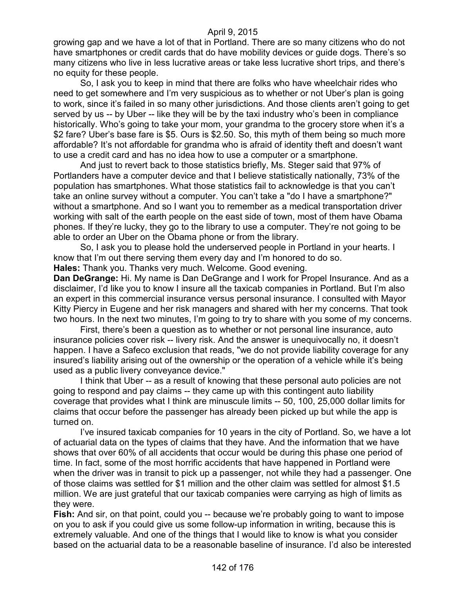growing gap and we have a lot of that in Portland. There are so many citizens who do not have smartphones or credit cards that do have mobility devices or guide dogs. There's so many citizens who live in less lucrative areas or take less lucrative short trips, and there's no equity for these people.

So, I ask you to keep in mind that there are folks who have wheelchair rides who need to get somewhere and I'm very suspicious as to whether or not Uber's plan is going to work, since it's failed in so many other jurisdictions. And those clients aren't going to get served by us -- by Uber -- like they will be by the taxi industry who's been in compliance historically. Who's going to take your mom, your grandma to the grocery store when it's a \$2 fare? Uber's base fare is \$5. Ours is \$2.50. So, this myth of them being so much more affordable? It's not affordable for grandma who is afraid of identity theft and doesn't want to use a credit card and has no idea how to use a computer or a smartphone.

And just to revert back to those statistics briefly, Ms. Steger said that 97% of Portlanders have a computer device and that I believe statistically nationally, 73% of the population has smartphones. What those statistics fail to acknowledge is that you can't take an online survey without a computer. You can't take a "do I have a smartphone?" without a smartphone. And so I want you to remember as a medical transportation driver working with salt of the earth people on the east side of town, most of them have Obama phones. If they're lucky, they go to the library to use a computer. They're not going to be able to order an Uber on the Obama phone or from the library.

So, I ask you to please hold the underserved people in Portland in your hearts. I know that I'm out there serving them every day and I'm honored to do so.

**Hales:** Thank you. Thanks very much. Welcome. Good evening.

**Dan DeGrange:** Hi. My name is Dan DeGrange and I work for Propel Insurance. And as a disclaimer, I'd like you to know I insure all the taxicab companies in Portland. But I'm also an expert in this commercial insurance versus personal insurance. I consulted with Mayor Kitty Piercy in Eugene and her risk managers and shared with her my concerns. That took two hours. In the next two minutes, I'm going to try to share with you some of my concerns.

First, there's been a question as to whether or not personal line insurance, auto insurance policies cover risk -- livery risk. And the answer is unequivocally no, it doesn't happen. I have a Safeco exclusion that reads, "we do not provide liability coverage for any insured's liability arising out of the ownership or the operation of a vehicle while it's being used as a public livery conveyance device."

I think that Uber -- as a result of knowing that these personal auto policies are not going to respond and pay claims -- they came up with this contingent auto liability coverage that provides what I think are minuscule limits -- 50, 100, 25,000 dollar limits for claims that occur before the passenger has already been picked up but while the app is turned on.

I've insured taxicab companies for 10 years in the city of Portland. So, we have a lot of actuarial data on the types of claims that they have. And the information that we have shows that over 60% of all accidents that occur would be during this phase one period of time. In fact, some of the most horrific accidents that have happened in Portland were when the driver was in transit to pick up a passenger, not while they had a passenger. One of those claims was settled for \$1 million and the other claim was settled for almost \$1.5 million. We are just grateful that our taxicab companies were carrying as high of limits as they were.

**Fish:** And sir, on that point, could you -- because we're probably going to want to impose on you to ask if you could give us some follow-up information in writing, because this is extremely valuable. And one of the things that I would like to know is what you consider based on the actuarial data to be a reasonable baseline of insurance. I'd also be interested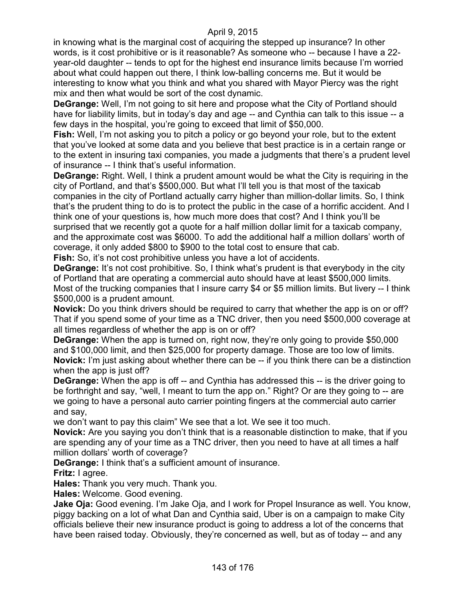in knowing what is the marginal cost of acquiring the stepped up insurance? In other words, is it cost prohibitive or is it reasonable? As someone who -- because I have a 22 year-old daughter -- tends to opt for the highest end insurance limits because I'm worried about what could happen out there, I think low-balling concerns me. But it would be interesting to know what you think and what you shared with Mayor Piercy was the right mix and then what would be sort of the cost dynamic.

**DeGrange:** Well, I'm not going to sit here and propose what the City of Portland should have for liability limits, but in today's day and age -- and Cynthia can talk to this issue -- a few days in the hospital, you're going to exceed that limit of \$50,000.

**Fish:** Well, I'm not asking you to pitch a policy or go beyond your role, but to the extent that you've looked at some data and you believe that best practice is in a certain range or to the extent in insuring taxi companies, you made a judgments that there's a prudent level of insurance -- I think that's useful information.

**DeGrange:** Right. Well, I think a prudent amount would be what the City is requiring in the city of Portland, and that's \$500,000. But what I'll tell you is that most of the taxicab companies in the city of Portland actually carry higher than million-dollar limits. So, I think that's the prudent thing to do is to protect the public in the case of a horrific accident. And I think one of your questions is, how much more does that cost? And I think you'll be surprised that we recently got a quote for a half million dollar limit for a taxicab company, and the approximate cost was \$6000. To add the additional half a million dollars' worth of coverage, it only added \$800 to \$900 to the total cost to ensure that cab.

**Fish:** So, it's not cost prohibitive unless you have a lot of accidents.

**DeGrange:** It's not cost prohibitive. So, I think what's prudent is that everybody in the city of Portland that are operating a commercial auto should have at least \$500,000 limits. Most of the trucking companies that I insure carry \$4 or \$5 million limits. But livery -- I think \$500,000 is a prudent amount.

**Novick:** Do you think drivers should be required to carry that whether the app is on or off? That if you spend some of your time as a TNC driver, then you need \$500,000 coverage at all times regardless of whether the app is on or off?

**DeGrange:** When the app is turned on, right now, they're only going to provide \$50,000 and \$100,000 limit, and then \$25,000 for property damage. Those are too low of limits. **Novick:** I'm just asking about whether there can be -- if you think there can be a distinction when the app is just off?

**DeGrange:** When the app is off -- and Cynthia has addressed this -- is the driver going to be forthright and say, "well, I meant to turn the app on." Right? Or are they going to -- are we going to have a personal auto carrier pointing fingers at the commercial auto carrier and say,

we don't want to pay this claim" We see that a lot. We see it too much.

**Novick:** Are you saying you don't think that is a reasonable distinction to make, that if you are spending any of your time as a TNC driver, then you need to have at all times a half million dollars' worth of coverage?

**DeGrange:** I think that's a sufficient amount of insurance.

**Fritz:** I agree.

**Hales:** Thank you very much. Thank you.

**Hales:** Welcome. Good evening.

**Jake Oja:** Good evening. I'm Jake Oja, and I work for Propel Insurance as well. You know, piggy backing on a lot of what Dan and Cynthia said, Uber is on a campaign to make City officials believe their new insurance product is going to address a lot of the concerns that have been raised today. Obviously, they're concerned as well, but as of today -- and any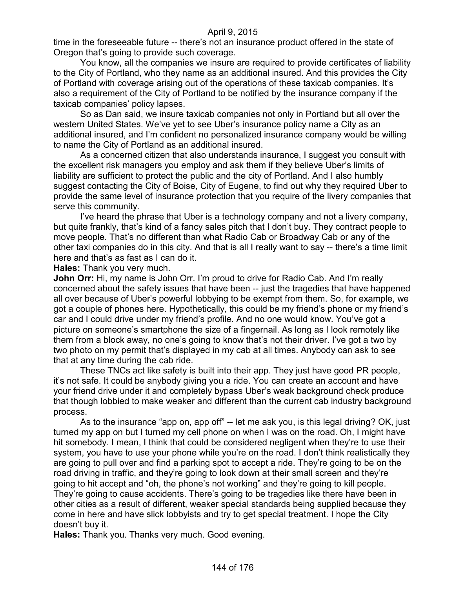time in the foreseeable future -- there's not an insurance product offered in the state of Oregon that's going to provide such coverage.

You know, all the companies we insure are required to provide certificates of liability to the City of Portland, who they name as an additional insured. And this provides the City of Portland with coverage arising out of the operations of these taxicab companies. It's also a requirement of the City of Portland to be notified by the insurance company if the taxicab companies' policy lapses.

So as Dan said, we insure taxicab companies not only in Portland but all over the western United States. We've yet to see Uber's insurance policy name a City as an additional insured, and I'm confident no personalized insurance company would be willing to name the City of Portland as an additional insured.

As a concerned citizen that also understands insurance, I suggest you consult with the excellent risk managers you employ and ask them if they believe Uber's limits of liability are sufficient to protect the public and the city of Portland. And I also humbly suggest contacting the City of Boise, City of Eugene, to find out why they required Uber to provide the same level of insurance protection that you require of the livery companies that serve this community.

I've heard the phrase that Uber is a technology company and not a livery company, but quite frankly, that's kind of a fancy sales pitch that I don't buy. They contract people to move people. That's no different than what Radio Cab or Broadway Cab or any of the other taxi companies do in this city. And that is all I really want to say -- there's a time limit here and that's as fast as I can do it.

**Hales:** Thank you very much.

**John Orr:** Hi, my name is John Orr. I'm proud to drive for Radio Cab. And I'm really concerned about the safety issues that have been -- just the tragedies that have happened all over because of Uber's powerful lobbying to be exempt from them. So, for example, we got a couple of phones here. Hypothetically, this could be my friend's phone or my friend's car and I could drive under my friend's profile. And no one would know. You've got a picture on someone's smartphone the size of a fingernail. As long as I look remotely like them from a block away, no one's going to know that's not their driver. I've got a two by two photo on my permit that's displayed in my cab at all times. Anybody can ask to see that at any time during the cab ride.

These TNCs act like safety is built into their app. They just have good PR people, it's not safe. It could be anybody giving you a ride. You can create an account and have your friend drive under it and completely bypass Uber's weak background check produce that though lobbied to make weaker and different than the current cab industry background process.

As to the insurance "app on, app off" -- let me ask you, is this legal driving? OK, just turned my app on but I turned my cell phone on when I was on the road. Oh, I might have hit somebody. I mean, I think that could be considered negligent when they're to use their system, you have to use your phone while you're on the road. I don't think realistically they are going to pull over and find a parking spot to accept a ride. They're going to be on the road driving in traffic, and they're going to look down at their small screen and they're going to hit accept and "oh, the phone's not working" and they're going to kill people. They're going to cause accidents. There's going to be tragedies like there have been in other cities as a result of different, weaker special standards being supplied because they come in here and have slick lobbyists and try to get special treatment. I hope the City doesn't buy it.

**Hales:** Thank you. Thanks very much. Good evening.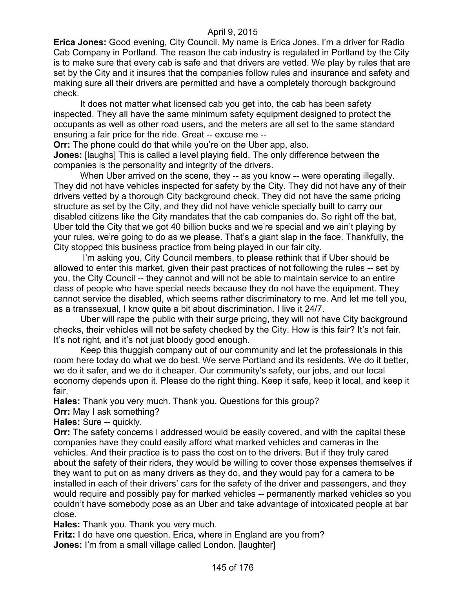**Erica Jones:** Good evening, City Council. My name is Erica Jones. I'm a driver for Radio Cab Company in Portland. The reason the cab industry is regulated in Portland by the City is to make sure that every cab is safe and that drivers are vetted. We play by rules that are set by the City and it insures that the companies follow rules and insurance and safety and making sure all their drivers are permitted and have a completely thorough background check.

It does not matter what licensed cab you get into, the cab has been safety inspected. They all have the same minimum safety equipment designed to protect the occupants as well as other road users, and the meters are all set to the same standard ensuring a fair price for the ride. Great -- excuse me --

**Orr:** The phone could do that while you're on the Uber app, also.

**Jones:** [laughs] This is called a level playing field. The only difference between the companies is the personality and integrity of the drivers.

When Uber arrived on the scene, they -- as you know -- were operating illegally. They did not have vehicles inspected for safety by the City. They did not have any of their drivers vetted by a thorough City background check. They did not have the same pricing structure as set by the City, and they did not have vehicle specially built to carry our disabled citizens like the City mandates that the cab companies do. So right off the bat, Uber told the City that we got 40 billion bucks and we're special and we ain't playing by your rules, we're going to do as we please. That's a giant slap in the face. Thankfully, the City stopped this business practice from being played in our fair city.

I'm asking you, City Council members, to please rethink that if Uber should be allowed to enter this market, given their past practices of not following the rules -- set by you, the City Council -- they cannot and will not be able to maintain service to an entire class of people who have special needs because they do not have the equipment. They cannot service the disabled, which seems rather discriminatory to me. And let me tell you, as a transsexual, I know quite a bit about discrimination. I live it 24/7.

Uber will rape the public with their surge pricing, they will not have City background checks, their vehicles will not be safety checked by the City. How is this fair? It's not fair. It's not right, and it's not just bloody good enough.

Keep this thuggish company out of our community and let the professionals in this room here today do what we do best. We serve Portland and its residents. We do it better, we do it safer, and we do it cheaper. Our community's safety, our jobs, and our local economy depends upon it. Please do the right thing. Keep it safe, keep it local, and keep it fair.

**Hales:** Thank you very much. Thank you. Questions for this group?

**Orr:** May I ask something?

**Hales:** Sure -- quickly.

**Orr:** The safety concerns I addressed would be easily covered, and with the capital these companies have they could easily afford what marked vehicles and cameras in the vehicles. And their practice is to pass the cost on to the drivers. But if they truly cared about the safety of their riders, they would be willing to cover those expenses themselves if they want to put on as many drivers as they do, and they would pay for a camera to be installed in each of their drivers' cars for the safety of the driver and passengers, and they would require and possibly pay for marked vehicles -- permanently marked vehicles so you couldn't have somebody pose as an Uber and take advantage of intoxicated people at bar close.

**Hales:** Thank you. Thank you very much.

**Fritz:** I do have one question. Erica, where in England are you from? **Jones:** I'm from a small village called London. [laughter]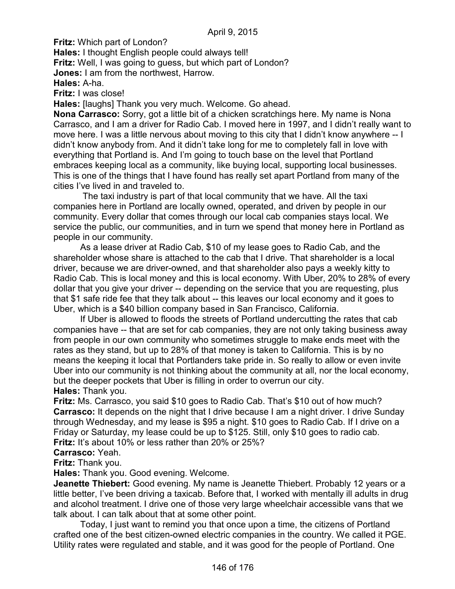**Fritz:** Which part of London?

**Hales:** I thought English people could always tell! **Fritz:** Well, I was going to guess, but which part of London? **Jones:** I am from the northwest, Harrow. **Hales:** A-ha.

**Fritz:** I was close!

**Hales:** [laughs] Thank you very much. Welcome. Go ahead.

**Nona Carrasco:** Sorry, got a little bit of a chicken scratchings here. My name is Nona Carrasco, and I am a driver for Radio Cab. I moved here in 1997, and I didn't really want to move here. I was a little nervous about moving to this city that I didn't know anywhere -- I didn't know anybody from. And it didn't take long for me to completely fall in love with everything that Portland is. And I'm going to touch base on the level that Portland embraces keeping local as a community, like buying local, supporting local businesses. This is one of the things that I have found has really set apart Portland from many of the cities I've lived in and traveled to.

The taxi industry is part of that local community that we have. All the taxi companies here in Portland are locally owned, operated, and driven by people in our community. Every dollar that comes through our local cab companies stays local. We service the public, our communities, and in turn we spend that money here in Portland as people in our community.

As a lease driver at Radio Cab, \$10 of my lease goes to Radio Cab, and the shareholder whose share is attached to the cab that I drive. That shareholder is a local driver, because we are driver-owned, and that shareholder also pays a weekly kitty to Radio Cab. This is local money and this is local economy. With Uber, 20% to 28% of every dollar that you give your driver -- depending on the service that you are requesting, plus that \$1 safe ride fee that they talk about -- this leaves our local economy and it goes to Uber, which is a \$40 billion company based in San Francisco, California.

If Uber is allowed to floods the streets of Portland undercutting the rates that cab companies have -- that are set for cab companies, they are not only taking business away from people in our own community who sometimes struggle to make ends meet with the rates as they stand, but up to 28% of that money is taken to California. This is by no means the keeping it local that Portlanders take pride in. So really to allow or even invite Uber into our community is not thinking about the community at all, nor the local economy, but the deeper pockets that Uber is filling in order to overrun our city. **Hales:** Thank you.

**Fritz:** Ms. Carrasco, you said \$10 goes to Radio Cab. That's \$10 out of how much? **Carrasco:** It depends on the night that I drive because I am a night driver. I drive Sunday through Wednesday, and my lease is \$95 a night. \$10 goes to Radio Cab. If I drive on a Friday or Saturday, my lease could be up to \$125. Still, only \$10 goes to radio cab. **Fritz:** It's about 10% or less rather than 20% or 25%?

**Carrasco:** Yeah.

**Fritz:** Thank you.

**Hales:** Thank you. Good evening. Welcome.

**Jeanette Thiebert:** Good evening. My name is Jeanette Thiebert. Probably 12 years or a little better, I've been driving a taxicab. Before that, I worked with mentally ill adults in drug and alcohol treatment. I drive one of those very large wheelchair accessible vans that we talk about. I can talk about that at some other point.

Today, I just want to remind you that once upon a time, the citizens of Portland crafted one of the best citizen-owned electric companies in the country. We called it PGE. Utility rates were regulated and stable, and it was good for the people of Portland. One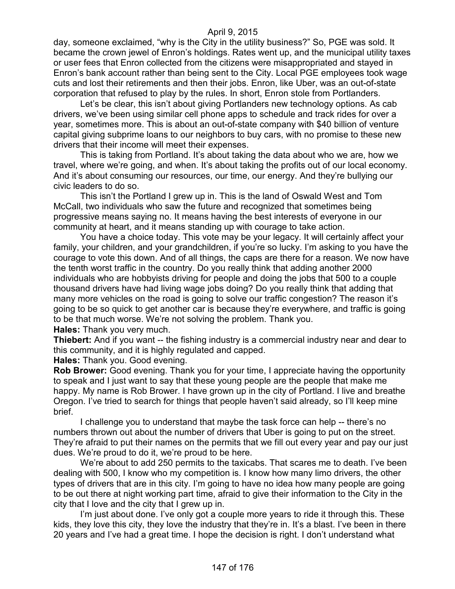day, someone exclaimed, "why is the City in the utility business?" So, PGE was sold. It became the crown jewel of Enron's holdings. Rates went up, and the municipal utility taxes or user fees that Enron collected from the citizens were misappropriated and stayed in Enron's bank account rather than being sent to the City. Local PGE employees took wage cuts and lost their retirements and then their jobs. Enron, like Uber, was an out-of-state corporation that refused to play by the rules. In short, Enron stole from Portlanders.

Let's be clear, this isn't about giving Portlanders new technology options. As cab drivers, we've been using similar cell phone apps to schedule and track rides for over a year, sometimes more. This is about an out-of-state company with \$40 billion of venture capital giving subprime loans to our neighbors to buy cars, with no promise to these new drivers that their income will meet their expenses.

This is taking from Portland. It's about taking the data about who we are, how we travel, where we're going, and when. It's about taking the profits out of our local economy. And it's about consuming our resources, our time, our energy. And they're bullying our civic leaders to do so.

This isn't the Portland I grew up in. This is the land of Oswald West and Tom McCall, two individuals who saw the future and recognized that sometimes being progressive means saying no. It means having the best interests of everyone in our community at heart, and it means standing up with courage to take action.

You have a choice today. This vote may be your legacy. It will certainly affect your family, your children, and your grandchildren, if you're so lucky. I'm asking to you have the courage to vote this down. And of all things, the caps are there for a reason. We now have the tenth worst traffic in the country. Do you really think that adding another 2000 individuals who are hobbyists driving for people and doing the jobs that 500 to a couple thousand drivers have had living wage jobs doing? Do you really think that adding that many more vehicles on the road is going to solve our traffic congestion? The reason it's going to be so quick to get another car is because they're everywhere, and traffic is going to be that much worse. We're not solving the problem. Thank you. **Hales:** Thank you very much.

**Thiebert:** And if you want -- the fishing industry is a commercial industry near and dear to this community, and it is highly regulated and capped.

**Hales:** Thank you. Good evening.

**Rob Brower:** Good evening. Thank you for your time, I appreciate having the opportunity to speak and I just want to say that these young people are the people that make me happy. My name is Rob Brower. I have grown up in the city of Portland. I live and breathe Oregon. I've tried to search for things that people haven't said already, so I'll keep mine brief.

I challenge you to understand that maybe the task force can help -- there's no numbers thrown out about the number of drivers that Uber is going to put on the street. They're afraid to put their names on the permits that we fill out every year and pay our just dues. We're proud to do it, we're proud to be here.

We're about to add 250 permits to the taxicabs. That scares me to death. I've been dealing with 500, I know who my competition is. I know how many limo drivers, the other types of drivers that are in this city. I'm going to have no idea how many people are going to be out there at night working part time, afraid to give their information to the City in the city that I love and the city that I grew up in.

I'm just about done. I've only got a couple more years to ride it through this. These kids, they love this city, they love the industry that they're in. It's a blast. I've been in there 20 years and I've had a great time. I hope the decision is right. I don't understand what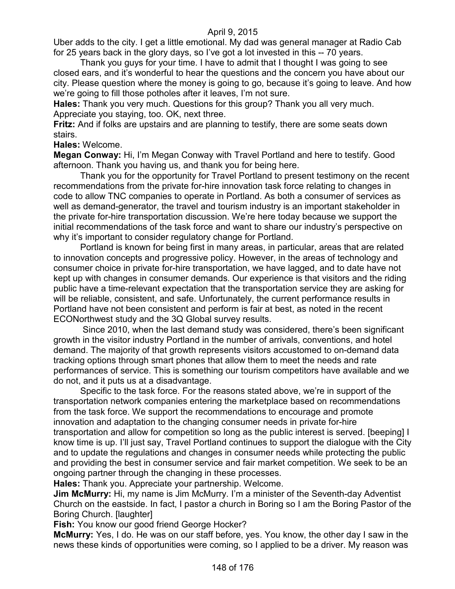Uber adds to the city. I get a little emotional. My dad was general manager at Radio Cab for 25 years back in the glory days, so I've got a lot invested in this -- 70 years.

Thank you guys for your time. I have to admit that I thought I was going to see closed ears, and it's wonderful to hear the questions and the concern you have about our city. Please question where the money is going to go, because it's going to leave. And how we're going to fill those potholes after it leaves, I'm not sure.

**Hales:** Thank you very much. Questions for this group? Thank you all very much. Appreciate you staying, too. OK, next three.

**Fritz:** And if folks are upstairs and are planning to testify, there are some seats down stairs.

# **Hales:** Welcome.

**Megan Conway:** Hi, I'm Megan Conway with Travel Portland and here to testify. Good afternoon. Thank you having us, and thank you for being here.

Thank you for the opportunity for Travel Portland to present testimony on the recent recommendations from the private for-hire innovation task force relating to changes in code to allow TNC companies to operate in Portland. As both a consumer of services as well as demand-generator, the travel and tourism industry is an important stakeholder in the private for-hire transportation discussion. We're here today because we support the initial recommendations of the task force and want to share our industry's perspective on why it's important to consider regulatory change for Portland.

Portland is known for being first in many areas, in particular, areas that are related to innovation concepts and progressive policy. However, in the areas of technology and consumer choice in private for-hire transportation, we have lagged, and to date have not kept up with changes in consumer demands. Our experience is that visitors and the riding public have a time-relevant expectation that the transportation service they are asking for will be reliable, consistent, and safe. Unfortunately, the current performance results in Portland have not been consistent and perform is fair at best, as noted in the recent ECONorthwest study and the 3Q Global survey results.

Since 2010, when the last demand study was considered, there's been significant growth in the visitor industry Portland in the number of arrivals, conventions, and hotel demand. The majority of that growth represents visitors accustomed to on-demand data tracking options through smart phones that allow them to meet the needs and rate performances of service. This is something our tourism competitors have available and we do not, and it puts us at a disadvantage.

Specific to the task force. For the reasons stated above, we're in support of the transportation network companies entering the marketplace based on recommendations from the task force. We support the recommendations to encourage and promote innovation and adaptation to the changing consumer needs in private for-hire transportation and allow for competition so long as the public interest is served. [beeping] I know time is up. I'll just say, Travel Portland continues to support the dialogue with the City and to update the regulations and changes in consumer needs while protecting the public and providing the best in consumer service and fair market competition. We seek to be an ongoing partner through the changing in these processes.

**Hales:** Thank you. Appreciate your partnership. Welcome.

**Jim McMurry:** Hi, my name is Jim McMurry. I'm a minister of the Seventh-day Adventist Church on the eastside. In fact, I pastor a church in Boring so I am the Boring Pastor of the Boring Church. [laughter]

**Fish:** You know our good friend George Hocker?

**McMurry:** Yes, I do. He was on our staff before, yes. You know, the other day I saw in the news these kinds of opportunities were coming, so I applied to be a driver. My reason was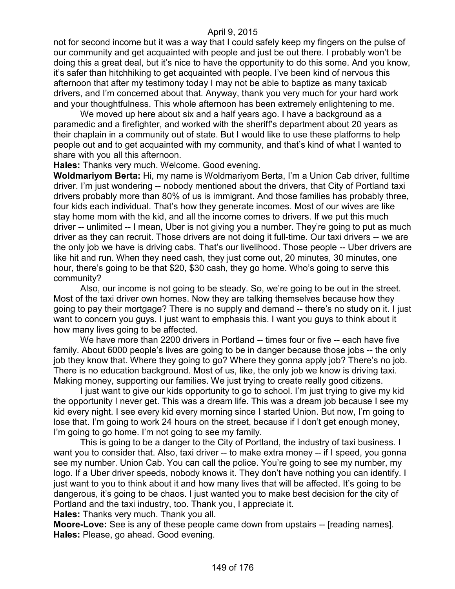not for second income but it was a way that I could safely keep my fingers on the pulse of our community and get acquainted with people and just be out there. I probably won't be doing this a great deal, but it's nice to have the opportunity to do this some. And you know, it's safer than hitchhiking to get acquainted with people. I've been kind of nervous this afternoon that after my testimony today I may not be able to baptize as many taxicab drivers, and I'm concerned about that. Anyway, thank you very much for your hard work and your thoughtfulness. This whole afternoon has been extremely enlightening to me.

We moved up here about six and a half years ago. I have a background as a paramedic and a firefighter, and worked with the sheriff's department about 20 years as their chaplain in a community out of state. But I would like to use these platforms to help people out and to get acquainted with my community, and that's kind of what I wanted to share with you all this afternoon.

**Hales:** Thanks very much. Welcome. Good evening.

**Woldmariyom Berta:** Hi, my name is Woldmariyom Berta, I'm a Union Cab driver, fulltime driver. I'm just wondering -- nobody mentioned about the drivers, that City of Portland taxi drivers probably more than 80% of us is immigrant. And those families has probably three, four kids each individual. That's how they generate incomes. Most of our wives are like stay home mom with the kid, and all the income comes to drivers. If we put this much driver -- unlimited -- I mean, Uber is not giving you a number. They're going to put as much driver as they can recruit. Those drivers are not doing it full-time. Our taxi drivers -- we are the only job we have is driving cabs. That's our livelihood. Those people -- Uber drivers are like hit and run. When they need cash, they just come out, 20 minutes, 30 minutes, one hour, there's going to be that \$20, \$30 cash, they go home. Who's going to serve this community?

Also, our income is not going to be steady. So, we're going to be out in the street. Most of the taxi driver own homes. Now they are talking themselves because how they going to pay their mortgage? There is no supply and demand -- there's no study on it. I just want to concern you guys. I just want to emphasis this. I want you guys to think about it how many lives going to be affected.

We have more than 2200 drivers in Portland -- times four or five -- each have five family. About 6000 people's lives are going to be in danger because those jobs -- the only job they know that. Where they going to go? Where they gonna apply job? There's no job. There is no education background. Most of us, like, the only job we know is driving taxi. Making money, supporting our families. We just trying to create really good citizens.

I just want to give our kids opportunity to go to school. I'm just trying to give my kid the opportunity I never get. This was a dream life. This was a dream job because I see my kid every night. I see every kid every morning since I started Union. But now, I'm going to lose that. I'm going to work 24 hours on the street, because if I don't get enough money, I'm going to go home. I'm not going to see my family.

This is going to be a danger to the City of Portland, the industry of taxi business. I want you to consider that. Also, taxi driver -- to make extra money -- if I speed, you gonna see my number. Union Cab. You can call the police. You're going to see my number, my logo. If a Uber driver speeds, nobody knows it. They don't have nothing you can identify. I just want to you to think about it and how many lives that will be affected. It's going to be dangerous, it's going to be chaos. I just wanted you to make best decision for the city of Portland and the taxi industry, too. Thank you, I appreciate it.

**Hales:** Thanks very much. Thank you all.

**Moore-Love:** See is any of these people came down from upstairs -- [reading names]. **Hales:** Please, go ahead. Good evening.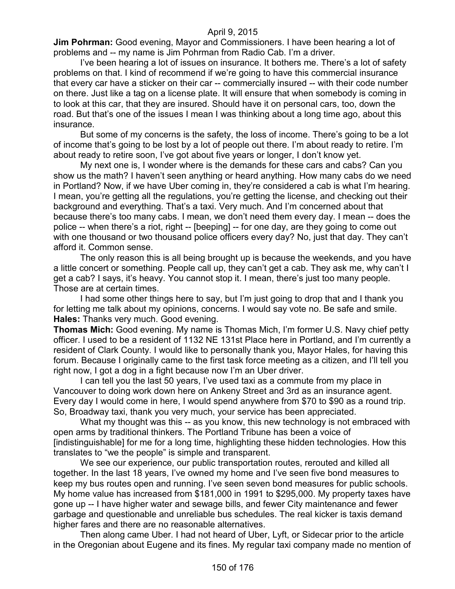**Jim Pohrman:** Good evening, Mayor and Commissioners. I have been hearing a lot of problems and -- my name is Jim Pohrman from Radio Cab. I'm a driver.

I've been hearing a lot of issues on insurance. It bothers me. There's a lot of safety problems on that. I kind of recommend if we're going to have this commercial insurance that every car have a sticker on their car -- commercially insured -- with their code number on there. Just like a tag on a license plate. It will ensure that when somebody is coming in to look at this car, that they are insured. Should have it on personal cars, too, down the road. But that's one of the issues I mean I was thinking about a long time ago, about this insurance.

But some of my concerns is the safety, the loss of income. There's going to be a lot of income that's going to be lost by a lot of people out there. I'm about ready to retire. I'm about ready to retire soon, I've got about five years or longer, I don't know yet.

My next one is, I wonder where is the demands for these cars and cabs? Can you show us the math? I haven't seen anything or heard anything. How many cabs do we need in Portland? Now, if we have Uber coming in, they're considered a cab is what I'm hearing. I mean, you're getting all the regulations, you're getting the license, and checking out their background and everything. That's a taxi. Very much. And I'm concerned about that because there's too many cabs. I mean, we don't need them every day. I mean -- does the police -- when there's a riot, right -- [beeping] -- for one day, are they going to come out with one thousand or two thousand police officers every day? No, just that day. They can't afford it. Common sense.

The only reason this is all being brought up is because the weekends, and you have a little concert or something. People call up, they can't get a cab. They ask me, why can't I get a cab? I says, it's heavy. You cannot stop it. I mean, there's just too many people. Those are at certain times.

I had some other things here to say, but I'm just going to drop that and I thank you for letting me talk about my opinions, concerns. I would say vote no. Be safe and smile. **Hales:** Thanks very much. Good evening.

**Thomas Mich:** Good evening. My name is Thomas Mich, I'm former U.S. Navy chief petty officer. I used to be a resident of 1132 NE 131st Place here in Portland, and I'm currently a resident of Clark County. I would like to personally thank you, Mayor Hales, for having this forum. Because I originally came to the first task force meeting as a citizen, and I'll tell you right now, I got a dog in a fight because now I'm an Uber driver.

I can tell you the last 50 years, I've used taxi as a commute from my place in Vancouver to doing work down here on Ankeny Street and 3rd as an insurance agent. Every day I would come in here, I would spend anywhere from \$70 to \$90 as a round trip. So, Broadway taxi, thank you very much, your service has been appreciated.

What my thought was this -- as you know, this new technology is not embraced with open arms by traditional thinkers. The Portland Tribune has been a voice of [indistinguishable] for me for a long time, highlighting these hidden technologies. How this translates to "we the people" is simple and transparent.

We see our experience, our public transportation routes, rerouted and killed all together. In the last 18 years, I've owned my home and I've seen five bond measures to keep my bus routes open and running. I've seen seven bond measures for public schools. My home value has increased from \$181,000 in 1991 to \$295,000. My property taxes have gone up -- I have higher water and sewage bills, and fewer City maintenance and fewer garbage and questionable and unreliable bus schedules. The real kicker is taxis demand higher fares and there are no reasonable alternatives.

Then along came Uber. I had not heard of Uber, Lyft, or Sidecar prior to the article in the Oregonian about Eugene and its fines. My regular taxi company made no mention of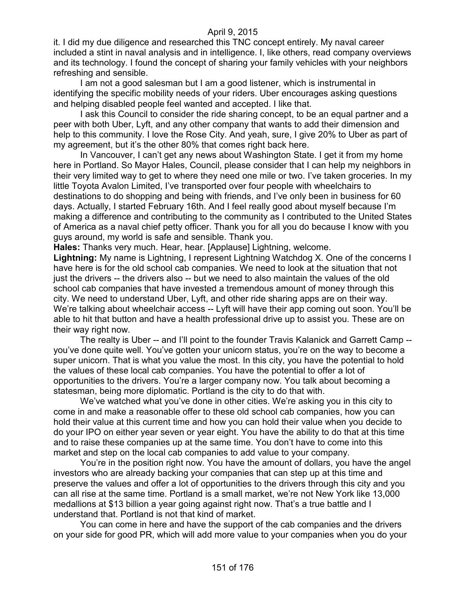it. I did my due diligence and researched this TNC concept entirely. My naval career included a stint in naval analysis and in intelligence. I, like others, read company overviews and its technology. I found the concept of sharing your family vehicles with your neighbors refreshing and sensible.

I am not a good salesman but I am a good listener, which is instrumental in identifying the specific mobility needs of your riders. Uber encourages asking questions and helping disabled people feel wanted and accepted. I like that.

I ask this Council to consider the ride sharing concept, to be an equal partner and a peer with both Uber, Lyft, and any other company that wants to add their dimension and help to this community. I love the Rose City. And yeah, sure, I give 20% to Uber as part of my agreement, but it's the other 80% that comes right back here.

In Vancouver, I can't get any news about Washington State. I get it from my home here in Portland. So Mayor Hales, Council, please consider that I can help my neighbors in their very limited way to get to where they need one mile or two. I've taken groceries. In my little Toyota Avalon Limited, I've transported over four people with wheelchairs to destinations to do shopping and being with friends, and I've only been in business for 60 days. Actually, I started February 16th. And I feel really good about myself because I'm making a difference and contributing to the community as I contributed to the United States of America as a naval chief petty officer. Thank you for all you do because I know with you guys around, my world is safe and sensible. Thank you.

**Hales:** Thanks very much. Hear, hear. [Applause] Lightning, welcome.

**Lightning:** My name is Lightning, I represent Lightning Watchdog X. One of the concerns I have here is for the old school cab companies. We need to look at the situation that not just the drivers -- the drivers also -- but we need to also maintain the values of the old school cab companies that have invested a tremendous amount of money through this city. We need to understand Uber, Lyft, and other ride sharing apps are on their way. We're talking about wheelchair access -- Lyft will have their app coming out soon. You'll be able to hit that button and have a health professional drive up to assist you. These are on their way right now.

The realty is Uber -- and I'll point to the founder Travis Kalanick and Garrett Camp - you've done quite well. You've gotten your unicorn status, you're on the way to become a super unicorn. That is what you value the most. In this city, you have the potential to hold the values of these local cab companies. You have the potential to offer a lot of opportunities to the drivers. You're a larger company now. You talk about becoming a statesman, being more diplomatic. Portland is the city to do that with.

We've watched what you've done in other cities. We're asking you in this city to come in and make a reasonable offer to these old school cab companies, how you can hold their value at this current time and how you can hold their value when you decide to do your IPO on either year seven or year eight. You have the ability to do that at this time and to raise these companies up at the same time. You don't have to come into this market and step on the local cab companies to add value to your company.

You're in the position right now. You have the amount of dollars, you have the angel investors who are already backing your companies that can step up at this time and preserve the values and offer a lot of opportunities to the drivers through this city and you can all rise at the same time. Portland is a small market, we're not New York like 13,000 medallions at \$13 billion a year going against right now. That's a true battle and I understand that. Portland is not that kind of market.

You can come in here and have the support of the cab companies and the drivers on your side for good PR, which will add more value to your companies when you do your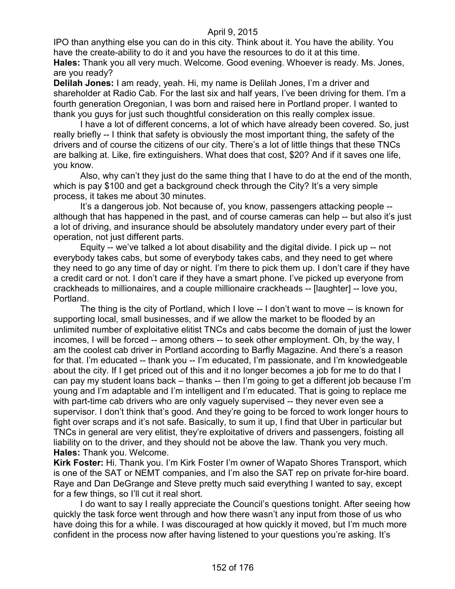IPO than anything else you can do in this city. Think about it. You have the ability. You have the create-ability to do it and you have the resources to do it at this time. **Hales:** Thank you all very much. Welcome. Good evening. Whoever is ready. Ms. Jones, are you ready?

**Delilah Jones:** I am ready, yeah. Hi, my name is Delilah Jones, I'm a driver and shareholder at Radio Cab. For the last six and half years, I've been driving for them. I'm a fourth generation Oregonian, I was born and raised here in Portland proper. I wanted to thank you guys for just such thoughtful consideration on this really complex issue.

I have a lot of different concerns, a lot of which have already been covered. So, just really briefly -- I think that safety is obviously the most important thing, the safety of the drivers and of course the citizens of our city. There's a lot of little things that these TNCs are balking at. Like, fire extinguishers. What does that cost, \$20? And if it saves one life, you know.

Also, why can't they just do the same thing that I have to do at the end of the month, which is pay \$100 and get a background check through the City? It's a very simple process, it takes me about 30 minutes.

It's a dangerous job. Not because of, you know, passengers attacking people - although that has happened in the past, and of course cameras can help -- but also it's just a lot of driving, and insurance should be absolutely mandatory under every part of their operation, not just different parts.

Equity -- we've talked a lot about disability and the digital divide. I pick up -- not everybody takes cabs, but some of everybody takes cabs, and they need to get where they need to go any time of day or night. I'm there to pick them up. I don't care if they have a credit card or not. I don't care if they have a smart phone. I've picked up everyone from crackheads to millionaires, and a couple millionaire crackheads -- [laughter] -- love you, Portland.

The thing is the city of Portland, which I love -- I don't want to move -- is known for supporting local, small businesses, and if we allow the market to be flooded by an unlimited number of exploitative elitist TNCs and cabs become the domain of just the lower incomes, I will be forced -- among others -- to seek other employment. Oh, by the way, I am the coolest cab driver in Portland according to Barfly Magazine. And there's a reason for that. I'm educated -- thank you -- I'm educated, I'm passionate, and I'm knowledgeable about the city. If I get priced out of this and it no longer becomes a job for me to do that I can pay my student loans back – thanks -- then I'm going to get a different job because I'm young and I'm adaptable and I'm intelligent and I'm educated. That is going to replace me with part-time cab drivers who are only vaguely supervised -- they never even see a supervisor. I don't think that's good. And they're going to be forced to work longer hours to fight over scraps and it's not safe. Basically, to sum it up, I find that Uber in particular but TNCs in general are very elitist, they're exploitative of drivers and passengers, foisting all liability on to the driver, and they should not be above the law. Thank you very much. **Hales:** Thank you. Welcome.

**Kirk Foster:** Hi. Thank you. I'm Kirk Foster I'm owner of Wapato Shores Transport, which is one of the SAT or NEMT companies, and I'm also the SAT rep on private for-hire board. Raye and Dan DeGrange and Steve pretty much said everything I wanted to say, except for a few things, so I'll cut it real short.

I do want to say I really appreciate the Council's questions tonight. After seeing how quickly the task force went through and how there wasn't any input from those of us who have doing this for a while. I was discouraged at how quickly it moved, but I'm much more confident in the process now after having listened to your questions you're asking. It's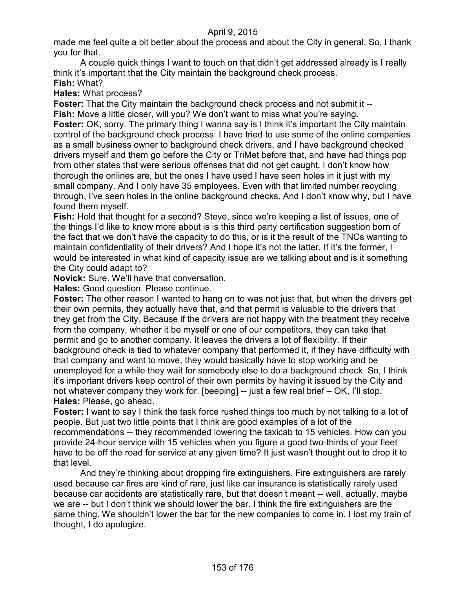made me feel quite a bit better about the process and about the City in general. So, I thank you for that.

A couple quick things I want to touch on that didn't get addressed already is I really think it's important that the City maintain the background check process.

# **Fish:** What?

**Hales:** What process?

**Foster:** That the City maintain the background check process and not submit it -- **Fish:** Move a little closer, will you? We don't want to miss what you're saying. **Foster:** OK, sorry. The primary thing I wanna say is I think it's important the City maintain control of the background check process. I have tried to use some of the online companies as a small business owner to background check drivers, and I have background checked drivers myself and them go before the City or TriMet before that, and have had things pop from other states that were serious offenses that did not get caught. I don't know how thorough the onlines are, but the ones I have used I have seen holes in it just with my small company. And I only have 35 employees. Even with that limited number recycling through, I've seen holes in the online background checks. And I don't know why, but I have found them myself.

**Fish:** Hold that thought for a second? Steve, since we're keeping a list of issues, one of the things I'd like to know more about is is this third party certification suggestion born of the fact that we don't have the capacity to do this, or is it the result of the TNCs wanting to maintain confidentiality of their drivers? And I hope it's not the latter. If it's the former, I would be interested in what kind of capacity issue are we talking about and is it something the City could adapt to?

**Novick:** Sure. We'll have that conversation.

**Hales:** Good question. Please continue.

**Foster:** The other reason I wanted to hang on to was not just that, but when the drivers get their own permits, they actually have that, and that permit is valuable to the drivers that they get from the City. Because if the drivers are not happy with the treatment they receive from the company, whether it be myself or one of our competitors, they can take that permit and go to another company. It leaves the drivers a lot of flexibility. If their background check is tied to whatever company that performed it, if they have difficulty with that company and want to move, they would basically have to stop working and be unemployed for a while they wait for somebody else to do a background check. So, I think it's important drivers keep control of their own permits by having it issued by the City and not whatever company they work for. [beeping] -- just a few real brief – OK, I'll stop. **Hales:** Please, go ahead.

**Foster:** I want to say I think the task force rushed things too much by not talking to a lot of people. But just two little points that I think are good examples of a lot of the recommendations -- they recommended lowering the taxicab to 15 vehicles. How can you provide 24-hour service with 15 vehicles when you figure a good two-thirds of your fleet have to be off the road for service at any given time? It just wasn't thought out to drop it to that level.

And they're thinking about dropping fire extinguishers. Fire extinguishers are rarely used because car fires are kind of rare, just like car insurance is statistically rarely used because car accidents are statistically rare, but that doesn't meant -- well, actually, maybe we are -- but I don't think we should lower the bar. I think the fire extinguishers are the same thing. We shouldn't lower the bar for the new companies to come in. I lost my train of thought, I do apologize.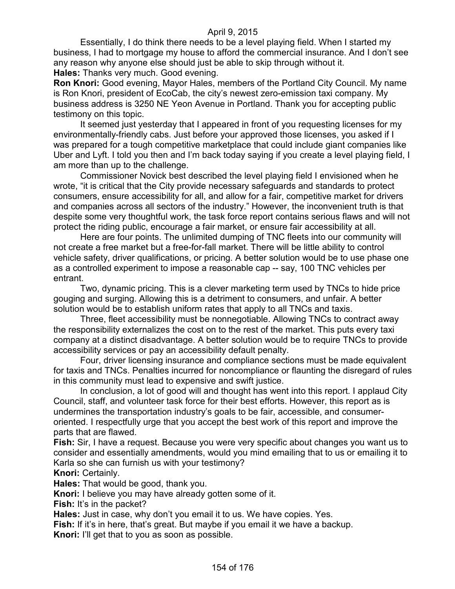Essentially, I do think there needs to be a level playing field. When I started my business, I had to mortgage my house to afford the commercial insurance. And I don't see any reason why anyone else should just be able to skip through without it. **Hales:** Thanks very much. Good evening.

**Ron Knori:** Good evening, Mayor Hales, members of the Portland City Council. My name is Ron Knori, president of EcoCab, the city's newest zero-emission taxi company. My business address is 3250 NE Yeon Avenue in Portland. Thank you for accepting public testimony on this topic.

It seemed just yesterday that I appeared in front of you requesting licenses for my environmentally-friendly cabs. Just before your approved those licenses, you asked if I was prepared for a tough competitive marketplace that could include giant companies like Uber and Lyft. I told you then and I'm back today saying if you create a level playing field, I am more than up to the challenge.

Commissioner Novick best described the level playing field I envisioned when he wrote, "it is critical that the City provide necessary safeguards and standards to protect consumers, ensure accessibility for all, and allow for a fair, competitive market for drivers and companies across all sectors of the industry." However, the inconvenient truth is that despite some very thoughtful work, the task force report contains serious flaws and will not protect the riding public, encourage a fair market, or ensure fair accessibility at all.

Here are four points. The unlimited dumping of TNC fleets into our community will not create a free market but a free-for-fall market. There will be little ability to control vehicle safety, driver qualifications, or pricing. A better solution would be to use phase one as a controlled experiment to impose a reasonable cap -- say, 100 TNC vehicles per entrant.

Two, dynamic pricing. This is a clever marketing term used by TNCs to hide price gouging and surging. Allowing this is a detriment to consumers, and unfair. A better solution would be to establish uniform rates that apply to all TNCs and taxis.

Three, fleet accessibility must be nonnegotiable. Allowing TNCs to contract away the responsibility externalizes the cost on to the rest of the market. This puts every taxi company at a distinct disadvantage. A better solution would be to require TNCs to provide accessibility services or pay an accessibility default penalty.

Four, driver licensing insurance and compliance sections must be made equivalent for taxis and TNCs. Penalties incurred for noncompliance or flaunting the disregard of rules in this community must lead to expensive and swift justice.

In conclusion, a lot of good will and thought has went into this report. I applaud City Council, staff, and volunteer task force for their best efforts. However, this report as is undermines the transportation industry's goals to be fair, accessible, and consumeroriented. I respectfully urge that you accept the best work of this report and improve the parts that are flawed.

**Fish:** Sir, I have a request. Because you were very specific about changes you want us to consider and essentially amendments, would you mind emailing that to us or emailing it to Karla so she can furnish us with your testimony?

**Knori:** Certainly.

**Hales:** That would be good, thank you.

**Knori:** I believe you may have already gotten some of it.

**Fish:** It's in the packet?

**Hales:** Just in case, why don't you email it to us. We have copies. Yes.

**Fish:** If it's in here, that's great. But maybe if you email it we have a backup.

**Knori:** I'll get that to you as soon as possible.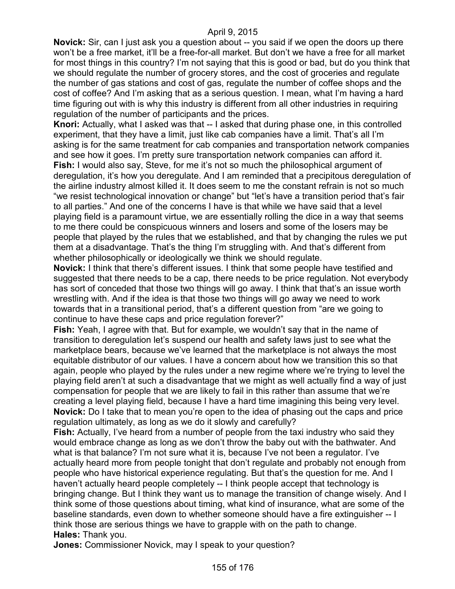**Novick:** Sir, can I just ask you a question about -- you said if we open the doors up there won't be a free market, it'll be a free-for-all market. But don't we have a free for all market for most things in this country? I'm not saying that this is good or bad, but do you think that we should regulate the number of grocery stores, and the cost of groceries and regulate the number of gas stations and cost of gas, regulate the number of coffee shops and the cost of coffee? And I'm asking that as a serious question. I mean, what I'm having a hard time figuring out with is why this industry is different from all other industries in requiring regulation of the number of participants and the prices.

**Knori:** Actually, what I asked was that -- I asked that during phase one, in this controlled experiment, that they have a limit, just like cab companies have a limit. That's all I'm asking is for the same treatment for cab companies and transportation network companies and see how it goes. I'm pretty sure transportation network companies can afford it. **Fish:** I would also say, Steve, for me it's not so much the philosophical argument of deregulation, it's how you deregulate. And I am reminded that a precipitous deregulation of the airline industry almost killed it. It does seem to me the constant refrain is not so much "we resist technological innovation or change" but "let's have a transition period that's fair to all parties." And one of the concerns I have is that while we have said that a level playing field is a paramount virtue, we are essentially rolling the dice in a way that seems to me there could be conspicuous winners and losers and some of the losers may be people that played by the rules that we established, and that by changing the rules we put them at a disadvantage. That's the thing I'm struggling with. And that's different from whether philosophically or ideologically we think we should regulate.

**Novick:** I think that there's different issues. I think that some people have testified and suggested that there needs to be a cap, there needs to be price regulation. Not everybody has sort of conceded that those two things will go away. I think that that's an issue worth wrestling with. And if the idea is that those two things will go away we need to work towards that in a transitional period, that's a different question from "are we going to continue to have these caps and price regulation forever?"

**Fish:** Yeah, I agree with that. But for example, we wouldn't say that in the name of transition to deregulation let's suspend our health and safety laws just to see what the marketplace bears, because we've learned that the marketplace is not always the most equitable distributor of our values. I have a concern about how we transition this so that again, people who played by the rules under a new regime where we're trying to level the playing field aren't at such a disadvantage that we might as well actually find a way of just compensation for people that we are likely to fail in this rather than assume that we're creating a level playing field, because I have a hard time imagining this being very level. **Novick:** Do I take that to mean you're open to the idea of phasing out the caps and price regulation ultimately, as long as we do it slowly and carefully?

**Fish:** Actually, I've heard from a number of people from the taxi industry who said they would embrace change as long as we don't throw the baby out with the bathwater. And what is that balance? I'm not sure what it is, because I've not been a regulator. I've actually heard more from people tonight that don't regulate and probably not enough from people who have historical experience regulating. But that's the question for me. And I haven't actually heard people completely -- I think people accept that technology is bringing change. But I think they want us to manage the transition of change wisely. And I think some of those questions about timing, what kind of insurance, what are some of the baseline standards, even down to whether someone should have a fire extinguisher -- I think those are serious things we have to grapple with on the path to change. **Hales:** Thank you.

**Jones:** Commissioner Novick, may I speak to your question?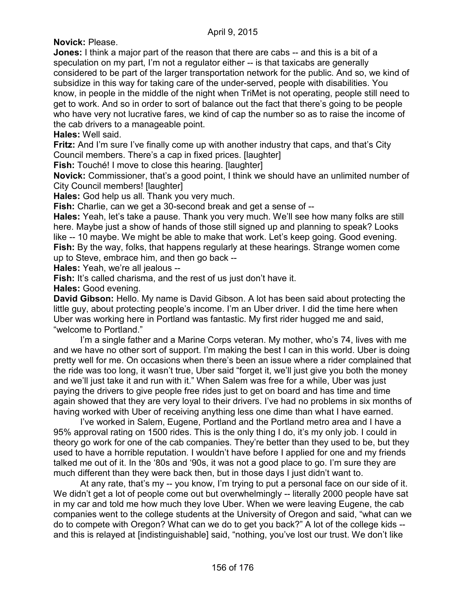**Novick:** Please.

**Jones:** I think a major part of the reason that there are cabs -- and this is a bit of a speculation on my part, I'm not a regulator either -- is that taxicabs are generally considered to be part of the larger transportation network for the public. And so, we kind of subsidize in this way for taking care of the under-served, people with disabilities. You know, in people in the middle of the night when TriMet is not operating, people still need to get to work. And so in order to sort of balance out the fact that there's going to be people who have very not lucrative fares, we kind of cap the number so as to raise the income of the cab drivers to a manageable point.

**Hales:** Well said.

**Fritz:** And I'm sure I've finally come up with another industry that caps, and that's City Council members. There's a cap in fixed prices. [laughter]

**Fish:** Touché! I move to close this hearing. [laughter]

**Novick:** Commissioner, that's a good point, I think we should have an unlimited number of City Council members! [laughter]

**Hales:** God help us all. Thank you very much.

**Fish:** Charlie, can we get a 30-second break and get a sense of --

**Hales:** Yeah, let's take a pause. Thank you very much. We'll see how many folks are still here. Maybe just a show of hands of those still signed up and planning to speak? Looks like -- 10 maybe. We might be able to make that work. Let's keep going. Good evening. **Fish:** By the way, folks, that happens regularly at these hearings. Strange women come up to Steve, embrace him, and then go back --

**Hales:** Yeah, we're all jealous --

Fish: It's called charisma, and the rest of us just don't have it.

**Hales:** Good evening.

**David Gibson:** Hello. My name is David Gibson. A lot has been said about protecting the little guy, about protecting people's income. I'm an Uber driver. I did the time here when Uber was working here in Portland was fantastic. My first rider hugged me and said, "welcome to Portland."

I'm a single father and a Marine Corps veteran. My mother, who's 74, lives with me and we have no other sort of support. I'm making the best I can in this world. Uber is doing pretty well for me. On occasions when there's been an issue where a rider complained that the ride was too long, it wasn't true, Uber said "forget it, we'll just give you both the money and we'll just take it and run with it." When Salem was free for a while, Uber was just paying the drivers to give people free rides just to get on board and has time and time again showed that they are very loyal to their drivers. I've had no problems in six months of having worked with Uber of receiving anything less one dime than what I have earned.

I've worked in Salem, Eugene, Portland and the Portland metro area and I have a 95% approval rating on 1500 rides. This is the only thing I do, it's my only job. I could in theory go work for one of the cab companies. They're better than they used to be, but they used to have a horrible reputation. I wouldn't have before I applied for one and my friends talked me out of it. In the '80s and '90s, it was not a good place to go. I'm sure they are much different than they were back then, but in those days I just didn't want to.

At any rate, that's my -- you know, I'm trying to put a personal face on our side of it. We didn't get a lot of people come out but overwhelmingly -- literally 2000 people have sat in my car and told me how much they love Uber. When we were leaving Eugene, the cab companies went to the college students at the University of Oregon and said, "what can we do to compete with Oregon? What can we do to get you back?" A lot of the college kids - and this is relayed at [indistinguishable] said, "nothing, you've lost our trust. We don't like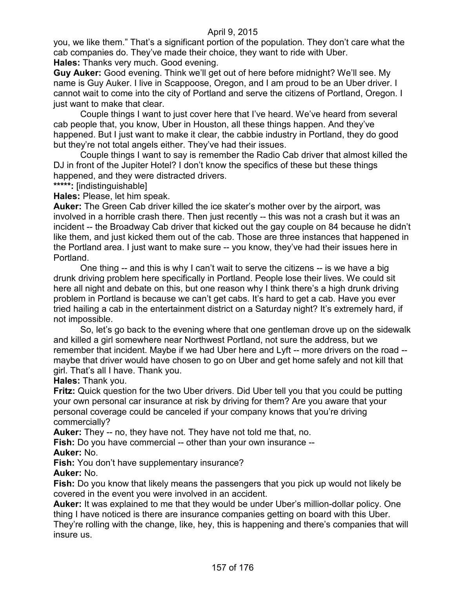you, we like them." That's a significant portion of the population. They don't care what the cab companies do. They've made their choice, they want to ride with Uber. **Hales:** Thanks very much. Good evening.

**Guy Auker:** Good evening. Think we'll get out of here before midnight? We'll see. My name is Guy Auker. I live in Scappoose, Oregon, and I am proud to be an Uber driver. I cannot wait to come into the city of Portland and serve the citizens of Portland, Oregon. I just want to make that clear.

Couple things I want to just cover here that I've heard. We've heard from several cab people that, you know, Uber in Houston, all these things happen. And they've happened. But I just want to make it clear, the cabbie industry in Portland, they do good but they're not total angels either. They've had their issues.

Couple things I want to say is remember the Radio Cab driver that almost killed the DJ in front of the Jupiter Hotel? I don't know the specifics of these but these things happened, and they were distracted drivers.

**\*\*\*\*\*:** [indistinguishable]

**Hales:** Please, let him speak.

**Auker:** The Green Cab driver killed the ice skater's mother over by the airport, was involved in a horrible crash there. Then just recently -- this was not a crash but it was an incident -- the Broadway Cab driver that kicked out the gay couple on 84 because he didn't like them, and just kicked them out of the cab. Those are three instances that happened in the Portland area. I just want to make sure -- you know, they've had their issues here in Portland.

One thing -- and this is why I can't wait to serve the citizens -- is we have a big drunk driving problem here specifically in Portland. People lose their lives. We could sit here all night and debate on this, but one reason why I think there's a high drunk driving problem in Portland is because we can't get cabs. It's hard to get a cab. Have you ever tried hailing a cab in the entertainment district on a Saturday night? It's extremely hard, if not impossible.

So, let's go back to the evening where that one gentleman drove up on the sidewalk and killed a girl somewhere near Northwest Portland, not sure the address, but we remember that incident. Maybe if we had Uber here and Lyft -- more drivers on the road - maybe that driver would have chosen to go on Uber and get home safely and not kill that girl. That's all I have. Thank you.

**Hales:** Thank you.

**Fritz:** Quick question for the two Uber drivers. Did Uber tell you that you could be putting your own personal car insurance at risk by driving for them? Are you aware that your personal coverage could be canceled if your company knows that you're driving commercially?

**Auker:** They -- no, they have not. They have not told me that, no.

**Fish:** Do you have commercial -- other than your own insurance --

**Auker:** No.

**Fish:** You don't have supplementary insurance?

**Auker:** No.

**Fish:** Do you know that likely means the passengers that you pick up would not likely be covered in the event you were involved in an accident.

**Auker:** It was explained to me that they would be under Uber's million-dollar policy. One thing I have noticed is there are insurance companies getting on board with this Uber. They're rolling with the change, like, hey, this is happening and there's companies that will insure us.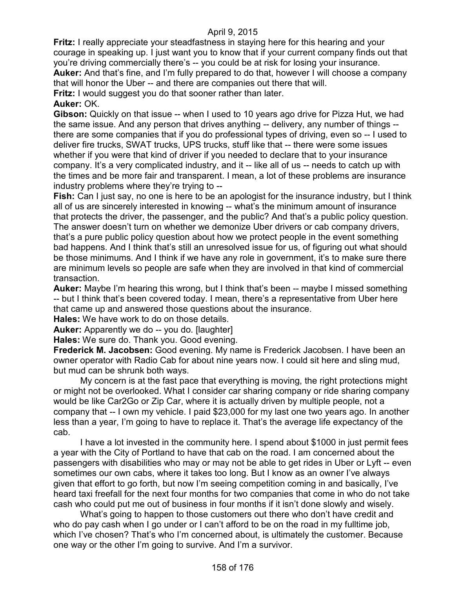**Fritz:** I really appreciate your steadfastness in staying here for this hearing and your courage in speaking up. I just want you to know that if your current company finds out that you're driving commercially there's -- you could be at risk for losing your insurance. **Auker:** And that's fine, and I'm fully prepared to do that, however I will choose a company that will honor the Uber -- and there are companies out there that will. **Fritz:** I would suggest you do that sooner rather than later.

#### **Auker:** OK.

**Gibson:** Quickly on that issue -- when I used to 10 years ago drive for Pizza Hut, we had the same issue. And any person that drives anything -- delivery, any number of things - there are some companies that if you do professional types of driving, even so -- I used to deliver fire trucks, SWAT trucks, UPS trucks, stuff like that -- there were some issues whether if you were that kind of driver if you needed to declare that to your insurance company. It's a very complicated industry, and it -- like all of us -- needs to catch up with the times and be more fair and transparent. I mean, a lot of these problems are insurance industry problems where they're trying to --

**Fish:** Can I just say, no one is here to be an apologist for the insurance industry, but I think all of us are sincerely interested in knowing -- what's the minimum amount of insurance that protects the driver, the passenger, and the public? And that's a public policy question. The answer doesn't turn on whether we demonize Uber drivers or cab company drivers, that's a pure public policy question about how we protect people in the event something bad happens. And I think that's still an unresolved issue for us, of figuring out what should be those minimums. And I think if we have any role in government, it's to make sure there are minimum levels so people are safe when they are involved in that kind of commercial transaction.

**Auker:** Maybe I'm hearing this wrong, but I think that's been -- maybe I missed something -- but I think that's been covered today. I mean, there's a representative from Uber here that came up and answered those questions about the insurance.

**Hales:** We have work to do on those details.

**Auker:** Apparently we do -- you do. [laughter]

**Hales:** We sure do. Thank you. Good evening.

**Frederick M. Jacobsen:** Good evening. My name is Frederick Jacobsen. I have been an owner operator with Radio Cab for about nine years now. I could sit here and sling mud, but mud can be shrunk both ways.

My concern is at the fast pace that everything is moving, the right protections might or might not be overlooked. What I consider car sharing company or ride sharing company would be like Car2Go or Zip Car, where it is actually driven by multiple people, not a company that -- I own my vehicle. I paid \$23,000 for my last one two years ago. In another less than a year, I'm going to have to replace it. That's the average life expectancy of the cab.

I have a lot invested in the community here. I spend about \$1000 in just permit fees a year with the City of Portland to have that cab on the road. I am concerned about the passengers with disabilities who may or may not be able to get rides in Uber or Lyft -- even sometimes our own cabs, where it takes too long. But I know as an owner I've always given that effort to go forth, but now I'm seeing competition coming in and basically, I've heard taxi freefall for the next four months for two companies that come in who do not take cash who could put me out of business in four months if it isn't done slowly and wisely.

What's going to happen to those customers out there who don't have credit and who do pay cash when I go under or I can't afford to be on the road in my fulltime job, which I've chosen? That's who I'm concerned about, is ultimately the customer. Because one way or the other I'm going to survive. And I'm a survivor.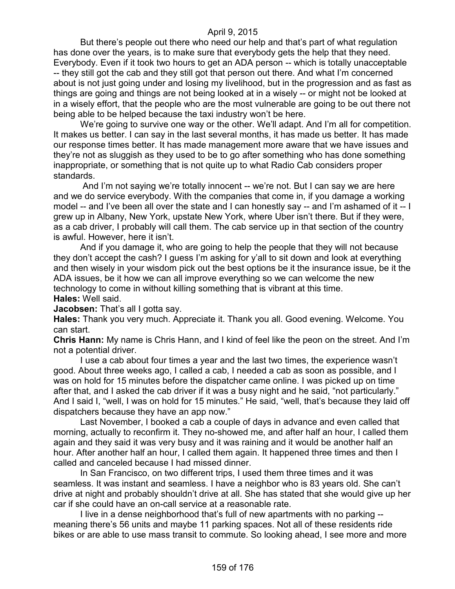But there's people out there who need our help and that's part of what regulation has done over the years, is to make sure that everybody gets the help that they need. Everybody. Even if it took two hours to get an ADA person -- which is totally unacceptable -- they still got the cab and they still got that person out there. And what I'm concerned about is not just going under and losing my livelihood, but in the progression and as fast as things are going and things are not being looked at in a wisely -- or might not be looked at in a wisely effort, that the people who are the most vulnerable are going to be out there not being able to be helped because the taxi industry won't be here.

We're going to survive one way or the other. We'll adapt. And I'm all for competition. It makes us better. I can say in the last several months, it has made us better. It has made our response times better. It has made management more aware that we have issues and they're not as sluggish as they used to be to go after something who has done something inappropriate, or something that is not quite up to what Radio Cab considers proper standards.

And I'm not saying we're totally innocent -- we're not. But I can say we are here and we do service everybody. With the companies that come in, if you damage a working model -- and I've been all over the state and I can honestly say -- and I'm ashamed of it -- I grew up in Albany, New York, upstate New York, where Uber isn't there. But if they were, as a cab driver, I probably will call them. The cab service up in that section of the country is awful. However, here it isn't.

And if you damage it, who are going to help the people that they will not because they don't accept the cash? I guess I'm asking for y'all to sit down and look at everything and then wisely in your wisdom pick out the best options be it the insurance issue, be it the ADA issues, be it how we can all improve everything so we can welcome the new technology to come in without killing something that is vibrant at this time. **Hales:** Well said.

**Jacobsen:** That's all I gotta say.

**Hales:** Thank you very much. Appreciate it. Thank you all. Good evening. Welcome. You can start.

**Chris Hann:** My name is Chris Hann, and I kind of feel like the peon on the street. And I'm not a potential driver.

I use a cab about four times a year and the last two times, the experience wasn't good. About three weeks ago, I called a cab, I needed a cab as soon as possible, and I was on hold for 15 minutes before the dispatcher came online. I was picked up on time after that, and I asked the cab driver if it was a busy night and he said, "not particularly." And I said I, "well, I was on hold for 15 minutes." He said, "well, that's because they laid off dispatchers because they have an app now."

Last November, I booked a cab a couple of days in advance and even called that morning, actually to reconfirm it. They no-showed me, and after half an hour, I called them again and they said it was very busy and it was raining and it would be another half an hour. After another half an hour, I called them again. It happened three times and then I called and canceled because I had missed dinner.

In San Francisco, on two different trips, I used them three times and it was seamless. It was instant and seamless. I have a neighbor who is 83 years old. She can't drive at night and probably shouldn't drive at all. She has stated that she would give up her car if she could have an on-call service at a reasonable rate.

I live in a dense neighborhood that's full of new apartments with no parking - meaning there's 56 units and maybe 11 parking spaces. Not all of these residents ride bikes or are able to use mass transit to commute. So looking ahead, I see more and more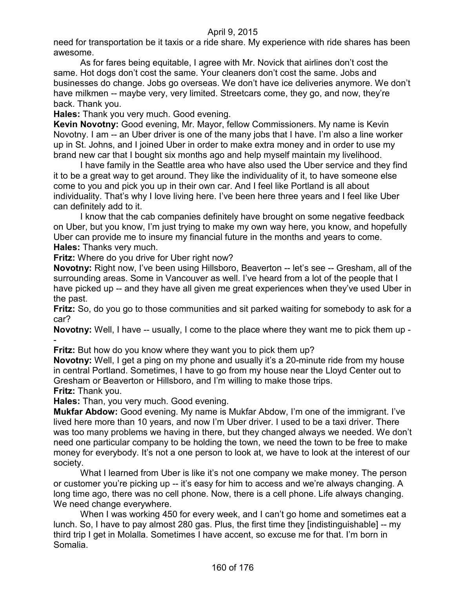need for transportation be it taxis or a ride share. My experience with ride shares has been awesome.

As for fares being equitable, I agree with Mr. Novick that airlines don't cost the same. Hot dogs don't cost the same. Your cleaners don't cost the same. Jobs and businesses do change. Jobs go overseas. We don't have ice deliveries anymore. We don't have milkmen -- maybe very, very limited. Streetcars come, they go, and now, they're back. Thank you.

**Hales:** Thank you very much. Good evening.

**Kevin Novotny:** Good evening, Mr. Mayor, fellow Commissioners. My name is Kevin Novotny. I am -- an Uber driver is one of the many jobs that I have. I'm also a line worker up in St. Johns, and I joined Uber in order to make extra money and in order to use my brand new car that I bought six months ago and help myself maintain my livelihood.

I have family in the Seattle area who have also used the Uber service and they find it to be a great way to get around. They like the individuality of it, to have someone else come to you and pick you up in their own car. And I feel like Portland is all about individuality. That's why I love living here. I've been here three years and I feel like Uber can definitely add to it.

I know that the cab companies definitely have brought on some negative feedback on Uber, but you know, I'm just trying to make my own way here, you know, and hopefully Uber can provide me to insure my financial future in the months and years to come. **Hales:** Thanks very much.

**Fritz:** Where do you drive for Uber right now?

**Novotny:** Right now, I've been using Hillsboro, Beaverton -- let's see -- Gresham, all of the surrounding areas. Some in Vancouver as well. I've heard from a lot of the people that I have picked up -- and they have all given me great experiences when they've used Uber in the past.

**Fritz:** So, do you go to those communities and sit parked waiting for somebody to ask for a car?

**Novotny:** Well, I have -- usually, I come to the place where they want me to pick them up - -

**Fritz:** But how do you know where they want you to pick them up?

**Novotny:** Well, I get a ping on my phone and usually it's a 20-minute ride from my house in central Portland. Sometimes, I have to go from my house near the Lloyd Center out to Gresham or Beaverton or Hillsboro, and I'm willing to make those trips. **Fritz:** Thank you.

**Hales:** Than, you very much. Good evening.

**Mukfar Abdow:** Good evening. My name is Mukfar Abdow, I'm one of the immigrant. I've lived here more than 10 years, and now I'm Uber driver. I used to be a taxi driver. There was too many problems we having in there, but they changed always we needed. We don't need one particular company to be holding the town, we need the town to be free to make money for everybody. It's not a one person to look at, we have to look at the interest of our society.

What I learned from Uber is like it's not one company we make money. The person or customer you're picking up -- it's easy for him to access and we're always changing. A long time ago, there was no cell phone. Now, there is a cell phone. Life always changing. We need change everywhere.

When I was working 450 for every week, and I can't go home and sometimes eat a lunch. So, I have to pay almost 280 gas. Plus, the first time they [indistinguishable] -- my third trip I get in Molalla. Sometimes I have accent, so excuse me for that. I'm born in Somalia.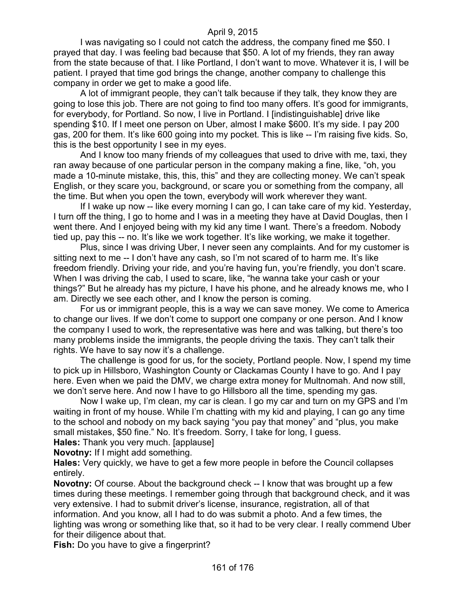I was navigating so I could not catch the address, the company fined me \$50. I prayed that day. I was feeling bad because that \$50. A lot of my friends, they ran away from the state because of that. I like Portland, I don't want to move. Whatever it is, I will be patient. I prayed that time god brings the change, another company to challenge this company in order we get to make a good life.

A lot of immigrant people, they can't talk because if they talk, they know they are going to lose this job. There are not going to find too many offers. It's good for immigrants, for everybody, for Portland. So now, I live in Portland. I [indistinguishable] drive like spending \$10. If I meet one person on Uber, almost I make \$600. It's my side. I pay 200 gas, 200 for them. It's like 600 going into my pocket. This is like -- I'm raising five kids. So, this is the best opportunity I see in my eyes.

And I know too many friends of my colleagues that used to drive with me, taxi, they ran away because of one particular person in the company making a fine, like, "oh, you made a 10-minute mistake, this, this, this" and they are collecting money. We can't speak English, or they scare you, background, or scare you or something from the company, all the time. But when you open the town, everybody will work wherever they want.

If I wake up now -- like every morning I can go, I can take care of my kid. Yesterday, I turn off the thing, I go to home and I was in a meeting they have at David Douglas, then I went there. And I enjoyed being with my kid any time I want. There's a freedom. Nobody tied up, pay this -- no. It's like we work together. It's like working, we make it together.

Plus, since I was driving Uber, I never seen any complaints. And for my customer is sitting next to me -- I don't have any cash, so I'm not scared of to harm me. It's like freedom friendly. Driving your ride, and you're having fun, you're friendly, you don't scare. When I was driving the cab, I used to scare, like, "he wanna take your cash or your things?" But he already has my picture, I have his phone, and he already knows me, who I am. Directly we see each other, and I know the person is coming.

For us or immigrant people, this is a way we can save money. We come to America to change our lives. If we don't come to support one company or one person. And I know the company I used to work, the representative was here and was talking, but there's too many problems inside the immigrants, the people driving the taxis. They can't talk their rights. We have to say now it's a challenge.

The challenge is good for us, for the society, Portland people. Now, I spend my time to pick up in Hillsboro, Washington County or Clackamas County I have to go. And I pay here. Even when we paid the DMV, we charge extra money for Multnomah. And now still, we don't serve here. And now I have to go Hillsboro all the time, spending my gas.

Now I wake up, I'm clean, my car is clean. I go my car and turn on my GPS and I'm waiting in front of my house. While I'm chatting with my kid and playing, I can go any time to the school and nobody on my back saying "you pay that money" and "plus, you make small mistakes, \$50 fine." No. It's freedom. Sorry, I take for long, I guess.

**Hales:** Thank you very much. [applause]

**Novotny:** If I might add something.

**Hales:** Very quickly, we have to get a few more people in before the Council collapses entirely.

**Novotny:** Of course. About the background check -- I know that was brought up a few times during these meetings. I remember going through that background check, and it was very extensive. I had to submit driver's license, insurance, registration, all of that information. And you know, all I had to do was submit a photo. And a few times, the lighting was wrong or something like that, so it had to be very clear. I really commend Uber for their diligence about that.

**Fish:** Do you have to give a fingerprint?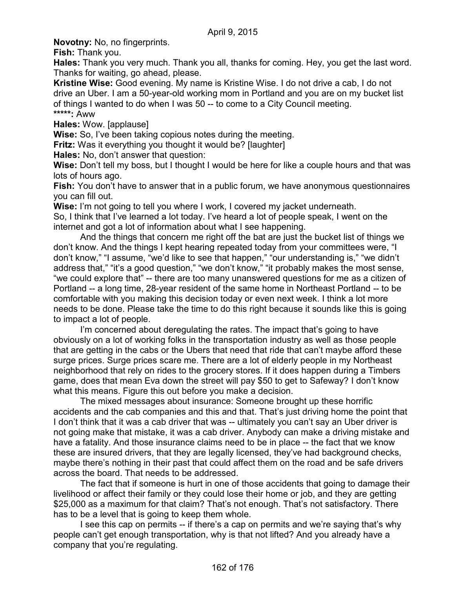**Novotny:** No, no fingerprints.

**Fish:** Thank you.

**Hales:** Thank you very much. Thank you all, thanks for coming. Hey, you get the last word. Thanks for waiting, go ahead, please.

**Kristine Wise:** Good evening. My name is Kristine Wise. I do not drive a cab, I do not drive an Uber. I am a 50-year-old working mom in Portland and you are on my bucket list of things I wanted to do when I was 50 -- to come to a City Council meeting. **\*\*\*\*\*:** Aww

**Hales:** Wow. [applause]

**Wise:** So, I've been taking copious notes during the meeting.

**Fritz:** Was it everything you thought it would be? [laughter]

**Hales:** No, don't answer that question:

**Wise:** Don't tell my boss, but I thought I would be here for like a couple hours and that was lots of hours ago.

**Fish:** You don't have to answer that in a public forum, we have anonymous questionnaires you can fill out.

**Wise:** I'm not going to tell you where I work, I covered my jacket underneath. So, I think that I've learned a lot today. I've heard a lot of people speak, I went on the internet and got a lot of information about what I see happening.

And the things that concern me right off the bat are just the bucket list of things we don't know. And the things I kept hearing repeated today from your committees were, "I don't know," "I assume, "we'd like to see that happen," "our understanding is," "we didn't address that," "it's a good question," "we don't know," "it probably makes the most sense, "we could explore that" -- there are too many unanswered questions for me as a citizen of Portland -- a long time, 28-year resident of the same home in Northeast Portland -- to be comfortable with you making this decision today or even next week. I think a lot more needs to be done. Please take the time to do this right because it sounds like this is going to impact a lot of people.

I'm concerned about deregulating the rates. The impact that's going to have obviously on a lot of working folks in the transportation industry as well as those people that are getting in the cabs or the Ubers that need that ride that can't maybe afford these surge prices. Surge prices scare me. There are a lot of elderly people in my Northeast neighborhood that rely on rides to the grocery stores. If it does happen during a Timbers game, does that mean Eva down the street will pay \$50 to get to Safeway? I don't know what this means. Figure this out before you make a decision.

The mixed messages about insurance: Someone brought up these horrific accidents and the cab companies and this and that. That's just driving home the point that I don't think that it was a cab driver that was -- ultimately you can't say an Uber driver is not going make that mistake, it was a cab driver. Anybody can make a driving mistake and have a fatality. And those insurance claims need to be in place -- the fact that we know these are insured drivers, that they are legally licensed, they've had background checks, maybe there's nothing in their past that could affect them on the road and be safe drivers across the board. That needs to be addressed.

The fact that if someone is hurt in one of those accidents that going to damage their livelihood or affect their family or they could lose their home or job, and they are getting \$25,000 as a maximum for that claim? That's not enough. That's not satisfactory. There has to be a level that is going to keep them whole.

I see this cap on permits -- if there's a cap on permits and we're saying that's why people can't get enough transportation, why is that not lifted? And you already have a company that you're regulating.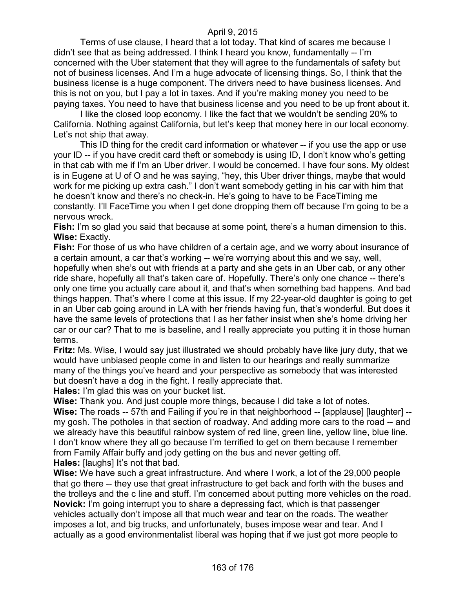Terms of use clause, I heard that a lot today. That kind of scares me because I didn't see that as being addressed. I think I heard you know, fundamentally -- I'm concerned with the Uber statement that they will agree to the fundamentals of safety but not of business licenses. And I'm a huge advocate of licensing things. So, I think that the business license is a huge component. The drivers need to have business licenses. And this is not on you, but I pay a lot in taxes. And if you're making money you need to be paying taxes. You need to have that business license and you need to be up front about it.

I like the closed loop economy. I like the fact that we wouldn't be sending 20% to California. Nothing against California, but let's keep that money here in our local economy. Let's not ship that away.

This ID thing for the credit card information or whatever -- if you use the app or use your ID -- if you have credit card theft or somebody is using ID, I don't know who's getting in that cab with me if I'm an Uber driver. I would be concerned. I have four sons. My oldest is in Eugene at U of O and he was saying, "hey, this Uber driver things, maybe that would work for me picking up extra cash." I don't want somebody getting in his car with him that he doesn't know and there's no check-in. He's going to have to be FaceTiming me constantly. I'll FaceTime you when I get done dropping them off because I'm going to be a nervous wreck.

**Fish:** I'm so glad you said that because at some point, there's a human dimension to this. **Wise:** Exactly.

**Fish:** For those of us who have children of a certain age, and we worry about insurance of a certain amount, a car that's working -- we're worrying about this and we say, well, hopefully when she's out with friends at a party and she gets in an Uber cab, or any other ride share, hopefully all that's taken care of. Hopefully. There's only one chance -- there's only one time you actually care about it, and that's when something bad happens. And bad things happen. That's where I come at this issue. If my 22-year-old daughter is going to get in an Uber cab going around in LA with her friends having fun, that's wonderful. But does it have the same levels of protections that I as her father insist when she's home driving her car or our car? That to me is baseline, and I really appreciate you putting it in those human terms.

**Fritz:** Ms. Wise, I would say just illustrated we should probably have like jury duty, that we would have unbiased people come in and listen to our hearings and really summarize many of the things you've heard and your perspective as somebody that was interested but doesn't have a dog in the fight. I really appreciate that.

**Hales:** I'm glad this was on your bucket list.

**Wise:** Thank you. And just couple more things, because I did take a lot of notes.

**Wise:** The roads -- 57th and Failing if you're in that neighborhood -- [applause] [laughter] - my gosh. The potholes in that section of roadway. And adding more cars to the road -- and we already have this beautiful rainbow system of red line, green line, yellow line, blue line. I don't know where they all go because I'm terrified to get on them because I remember from Family Affair buffy and jody getting on the bus and never getting off. **Hales:** [laughs] It's not that bad.

**Wise:** We have such a great infrastructure. And where I work, a lot of the 29,000 people that go there -- they use that great infrastructure to get back and forth with the buses and the trolleys and the c line and stuff. I'm concerned about putting more vehicles on the road. **Novick:** I'm going interrupt you to share a depressing fact, which is that passenger vehicles actually don't impose all that much wear and tear on the roads. The weather imposes a lot, and big trucks, and unfortunately, buses impose wear and tear. And I actually as a good environmentalist liberal was hoping that if we just got more people to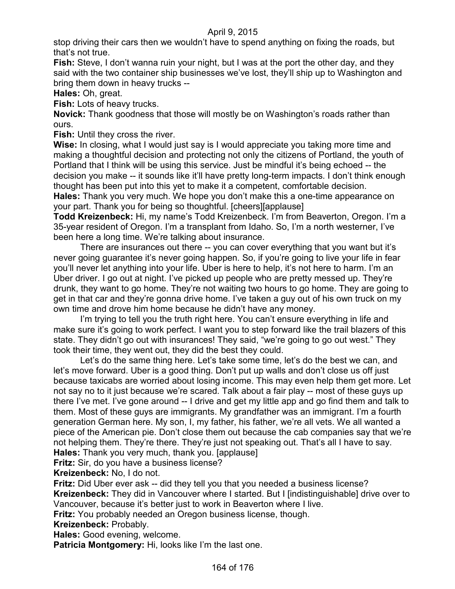stop driving their cars then we wouldn't have to spend anything on fixing the roads, but that's not true.

**Fish:** Steve, I don't wanna ruin your night, but I was at the port the other day, and they said with the two container ship businesses we've lost, they'll ship up to Washington and bring them down in heavy trucks --

**Hales:** Oh, great.

**Fish:** Lots of heavy trucks.

**Novick:** Thank goodness that those will mostly be on Washington's roads rather than ours.

**Fish:** Until they cross the river.

**Wise:** In closing, what I would just say is I would appreciate you taking more time and making a thoughtful decision and protecting not only the citizens of Portland, the youth of Portland that I think will be using this service. Just be mindful it's being echoed -- the decision you make -- it sounds like it'll have pretty long-term impacts. I don't think enough thought has been put into this yet to make it a competent, comfortable decision.

**Hales:** Thank you very much. We hope you don't make this a one-time appearance on your part. Thank you for being so thoughtful. [cheers][applause]

**Todd Kreizenbeck:** Hi, my name's Todd Kreizenbeck. I'm from Beaverton, Oregon. I'm a 35-year resident of Oregon. I'm a transplant from Idaho. So, I'm a north westerner, I've been here a long time. We're talking about insurance.

There are insurances out there -- you can cover everything that you want but it's never going guarantee it's never going happen. So, if you're going to live your life in fear you'll never let anything into your life. Uber is here to help, it's not here to harm. I'm an Uber driver. I go out at night. I've picked up people who are pretty messed up. They're drunk, they want to go home. They're not waiting two hours to go home. They are going to get in that car and they're gonna drive home. I've taken a guy out of his own truck on my own time and drove him home because he didn't have any money.

I'm trying to tell you the truth right here. You can't ensure everything in life and make sure it's going to work perfect. I want you to step forward like the trail blazers of this state. They didn't go out with insurances! They said, "we're going to go out west." They took their time, they went out, they did the best they could.

Let's do the same thing here. Let's take some time, let's do the best we can, and let's move forward. Uber is a good thing. Don't put up walls and don't close us off just because taxicabs are worried about losing income. This may even help them get more. Let not say no to it just because we're scared. Talk about a fair play -- most of these guys up there I've met. I've gone around -- I drive and get my little app and go find them and talk to them. Most of these guys are immigrants. My grandfather was an immigrant. I'm a fourth generation German here. My son, I, my father, his father, we're all vets. We all wanted a piece of the American pie. Don't close them out because the cab companies say that we're not helping them. They're there. They're just not speaking out. That's all I have to say. **Hales:** Thank you very much, thank you. [applause]

**Fritz:** Sir, do you have a business license?

**Kreizenbeck:** No, I do not.

**Fritz:** Did Uber ever ask -- did they tell you that you needed a business license?

**Kreizenbeck:** They did in Vancouver where I started. But I [indistinguishable] drive over to Vancouver, because it's better just to work in Beaverton where I live.

**Fritz:** You probably needed an Oregon business license, though.

**Kreizenbeck:** Probably.

**Hales:** Good evening, welcome.

**Patricia Montgomery:** Hi, looks like I'm the last one.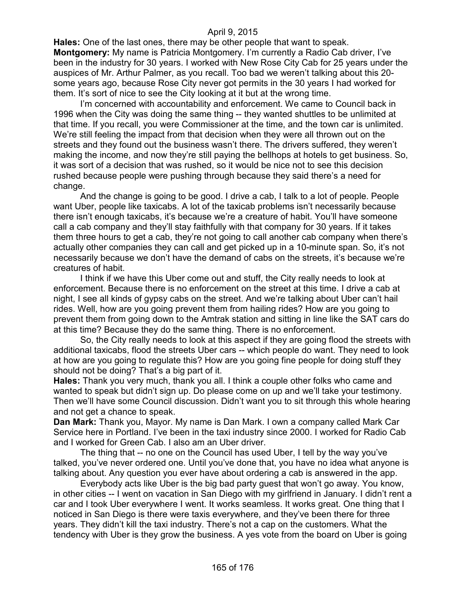**Hales:** One of the last ones, there may be other people that want to speak. **Montgomery:** My name is Patricia Montgomery. I'm currently a Radio Cab driver, I've been in the industry for 30 years. I worked with New Rose City Cab for 25 years under the auspices of Mr. Arthur Palmer, as you recall. Too bad we weren't talking about this 20 some years ago, because Rose City never got permits in the 30 years I had worked for them. It's sort of nice to see the City looking at it but at the wrong time.

I'm concerned with accountability and enforcement. We came to Council back in 1996 when the City was doing the same thing -- they wanted shuttles to be unlimited at that time. If you recall, you were Commissioner at the time, and the town car is unlimited. We're still feeling the impact from that decision when they were all thrown out on the streets and they found out the business wasn't there. The drivers suffered, they weren't making the income, and now they're still paying the bellhops at hotels to get business. So, it was sort of a decision that was rushed, so it would be nice not to see this decision rushed because people were pushing through because they said there's a need for change.

And the change is going to be good. I drive a cab, I talk to a lot of people. People want Uber, people like taxicabs. A lot of the taxicab problems isn't necessarily because there isn't enough taxicabs, it's because we're a creature of habit. You'll have someone call a cab company and they'll stay faithfully with that company for 30 years. If it takes them three hours to get a cab, they're not going to call another cab company when there's actually other companies they can call and get picked up in a 10-minute span. So, it's not necessarily because we don't have the demand of cabs on the streets, it's because we're creatures of habit.

I think if we have this Uber come out and stuff, the City really needs to look at enforcement. Because there is no enforcement on the street at this time. I drive a cab at night, I see all kinds of gypsy cabs on the street. And we're talking about Uber can't hail rides. Well, how are you going prevent them from hailing rides? How are you going to prevent them from going down to the Amtrak station and sitting in line like the SAT cars do at this time? Because they do the same thing. There is no enforcement.

So, the City really needs to look at this aspect if they are going flood the streets with additional taxicabs, flood the streets Uber cars -- which people do want. They need to look at how are you going to regulate this? How are you going fine people for doing stuff they should not be doing? That's a big part of it.

**Hales:** Thank you very much, thank you all. I think a couple other folks who came and wanted to speak but didn't sign up. Do please come on up and we'll take your testimony. Then we'll have some Council discussion. Didn't want you to sit through this whole hearing and not get a chance to speak.

**Dan Mark:** Thank you, Mayor. My name is Dan Mark. I own a company called Mark Car Service here in Portland. I've been in the taxi industry since 2000. I worked for Radio Cab and I worked for Green Cab. I also am an Uber driver.

The thing that -- no one on the Council has used Uber, I tell by the way you've talked, you've never ordered one. Until you've done that, you have no idea what anyone is talking about. Any question you ever have about ordering a cab is answered in the app.

Everybody acts like Uber is the big bad party guest that won't go away. You know, in other cities -- I went on vacation in San Diego with my girlfriend in January. I didn't rent a car and I took Uber everywhere I went. It works seamless. It works great. One thing that I noticed in San Diego is there were taxis everywhere, and they've been there for three years. They didn't kill the taxi industry. There's not a cap on the customers. What the tendency with Uber is they grow the business. A yes vote from the board on Uber is going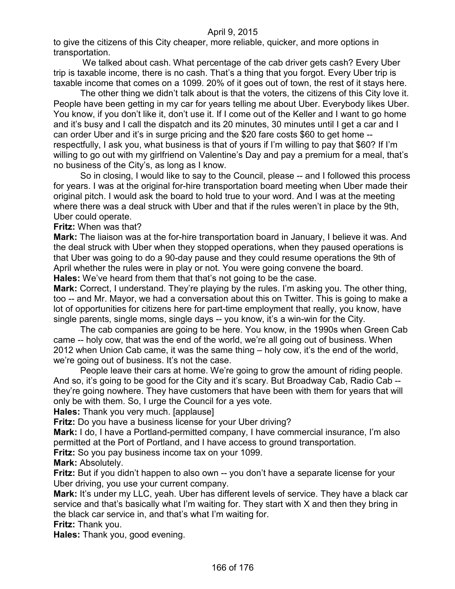to give the citizens of this City cheaper, more reliable, quicker, and more options in transportation.

We talked about cash. What percentage of the cab driver gets cash? Every Uber trip is taxable income, there is no cash. That's a thing that you forgot. Every Uber trip is taxable income that comes on a 1099. 20% of it goes out of town, the rest of it stays here.

The other thing we didn't talk about is that the voters, the citizens of this City love it. People have been getting in my car for years telling me about Uber. Everybody likes Uber. You know, if you don't like it, don't use it. If I come out of the Keller and I want to go home and it's busy and I call the dispatch and its 20 minutes, 30 minutes until I get a car and I can order Uber and it's in surge pricing and the \$20 fare costs \$60 to get home - respectfully, I ask you, what business is that of yours if I'm willing to pay that \$60? If I'm willing to go out with my girlfriend on Valentine's Day and pay a premium for a meal, that's no business of the City's, as long as I know.

So in closing, I would like to say to the Council, please -- and I followed this process for years. I was at the original for-hire transportation board meeting when Uber made their original pitch. I would ask the board to hold true to your word. And I was at the meeting where there was a deal struck with Uber and that if the rules weren't in place by the 9th, Uber could operate.

#### **Fritz:** When was that?

**Mark:** The liaison was at the for-hire transportation board in January, I believe it was. And the deal struck with Uber when they stopped operations, when they paused operations is that Uber was going to do a 90-day pause and they could resume operations the 9th of April whether the rules were in play or not. You were going convene the board. **Hales:** We've heard from them that that's not going to be the case.

**Mark:** Correct, I understand. They're playing by the rules. I'm asking you. The other thing, too -- and Mr. Mayor, we had a conversation about this on Twitter. This is going to make a lot of opportunities for citizens here for part-time employment that really, you know, have single parents, single moms, single days -- you know, it's a win-win for the City.

The cab companies are going to be here. You know, in the 1990s when Green Cab came -- holy cow, that was the end of the world, we're all going out of business. When 2012 when Union Cab came, it was the same thing – holy cow, it's the end of the world, we're going out of business. It's not the case.

People leave their cars at home. We're going to grow the amount of riding people. And so, it's going to be good for the City and it's scary. But Broadway Cab, Radio Cab - they're going nowhere. They have customers that have been with them for years that will only be with them. So, I urge the Council for a yes vote.

**Hales:** Thank you very much. [applause]

**Fritz:** Do you have a business license for your Uber driving?

**Mark:** I do, I have a Portland-permitted company, I have commercial insurance, I'm also permitted at the Port of Portland, and I have access to ground transportation.

**Fritz:** So you pay business income tax on your 1099.

**Mark:** Absolutely.

**Fritz:** But if you didn't happen to also own -- you don't have a separate license for your Uber driving, you use your current company.

**Mark:** It's under my LLC, yeah. Uber has different levels of service. They have a black car service and that's basically what I'm waiting for. They start with X and then they bring in the black car service in, and that's what I'm waiting for.

**Fritz:** Thank you.

**Hales:** Thank you, good evening.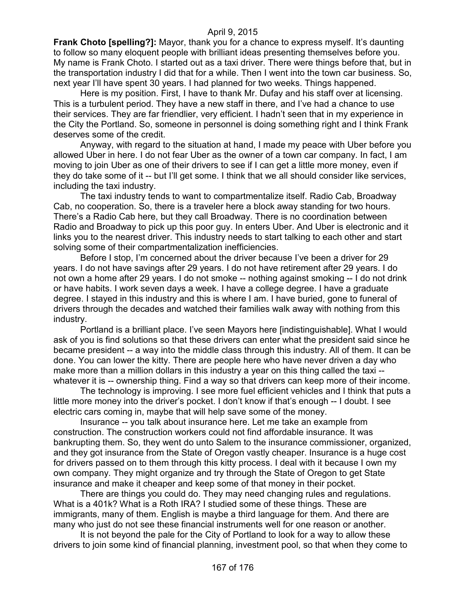**Frank Choto [spelling?]:** Mayor, thank you for a chance to express myself. It's daunting to follow so many eloquent people with brilliant ideas presenting themselves before you. My name is Frank Choto. I started out as a taxi driver. There were things before that, but in the transportation industry I did that for a while. Then I went into the town car business. So, next year I'll have spent 30 years. I had planned for two weeks. Things happened.

Here is my position. First, I have to thank Mr. Dufay and his staff over at licensing. This is a turbulent period. They have a new staff in there, and I've had a chance to use their services. They are far friendlier, very efficient. I hadn't seen that in my experience in the City the Portland. So, someone in personnel is doing something right and I think Frank deserves some of the credit.

Anyway, with regard to the situation at hand, I made my peace with Uber before you allowed Uber in here. I do not fear Uber as the owner of a town car company. In fact, I am moving to join Uber as one of their drivers to see if I can get a little more money, even if they do take some of it -- but I'll get some. I think that we all should consider like services, including the taxi industry.

The taxi industry tends to want to compartmentalize itself. Radio Cab, Broadway Cab, no cooperation. So, there is a traveler here a block away standing for two hours. There's a Radio Cab here, but they call Broadway. There is no coordination between Radio and Broadway to pick up this poor guy. In enters Uber. And Uber is electronic and it links you to the nearest driver. This industry needs to start talking to each other and start solving some of their compartmentalization inefficiencies.

Before I stop, I'm concerned about the driver because I've been a driver for 29 years. I do not have savings after 29 years. I do not have retirement after 29 years. I do not own a home after 29 years. I do not smoke -- nothing against smoking -- I do not drink or have habits. I work seven days a week. I have a college degree. I have a graduate degree. I stayed in this industry and this is where I am. I have buried, gone to funeral of drivers through the decades and watched their families walk away with nothing from this industry.

Portland is a brilliant place. I've seen Mayors here [indistinguishable]. What I would ask of you is find solutions so that these drivers can enter what the president said since he became president -- a way into the middle class through this industry. All of them. It can be done. You can lower the kitty. There are people here who have never driven a day who make more than a million dollars in this industry a year on this thing called the taxi - whatever it is -- ownership thing. Find a way so that drivers can keep more of their income.

The technology is improving. I see more fuel efficient vehicles and I think that puts a little more money into the driver's pocket. I don't know if that's enough -- I doubt. I see electric cars coming in, maybe that will help save some of the money.

Insurance -- you talk about insurance here. Let me take an example from construction. The construction workers could not find affordable insurance. It was bankrupting them. So, they went do unto Salem to the insurance commissioner, organized, and they got insurance from the State of Oregon vastly cheaper. Insurance is a huge cost for drivers passed on to them through this kitty process. I deal with it because I own my own company. They might organize and try through the State of Oregon to get State insurance and make it cheaper and keep some of that money in their pocket.

There are things you could do. They may need changing rules and regulations. What is a 401k? What is a Roth IRA? I studied some of these things. These are immigrants, many of them. English is maybe a third language for them. And there are many who just do not see these financial instruments well for one reason or another.

It is not beyond the pale for the City of Portland to look for a way to allow these drivers to join some kind of financial planning, investment pool, so that when they come to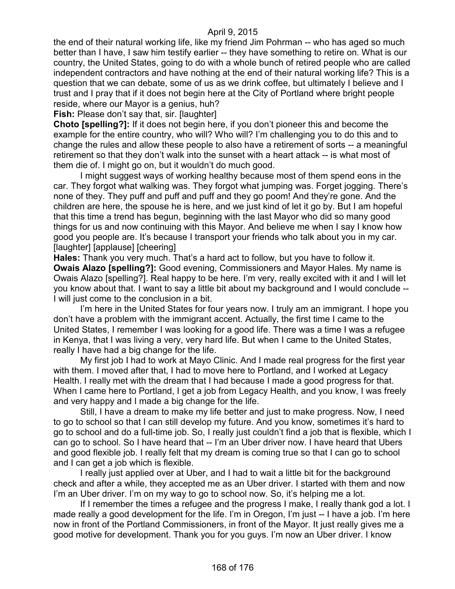the end of their natural working life, like my friend Jim Pohrman -- who has aged so much better than I have, I saw him testify earlier -- they have something to retire on. What is our country, the United States, going to do with a whole bunch of retired people who are called independent contractors and have nothing at the end of their natural working life? This is a question that we can debate, some of us as we drink coffee, but ultimately I believe and I trust and I pray that if it does not begin here at the City of Portland where bright people reside, where our Mayor is a genius, huh?

**Fish:** Please don't say that, sir. [laughter]

**Choto [spelling?]:** If it does not begin here, if you don't pioneer this and become the example for the entire country, who will? Who will? I'm challenging you to do this and to change the rules and allow these people to also have a retirement of sorts -- a meaningful retirement so that they don't walk into the sunset with a heart attack -- is what most of them die of. I might go on, but it wouldn't do much good.

I might suggest ways of working healthy because most of them spend eons in the car. They forgot what walking was. They forgot what jumping was. Forget jogging. There's none of they. They puff and puff and puff and they go poom! And they're gone. And the children are here, the spouse he is here, and we just kind of let it go by. But I am hopeful that this time a trend has begun, beginning with the last Mayor who did so many good things for us and now continuing with this Mayor. And believe me when I say I know how good you people are. It's because I transport your friends who talk about you in my car. [laughter] [applause] [cheering]

**Hales:** Thank you very much. That's a hard act to follow, but you have to follow it. **Owais Alazo [spelling?]:** Good evening, Commissioners and Mayor Hales. My name is Owais Alazo [spelling?]. Real happy to be here. I'm very, really excited with it and I will let you know about that. I want to say a little bit about my background and I would conclude -- I will just come to the conclusion in a bit.

I'm here in the United States for four years now. I truly am an immigrant. I hope you don't have a problem with the immigrant accent. Actually, the first time I came to the United States, I remember I was looking for a good life. There was a time I was a refugee in Kenya, that I was living a very, very hard life. But when I came to the United States, really I have had a big change for the life.

My first job I had to work at Mayo Clinic. And I made real progress for the first year with them. I moved after that, I had to move here to Portland, and I worked at Legacy Health. I really met with the dream that I had because I made a good progress for that. When I came here to Portland, I get a job from Legacy Health, and you know, I was freely and very happy and I made a big change for the life.

Still, I have a dream to make my life better and just to make progress. Now, I need to go to school so that I can still develop my future. And you know, sometimes it's hard to go to school and do a full-time job. So, I really just couldn't find a job that is flexible, which I can go to school. So I have heard that -- I'm an Uber driver now. I have heard that Ubers and good flexible job. I really felt that my dream is coming true so that I can go to school and I can get a job which is flexible.

I really just applied over at Uber, and I had to wait a little bit for the background check and after a while, they accepted me as an Uber driver. I started with them and now I'm an Uber driver. I'm on my way to go to school now. So, it's helping me a lot.

If I remember the times a refugee and the progress I make, I really thank god a lot. I made really a good development for the life. I'm in Oregon, I'm just -- I have a job. I'm here now in front of the Portland Commissioners, in front of the Mayor. It just really gives me a good motive for development. Thank you for you guys. I'm now an Uber driver. I know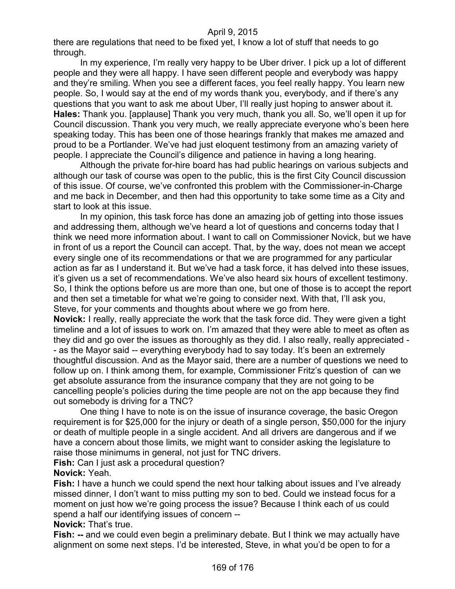there are regulations that need to be fixed yet, I know a lot of stuff that needs to go through.

In my experience, I'm really very happy to be Uber driver. I pick up a lot of different people and they were all happy. I have seen different people and everybody was happy and they're smiling. When you see a different faces, you feel really happy. You learn new people. So, I would say at the end of my words thank you, everybody, and if there's any questions that you want to ask me about Uber, I'll really just hoping to answer about it. **Hales:** Thank you. [applause] Thank you very much, thank you all. So, we'll open it up for Council discussion. Thank you very much, we really appreciate everyone who's been here speaking today. This has been one of those hearings frankly that makes me amazed and proud to be a Portlander. We've had just eloquent testimony from an amazing variety of people. I appreciate the Council's diligence and patience in having a long hearing.

Although the private for-hire board has had public hearings on various subjects and although our task of course was open to the public, this is the first City Council discussion of this issue. Of course, we've confronted this problem with the Commissioner-in-Charge and me back in December, and then had this opportunity to take some time as a City and start to look at this issue.

In my opinion, this task force has done an amazing job of getting into those issues and addressing them, although we've heard a lot of questions and concerns today that I think we need more information about. I want to call on Commissioner Novick, but we have in front of us a report the Council can accept. That, by the way, does not mean we accept every single one of its recommendations or that we are programmed for any particular action as far as I understand it. But we've had a task force, it has delved into these issues, it's given us a set of recommendations. We've also heard six hours of excellent testimony. So, I think the options before us are more than one, but one of those is to accept the report and then set a timetable for what we're going to consider next. With that, I'll ask you, Steve, for your comments and thoughts about where we go from here.

**Novick:** I really, really appreciate the work that the task force did. They were given a tight timeline and a lot of issues to work on. I'm amazed that they were able to meet as often as they did and go over the issues as thoroughly as they did. I also really, really appreciated - - as the Mayor said -- everything everybody had to say today. It's been an extremely thoughtful discussion. And as the Mayor said, there are a number of questions we need to follow up on. I think among them, for example, Commissioner Fritz's question of can we get absolute assurance from the insurance company that they are not going to be cancelling people's policies during the time people are not on the app because they find out somebody is driving for a TNC?

One thing I have to note is on the issue of insurance coverage, the basic Oregon requirement is for \$25,000 for the injury or death of a single person, \$50,000 for the injury or death of multiple people in a single accident. And all drivers are dangerous and if we have a concern about those limits, we might want to consider asking the legislature to raise those minimums in general, not just for TNC drivers.

**Fish:** Can I just ask a procedural question?

**Novick:** Yeah.

**Fish:** I have a hunch we could spend the next hour talking about issues and I've already missed dinner, I don't want to miss putting my son to bed. Could we instead focus for a moment on just how we're going process the issue? Because I think each of us could spend a half our identifying issues of concern --

**Novick:** That's true.

**Fish: --** and we could even begin a preliminary debate. But I think we may actually have alignment on some next steps. I'd be interested, Steve, in what you'd be open to for a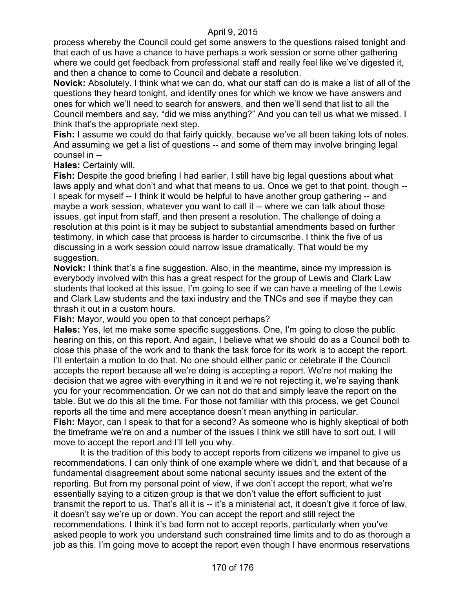process whereby the Council could get some answers to the questions raised tonight and that each of us have a chance to have perhaps a work session or some other gathering where we could get feedback from professional staff and really feel like we've digested it, and then a chance to come to Council and debate a resolution.

**Novick:** Absolutely. I think what we can do, what our staff can do is make a list of all of the questions they heard tonight, and identify ones for which we know we have answers and ones for which we'll need to search for answers, and then we'll send that list to all the Council members and say, "did we miss anything?" And you can tell us what we missed. I think that's the appropriate next step.

**Fish:** I assume we could do that fairly quickly, because we've all been taking lots of notes. And assuming we get a list of questions -- and some of them may involve bringing legal counsel in --

**Hales:** Certainly will.

**Fish:** Despite the good briefing I had earlier, I still have big legal questions about what laws apply and what don't and what that means to us. Once we get to that point, though -- I speak for myself -- I think it would be helpful to have another group gathering -- and maybe a work session, whatever you want to call it -- where we can talk about those issues, get input from staff, and then present a resolution. The challenge of doing a resolution at this point is it may be subject to substantial amendments based on further testimony, in which case that process is harder to circumscribe. I think the five of us discussing in a work session could narrow issue dramatically. That would be my suggestion.

**Novick:** I think that's a fine suggestion. Also, in the meantime, since my impression is everybody involved with this has a great respect for the group of Lewis and Clark Law students that looked at this issue, I'm going to see if we can have a meeting of the Lewis and Clark Law students and the taxi industry and the TNCs and see if maybe they can thrash it out in a custom hours.

**Fish:** Mayor, would you open to that concept perhaps?

**Hales:** Yes, let me make some specific suggestions. One, I'm going to close the public hearing on this, on this report. And again, I believe what we should do as a Council both to close this phase of the work and to thank the task force for its work is to accept the report. I'll entertain a motion to do that. No one should either panic or celebrate if the Council accepts the report because all we're doing is accepting a report. We're not making the decision that we agree with everything in it and we're not rejecting it, we're saying thank you for your recommendation. Or we can not do that and simply leave the report on the table. But we do this all the time. For those not familiar with this process, we get Council reports all the time and mere acceptance doesn't mean anything in particular. **Fish:** Mayor, can I speak to that for a second? As someone who is highly skeptical of both the timeframe we're on and a number of the issues I think we still have to sort out, I will move to accept the report and I'll tell you why.

It is the tradition of this body to accept reports from citizens we impanel to give us recommendations. I can only think of one example where we didn't, and that because of a fundamental disagreement about some national security issues and the extent of the reporting. But from my personal point of view, if we don't accept the report, what we're essentially saying to a citizen group is that we don't value the effort sufficient to just transmit the report to us. That's all it is -- it's a ministerial act, it doesn't give it force of law, it doesn't say we're up or down. You can accept the report and still reject the recommendations. I think it's bad form not to accept reports, particularly when you've asked people to work you understand such constrained time limits and to do as thorough a job as this. I'm going move to accept the report even though I have enormous reservations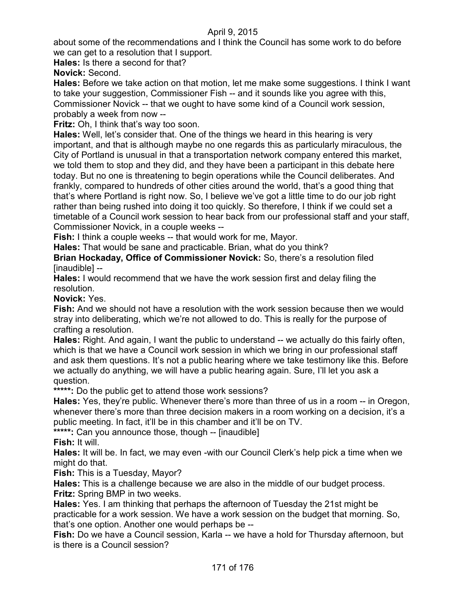about some of the recommendations and I think the Council has some work to do before we can get to a resolution that I support.

**Hales:** Is there a second for that?

**Novick:** Second.

**Hales:** Before we take action on that motion, let me make some suggestions. I think I want to take your suggestion, Commissioner Fish -- and it sounds like you agree with this, Commissioner Novick -- that we ought to have some kind of a Council work session, probably a week from now --

**Fritz:** Oh, I think that's way too soon.

**Hales:** Well, let's consider that. One of the things we heard in this hearing is very important, and that is although maybe no one regards this as particularly miraculous, the City of Portland is unusual in that a transportation network company entered this market, we told them to stop and they did, and they have been a participant in this debate here today. But no one is threatening to begin operations while the Council deliberates. And frankly, compared to hundreds of other cities around the world, that's a good thing that that's where Portland is right now. So, I believe we've got a little time to do our job right rather than being rushed into doing it too quickly. So therefore, I think if we could set a timetable of a Council work session to hear back from our professional staff and your staff, Commissioner Novick, in a couple weeks --

**Fish:** I think a couple weeks -- that would work for me, Mayor.

**Hales:** That would be sane and practicable. Brian, what do you think?

**Brian Hockaday, Office of Commissioner Novick:** So, there's a resolution filed [inaudible] --

**Hales:** I would recommend that we have the work session first and delay filing the resolution.

**Novick:** Yes.

**Fish:** And we should not have a resolution with the work session because then we would stray into deliberating, which we're not allowed to do. This is really for the purpose of crafting a resolution.

**Hales:** Right. And again, I want the public to understand -- we actually do this fairly often, which is that we have a Council work session in which we bring in our professional staff and ask them questions. It's not a public hearing where we take testimony like this. Before we actually do anything, we will have a public hearing again. Sure, I'll let you ask a question.

**\*\*\*\*\*:** Do the public get to attend those work sessions?

**Hales:** Yes, they're public. Whenever there's more than three of us in a room -- in Oregon, whenever there's more than three decision makers in a room working on a decision, it's a public meeting. In fact, it'll be in this chamber and it'll be on TV.

**\*\*\*\*\*:** Can you announce those, though -- [inaudible]

**Fish:** It will.

**Hales:** It will be. In fact, we may even -with our Council Clerk's help pick a time when we might do that.

**Fish:** This is a Tuesday, Mayor?

**Hales:** This is a challenge because we are also in the middle of our budget process. **Fritz:** Spring BMP in two weeks.

**Hales:** Yes. I am thinking that perhaps the afternoon of Tuesday the 21st might be practicable for a work session. We have a work session on the budget that morning. So, that's one option. Another one would perhaps be --

**Fish:** Do we have a Council session, Karla -- we have a hold for Thursday afternoon, but is there is a Council session?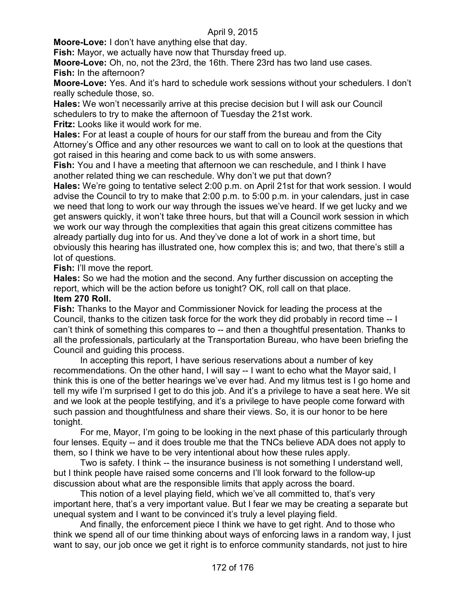**Moore-Love:** I don't have anything else that day.

**Fish:** Mayor, we actually have now that Thursday freed up.

**Moore-Love:** Oh, no, not the 23rd, the 16th. There 23rd has two land use cases. **Fish:** In the afternoon?

**Moore-Love:** Yes. And it's hard to schedule work sessions without your schedulers. I don't really schedule those, so.

**Hales:** We won't necessarily arrive at this precise decision but I will ask our Council schedulers to try to make the afternoon of Tuesday the 21st work.

**Fritz:** Looks like it would work for me.

**Hales:** For at least a couple of hours for our staff from the bureau and from the City Attorney's Office and any other resources we want to call on to look at the questions that got raised in this hearing and come back to us with some answers.

**Fish:** You and I have a meeting that afternoon we can reschedule, and I think I have another related thing we can reschedule. Why don't we put that down?

**Hales:** We're going to tentative select 2:00 p.m. on April 21st for that work session. I would advise the Council to try to make that 2:00 p.m. to 5:00 p.m. in your calendars, just in case we need that long to work our way through the issues we've heard. If we get lucky and we get answers quickly, it won't take three hours, but that will a Council work session in which we work our way through the complexities that again this great citizens committee has already partially dug into for us. And they've done a lot of work in a short time, but obviously this hearing has illustrated one, how complex this is; and two, that there's still a lot of questions.

**Fish:** I'll move the report.

**Hales:** So we had the motion and the second. Any further discussion on accepting the report, which will be the action before us tonight? OK, roll call on that place.

#### **Item 270 Roll.**

**Fish:** Thanks to the Mayor and Commissioner Novick for leading the process at the Council, thanks to the citizen task force for the work they did probably in record time -- I can't think of something this compares to -- and then a thoughtful presentation. Thanks to all the professionals, particularly at the Transportation Bureau, who have been briefing the Council and guiding this process.

In accepting this report, I have serious reservations about a number of key recommendations. On the other hand, I will say -- I want to echo what the Mayor said, I think this is one of the better hearings we've ever had. And my litmus test is I go home and tell my wife I'm surprised I get to do this job. And it's a privilege to have a seat here. We sit and we look at the people testifying, and it's a privilege to have people come forward with such passion and thoughtfulness and share their views. So, it is our honor to be here tonight.

For me, Mayor, I'm going to be looking in the next phase of this particularly through four lenses. Equity -- and it does trouble me that the TNCs believe ADA does not apply to them, so I think we have to be very intentional about how these rules apply.

Two is safety. I think -- the insurance business is not something I understand well, but I think people have raised some concerns and I'll look forward to the follow-up discussion about what are the responsible limits that apply across the board.

This notion of a level playing field, which we've all committed to, that's very important here, that's a very important value. But I fear we may be creating a separate but unequal system and I want to be convinced it's truly a level playing field.

And finally, the enforcement piece I think we have to get right. And to those who think we spend all of our time thinking about ways of enforcing laws in a random way, I just want to say, our job once we get it right is to enforce community standards, not just to hire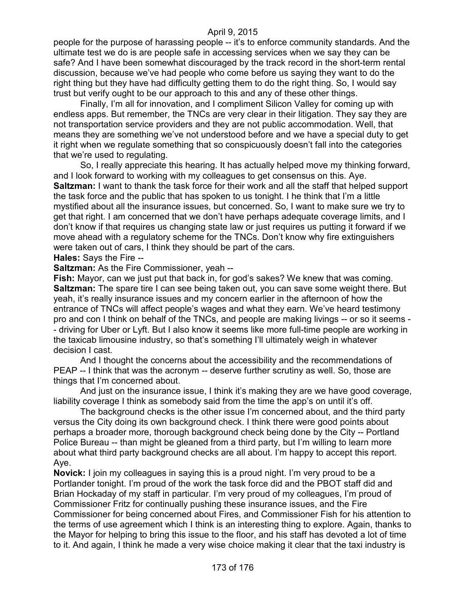people for the purpose of harassing people -- it's to enforce community standards. And the ultimate test we do is are people safe in accessing services when we say they can be safe? And I have been somewhat discouraged by the track record in the short-term rental discussion, because we've had people who come before us saying they want to do the right thing but they have had difficulty getting them to do the right thing. So, I would say trust but verify ought to be our approach to this and any of these other things.

Finally, I'm all for innovation, and I compliment Silicon Valley for coming up with endless apps. But remember, the TNCs are very clear in their litigation. They say they are not transportation service providers and they are not public accommodation. Well, that means they are something we've not understood before and we have a special duty to get it right when we regulate something that so conspicuously doesn't fall into the categories that we're used to regulating.

So, I really appreciate this hearing. It has actually helped move my thinking forward, and I look forward to working with my colleagues to get consensus on this. Aye. **Saltzman:** I want to thank the task force for their work and all the staff that helped support the task force and the public that has spoken to us tonight. I he think that I'm a little mystified about all the insurance issues, but concerned. So, I want to make sure we try to get that right. I am concerned that we don't have perhaps adequate coverage limits, and I don't know if that requires us changing state law or just requires us putting it forward if we move ahead with a regulatory scheme for the TNCs. Don't know why fire extinguishers were taken out of cars, I think they should be part of the cars.

**Hales:** Says the Fire --

**Saltzman:** As the Fire Commissioner, yeah --

**Fish:** Mayor, can we just put that back in, for god's sakes? We knew that was coming. **Saltzman:** The spare tire I can see being taken out, you can save some weight there. But yeah, it's really insurance issues and my concern earlier in the afternoon of how the entrance of TNCs will affect people's wages and what they earn. We've heard testimony pro and con I think on behalf of the TNCs, and people are making livings -- or so it seems - - driving for Uber or Lyft. But I also know it seems like more full-time people are working in the taxicab limousine industry, so that's something I'll ultimately weigh in whatever decision I cast.

And I thought the concerns about the accessibility and the recommendations of PEAP -- I think that was the acronym -- deserve further scrutiny as well. So, those are things that I'm concerned about.

And just on the insurance issue, I think it's making they are we have good coverage, liability coverage I think as somebody said from the time the app's on until it's off.

The background checks is the other issue I'm concerned about, and the third party versus the City doing its own background check. I think there were good points about perhaps a broader more, thorough background check being done by the City -- Portland Police Bureau -- than might be gleaned from a third party, but I'm willing to learn more about what third party background checks are all about. I'm happy to accept this report. Aye.

**Novick:** I join my colleagues in saying this is a proud night. I'm very proud to be a Portlander tonight. I'm proud of the work the task force did and the PBOT staff did and Brian Hockaday of my staff in particular. I'm very proud of my colleagues, I'm proud of Commissioner Fritz for continually pushing these insurance issues, and the Fire Commissioner for being concerned about Fires, and Commissioner Fish for his attention to the terms of use agreement which I think is an interesting thing to explore. Again, thanks to the Mayor for helping to bring this issue to the floor, and his staff has devoted a lot of time to it. And again, I think he made a very wise choice making it clear that the taxi industry is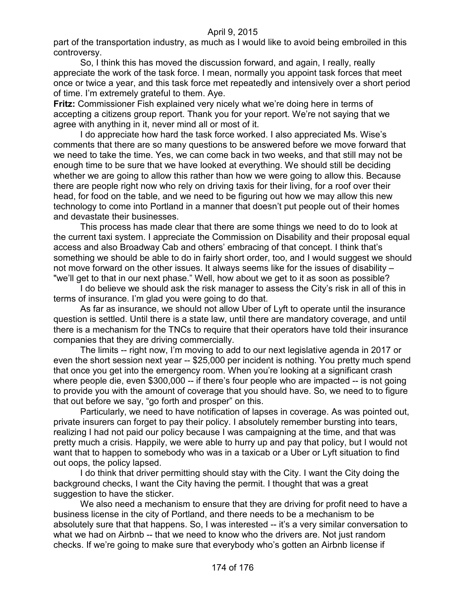part of the transportation industry, as much as I would like to avoid being embroiled in this controversy.

So, I think this has moved the discussion forward, and again, I really, really appreciate the work of the task force. I mean, normally you appoint task forces that meet once or twice a year, and this task force met repeatedly and intensively over a short period of time. I'm extremely grateful to them. Aye.

**Fritz:** Commissioner Fish explained very nicely what we're doing here in terms of accepting a citizens group report. Thank you for your report. We're not saying that we agree with anything in it, never mind all or most of it.

I do appreciate how hard the task force worked. I also appreciated Ms. Wise's comments that there are so many questions to be answered before we move forward that we need to take the time. Yes, we can come back in two weeks, and that still may not be enough time to be sure that we have looked at everything. We should still be deciding whether we are going to allow this rather than how we were going to allow this. Because there are people right now who rely on driving taxis for their living, for a roof over their head, for food on the table, and we need to be figuring out how we may allow this new technology to come into Portland in a manner that doesn't put people out of their homes and devastate their businesses.

This process has made clear that there are some things we need to do to look at the current taxi system. I appreciate the Commission on Disability and their proposal equal access and also Broadway Cab and others' embracing of that concept. I think that's something we should be able to do in fairly short order, too, and I would suggest we should not move forward on the other issues. It always seems like for the issues of disability – "we'll get to that in our next phase." Well, how about we get to it as soon as possible?

I do believe we should ask the risk manager to assess the City's risk in all of this in terms of insurance. I'm glad you were going to do that.

As far as insurance, we should not allow Uber of Lyft to operate until the insurance question is settled. Until there is a state law, until there are mandatory coverage, and until there is a mechanism for the TNCs to require that their operators have told their insurance companies that they are driving commercially.

The limits -- right now, I'm moving to add to our next legislative agenda in 2017 or even the short session next year -- \$25,000 per incident is nothing. You pretty much spend that once you get into the emergency room. When you're looking at a significant crash where people die, even \$300,000 -- if there's four people who are impacted -- is not going to provide you with the amount of coverage that you should have. So, we need to to figure that out before we say, "go forth and prosper" on this.

Particularly, we need to have notification of lapses in coverage. As was pointed out, private insurers can forget to pay their policy. I absolutely remember bursting into tears, realizing I had not paid our policy because I was campaigning at the time, and that was pretty much a crisis. Happily, we were able to hurry up and pay that policy, but I would not want that to happen to somebody who was in a taxicab or a Uber or Lyft situation to find out oops, the policy lapsed.

I do think that driver permitting should stay with the City. I want the City doing the background checks, I want the City having the permit. I thought that was a great suggestion to have the sticker.

We also need a mechanism to ensure that they are driving for profit need to have a business license in the city of Portland, and there needs to be a mechanism to be absolutely sure that that happens. So, I was interested -- it's a very similar conversation to what we had on Airbnb -- that we need to know who the drivers are. Not just random checks. If we're going to make sure that everybody who's gotten an Airbnb license if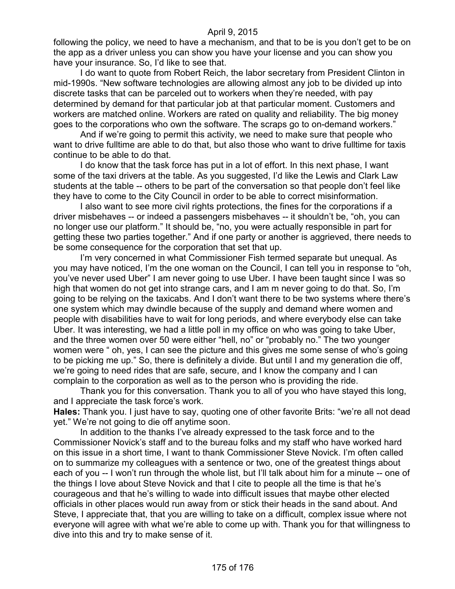following the policy, we need to have a mechanism, and that to be is you don't get to be on the app as a driver unless you can show you have your license and you can show you have your insurance. So, I'd like to see that.

I do want to quote from Robert Reich, the labor secretary from President Clinton in mid-1990s. "New software technologies are allowing almost any job to be divided up into discrete tasks that can be parceled out to workers when they're needed, with pay determined by demand for that particular job at that particular moment. Customers and workers are matched online. Workers are rated on quality and reliability. The big money goes to the corporations who own the software. The scraps go to on-demand workers."

And if we're going to permit this activity, we need to make sure that people who want to drive fulltime are able to do that, but also those who want to drive fulltime for taxis continue to be able to do that.

I do know that the task force has put in a lot of effort. In this next phase, I want some of the taxi drivers at the table. As you suggested, I'd like the Lewis and Clark Law students at the table -- others to be part of the conversation so that people don't feel like they have to come to the City Council in order to be able to correct misinformation.

I also want to see more civil rights protections, the fines for the corporations if a driver misbehaves -- or indeed a passengers misbehaves -- it shouldn't be, "oh, you can no longer use our platform." It should be, "no, you were actually responsible in part for getting these two parties together." And if one party or another is aggrieved, there needs to be some consequence for the corporation that set that up.

I'm very concerned in what Commissioner Fish termed separate but unequal. As you may have noticed, I'm the one woman on the Council, I can tell you in response to "oh, you've never used Uber" I am never going to use Uber. I have been taught since I was so high that women do not get into strange cars, and I am m never going to do that. So, I'm going to be relying on the taxicabs. And I don't want there to be two systems where there's one system which may dwindle because of the supply and demand where women and people with disabilities have to wait for long periods, and where everybody else can take Uber. It was interesting, we had a little poll in my office on who was going to take Uber, and the three women over 50 were either "hell, no" or "probably no." The two younger women were " oh, yes, I can see the picture and this gives me some sense of who's going to be picking me up." So, there is definitely a divide. But until I and my generation die off, we're going to need rides that are safe, secure, and I know the company and I can complain to the corporation as well as to the person who is providing the ride.

Thank you for this conversation. Thank you to all of you who have stayed this long, and I appreciate the task force's work.

**Hales:** Thank you. I just have to say, quoting one of other favorite Brits: "we're all not dead yet." We're not going to die off anytime soon.

In addition to the thanks I've already expressed to the task force and to the Commissioner Novick's staff and to the bureau folks and my staff who have worked hard on this issue in a short time, I want to thank Commissioner Steve Novick. I'm often called on to summarize my colleagues with a sentence or two, one of the greatest things about each of you -- I won't run through the whole list, but I'll talk about him for a minute -- one of the things I love about Steve Novick and that I cite to people all the time is that he's courageous and that he's willing to wade into difficult issues that maybe other elected officials in other places would run away from or stick their heads in the sand about. And Steve, I appreciate that, that you are willing to take on a difficult, complex issue where not everyone will agree with what we're able to come up with. Thank you for that willingness to dive into this and try to make sense of it.